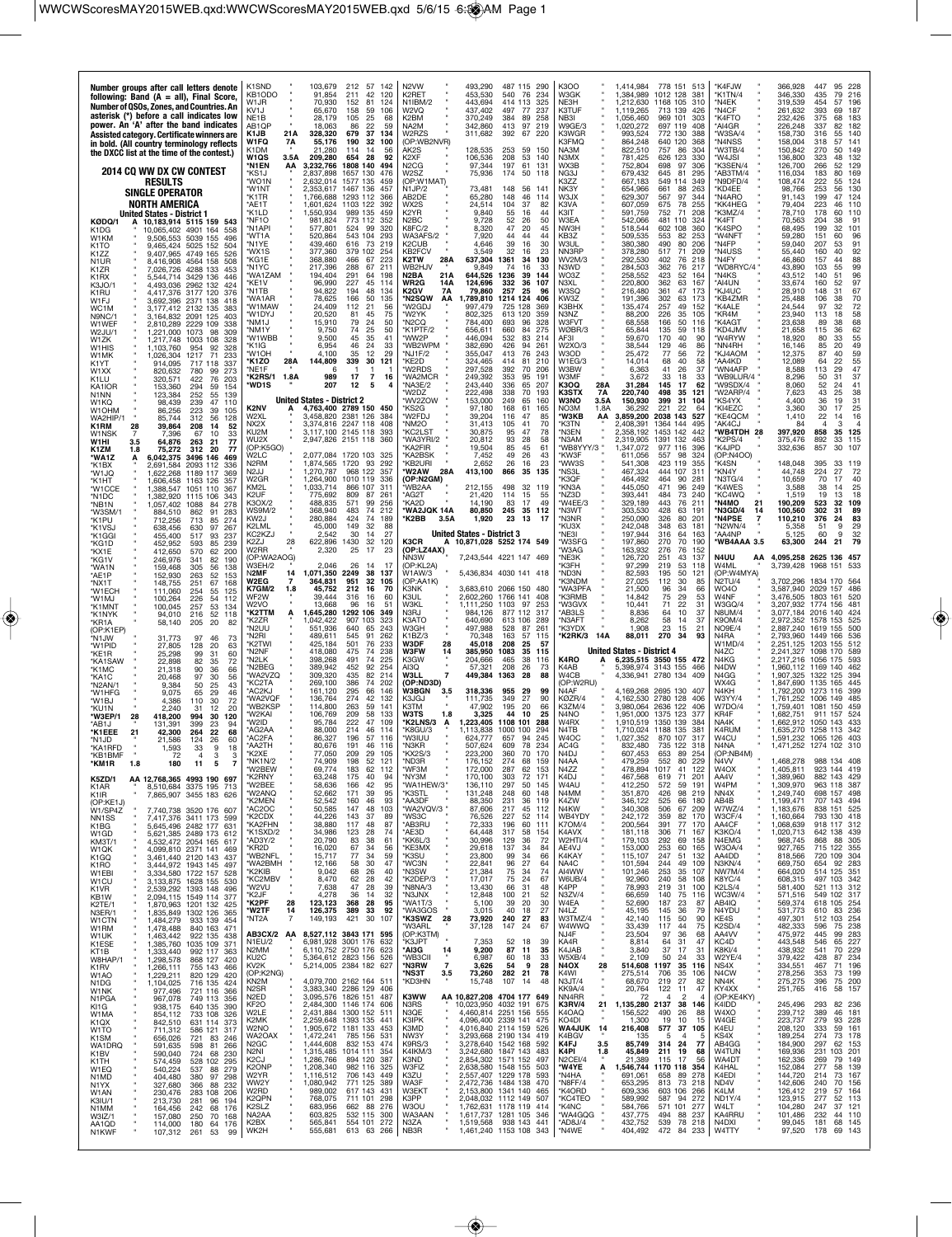| Number groups after call letters denote<br>following: Band $(A = all)$ , Final Score,<br>Number of QSOs, Zones, and Countries. An<br>asterisk (*) before a call indicates low<br>power. An 'A' after the band indicates<br>Assisted category. Certificate winners are<br>in bold. (All country terminology reflects<br>the DXCC list at the time of the contest.) | K1SND<br>KB1ODO<br>W1JR<br>KV1J<br>NE <sub>1</sub> B<br>AB1QP<br>K1JB<br>21A<br>W1FQ<br>7A<br>K1DM<br>W1QS | 103,679<br>212<br>57<br>142<br>91,854<br>211<br>42<br>120<br>70,930<br>152<br>81<br>124<br>65,670<br>158<br>59<br>106<br>105<br>28.179<br>-25<br>68<br>18,063<br>86<br>22<br>59<br>328,320<br>679<br>37<br>134<br>55,176<br>190<br>32<br>100<br>21.280<br>114<br>14<br>56<br>-28<br>92 | N <sub>2</sub> VW<br>K <sub>2</sub> RFT<br>N1IBM/2<br>W2VQ<br>K2BM<br>NA2M<br>W2RZS<br>(OP:WB2NVR)<br>AK2S | 493,290<br>487 115<br>453,530<br>540<br>443,694<br>414<br>437,402<br>497<br>370,249<br>384<br>342,860<br>311,682<br>392<br>128,535<br>253 | 290<br>76<br>234<br>113<br>325<br>237<br>77<br>-89<br>258<br>413 97 219<br>67 220<br>59<br>150 | K3OO<br>W3GK<br>NE3H<br>K3TUF<br>NB3I<br>W9GE/3<br>K3WGR<br>K3FMQ<br>NA3M | 1,414,984<br>1,384,989<br>1,212,630<br>1.119.265<br>1.056.460<br>1,020,272<br>993,524<br>864,248<br>822,510 | 778 151<br>513<br>1012 128<br>381<br>1168<br>105<br>310<br>713 139<br>426<br>969 101<br>303<br>697 119<br>408<br>772 130<br>388<br>640 120<br>368<br>757<br>-86<br>30 <sub>4</sub><br>626 123 | *K4FJW<br>*K1TN/4<br>*N4EK<br>'N4CF<br>*K4FTO<br>'AI4GR<br>'W3SA/4<br>'N4NSS<br>'W3TB/4<br>'W4JSI | 366,928<br>346,330<br>319,539<br>261,632<br>232,426<br>226,248<br>158,730<br>158,004<br>150,842 | 447<br>95<br>79<br>435<br>454<br>57<br>393<br>69<br>375<br>68<br>337<br>82<br>316<br>55<br>318<br>57<br>270<br>50 | 228<br>216<br>196<br>187<br>183<br>182<br>140<br>141<br>149 |
|-------------------------------------------------------------------------------------------------------------------------------------------------------------------------------------------------------------------------------------------------------------------------------------------------------------------------------------------------------------------|------------------------------------------------------------------------------------------------------------|----------------------------------------------------------------------------------------------------------------------------------------------------------------------------------------------------------------------------------------------------------------------------------------|------------------------------------------------------------------------------------------------------------|-------------------------------------------------------------------------------------------------------------------------------------------|------------------------------------------------------------------------------------------------|---------------------------------------------------------------------------|-------------------------------------------------------------------------------------------------------------|-----------------------------------------------------------------------------------------------------------------------------------------------------------------------------------------------|---------------------------------------------------------------------------------------------------|-------------------------------------------------------------------------------------------------|-------------------------------------------------------------------------------------------------------------------|-------------------------------------------------------------|
| <b>2014 CQ WW DX CW CONTEST</b>                                                                                                                                                                                                                                                                                                                                   | 3.5A<br>*N1EN<br>ΑА<br>'KS1J                                                                               | 209,280<br>654<br>1808 140<br>3.232.766<br>494<br>2,837,898<br>1657 130<br>476                                                                                                                                                                                                         | K2XF<br>N <sub>2</sub> CG<br>W2SZ                                                                          | 106,536<br>208<br>97,344<br>197<br>75,936<br>174                                                                                          | 53<br>140<br>61<br>131<br>50<br>118                                                            | N3MX<br>WX3B<br>NG3J                                                      | 781,425<br>752,804<br>679,432                                                                               | 330<br>30 <sub>f</sub><br>698<br>97<br>645<br>81<br>295                                                                                                                                       | K3SEN/4<br>AB3TM/4                                                                                | 136,800<br>126,700<br>116,034                                                                   | 323<br>48<br>266<br>52<br>183<br>80                                                                               | 132<br>129<br>169                                           |
| <b>RESULTS</b><br><b>SINGLE OPERATOR</b>                                                                                                                                                                                                                                                                                                                          | *WO1N<br>*W1NT<br>*K1TR                                                                                    | 1577 135<br>2.632.014<br>459<br>2.353.617<br>1467 136<br>457<br>1293 112<br>1.766.688<br>366                                                                                                                                                                                           | (OP:W1MAT)<br>N1JP/2<br>AB2DE                                                                              | 73,481<br>148<br>65,280<br>148                                                                                                            | 56<br>141<br>46<br>114                                                                         | K377<br>NK3Y<br>W3JX                                                      | 667,183<br>654,966<br>629,307                                                                               | 549<br>349<br>114<br>661<br>88<br>263<br>97<br>344<br>567                                                                                                                                     | N9DFD/4<br>KD4EE*<br>'N4ARO                                                                       | 108,474<br>98,766<br>91,143                                                                     | 222<br>55<br>253<br>56<br>199<br>47                                                                               | 124<br>130<br>124                                           |
| <b>NORTH AMERICA</b><br><b>United States - District 1</b>                                                                                                                                                                                                                                                                                                         | *AE1T<br>"K1LD                                                                                             | 1,601,624<br>1103 122<br>392<br>1,550,934<br>989 135<br>459                                                                                                                                                                                                                            | WX2S<br>K2YR                                                                                               | 24,514<br>104<br>9,840<br>55                                                                                                              | 37<br>82<br>-16<br>44                                                                          | K3VA<br>K3IT                                                              | 607,059<br>591,759                                                                                          | 675<br>78<br>255<br>71<br>752<br>208                                                                                                                                                          | 'KK4HEG<br>K3MZ/4                                                                                 | 79,404<br>78,710                                                                                | 223<br>46<br>178<br>60                                                                                            | 110<br>110                                                  |
| KØDQ/1<br>10,183,914 5115 159 543<br>K1DG<br>10,065,402 4901 164<br>558<br>W1KM<br>9,506,553 5039 155<br>496                                                                                                                                                                                                                                                      | *NF1O<br>*N1API<br>'WT1A                                                                                   | 981,824<br>773 112<br>352<br>577,801<br>524<br>99<br>320<br>543 104<br>520.864<br>293                                                                                                                                                                                                  | N2BC<br>K8FC/2<br>WA3AFS/2                                                                                 | 9,728<br>52<br>47<br>8,320<br>44<br>7,920                                                                                                 | 50<br>26<br>20<br>45<br>44<br>44                                                               | W3EA<br>NW3H<br>KB3Z                                                      | 542,066<br>518,544<br>509,535                                                                               | 481 110<br>324<br>602<br>108<br>360<br>553<br>82<br>253                                                                                                                                       | 'K4FT<br>'K4SPO<br>'W4NFT                                                                         | 70,563<br>68,495<br>59,280                                                                      | 204<br>38<br>199<br>32<br>151<br>60                                                                               | 91<br>101<br>96                                             |
| K1TO<br>9,465,424<br>5025 152<br>504<br>K177<br>4749 165<br>526<br>9.407.965<br>N1UR<br>8,416,908<br>4564 158<br>508                                                                                                                                                                                                                                              | 'N1YE<br>ʻWX1S<br>'KG1E                                                                                    | 439,460<br>616<br>73<br>219<br>377,360<br>379 102<br>254<br>368,880<br>466<br>67<br>223                                                                                                                                                                                                | K2CUB<br>KB2FCV<br>K2TW<br>28A                                                                             | 39<br>4,646<br>32<br>3,549<br>637,304<br>1361                                                                                             | 16<br>30<br>16<br>23<br>34<br>130                                                              | W3UL<br>NN3RP<br>WV2M/3                                                   | 380,380<br>378,280<br>292,530                                                                               | 490<br>80<br>206<br>517<br>71<br>209<br>402<br>76<br>218                                                                                                                                      | 'N4FP<br>'N4USS<br>'N4FY                                                                          | 59,040<br>55,440<br>46,860                                                                      | 207<br>53<br>160<br>40<br>157<br>44                                                                               | 91<br>92<br>88                                              |
| K1ZR<br>7,026,726<br>4288 133<br>453<br>K1RX<br>136<br>5.544.714<br>3429<br>446                                                                                                                                                                                                                                                                                   | 'N1YC<br>'WA1ZAM                                                                                           | 288<br>67<br>217,396<br>211<br>194,404<br>291<br>64<br>198                                                                                                                                                                                                                             | WB2HJV<br>N2BA<br>21A                                                                                      | 9,849<br>74<br>644,526<br>1236                                                                                                            | 16<br>33<br>39<br>144                                                                          | N3WD<br>WO3Z                                                              | 284,503<br>258,552                                                                                          | 362<br>76<br>217<br>423<br>52<br>164                                                                                                                                                          | "WD8RYC/4"<br>'N4KS                                                                               | 43,890<br>43,512                                                                                | 55<br>103<br>140<br>51                                                                                            | 99<br>96                                                    |
| K3JO/1<br>4,493,036 2962 132<br>424<br>K1RU<br>4.417.376<br>3177 120<br>376<br>W <sub>1</sub> FJ<br>3,692,396 2371 138<br>418                                                                                                                                                                                                                                     | *KE1V<br>'N1TB<br>'WA1AR                                                                                   | 96,990<br>227<br>45<br>114<br>94,822<br>194<br>48<br>134<br>166<br>78,625<br>50<br>135                                                                                                                                                                                                 | WR2G<br>14A<br>K2GV<br>7Α<br>*N2SQW<br>АΑ                                                                  | 124,696<br>332<br>79,860<br>257<br>1214 124<br>1,789,810                                                                                  | -36<br>107<br>25<br>96<br>406                                                                  | N3XL<br>W3SQ<br>KW3Z                                                      | 220,800<br>216,480<br>191,396                                                                               | 362<br>63<br>167<br>361<br>47<br>173<br>302<br>63<br>173                                                                                                                                      | AI4UN*<br>'KJ4UC<br>KB4ZMR                                                                        | 33,674<br>28,910<br>25,488                                                                      | 160<br>52<br>148<br>31<br>106<br>38                                                                               | 97<br>67<br>70                                              |
| WC1M<br>3.177.412<br>2132<br>135<br>383<br>N9NC/1<br>3,164,832<br>2091<br>125<br>403<br>W1WEF<br>2,810,289<br>2229 109<br>338                                                                                                                                                                                                                                     | 'W1MAW<br>'W1DYJ<br>'NM1J                                                                                  | 24,409<br>112<br>21<br>56<br>45<br>20,520<br>81<br>75<br>15,910<br>79<br>24<br>50                                                                                                                                                                                                      | 'W2GDJ<br>'W2YK<br>'N2CQ                                                                                   | 997,479<br>725<br>802,325<br>613 120<br>784,400<br>693                                                                                    | 128<br>369<br>359<br>96<br>328                                                                 | КЗВНХ<br>N3NZ<br>W3FVT                                                    | 135,474<br>88,200<br>68,558                                                                                 | 257<br>49<br>152<br>226<br>35<br>105<br>166<br>50<br>116                                                                                                                                      | 'K4ALE<br>KR4M<br>'K4AGT                                                                          | 24,544<br>23,940<br>23,638                                                                      | 97<br>32<br>113<br>18<br>89<br>38                                                                                 | 72<br>58<br>68                                              |
| W2JU/1<br>1,221,000<br>1073<br>98<br>309<br>W1ZK<br>1,217,748<br>1003 108<br>328                                                                                                                                                                                                                                                                                  | *NM1Y<br>'W1WBB<br>"K1IG                                                                                   | 74<br>25<br>9,750<br>50<br>9,500<br>45<br>35<br>41<br>24<br>6,954<br>46<br>33                                                                                                                                                                                                          | *K1PTF/2<br>*WW2P<br>'WB2WPM                                                                               | 656,611<br>660<br>446,094<br>532<br>382,690<br>426                                                                                        | 84<br>275<br>83<br>214<br>94<br>261                                                            | WØBR/3<br>AF3I<br>W2XO/3                                                  | 65,844<br>59,670<br>38,544                                                                                  | 135<br>59<br>118<br>170<br>40<br>90<br>129<br>46<br>86                                                                                                                                        | *KD4JMV<br>'W4RYW<br>'NN4RH                                                                       | 21,658<br>18,920<br>16,146                                                                      | 36<br>115<br>80<br>33<br>85<br>20                                                                                 | 62<br>55<br>49                                              |
| W1HIS<br>1,103,760<br>954<br>92<br>328<br>W1MK<br>1,026,304<br>1217<br>71<br>233<br>K1YT<br>914,095<br>717<br>118<br>337                                                                                                                                                                                                                                          | 'W1OH<br>'K1ZO<br>28A                                                                                      | 12<br>4,100<br>35<br>29<br>144,809<br>339<br>30<br>121                                                                                                                                                                                                                                 | NJ1F/2*<br>KE2D*                                                                                           | 355,047<br>413<br>324,465<br>414                                                                                                          | 76<br>243<br>81<br>210                                                                         | W3OD<br>W1EG/3                                                            | 25,472<br>14,014                                                                                            | 77<br>56<br>72<br>68<br>40<br>58                                                                                                                                                              | 'KJ4AOM<br>AA4KD*                                                                                 | 12,375<br>12,089                                                                                | 87<br>40<br>64<br>22                                                                                              | 59<br>55                                                    |
| W1XX<br>820,632<br>780<br>99<br>273<br>320,571<br>422<br>76<br>203<br>K1LU<br>KA1IOR<br>294<br>153,360<br>59<br>154                                                                                                                                                                                                                                               | *NE1F<br>'K2RS/1<br>1.8A<br>'WD1S                                                                          | 6<br>989<br>17<br>7<br>16<br>207<br>12<br>5                                                                                                                                                                                                                                            | *W2RDS<br>'WA2MCR<br>NA3E/2                                                                                | 297,528<br>392<br>249,392<br>353<br>243,440<br>336                                                                                        | -70<br>206<br>95<br>191<br>65<br>207                                                           | W3BW<br>W3MF<br>28A<br>K3OQ                                               | 6,363<br>3,672<br>31,284                                                                                    | 41<br>26<br>37<br>33<br>18<br>33<br>145<br>-17<br>62                                                                                                                                          | 'WN4AFP<br>WB9LUR/4<br>'W9SDX/4                                                                   | 8,588<br>8,296<br>8,060                                                                         | 113<br>29<br>50<br>31<br>52<br>24                                                                                 | 47<br>37<br>41                                              |
| N1NN<br>123,384<br>252<br>55<br>139<br>98,439<br>239<br>47<br>110<br>W1KO<br>W1OHM<br>86,256<br>223<br>39<br>105                                                                                                                                                                                                                                                  | K2NV                                                                                                       | <b>United States - District 2</b><br>4,763,400 2789 150 450                                                                                                                                                                                                                            | 'W2DZ<br>'WV2ZOW<br>KS2G                                                                                   | 222,498<br>338<br>153,000<br>249<br>97,180<br>168                                                                                         | 70<br>193<br>65<br>160<br>61<br>165                                                            | K3STX<br>7A<br><b>W3NO</b><br>3.5A<br>1.8A<br>NO3M                        | 220.740<br>150,930<br>36,292                                                                                | 498<br>35<br>121<br>399<br>-31<br>104<br>22<br>221                                                                                                                                            | 'W2ARP/4<br>'KS4YX<br>'KI4EZC                                                                     | 7,623<br>4,400<br>3.360                                                                         | 43<br>25<br>36<br>19<br>30<br>17                                                                                  | 38<br>31<br>25                                              |
| WA2HIP/<br>85,744<br>312<br>56<br>128<br>K1RM<br>39,864<br>208<br>14<br>52<br>28                                                                                                                                                                                                                                                                                  | W2XL<br>NX2X<br>KU2M                                                                                       | 3.458,820 2381 126<br>384<br>3,374,816 2247 118<br>408<br>3.117,100 2145 118<br>393                                                                                                                                                                                                    | 'W2FDJ<br>'NM2O<br>KC2LST                                                                                  | 116<br>39,204<br>31,413<br>105<br>30,875<br>95                                                                                            | 47<br>85<br>41<br>70<br>47<br>78                                                               | <b>W3KB</b><br>AA<br>'K3TN<br>'N3EN                                       | 3,859,200<br>2.408.391<br>2.358.192                                                                         | 2038 143<br>527<br>1364<br>144<br>495<br>1453 142<br>442                                                                                                                                      | KE4QCM<br>AK4CJ*<br>WB4TDH 28                                                                     | 1,410<br>84<br>397.920                                                                          | 22<br>14<br>4<br>35<br>858                                                                                        | 16<br>3<br>125                                              |
| W1NSK<br>67<br>10<br>-7<br>7.396<br>33<br>W1HI<br>3.5<br>64,876<br>263<br>-21<br>77<br>K1ZM<br>75,272<br>312<br>20<br>77<br>1.8                                                                                                                                                                                                                                   | WU2X<br>(OP:K5GO)                                                                                          | 2,947,826 2151 118<br>360                                                                                                                                                                                                                                                              | 'WA3YRI/2<br>'KA2FIR                                                                                       | 20,812<br>93<br>19,504<br>85                                                                                                              | 28<br>58<br>45<br>61                                                                           | 'N3AM<br>"WB8YYY/3"                                                       | 2,319,905<br>1.347.072                                                                                      | 1391<br>132<br>463<br>977 116<br>396                                                                                                                                                          | K2PS/4<br>K4JPD                                                                                   | 375,476<br>332,636                                                                              | 892<br>33<br>857<br>30                                                                                            | 115<br>107                                                  |
| *WA1Z<br>A<br>6,042,375<br>3496 146<br>469<br>*K1BX<br>2,691,584<br>2093 112<br>336<br>*W1JQ<br>1,622,268<br>1189 117<br>369                                                                                                                                                                                                                                      | W2LC<br>N <sub>2</sub> RM<br>N2JJ                                                                          | 1720 103<br>2.077.084<br>1,874,565<br>1720<br>93<br>292<br>1.270.787<br>968 122<br>357                                                                                                                                                                                                 | 'KA2BSK<br>KB2URI<br>'W2AW<br>28A                                                                          | 7,452<br>49<br>26<br>2,652<br>413,100<br>866                                                                                              | 26<br>43<br>23<br>16<br>135<br>-35                                                             | 'KW3F<br>'WW3S<br>'NS3L                                                   | 611,056<br>541,308<br>467.324                                                                               | 98<br>324<br>557<br>423 119<br>355<br>444<br>107<br>31                                                                                                                                        | (OP:N4OO)<br>K4SN<br>'KN4Y                                                                        | 148,048<br>44,748                                                                               | 395<br>33<br>27<br>224                                                                                            | 119<br>-72                                                  |
| *K1HT<br>1,606,458<br>1163 126<br>357<br>*W1CCE<br>1,388,547<br>1051<br>110<br>367<br>*N1DC<br>1,382,920<br>1115<br>106<br>343                                                                                                                                                                                                                                    | W2GR<br>KM2L<br>K2UF                                                                                       | 1.264.900<br>1010 119<br>336<br>1,033,714<br>866 107<br>311<br>775,692<br>809<br>87<br>261                                                                                                                                                                                             | (OP:N2GM)<br>'WB2AA<br>'AG2T                                                                               | 498<br>212,155<br>21,420<br>114                                                                                                           | 32 119<br>15<br>55                                                                             | K3QF<br>'KN3A<br>'NZ3D                                                    | 464,492<br>445,050<br>393,441                                                                               | 464<br>90<br>281<br>471<br>96<br>249<br>484<br>73<br>240                                                                                                                                      | N3TG/4<br>'K4WES<br>KC4WQ                                                                         | 10,659<br>3,588<br>1,519                                                                        | 70<br>17<br>38<br>14<br>19<br>13                                                                                  | 40<br>25<br>18                                              |
| *NB1N<br>1,057,402<br>1088<br>84<br>278<br>*W3SM/ <sup>-</sup><br>884,510<br>862<br>91<br>283                                                                                                                                                                                                                                                                     | K3OX/2<br><b>WS9M/2</b><br>KW2J                                                                            | 488.835<br>571<br>99<br>256<br>368,940<br>483<br>74<br>212<br>280,884<br>424<br>74<br>189                                                                                                                                                                                              | 'KA2D<br><b>WA2JQK 14A</b><br>*K2BB<br>3.5A                                                                | 14.190<br>83<br>80,850<br>245<br>1,920<br>23                                                                                              | 49<br>-17<br>35<br>112<br>- 13<br>-17                                                          | 'W4EE/3<br>N3WT*<br>"N3NR                                                 | 329,189<br>303,530<br>250,090                                                                               | 443<br>76<br>21<br>428<br>63<br>191<br>326<br>80<br>$20^{\circ}$                                                                                                                              | N4MO*<br>21<br>N3GD/4<br>14<br>N4PSE*                                                             | 190,209<br>100,560<br>110,210                                                                   | 523<br>32<br>302<br>31<br>376<br>24                                                                               | 109<br>89<br>83                                             |
| *K1PU<br>712,256<br>85<br>274<br>713<br>*K1VSJ<br>638,456<br>630<br>97<br>267<br>*K1GGI<br>455,400<br>517<br>93<br>237                                                                                                                                                                                                                                            | K2LML<br>KC2KZJ                                                                                            | 45,000<br>149<br>32<br>88<br>30<br>14<br>27<br>2.542                                                                                                                                                                                                                                   |                                                                                                            | <b>United States - District 3</b>                                                                                                         |                                                                                                | 'KU3X<br>NF3I*                                                            | 242,048<br>197.944                                                                                          | 348<br>63<br>181<br>316<br>64<br>163                                                                                                                                                          | N2WN/4<br>AA4NP                                                                                   | 5,358<br>5.125                                                                                  | 51<br>60                                                                                                          | 29<br>9<br>32<br>9<br>79                                    |
| *KG1D<br>452,952<br>593<br>85<br>239<br>570<br>200<br>*KX1E<br>412,650<br>62<br>*KG1V<br>246,976<br>341<br>82<br>190                                                                                                                                                                                                                                              | K2ZJ<br>28<br>W <sub>2</sub> RR<br>(OP:WA2AOG)                                                             | 622,896<br>1430<br>32<br>120<br>25<br>2,320<br>17<br>23                                                                                                                                                                                                                                | K3CR<br>(OP:LZ4AX)<br>NN3W                                                                                 | A 10,871,028 5252 174 549<br>7,243,544 4221 147 469                                                                                       |                                                                                                | 'W3SFG<br>W3AG<br>'NE3K                                                   | 197,860<br>163,932<br>126,720                                                                               | 70<br>190<br>270<br>276<br>76<br>152<br>251<br>43<br>137                                                                                                                                      | *WB4AAA 3.5<br>N4UU<br>AA                                                                         | 63,300<br>4,095,258                                                                             | 244<br>21<br>2625 136 457                                                                                         |                                                             |
| 'WA1N<br>159,468<br>305<br>56<br>138<br>*AE1P<br>263<br>52<br>152,930<br>153<br>*NX1T<br>148,755<br>251<br>67<br>168                                                                                                                                                                                                                                              | W3EH/2<br>N2MF<br>14<br><b>W2EG</b><br>7                                                                   | 2,046<br>26<br>14<br>17<br>1,071,350<br>2249<br>38<br>137<br>364,831<br>951<br>32<br>105                                                                                                                                                                                               | (OP:KL2A)<br>W1AW/3<br>(OP:AA1K)                                                                           | 5,436,834 4030 141 418                                                                                                                    |                                                                                                | 'K3FH<br>'ND3N<br><b>K3NDM</b>                                            | 97,299<br>82,593<br>27.025                                                                                  | 53<br>219<br>118<br>195<br>50<br>$12^{\circ}$<br>112<br>30<br>85                                                                                                                              | W4ML<br>(OP:W4MYA)<br><b>N2TU/4</b>                                                               | 3,739,428<br>3.702.296                                                                          | 1968 151<br>1834 170                                                                                              | 533<br>564                                                  |
| *W1ECH<br>111,060<br>254<br>55<br>125<br>'W1MJ<br>100,264<br>226<br>54<br>112<br>257<br>*K1MNT<br>100,045<br>53<br>134                                                                                                                                                                                                                                            | K7GM/2<br>1.8<br>WF2W<br>W2VO                                                                              | 45.752<br>212<br>16<br>70<br>39,444<br>316<br>16<br>60<br>13,668<br>96<br>16<br>51                                                                                                                                                                                                     | K3NK<br>K3UL<br><b>W3KL</b>                                                                                | 3,683,610 2066 150 480<br>2,602,260<br>1766 141<br>1,111,250<br>1103                                                                      | 408<br>97<br>253                                                                               | 'WA3PFA<br>'K3RMB<br>'W3GVX                                               | 21,500<br>14,842<br>10,441                                                                                  | 34<br>96<br>-66<br>75<br>29<br>53<br>22<br>71<br>31                                                                                                                                           | WO4O<br>W4NF<br>W3GQ/4                                                                            | 3,587,940 2029 157<br>3,476,505<br>3,207,932                                                    | 1803 161<br>1774 156                                                                                              | 486<br>520<br>481                                           |
| *K1NYK<br>94,010<br>216<br>52<br>118<br>20<br>58,140<br>205<br>82<br>*KR1A                                                                                                                                                                                                                                                                                        | <b>K2TTM</b><br>А<br>'K2ZR<br>'N2UU                                                                        | 1292 106<br>1,645,280<br>349<br>1,042,422<br>907<br>103<br>323<br>551,936<br>640<br>65<br>243                                                                                                                                                                                          | N3RJ<br>K3ATO<br>W3GH                                                                                      | 984,126<br>877 112<br>640,690<br>613 106<br>497,988<br>528                                                                                | 317<br>289<br>87<br>261                                                                        | AB3LS<br>*N3AFT<br>'K3YDX                                                 | 8,836<br>8,262<br>1,908                                                                                     | 64<br>10<br>37<br>58<br>-14<br>37<br>23<br>15<br>21                                                                                                                                           | N8UM/4<br><b>K9OM/4</b><br>NO9E/4                                                                 | 3,077,184 2016 140<br>2,972,352<br>2,887,240                                                    | 1578 153<br>1619 155                                                                                              | 424<br>525<br>500                                           |
| (OP:K1EP)<br>'N1JW<br>31,773<br>97<br>46<br>-73<br>*W1PID<br>27,805<br>128<br>20<br>63                                                                                                                                                                                                                                                                            | *N2RI<br>K2TWI*<br>'N2NF                                                                                   | 489,611<br>545<br>-91<br>262<br>425,184<br>501<br>76<br>233<br>475<br>418,080<br>74<br>238                                                                                                                                                                                             | K1BZ/3<br>W3DF<br>28<br><b>W3FW</b><br>14                                                                  | 70,348<br>163<br>45,018<br>208<br>385,950<br>1083                                                                                         | 57<br>115<br>25<br>57<br>35<br>115                                                             | 14A<br>'K2RK/3                                                            | 88,011<br><b>United States - District 4</b>                                                                 | 270<br>-34<br>93                                                                                                                                                                              | N4RA<br>W1MD/4<br>N4ZC                                                                            | 2,793,960<br>2,251,125<br>2,241,327                                                             | 1449 166<br>1203<br>155<br>1098 170                                                                               | 536<br>512<br>589                                           |
| 25,298<br>99<br>31<br>*KE1R<br>60<br>*KA1SAW<br>22,898<br>82<br>35<br>72<br>*K1MC<br>21,318<br>90<br>36<br>66                                                                                                                                                                                                                                                     | *N2LK<br>N2BEG                                                                                             | 398,268<br>491<br>225<br>74<br>452<br>389,942<br>92<br>254                                                                                                                                                                                                                             | K3GW<br>AI3O                                                                                               | 204,666<br>465<br>57,321<br>208                                                                                                           | 38<br>116<br>26<br>73                                                                          | K4RO<br>K4AB                                                              | 5,398,974 3143 155                                                                                          | 6,235,515 3550 155 472<br>466                                                                                                                                                                 | N4KG<br>N4DW                                                                                      | 2.217.216<br>1.960.112                                                                          | 1056 175<br>1169 140                                                                                              | 593<br>462                                                  |
| 97<br>*KA1C<br>20,468<br>30<br>56<br>50<br>25<br>*N2AN/1<br>9,384<br>43<br>65<br>29<br>*W1HFG<br>9,075<br>46                                                                                                                                                                                                                                                      | 'WA2VZQ<br>'KC2TA<br>AC2KJ*                                                                                | 309,320<br>435<br>82<br>214<br>386<br>74<br>202<br>269,100<br>161,120<br>295<br>66<br>146                                                                                                                                                                                              | $\overline{7}$<br><b>W3LL</b><br>(OP:ND3D)<br><b>W3BGN</b><br>3.5                                          | 449,384<br>1363<br>318,336<br>955                                                                                                         | 28<br>88<br>29<br>99                                                                           | W4CB<br>(OP:W2RU)<br>N4AF                                                 | 4,336,941 2780 134<br>4.169.268 2695 130                                                                    | 409                                                                                                                                                                                           | N4GG<br>WX4G<br>N4KH                                                                              | 907,325<br>1,847,690<br>1,792,200                                                               | 1322<br>125<br>1135 165<br>1273 116                                                                               | 394<br>445<br>399                                           |
| *W1BJ<br>4,386<br>110<br>30<br>72<br>*KU1N<br>2.240<br>31<br>12<br>20<br>*W3EP/1<br>28<br>418,200<br>994<br>30<br>120                                                                                                                                                                                                                                             | <b>WA2VOF</b><br>'WB2KSP<br>'W2KAI                                                                         | 274<br>132<br>136,764<br>42<br>114,800<br>263<br>59<br>141<br>106,769<br>209<br>58<br>133                                                                                                                                                                                              | K3JGJ<br>КЗТМ<br><b>W3TS</b><br>1.8                                                                        | 111,735<br>349<br>47.902<br>195<br>3,325<br>44                                                                                            | 27<br>90<br>20<br>66<br>10<br>25                                                               | KØZR/4<br>K3ZM/4<br>N4NO                                                  | 4.162.530 2780 128<br>3.980.064<br>1,951,000                                                                | 406<br>2636 122<br>406<br>1375 123<br>37                                                                                                                                                      | W3YY/4<br>W7DO/4<br>KR4F                                                                          | 1.761.252<br>1,759,401<br>1,682,751                                                             | 1006 149<br>1081<br>150<br>911 157                                                                                | 485<br>459<br>524                                           |
| *AB1J<br>131,391<br>399<br>23<br>94<br>*K1EEE<br>21<br>42,300<br>264<br>22<br>68<br>124<br>26<br>60<br>*N1.ID<br>21.586                                                                                                                                                                                                                                           | 'W2ID<br>'AG2AA<br>*AC2FA                                                                                  | 222<br>95,784<br>47<br>109<br>88,000<br>214<br>46<br>114<br>57<br>86.327<br>196<br>116                                                                                                                                                                                                 | K2LNS/3*<br>A<br>K8GU/3<br>*W3IUU                                                                          | 1108 101<br>1,223,405<br>1,113,838<br>1000<br>624,777<br>657                                                                              | 288<br>100<br>294<br>94<br>245                                                                 | W4RX<br>N4TB<br>W4OC                                                      | 1,910,519 1350 139<br>1,710,024<br>1,027,352                                                                | 384<br>1188 135<br>381<br>870 107<br>-31                                                                                                                                                      | NA4K<br>K4RUM<br>W4CU                                                                             | 1,662,912<br>1,635,270<br>1,591,232 1065 126                                                    | 1050 143 433<br>1258 113                                                                                          | 342<br>403                                                  |
| *KA1RFD<br>33<br>9<br>18<br>1,593<br>KR1RMF                                                                                                                                                                                                                                                                                                                       | *AA2TH<br>'K2XE<br>'NK1N/2                                                                                 | 80,676<br>191<br>46 116<br>77,050<br>209<br>29<br>105<br>74,909<br>198<br>52<br>121                                                                                                                                                                                                    | *N3KR<br>*KX2S/3<br>'ND3R                                                                                  | 507,624<br>609<br>223,200<br>360<br>176,152<br>274                                                                                        | 78<br>234<br>70<br>170<br>68<br>159                                                            | AC4G<br>N4DJ<br>N4AA                                                      | 832,480<br>607,453<br>479,259                                                                               | 735 122<br>318<br>653<br>89<br>254<br>552<br>80<br>229                                                                                                                                        | N4NA<br>(OP:NB4M)<br>N <sub>4</sub> VV                                                            | 1,471,252 1274 102 310<br>1.468.278                                                             | 988 134                                                                                                           | 408                                                         |
| *KM1R<br>1.8<br>180<br>11<br>5<br>K5ZD/1<br>AA 12,768,365 4993 190 697                                                                                                                                                                                                                                                                                            | 'W2BEW<br>K2RNY*<br>'W2BEE                                                                                 | 183<br>62<br>112<br>69.774<br>63,248<br>175<br>40<br>94<br>58,636<br>166<br>95<br>42                                                                                                                                                                                                   | 'WF3M<br>*NY3M<br>*WA1HEW/3'                                                                               | 172,000<br>287<br>170,100<br>303<br>136,110<br>297                                                                                        | 62<br>153<br>72<br>171<br>50<br>145                                                            | N4ZZ<br>K4DJ<br>W4AU                                                      | 478,894<br>467,568<br>412,250                                                                               | 1017<br>122<br>41<br>619<br>71<br>201<br>59<br>572<br>191                                                                                                                                     | W4OX<br>AA4V<br>W4PM                                                                              | 1,405,811<br>1,389,960<br>1,309,970                                                             | 923 144<br>882 143<br>963 118 387                                                                                 | 419<br>429                                                  |
| 8,510,684 3375 195 713<br>K <sub>1</sub> AR<br>K1IR<br>7,865,907 3455 183 626<br>(OP:KE1J)                                                                                                                                                                                                                                                                        | 'W2ANQ<br>K2MEN                                                                                            | 52,662<br>171<br>39<br>95<br>52,542<br>160<br>46<br>93                                                                                                                                                                                                                                 | *K3STL<br>*AA3DF                                                                                           | 131,248<br>248<br>88,350<br>231                                                                                                           | 60<br>148<br>36 119                                                                            | N4MM<br>K4ZW                                                              | 351,870<br>346,122                                                                                          | 426<br>98<br>219<br>525<br>66<br>180                                                                                                                                                          | NN4X<br>AB4B                                                                                      | 1,249,740<br>1,199,471                                                                          | 698 157 498<br>707 143 494                                                                                        |                                                             |
| W1/SP4Z<br>7,740,738 3520 176 607<br>NN <sub>1</sub> SS<br>7.417.376 3411 173 599<br>K1BG<br>5,645,496 2482 177 631                                                                                                                                                                                                                                               | AC2OC*<br>K2CDX*<br>*KA2FHN                                                                                | 50,585<br>147<br>48<br>103<br>44,226<br>-37<br>143<br>89<br>38,880<br>117<br>48<br>87                                                                                                                                                                                                  | *WA2VQV/3 "<br>*WS3C<br>*AB3RU                                                                             | 87,606<br>217<br>76,526<br>227<br>72,333<br>196                                                                                           | 45<br>112<br>52<br>114<br>60<br>111                                                            | N4KW<br>WB4YDY<br><b>K7OM/4</b>                                           | 340,308<br>242,172<br>200,564                                                                               | 506<br>67<br>209<br>359<br>82<br>170<br>77<br>391<br>170                                                                                                                                      | W7WZ/4<br>W3CF/4<br>AA4CF                                                                         | 1,183,676<br>1,160,664<br>1,068,639                                                             | 838 151 525<br>793 130<br>918 117                                                                                 | 418<br>312                                                  |
| W1GD<br>5,621,385 2489 173 612<br><b>KM3T/1</b><br>4,532,472 2054 165 617<br>W1QK<br>4.099.810 2371 141<br>469                                                                                                                                                                                                                                                    | K1SXD/2<br>AD3Y/2<br>KR2D                                                                                  | 34,986<br>123<br>28<br>74<br>20,790<br>83<br>-38<br>61<br>67<br>16,020<br>34<br>56                                                                                                                                                                                                     | *AE3D<br>*KK6L/3<br>KE3MX*                                                                                 | 64,448<br>317<br>30,996<br>129<br>29,618<br>137                                                                                           | 58<br>154<br>36<br>72<br>34<br>84                                                              | K4AVX<br>W2HTI/4<br>AE4VJ                                                 | 181,118<br>179,103<br>153,000                                                                               | 306<br>71<br>167<br>292<br>69<br>158<br>253<br>60<br>165                                                                                                                                      | K3KO/4<br>N4EMG<br><b>W3OA/4</b>                                                                  | 1,020,713<br>968,745<br>927,765                                                                 | 642 138<br>868 88 305<br>715 122                                                                                  | 439<br>355                                                  |
| K <sub>1</sub> GQ<br>3,461,440 2120 143 437<br>K1RO<br>3,444,972 1943 145<br>497<br>3,334,580 1722 157 528<br>W1EBI                                                                                                                                                                                                                                               | 'WB2NFL<br>*WA2BMH<br>*K2KIB                                                                               | 77<br>34<br>15,717<br>59<br>30<br>12,166<br>58<br>47<br>9,042<br>68<br>26<br>40                                                                                                                                                                                                        | *K3SU<br>*WC3N<br>*N3SW                                                                                    | 23,800<br>99<br>22,841<br>96<br>21,384<br>75                                                                                              | 34<br>66<br>27<br>64<br>34<br>74                                                               | K4KAY<br>NA4C<br>AI4WW                                                    | 115,107<br>101,594<br>101,246                                                                               | 247<br>51<br>132<br>244<br>49<br>109<br>253<br>-35<br>107                                                                                                                                     | AA4DD<br>N3KN/4<br><b>NW7M/4</b>                                                                  | 818,566<br>669,750<br>664,020                                                                   | 720 109<br>654<br>92<br>514 125 351                                                                               | 304<br>283                                                  |
| W <sub>1</sub> CU<br>3,133,875 1628 155 530<br>K <sub>1</sub> V <sub>R</sub><br>2,539,292<br>1393 148 496                                                                                                                                                                                                                                                         | 'KC2MBV<br>'W2VU<br>*K2JF                                                                                  | 8,470<br>62<br>28<br>42<br>47<br>28<br>7,638<br>39<br>4,278<br>36<br>32<br>14                                                                                                                                                                                                          | K2DEP/3<br>'N8NA/3<br>*N3JNX                                                                               | 75<br>17,017<br>66<br>13.430<br>12,848<br>100                                                                                             | 24<br>67<br>31<br>48<br>21<br>52                                                               | W6UB/4<br>K4PP<br>N3ZV/4                                                  | 92,960<br>78,993<br>66,659                                                                                  | 240<br>58<br>108<br>31<br>100<br>219<br>140<br>75<br>116                                                                                                                                      | K8YC/4<br>K2LS/4<br>WC3W/4                                                                        | 608,315<br>581,400<br>571,516                                                                   | 497 103<br>521 113<br>549 102 317                                                                                 | 342<br>312                                                  |
| KB1W<br>2,094,115<br>1549 114 377<br>K2TE/1<br>1,870,963<br>1201 132<br>425<br>N3ER/1<br>1,835,849<br>1302 126 365                                                                                                                                                                                                                                                | *K2PF<br>28<br>*W2TF<br>14<br>$\overline{7}$                                                               | 123,123<br>368 28<br>95<br>126,375<br>389<br>33<br>92                                                                                                                                                                                                                                  | *WA1T/3<br>*WA3GOS                                                                                         | 5,100<br>39<br>3,015<br>40                                                                                                                | 20<br>30<br>18<br>27                                                                           | W4EA<br>N4LZ                                                              | 52,690<br>45,195                                                                                            | 187<br>23<br>87<br>145<br>36<br>79                                                                                                                                                            | AB4IO<br>N4YDU                                                                                    | 569,374<br>531,773                                                                              | 618 105 254<br>610<br>83                                                                                          | 236<br>254                                                  |
| W1CTN<br>1,484,279<br>933 139 454<br>W1RM<br>1,478,488<br>840 163 471<br>W1UK<br>1,463,442<br>922 135 438                                                                                                                                                                                                                                                         | *NT2A<br>AB3CX/2 AA                                                                                        | 149,193<br>421<br>30<br>107<br>8,527,112 3843 171 595                                                                                                                                                                                                                                  | *K3SWZ<br>28<br>*W3ARL<br>(OP:K3TM)                                                                        | 240<br>73,920<br>37,128<br>147                                                                                                            | 27<br>83<br>24<br>67                                                                           | W3TMZ/4<br>W4WWQ<br>N.I4F                                                 | 42,140<br>33,439<br>23,504                                                                                  | 115<br>50<br>90<br>117<br>44<br>75<br>36<br>97<br>68                                                                                                                                          | KE4S<br>K <sub>2</sub> SD/4<br>AA4VV                                                              | 497,301<br>482,333<br>475,972                                                                   | 512 103<br>596<br>75<br>445<br>99                                                                                 | 238<br>283                                                  |
| 1,385,760<br>K1ESE<br>1035 109 371<br>KT1B<br>1,333,440<br>992 117 363<br>868 127 420<br>W8HAP/1<br>1,298,578                                                                                                                                                                                                                                                     | N1EU/2<br>N2MM<br>KU <sub>2</sub> C                                                                        | 6,981,928 3001 176<br>632<br>6.110.752 2750 176<br>623<br>5,364,612 2823 156<br>526                                                                                                                                                                                                    | 'K3JPT<br>*AI3G<br>14<br>*WB3CII                                                                           | 7,353<br>$\frac{52}{87}$<br>9,200<br>6,987<br>60                                                                                          | 18<br>39<br>11<br>35<br>-18<br>33                                                              | KA4R<br>K4JAB<br><b>W5XB/4</b>                                            | 8,814<br>3,840<br>2,109                                                                                     | 64<br>31<br>47<br>37<br>17<br>31<br>50<br>-24<br>-33                                                                                                                                          | KC4D<br><b>K8KI/4</b><br>W2YE/4                                                                   | 443,548<br>438,932<br>379,422                                                                   | 546<br>65<br>541<br>70<br>428<br>87                                                                               | 227<br>229<br>234                                           |
| K1RV<br>1,266,111<br>755 143 466<br>W1AO<br>820 129 420<br>1.229.211<br>N1DG<br>1,104,025<br>716 135<br>424                                                                                                                                                                                                                                                       | KV2K<br>(OP:K2NG)<br>KN <sub>2</sub> M                                                                     | 5,214,005 2384 182 627<br>4,079,700 2162 164 511                                                                                                                                                                                                                                       | *N3RW<br>$\overline{7}$<br>*NS3T<br>3.5<br>'KD3HN                                                          | 54<br>3,626<br>282<br>73,260<br>15,748<br>107                                                                                             | 9<br>28<br>21<br>78<br>14<br>48                                                                | N4OX<br>28<br>K4WI<br>$\mathbf{u}$<br>N3JT/4                              | 514,608<br>275,514<br>68,670                                                                                | 1197<br>35<br>116<br>706<br>35<br>106<br>27<br>219<br>82                                                                                                                                      | NS4X<br>N4CW<br>$\mathbf{u}$<br>NN4K                                                              | 334,551<br>278,256<br>275,275                                                                   | 467<br>71<br>353<br>73<br>396                                                                                     | 196<br>199<br>75 200                                        |
| 977,496<br>W1NK<br>721 116 366<br>N1PGA<br>967,078<br>749 113 356                                                                                                                                                                                                                                                                                                 | N2SR<br>N <sub>2</sub> ED<br>KF <sub>2</sub> O                                                             | 3,383,340 2286 129 406<br>3,095,576<br>1826 151<br>487<br>2,484,300 1146 174<br>606                                                                                                                                                                                                    | K3WW<br>N3RS                                                                                               | AA 10,827,208<br>10,023,950                                                                                                               | 4704 177 649<br>4032 191 675                                                                   | KK9A/4<br>NN4RR<br>21<br><b>K3RV/4</b>                                    | 20,764<br>72<br>1,135,280                                                                                   | 122<br>11<br>47<br>$\overline{2}$<br>2137<br>38<br>146                                                                                                                                        | KY4XX<br>(OP:KE4KY)<br>K4IDD                                                                      | 251,765<br>245,496                                                                              | 416<br>293                                                                                                        | 58 157<br>82 236                                            |
| K11G<br>938,175<br>640 135 390<br>W1MA<br>854,112<br>733 108<br>326<br>842,510<br>631 114 373<br>K <sub>1</sub> QX                                                                                                                                                                                                                                                | W2LE<br>K2MK                                                                                               | 2,431,884 1300 152<br>511<br>2,259,648 1393 135<br>441                                                                                                                                                                                                                                 | N3QE<br>K3IPK                                                                                              | 4,460,814 2251 156 555<br>4,096,400 2339 141                                                                                              | 475                                                                                            | K4OAQ<br>$\mathbf{u}$<br>KO4DI                                            | 156,522<br>1.300                                                                                            | 490<br>26<br>88<br>19<br>10<br>15                                                                                                                                                             | W4XO<br>W4GE                                                                                      | 239,712<br>223,737                                                                              | 389<br>46<br>279<br>93                                                                                            | 181<br>228                                                  |
| W <sub>1</sub> TO<br>586 121<br>317<br>711,312<br>K1SM<br>656,026<br>721<br>83<br>246<br>WA1DRQ<br>81<br>591,635<br>598<br>266                                                                                                                                                                                                                                    | W2NO<br>WA2OAX<br>N <sub>2</sub> GC                                                                        | 1,905,672<br>1181 133<br>453<br>1,472,241<br>785 156 531<br>1,444,608<br>832 153 474                                                                                                                                                                                                   | K3MD<br>NW3Y<br>K9RS/3                                                                                     | 4,016,840 2114 159<br>3,293,668 2190 134 419<br>3,278,640 1542 168 592                                                                    | 526                                                                                            | <b>WA4JUK</b><br>14<br>K4BGV<br>K4FJ<br>3.5                               | 216,408<br>135<br>85,749                                                                                    | 577<br>37<br>105<br>5<br>-4<br>5<br>314<br>24<br>77                                                                                                                                           | K4EU<br>KS4X<br>AB4GG                                                                             | 208,120<br>189,254<br>184,900                                                                   | 333<br>59<br>73<br>274<br>297<br>62                                                                               | 161<br>178<br>153                                           |
| K1BV<br>590,040<br>724<br>68<br>230<br>574,459<br>K1TH<br>528 102<br>295<br>W1EQ<br>540,224<br>537<br>88<br>279                                                                                                                                                                                                                                                   | N <sub>2</sub> NI<br>K <sub>2</sub> CJ<br>K2ONP                                                            | 1,315,485<br>1014 111<br>354<br>1,286,766<br>894 120<br>387<br>1,208,340<br>982 116 325                                                                                                                                                                                                | K4IKM/3<br>K3ND<br>W3FIZ                                                                                   | 3,242,680<br>2,854,302<br>1571 152<br>2,638,580                                                                                           | 1847 143 483<br>497<br>1548 155 503                                                            | K4PI<br>$1.8$<br>N <sub>2</sub> CEI/4<br><b>W4YE</b><br>А                 | 45,849<br>21,389<br>1,546,744                                                                               | 19<br>211<br>68<br>115<br>17<br>56<br>1170 118<br>354                                                                                                                                         | W4TUN<br>WA4DT<br>K4HAL                                                                           | 169,936<br>162,336<br>152,084                                                                   | 231 103 201<br>269<br>79<br>277<br>58                                                                             | 149<br>139                                                  |
| N1MD<br>404,480<br>380<br>97<br>298<br>N1YX<br>327,680<br>366<br>88<br>232<br>283 108<br>W1AN<br>-206                                                                                                                                                                                                                                                             | W2YR<br>WW2Y<br>W2RD                                                                                       | 1,116,512<br>706 143 449<br>1,080,942<br>771 125<br>389<br>989,002<br>617 143<br>431                                                                                                                                                                                                   | K3ZU<br>WA3F<br><b>W3EKT</b>                                                                               | 2,557,407 1229 178 593<br>2,472,736<br>2,153,800                                                                                          | 1484 138 470<br>1341 140 465                                                                   | *N4HA<br>N8FF/4<br>'K4ORD                                                 | 691,061<br>653,295<br>609,336                                                                               | 658<br>89<br>278<br>813<br>73<br>218<br>603<br>106<br>266                                                                                                                                     | K4EDI<br>ND4V<br>K4LM                                                                             | 144,720<br>142,606<br>126,412                                                                   | 214<br>73<br>240<br>70<br>219<br>57                                                                               | 167<br>156<br>164                                           |
| 230,476<br>K3IU/1<br>213,730<br>281<br>96<br>194<br>N1MM<br>164,456<br>242<br>68<br>176                                                                                                                                                                                                                                                                           | K <sub>2</sub> QPN<br>K2SLZ                                                                                | 768,075<br>711 101 298<br>683,956<br>662 88 276                                                                                                                                                                                                                                        | K3PP<br>W3OU                                                                                               | 2,048,032<br>1,762,631                                                                                                                    | 1112 149 507<br>1178 119 414                                                                   | 'KC4TEO<br>'K4NC                                                          | 589,992<br>584,766                                                                                          | 587<br>94<br>272<br>571 101<br>277                                                                                                                                                            | ND1Y/4<br>W4LT                                                                                    | 123,915<br>104,280                                                                              | 277<br>52<br>247<br>37                                                                                            | 113<br>121                                                  |
| W3IZ/1<br>157,080<br>250<br>168<br>70<br>AA1QD<br>114,000<br>180<br>64 176<br>N1KWF<br>107,312<br>261<br>53<br>99                                                                                                                                                                                                                                                 | NA2AA<br>K2BX<br>WK2H                                                                                      | 603,825<br>532 115<br>300<br>554 101 272<br>565,841<br>555,681<br>613 63 266                                                                                                                                                                                                           | WA3AAN<br>N3ZA<br>NB3R                                                                                     | 1,617,737<br>1,519,568<br>1,461,240 1153 108 343                                                                                          | 1281 105 346<br>938 143 441                                                                    | 'WA4GQG<br>*AD8.I/4<br>*N4WE                                              | 437,775<br>432,752<br>404,492                                                                               | 494<br>88<br>237<br>539<br>78<br>218<br>472<br>84<br>233                                                                                                                                      | KA4RRU<br>N4DXI<br>W4TTY                                                                          | 101,486<br>99,045<br>97,520                                                                     | 232<br>44<br>68<br>181<br>178                                                                                     | 110<br>145<br>69 143                                        |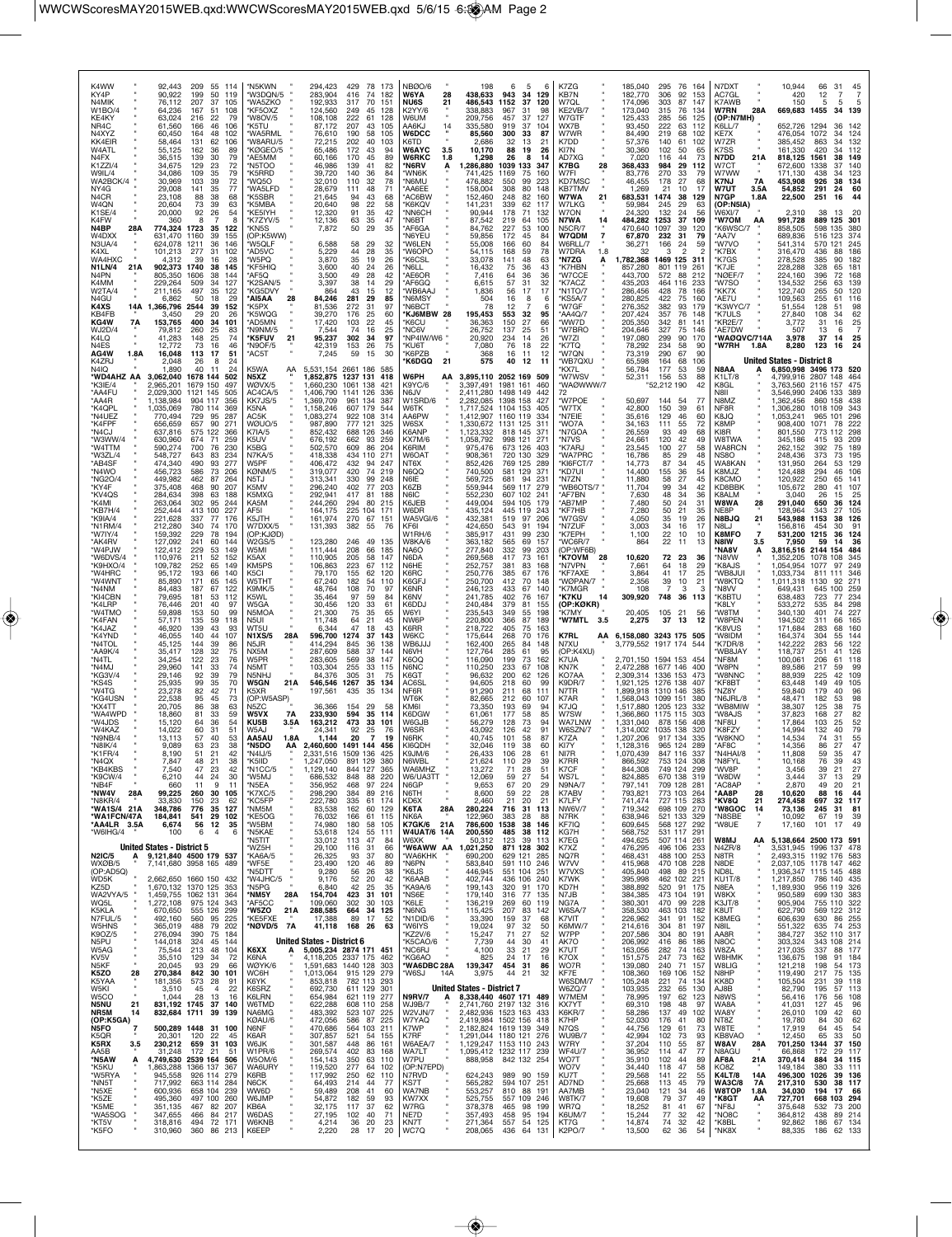| K4WW<br>92,443<br>209<br>55 114<br>KY4P<br>90,922<br>199<br>50<br>119<br>N4MIK<br>76,112<br>207<br>37<br>105<br>W1BO/4<br>64,236<br>167<br>51<br>108<br>KE4KY<br>63,024<br>216<br>22<br>79<br>NR4C<br>61.560<br>166<br>46<br>106<br>N4XYZ<br>60,450<br>164<br>48<br>102<br>KK4EIR<br>58,464<br>131<br>62<br>106<br>W4ATL<br>55,125<br>162<br>36<br>89<br>N4FX<br>30<br>79<br>36,515<br>139<br>K1ZZI/4<br>34,675<br>129<br>23<br>72<br>79<br>W9IL/4<br>34,086<br>109<br>35<br>WA2BCK/4<br>30,969<br>103<br>39<br>72<br>77<br>NY4G<br>29,008<br>35<br>141<br>N4CR<br>23,108<br>88<br>38<br>68<br>W4QN<br>20,604<br>73<br>39<br>63<br>K1SE/4<br>20,000<br>92<br>26<br>54<br>K4FW<br>360<br>8<br>8<br>774,324<br>N4BP<br>28A<br>1723<br>-35<br>122                         | *N5KWN<br>294,423<br>429<br>78 173<br>'W3DQN/5<br>283,904<br>416<br>74<br>182<br>'WA5ZKO<br>192.933<br>317<br>70<br>151<br>*KF5OXZ<br>124,560<br>249<br>45<br>128<br>'W8OV/5<br>108,108<br>222<br>61<br>128<br>207<br>'K5TU<br>87.172<br>43<br>105<br>'WA5RML<br>76,610<br>190<br>58<br>105<br>'W8ARU/5<br>202<br>72,215<br>40<br>103<br>KØGEO/5<br>65,486<br>172<br>43<br>94<br>170<br>45<br>'AE5MM<br>60,166<br>89<br>'N5TOO<br>46,986<br>139<br>41<br>82<br>140<br>K5RRD*<br>39,720<br>36<br>84<br>'WQ5O<br>32,010<br>110<br>32<br>78<br>WA5LFD<br>28,679<br>48<br>71<br>111<br>K5SBR*<br>21,645<br>43<br>68<br>94<br>K5MBA*<br>98<br>20,640<br>22<br>58<br>'KE5IYH<br>12,320<br>91<br>35<br>42<br>12,136<br>35<br>'K7ZYV/5<br>63<br>47<br>7,872<br>50<br>29<br>35<br>*KN5S            | <b>NBØO/6</b><br>198<br>6<br>-5<br>6<br>W6YA<br>28<br>438,633<br>943<br>34<br>129<br><b>NU6S</b><br>486,543<br>1152<br>37<br>120<br>21<br>K2YY/6<br>338,883<br>967<br>31<br>98<br>W6UM<br>209,756<br>457<br>37<br>127<br>AA6KJ<br>14<br>335.580<br>919<br>37<br>104<br><b>W6DCC</b><br>85,560<br>300<br>33<br>87<br>K6TD<br>2,686<br>32<br>13<br>21<br><b>W6AYC</b><br>3.5<br>10,170<br>88<br>19<br>26<br><b>W6RKC</b><br>1.8<br>1,298<br>26<br>я<br>14<br>*N6RV<br>1,286,880<br>1039 133<br>347<br>'WN6K<br>741.425<br>1169<br>-75<br>160<br>*N6MU<br>476,882<br>550<br>99<br>223<br>*AA6EE<br>158,004<br>308<br>80<br>148<br>*AC6BW<br>152,460<br>248<br>160<br>82<br>'K6KQV<br>141,231<br>339<br>62<br>117<br>*NN6CH<br>90,944<br>178<br>71<br>132<br>*N6BT<br>87,542<br>219<br>105<br>64<br>*AF6GA<br>84,762<br>227<br>53<br>100 | K7ZG<br>185,040<br>295<br>76 164<br>KB7N<br>182,770<br>306<br>92<br>153<br>W7QL<br>174,096<br>303<br>87<br>147<br>173,040<br>KE2VB/7<br>315<br>76<br>134<br>W7GTF<br>125,433<br>285<br>56<br>125<br>WX7B<br>93,450<br>222<br>63<br>112<br>W7WR<br>84,490<br>219<br>68<br>102<br>K7DD<br>57,376<br>140<br>61<br>102<br>KI7N<br>30,360<br>102<br>50<br>65<br>AD7XG<br>7,020<br>116<br>44<br>73<br>K7BG<br>28<br>368,433<br>984<br>29<br>112<br>W7FI<br>270<br>33<br>83.776<br>-79<br>KD7MSC<br>46,455<br>178<br>27<br>68<br><b>KB7TMV</b><br>1.269<br>21<br>10<br>17<br><b>W7WA</b><br>21<br>683,531<br>1474<br>38<br>129<br>W7LKG<br>29<br>59,984<br>245<br>63<br>W7ON<br>24,320<br>132<br>56<br>24<br>N7WA<br>484,282<br>37<br>14<br>1253<br>109<br>N5CR/7<br>470,640<br>1097<br>39<br>120 | N7DXT<br>10,944<br>66<br>31<br>45<br>AC7GL<br>420<br>12<br>K7AWB<br>150<br>5<br>-5<br>669,683 1455<br><b>W7RN</b><br>28A<br>34 139<br>(OP:N7MH)<br>652,726 1294<br>142<br>K6LL/7<br>36.<br>476,054<br>KE7X<br>1072<br>34<br>124<br>385,452<br>132<br>W7ZR<br>863<br>34<br>K7SS<br>161,330<br>420<br>34<br>112<br><b>N7DD</b><br>818,125<br>1561<br>149<br>21 A<br>38<br>W7CT<br>672,600<br>1338<br>37<br>140<br>W7WW<br>123<br>171.130<br>438<br>34<br><b>K7NJ</b><br>7A<br>453,908<br>926<br>38<br>134<br>W7UT<br>291<br>60<br>3.5A<br>54,852<br>24<br>44<br>N7GP<br>1.8A<br>22,500<br>251<br>16<br>(OP:N5IA)<br>W6XI/7<br>2,310<br>38<br>13<br><b>*W7OM</b><br>991,728<br>889 125<br>301<br>AA<br>'K6WSC/7<br>858,505<br>598 135<br>380                                                             |
|------------------------------------------------------------------------------------------------------------------------------------------------------------------------------------------------------------------------------------------------------------------------------------------------------------------------------------------------------------------------------------------------------------------------------------------------------------------------------------------------------------------------------------------------------------------------------------------------------------------------------------------------------------------------------------------------------------------------------------------------------------------------|-------------------------------------------------------------------------------------------------------------------------------------------------------------------------------------------------------------------------------------------------------------------------------------------------------------------------------------------------------------------------------------------------------------------------------------------------------------------------------------------------------------------------------------------------------------------------------------------------------------------------------------------------------------------------------------------------------------------------------------------------------------------------------------------|--------------------------------------------------------------------------------------------------------------------------------------------------------------------------------------------------------------------------------------------------------------------------------------------------------------------------------------------------------------------------------------------------------------------------------------------------------------------------------------------------------------------------------------------------------------------------------------------------------------------------------------------------------------------------------------------------------------------------------------------------------------------------------------------------------------------------------------|--------------------------------------------------------------------------------------------------------------------------------------------------------------------------------------------------------------------------------------------------------------------------------------------------------------------------------------------------------------------------------------------------------------------------------------------------------------------------------------------------------------------------------------------------------------------------------------------------------------------------------------------------------------------------------------------------------------------------------------------------------------------------------------------|-------------------------------------------------------------------------------------------------------------------------------------------------------------------------------------------------------------------------------------------------------------------------------------------------------------------------------------------------------------------------------------------------------------------------------------------------------------------------------------------------------------------------------------------------------------------------------------------------------------------------------------------------------------------------------------------------------------------------------------------------------------------------------------------------------|
| W4DXX<br>631,470<br>1160<br>39<br>155<br>N3UA/4<br>36<br>146<br>624.078<br>1211<br>K4XL<br>101,213<br>277<br>31<br>102<br>WA4HXC<br>28<br>4,312<br>39<br>16<br>N1LN/4<br>21A<br>902,373<br>1740<br>38<br>145<br>N4PN<br>805,350<br>1606<br>38<br>144<br>K4MM<br>229,264<br>509<br>34<br>127<br>35<br>W2TA/4<br>122<br>211.165<br>497<br>N4GU<br>50<br>18<br>29<br>6.862<br>2544<br>K4XS<br>14A<br>1,366,796<br>39<br>152<br>KB4FB<br>26<br>3.450<br>29<br>20<br>KG4W<br>153,765<br>101<br>7A<br>400<br>34<br>WJ2D/4<br>260<br>25<br>79.812<br>83<br>K4LQ<br>41,283<br>148<br>25<br>74<br>N4ES<br>46<br>12.772<br>73<br>16<br>51<br>AG4W<br>1.8A<br>16,048<br>113<br>17<br>K4ZRJ<br>2.048<br>26<br>R<br>24<br>N4IQ<br>1,890<br>40<br>24<br>11                           | (OP:K5WW)<br>6,588<br>58<br>*W5QLF<br>29<br>32<br>AD5VC*<br>5,229<br>44<br>28<br>35<br>35<br>'W5PQ<br>3,870<br>19<br>26<br>'KF5HIQ<br>3,600<br>40<br>24<br>26<br>3,500<br>49<br>28<br>42<br>'AF5Q<br>K2SAN/5<br>3,397<br>38<br>14<br>29<br>43<br>*KG5DVY<br>12<br>864<br>15<br>*AI5AA<br>28<br>84,246<br>281<br>29<br>85<br>'K5PX<br>81,536<br>272<br>31<br>97<br>'K5WQG<br>39,270<br>176<br>25<br>60<br>AD5MN<br>103<br>17,420<br>22<br>45<br>N9NM/5<br>7,544<br>74<br>16<br>25<br><b>*K5FUV</b><br>95,237<br>34<br>97<br>21<br>302<br>*N9OF/5<br>42,319<br>153<br>26<br>75<br>AC5T*<br>7,245<br>59<br>15<br>30<br>K5WA<br>5,531,154 2661 186<br>AA                                                                                                                                      | 'N6YEU<br>59,856<br>172<br>45<br>84<br>'W6LEN<br>55,008<br>166<br>60<br>84<br>*W6OPO<br>54,115<br>168<br>59<br>78<br>33,078<br>*K6CSL<br>141<br>48<br>63<br>'N6LL<br>16,432<br>75<br>36<br>43<br>*AE6OR<br>7,416<br>36<br>64<br>36<br>*AF6GQ<br>6,615<br>57<br>31<br>32<br>17<br>56<br>'WB6AAJ<br>1,836<br>17<br>*N6MSY<br>504<br>16<br>8<br>'N6BCT<br>12<br>-78<br>*KJ6MBW 28<br>195,453<br>553<br>32<br>95<br>36,363<br>150<br>'K6CU<br>27<br>66<br>*NC6V<br>26,752<br>137<br>25<br>51<br>*NP4IW/W6 "<br>20,920<br>234<br>26<br>14<br>*KU6T<br>76<br>7.080<br>18<br>22<br>*K6PZB<br>368<br>16<br>11<br>12<br>21<br>575<br>40<br>*K6DGQ<br>12<br>-11                                                                                                                                                                                | W7QDM<br>7<br>67,870<br>232<br>31<br>79<br>W6RLL/7<br>36,271<br>166<br>24<br>59<br>W7DRA<br>1.8<br>32<br>$\mathfrak{p}$<br>3<br>1,782,368 1469 125<br>*N7ZG<br>311<br>K7HBN<br>857,280<br>801 119<br>261<br>'W7CCE<br>572<br>443,700<br>88<br>212<br>*K7ACZ<br>435,203<br>464 116<br>233<br>'N1TO/7<br>428<br>286,456<br>166<br>78<br>*KS5A/7<br>280,825<br>422<br>75<br>160<br>'W7GF<br>382<br>276,352<br>93<br>179<br>*AA4Q/7<br>207,424<br>357<br>76<br>148<br>'WW7D<br>205,350<br>342<br>81<br>141<br>'W7BRO<br>204,646<br>327<br>75<br>146<br>'W7ZI<br>197,080<br>299<br>90<br>170<br>234<br>*K7TQ<br>78,292<br>58<br>90<br>290<br>'W7QN<br>73,319<br>67<br>90<br>*WB7QXU<br>164<br>65,598<br>68<br>106<br>177<br>KX7L<br>56,784<br>53<br>59                                          | 374<br>'AA7V<br>689,836<br>516<br>123<br>'W7VO<br>245<br>541,314<br>570<br>121<br>316,470<br>'K7BX<br>436<br>88<br>186<br>*K7GS<br>182<br>278,528<br>385<br>90<br>K7JE<br>228,288<br>328<br>65<br>181<br>224,160<br>'NØEF/7<br>396<br>72<br>168<br>'W7SO<br>134,532<br>256<br>63<br>139<br>122,740<br>120<br>'KK7X<br>50<br>265<br>*AE7U<br>109,563<br>255<br>61<br>116<br>K3WYC/7<br>128<br>98<br>51.554<br>51<br>'K7ULS<br>27,840<br>108<br>62<br>34<br>KR2E/7<br>25<br>3,772<br>31<br>16<br>*AE7DW<br>13<br>507<br>6<br>WAØQVC/714A<br>3,978<br>37<br>14<br>$\frac{25}{24}$<br>123<br>*W7RH<br>1.8A<br>8.280<br>16<br><b>United States - District 8</b><br>N8AA<br>6,850,998 3496 173 520                                                                                                          |
| *WD4AHZ AA<br>3,062,040<br>1678 144<br>502<br>*K3IE/4<br>,965,201<br>1679 150<br>497<br>*AA4FU<br>2.029.300<br>1121 145<br>505<br>*AA4R<br>1,138,984<br>904 117<br>356<br>*K4QPL<br>,035,069<br>780 114<br>369<br>*N4UEZ<br>770,494<br>729<br>95<br>287<br>*K4FPF<br>656,659<br>657<br>90<br>271<br>*N4CJ<br>637,816<br>575<br>122<br>366<br>*W3WW/4<br>630,960<br>674<br>259<br>-71<br>*W4TTM<br>590,274<br>700<br>76<br>230<br>*W3ZL/4<br>548,727<br>643<br>83<br>234<br>*AB4SF<br>474,340<br>490<br>93<br>277<br>*N4WO<br>456,723<br>586<br>73<br>206<br>449,982<br>*NG2O/4<br>462<br>87<br>264<br>*KY4F<br>375,408<br>468<br>90<br>207<br>*KV4QS<br>284,634<br>398<br>63<br>188<br>263,064<br>*K4MI<br>302<br>95<br>244<br>*KB7H/4<br>252,444<br>413<br>100<br>227 | N5XZ<br>1,852,875<br>1237 131<br>418<br>WØVX/5<br>1,660,230<br>1061 138<br>421<br>1141<br>AC4CA/5<br>1,406,790<br>126<br>33F<br>KK7JS/5<br>1,369,709<br>961 134<br>387<br>K5NA<br>1,158,246<br>607 179<br>544<br>AC5K<br>1,083,274<br>922 108<br>314<br>WØUO/5<br>777 121<br>987,890<br>325<br>K7IA/5<br>852,432<br>688 126<br>346<br>676,192<br>K5l IV<br>662<br>93<br>259<br>K5BG<br>502,570<br>609<br>86<br>204<br>418,338<br>N7KA/5<br>434 110<br>271<br>W5PF<br>406,472<br>432<br>94<br>247<br>KØNM/5<br>319,077<br>420<br>74<br>219<br>330<br>99<br>N5TJ<br>313,341<br>248<br>K5MV<br>296,240<br>402<br>77<br>203<br>292,941<br>K5MXG<br>417<br>81<br>188<br>244,260<br>KA5M<br>294<br>80<br>215<br>225<br>AF5I<br>164,175<br>104<br>171                                            | W6PH<br>3,895,110 2052 169 509<br>AA<br>K9YC/6<br>3,397,491<br>1981 161<br>460<br>N6JV<br>2.411.280<br>1498 149<br>442<br>W1SRD/6<br>2.282.085<br>1398 158<br>427<br>1,717,524<br>1104 153<br>W6TK<br>405<br>AA6PW<br>1,412,907<br>1160 119<br>334<br>W6SX<br>1,330,672 1131 125 311<br>K6ANP<br>1,123,332<br>818 145<br>-37<br><b>KX7M/6</b><br>1,058,792<br>998 121<br>$27^{\circ}$<br>K6RIM<br>975,476<br>673 126<br>403<br>720 130<br><b>W6OAT</b><br>908,361<br>329<br>852,426<br>NT6X<br>769 125<br>289<br>740,500<br>N6QQ<br>581 129<br>371<br>N6IE<br>569,725<br>681 94<br>-23<br>K6ZB<br>559,944<br>569 117<br>279<br>552,230<br>N6IC<br>607 102<br>$24^{\circ}$<br>K6JEB<br>449,004<br>594 105<br>179<br>435,124<br>445 119<br>W6DR<br>243                                                                                 | *W7WSV<br>156<br>53<br>52,311<br>88<br>WAØWWW/7<br>"52,212 190<br>42<br>72<br>'W7POE<br>50,697<br>144<br>54<br>42,800<br>150<br>39<br>*W7TX<br>61<br>*N7EIE<br>35,616<br>129<br>46<br>60<br>WO7A<br>34,163<br>111<br>55<br>72<br>'N7GOA<br>26,559<br>93<br>49<br>68<br>120<br>*N7VS<br>24,661<br>49<br>42<br>*K7ARJ<br>23,545<br>100<br>27<br>58<br>'WA7PRC<br>16,786<br>29<br>85<br>48<br>KI6FCT/7<br>14,773<br>87<br>34<br>45<br>*KD7UI<br>14,400<br>155<br>36<br>54<br>27<br>*N7ZN<br>11,880<br>58<br>45<br>'WB6OTS/7 "<br>11,704<br>99<br>34<br>42<br>7,630<br>*AF7BN<br>48<br>34<br>36<br>7,480<br>AB7MP<br>50<br>24<br>31<br>7,280<br>50<br>21<br>KF7HB<br>35                                                                                                                        | 4,799,916 2807 148<br>K1LT/8<br>464<br>475<br>K8GL<br>3,763,560 2116 157<br>N8II<br>3,546,990 2406 133<br>-389<br>N8MZ<br>1,362,456<br>860 158<br>438<br>,306,280<br>343<br>NF8R<br>1018 109<br>K8JQ<br>1,053,241<br>965<br>296<br>101<br>K8MP<br>908,400<br>1071<br>78<br>222<br>KI8R<br>801,550<br>112<br>298<br>773<br>W8TWA<br><b>209</b><br>345,186<br>415<br>93<br>WA8RCN<br>262,152<br>392<br>75<br>189<br>248,436<br>NS <sub>80</sub><br>373<br>73<br>195<br>WA8KAN<br>131,950<br>264<br>129<br>53.<br>K8MJZ<br>124,488<br>294<br>46<br>106<br>K8CMO<br>120,922<br>250<br>65<br>141<br>KD8BBK<br>105,672<br>280<br>107<br>K8ALM<br>3.040<br>26<br>15<br>25<br>W8WA<br>291,040<br>28<br>650<br>36<br>124<br>NE8P<br>128.964<br>343<br>27<br>105                                                |
| *K9IA/4<br>221,628<br>337<br>176<br>77<br>*N1RM/4<br>212,280<br>340<br>74<br>170<br>*W7IY/4<br>159,392<br>229<br>78<br>194<br>*AK4RV<br>127,092<br>241<br>60<br>144<br>*W4PJW<br>122,412<br>229<br>53<br>149<br>*W6DVS/4<br>110,976<br>211<br>52<br>152<br>*K9HXO/4<br>109,782<br>252<br>65<br>149<br>*W4HRC<br>95,172<br>193<br>140<br>66<br>*W4WNT<br>85,890<br>171<br>65<br>145<br>*N4NM<br>84,483<br>187<br>67<br>122<br>*KI4CBN<br>79,695<br>181<br>53<br>112<br>*K4LRP<br>76,446<br>201<br>40<br>97<br>*W4TMO<br>59,898<br>99<br>153<br>50<br>*K4FAN<br>57,171<br>135<br>59<br>118<br>*K4JAZ<br>46.920<br>139<br>43<br>93<br>*K4YND<br>46,055<br>140<br>44<br>107<br>*N4TOL<br>45,125<br>144<br>39<br>86<br>*AA9K/4<br>35,417<br>128<br>32<br>75                 | 161,974<br>270<br>K5JTH<br>67<br>151<br>131,393<br>382<br>76<br>55<br>W7DXX/5<br>(OP:KJØD)<br>123,280<br>246<br>49<br>W2GS/5<br>135<br>111,444<br>208<br>W5MI<br>66<br>185<br>110,905<br>205<br>58<br>147<br>K5AX<br>KM5PS<br>106,863<br>223<br>67<br>155<br>79,170<br>62<br>K5CI<br>120<br>W5THT<br>67,240<br>182<br>54<br>110<br>K9MK/5<br>48,764<br>108<br>70<br>97<br>97<br>K5WL<br>35,464<br>59<br>84<br>W5GA<br>30,456<br>120<br>33<br>61<br>21,300<br>N5MOA<br>75<br>35<br>65<br>N5UI<br>11,748<br>64<br>21<br>45<br>WT5U<br>6,344<br>47<br>18<br>43<br>596,700<br><b>N1XS/5</b><br>28A<br>1274<br>37<br>143<br>414.294<br>845<br>36<br>138<br>N5JR<br>NX5M<br>287,609<br>588<br>37<br>144                                                                                         | WA5VGI/6<br>432,381<br>519<br>97<br>206<br>424,650<br>543<br>91<br>KF6I<br>194<br>W1RH/6<br>385,917<br>431<br>99<br>230<br>W8KA/6<br>363,182<br>565<br>69<br>157<br>NA6O<br>277,840<br>332<br>99<br>203<br>269,568<br>N6DA<br>417<br>73<br>161<br>N6HE<br>252,757<br>381<br>83<br>168<br>250,776<br>K6RC<br>385<br>176<br>67<br>K6GFJ<br>250,700<br>412<br>70<br>148<br>246,123<br>K6NR<br>433<br>67<br>140<br>241,785<br>K6NV<br>402<br>76<br>167<br>240,484<br>K6DDJ<br>379<br>81<br>155<br>235,543<br>W6YI<br>349<br>55<br>198<br>NW6P<br>220,800<br>366<br>87<br>189<br>218,722<br>K6RR<br>405<br>75<br>163<br>W6KC<br>175,644<br>268<br>70<br>176<br>162,400<br>WB6JJJ<br>265<br>84<br>148<br>N6VH<br>127,764<br>285<br>61<br>95                                                                                                | W7GSV<br>4,050<br>35<br>19<br>26<br>3,003<br>34<br>*N7ZUF<br>17<br>16<br>*K7EPH<br>1,100<br>22<br>10<br>10<br>'WC6R/7<br>22<br>864<br>13<br>11<br>OP:WF6B)<br><b>K7OVM</b><br>28<br>72 23<br>10,620<br>36<br>7,661<br>18<br>29<br>*N7VPN<br>64<br>41<br>17<br>25<br>KF7AXF<br>3,864<br>'WØPAN/7<br>2,356<br>39<br>21<br>10<br>K7MGR<br>108<br>3<br>748<br>309,920<br>36<br>*K7KU<br>14<br>113<br>(OP:KØKR)<br>20,405<br>105 21<br>'K7MY<br>56<br>*W7MTL<br>3.5<br>2,275<br>37<br>13<br>12<br>AA 6,158,080 3243 175<br>K7RL<br>505<br>3,779,552 1917 174<br>N7XU<br>544<br>(OP:K4XU)                                                                                                                                                                                                        | N8BJQ<br>543,988<br>21<br>1153<br>38<br>126<br>N8LJ<br>156.816<br>454<br>91<br>30<br>K8MFO<br>$\overline{7}$<br>531,200<br>1215<br>36<br>124<br>N8IW<br>36<br>3.5<br>7.950<br>59<br>14<br>'NA8V<br>3,816,516<br>2144 154<br>484<br>'N8VW<br>345<br>.352.205<br>1078<br>108<br>'K8AJS<br>1,054,954<br>249<br>1077<br>97<br>'WB8JUI<br>1,033,734<br>346<br>811<br>111<br>*W8KTQ<br>1,011,318<br>1130<br>92<br>$27 -$<br>'N8VV<br>649,431<br>645<br>100<br>259<br><b>K8BTU</b><br>638,483<br>723<br>234<br>77<br>K8LY<br>533,272<br>535<br>84<br>298<br>340,130<br>227<br>'W8TM<br>401<br>74<br>'W8PEN<br>194,502<br>311<br>66<br>165<br>K8VUS<br>171,684<br>283<br>68<br>160<br>'W8IDM<br>164,374<br>304<br>55<br>144<br>142,222<br>122<br>K7DR/8<br>283<br>56<br>WB8JAY<br>118,737<br>251<br>41<br>126 |
| 34,254<br>*N4TL<br>122<br>23<br>76<br>*N4MJ<br>29,960<br>141<br>33<br>74<br>*KG3V/4<br>29,146<br>92<br>39<br>79<br>*KS4S<br>25,935<br>99<br>35<br>70<br>*W4TG<br>23,278<br>82<br>42<br>71<br>*KG4USN<br>22,538<br>95<br>45<br>73<br>*KX4TT<br>20,705<br>86<br>38<br>63<br>*WA4WPD<br>18,860<br>81<br>33<br>59<br>*W4JDS<br>15,120<br>64<br>36<br>54<br>60<br>*W4KAZ<br>14,022<br>31<br>51<br>*N9NB/4<br>13,113<br>57<br>40<br>53<br>63<br>38<br>*N8IK/4<br>9,089<br>23<br>*K1FR/4<br>8.190<br>42<br>51<br>*N4QX<br>48<br>7,847<br>21<br>38<br>*KB4KBS<br>7,540<br>47<br>23<br>42<br>*K9CW/4<br>6,210<br>44<br>24<br>30<br>*NB4F<br>660<br>9<br>11<br>11<br>*NW4V<br>99,225<br>260<br>30<br>28A<br>105<br>23<br>62                                                      | 569<br>W <sub>5</sub> PR<br>38<br>147<br>283.605<br>N5MT<br>103,304<br>255<br>33<br>115<br>305<br>N <sub>5</sub> NH.J<br>84,376<br>31<br>75<br><b>W5GN</b><br>21A<br>546,546<br>1267<br>35<br>134<br>197,561<br>435<br>35<br>K5XR<br>134<br>(OP:W5ASP)<br>N <sub>5</sub> ZC<br>36,366<br>154<br>29<br>58<br>594<br>W5VX<br>7A<br>233,930<br>35<br>114<br>163,212<br>KU5B<br>3.5A<br>473<br>33<br>101<br>W5AJ<br>24,341<br>92<br>25<br>76<br>AA5AU<br>1.8A<br>1,144<br>20<br>19<br>2,460,600 1491 144 456<br>*N5DO<br>AA<br>*N4I.J/5<br>1509<br>31.516<br>*K5IID<br>891 129<br>380<br>1,247,050<br>*N1CC/5<br>1,129,140<br>844<br>127<br>365<br>848<br>*W5MJ<br>686,532<br>88<br>220<br>*N5EA<br>356,952<br>468<br>97<br>224<br>*K7XC/5<br>298,290<br>384<br>89 216<br>*KC5FP<br>61<br>174 | 116,090<br>K6OQ<br>199<br>73<br>162<br>N6NC<br>110,250<br>233<br>67<br>108<br>200<br>K6GT<br>96,632<br>62<br>126<br>AC6SL<br>94,605<br>218<br>60<br>99<br>91,290<br>NF6R<br>211<br>68<br>111<br>WT6K<br>82,665<br>212<br>60<br>107<br>KM6I<br>73,350<br>193<br>69<br>94<br>K6DGW<br>61.061<br>177<br>58<br>85<br>W6GJB<br>56,279<br>128<br>73<br>94<br>91<br>W6SR<br>43.092<br>126<br>42<br>N6RK<br>40,745<br>101<br>58<br>87<br>KI6QDH<br>32,046<br>119<br>38<br>60<br>26.433<br>106<br>61<br>K9.IM/6<br>28<br>N6WBL<br>21,624<br>110<br>-29<br>39<br>WA6MHZ<br>13,272<br>71<br>28<br>51<br>59<br>27<br>W6/UA3TT<br>12,069<br>54<br>N6GP<br>9,653<br>67<br>20<br>29<br>59<br>28<br>N6TH<br>8,600<br>22<br>21<br>20<br>21                                                                                                            | K7UA<br>2,701,150 1594 153 454<br>KN7K<br>2.472.288 1677 146<br>400<br>2,309,314 1336 153<br>KO7AA<br>473<br>K9DR/7<br>1,921,125 1276 138<br>407<br>1,899,918 1310 146<br>N7TR<br>385<br>K7AR<br>1,568,043 1099 151<br>380<br>K7JQ<br>1,517,880<br>1205 123<br>332<br>W7SW<br>1,366,860 1175 115<br>303<br>WA7LNW<br>878 156<br>1,331,040<br>408<br>W6SZN/7<br>1,314,002 1035 138<br>320<br>K7ZA<br>1,207,206<br>917 134<br>335<br>965 124<br>KI7Y<br>1,128,316<br>289<br>1 070 439<br>847 116<br>337<br>K7RR<br>753 124<br>866,592<br>308<br>K7CF<br>844,308<br>749 124<br>299<br>WS7L<br>670 138<br>824,885<br>319<br>N9NA/7<br>797,141<br>709 128<br>281<br>K7ABV<br>793,821<br>773 103<br>264<br>727 115<br>283                                                                        | 118<br>'NF8M<br>100,061<br>206<br>61<br>'W8PN<br>89,586<br>217<br>59<br>99<br>'W8NNC<br>109<br>88.939<br>225<br>42<br>'KF8BT<br>63,448<br>149<br>105<br>49<br>59,840<br>'NZ8Y<br>179<br>40<br>96<br>'N6JRL/8<br>48,471<br>98<br>182<br>53<br>38<br>75<br>WB8MIW<br>38,307<br>125<br>82<br>'W8AJS<br>37,823<br>168<br>27<br>NF8U<br>17,864<br>103<br>25<br>52<br>79<br>14,994<br>'K8FZY<br>132<br>40<br>$\frac{55}{47}$<br>'W8KNO<br>14,534<br>74<br>31<br>27<br>*AF8C<br>14,356<br>86<br>*N4HAI/8<br>11.808<br>59<br>*N8FYI<br>10,168<br>76<br>39<br>43<br>*WV8P<br>3,456<br>39<br>21<br>27<br>*W8DW<br>37<br>29<br>3,444<br>13<br>*AC8AP<br>2,870<br>49<br>21<br>20<br>*AA8P<br>28<br>88<br>44<br>10,620<br>16<br>*KV8Q<br>697<br>32<br>117                                                          |
| *N8KR/4<br>33,830<br>150<br>*WA1S/4 21A<br>776<br>35<br>348,786<br>127<br>*WA1FCN/47A<br>184,841<br>541<br>29<br>102<br>*AA4LR 3.5A<br>6,674<br>56<br>12<br>35<br>*W6IHG/4<br>100<br>6<br>$\overline{4}$<br>6<br><b>United States - District 5</b><br><b>N2IC/5</b><br>9,121,840 4500 179 537<br>A<br>WXØB/5<br>7,141,680 3958 165 489<br>(OP:AD5Q)<br>WD5K<br>1660 150 432<br>2,662,650<br>KZ5D<br>1,670,132<br>1370 125<br>353<br>WA2VYA/5<br>1,459,755 1062 131<br>364<br>WQ5L<br>1,272,108<br>975 124<br>343<br>K5KLA<br>670,650<br>555 126<br>299<br>N7FUL/5<br>492,160<br>560<br>95<br>225<br>W5HNS<br>488<br>79<br>365,019<br>202<br>K9OZ/5<br>276,094<br>390<br>75 184                                                                                         | 222,780<br>335<br>*NM5M<br>83,538<br>162<br>60<br>129<br>*KE5OG<br>76,032<br>166<br>61<br>115<br>*W5BM<br>74,980<br>180<br>58<br>105<br>55<br>*N5KAE<br>53,618<br>124<br>111<br>'N5TIT<br>33,012<br>113<br>47<br>84<br>*WZ5H<br>29,100<br>116<br>31<br>66<br>'KA6A/5<br>26,325<br>93<br>37<br>80<br>*WF5E<br>120<br>46<br>23,490<br>89<br>9,280<br>'N5DTT<br>56<br>26<br>38<br>'W4JHC/5<br>9,176<br>52<br>20<br>42<br>*N5PG<br>6,840<br>42<br>25<br>35<br>*NM5Y<br>28A<br>423<br>31<br>101<br>154,704<br>*AF5CC<br>109,060<br>302<br>30<br>103<br>'W5ZO<br>21A<br>288,585<br>664<br>125<br>34<br>KE5FXE*<br>17,388<br>89<br>17<br>52<br>*NØVD/5<br>7A<br>41,118<br>168<br>26<br>63                                                                                                        | KD6X<br>2,460<br>716<br>K6TA<br>28A<br>280,224<br>31<br>113<br>NK6A<br>122,960<br>383<br>28<br>88<br>K7GK/6<br>21A<br>786,600<br>1538<br>38<br>146<br><b>W4UAT/6 14A</b><br>200,550<br>485<br>38<br>112<br>W6XK<br>50,312<br>123<br>39<br>113<br>*W6AWW AA<br>1,021,250<br>871 128 302<br><b>*WA6KHK</b><br>690,200<br>629 121<br>285<br>*N6PN<br>591 110<br>583,840<br>246<br>*K6JS<br>446,945<br>551 104 251<br>*K6AAB<br>402,744<br>436 106<br>240<br>*KA9A/6<br>199,143<br>320<br>91<br>170<br>*NS6E<br>179,140<br>77<br>316<br>135<br>*K6LE<br>136,219<br>269<br>60<br>119<br>*N6NG<br>115,425<br>207<br>83<br>142<br>N1DID/6*<br>33,390<br>159<br>37<br>68<br>'W6IYS<br>19,024<br>97<br>32<br>50<br>*KZ2V/6<br>15,247<br>71<br>27<br>52                                                                                        | K7LFY<br>741,474<br><b>NW6V/7</b><br>719,342<br>698 109<br>270<br>N7RK<br>638,946<br>521 133<br>329<br>568 127<br>KF7IQ<br>609,645<br>292<br>568,752<br>531 117<br>KG7H<br>-291<br>494,625<br>507 114 261<br>K7EG<br>476,295<br>496 106<br>K7XZ<br>233<br>NQ7R<br>468,431<br>488 100<br>253<br>W7W<br>415,968<br>470 108<br>228<br>W7VXS<br>405,840<br>498 89<br>215<br>395,998<br>462 102<br>K7WK<br>221<br>KD7H<br>388,892<br>520 91<br>175<br>384,385<br>473 104<br>N7JB<br>191<br>NG7A<br>380,301<br>470 99<br>228<br>W6SA/7<br>358,530<br>463 103<br>182<br>K7VIT<br>226,962<br>341<br>91<br>152<br>K6MW/7<br>214,616<br>304<br>81<br>197<br>W7PP<br>207,586<br>304<br>80<br>191                                                                                                      | 21<br>274,458<br>*W8GOC<br>14<br>73,136<br>245 31<br>81<br>*N8SBE<br>10,092<br>67<br>19<br>39<br>$\overline{7}$<br>49<br>*W8UE<br>17,160<br>101<br>17<br>W8MJ<br>5,138,664 2500 173 591<br>AA<br>N4ZR/8<br>3,531,945 1996 137 478<br>N8TR<br>2.493.315 1192 176<br>583<br>N8DE<br>2,037,105 1178 147<br>462<br>1,936,347 1115 145 488<br>ND8L<br><b>KU1T/8</b><br>1,217,850<br>786 140<br>435<br>N8EA<br>1,189,930<br>956 119<br>326<br>699 130 383<br>W8KX<br>950,589<br>K3JT/8<br>905,904<br>755 110 322<br>K8UT<br>569 122 312<br>622,790<br>K8MEG<br>606,639<br>630<br>86<br>255<br>74 253<br>N8IL<br>551,322<br>635<br>AA8R<br>384,727<br>352 110 317                                                                                                                                            |
| N5PU<br>144,018<br>324<br>144<br>45<br>W5AG<br>75,544<br>213<br>48<br>104<br>35,510<br>KV5V<br>129<br>34<br>72<br>N5KF<br>20,045<br>93<br>-29<br>66<br>842<br>K5ZO<br>28<br>270,384<br>30<br>101<br>573<br>K5YAA<br>181,356<br>28<br>91<br>$\mathbf{u}$<br>W5KI<br>3,510<br>45<br>$\overline{4}$<br>22<br>28<br>W5CO<br>1.044<br>13<br>-16<br>N5NU<br>21<br>831,192 1745<br>37<br>140<br>NR5M<br>832,684 1711<br>39<br>14<br>139<br>(OP:K5GA)<br>$\overline{7}$<br>500,289 1448 31<br>N5FO<br>100<br>K5QR<br>20,301<br>120<br>22<br>45<br>K5RX<br>3.5<br>230,212<br>659<br>31<br>103<br>AA5B<br>31,248<br>172<br>21<br>51<br>*N5AW<br>,749,630 2539 164<br>Α<br>506<br>*K5KU<br>,863,288<br>1366 137<br>367                                                            | United States - District 6<br>A 5,005,234 2874 171 451<br>K6XX<br>2337 175<br>K6NA<br>4,118,205<br>462<br>WØYK/6<br>1,591,683 1440 128<br>303<br>1,013,064<br>915 129<br>WC6H<br>279<br>782 113<br>K6YK<br>853,818<br>-293<br>692,730<br>611 129 301<br>K6SRZ<br>K6LRN<br>654,984<br>621 119 277<br>W6TMD<br>622,288<br>608 110<br>258<br>523 107<br>NA6MG<br>483,392<br>225<br>KØAU/6<br>472,056<br>586 87<br>225<br>470,686<br><b>N6NF</b><br>564 103 211<br>K6AR<br>307,857<br>521<br>54<br>155<br>301,587<br>448<br>W6JK<br>86<br>161<br>W1PR/6<br>269,574<br>402<br>83<br>168<br><b>W5OM/6</b><br>154,143<br>350<br>63<br>110<br>277<br>WA6URY<br>119,520<br>64<br>102                                                                                                               | K5CAO/6<br>7,739<br>44<br>41<br>30<br>21<br>*NC6RJ<br>4,100<br>33<br>29<br>*KG6AO<br>825<br>24<br>17<br>16<br>*WA6DBC 28A<br>139,347<br>454<br>31<br>86<br>44<br>*W6SJ<br>14A<br>3,975<br>21<br>32<br><b>United States - District 7</b><br><b>N9RV/7</b><br>8,338,440 4607 171 489<br>Ą<br><b>WJ9B/7</b><br>2,741,760 2197 132<br>316<br>W2VJN/7<br>2,482,936 1523 163 433<br>W7YAQ<br>2,419,984 1502 156 418<br>K7WP<br>2,182,824 1619 139 349<br>K7RF<br>1,291,044 1180 121<br>276<br>W6AEA/7<br>1,129,247 1153 110 243<br>WA7LT<br>1,095,412 1232 117 239<br>W7PU<br>888,958 842 132 254<br>(OP:N7EPD)                                                                                                                                                                                                                            | 206,992<br>AK7O<br>416<br>86<br>186<br>163,056<br>282<br>K7UT<br>74<br>163<br>151,575<br>K7OX<br>247<br>73<br>162<br>139,080<br>240<br>WO7R<br>71<br>157<br>108,360<br>KF7E<br>169 106<br>152<br>221<br>105,248<br>W6SDM/7<br>74<br>134<br>103,935<br>232<br>W6ZQ/7<br>65<br>130<br>W7MEM<br>78,995<br>197<br>62<br>123<br>69,310<br>198<br>48<br>97<br>KX7YT<br>137<br>49<br>K6KR/7<br>58,286<br>102<br>K7HP<br>52,030<br>176<br>41<br>80<br>N7OS<br>44,756<br>129<br>61<br>73<br>WU9B/7<br>42,994<br>102<br>73<br>93<br>W7RY<br>37,204<br>110<br>55<br>87<br><b>WF4U/7</b><br>36,952<br>114<br>47<br>77<br>WO7T<br>35,910<br>102<br>44<br>89<br>47<br>WO7V<br>34,440<br>118<br>58                                                                                                        | N8OC<br>303,324<br>343 108 214<br>177<br>W8ZA<br>217,035<br>337<br>88<br>W8HMK<br>136,675<br>198<br>91 184<br>54 173<br>W8LIG<br>121,218<br>198<br>135<br>N8HP<br>119,490<br>217<br>75<br>118<br>KK8D<br>105,504<br>231<br>39<br>AJ8B<br>82,790<br>195<br>57 113<br>N8WS<br>108<br>56,416<br>176<br>56<br>WA8A<br>41,031<br>127<br>45<br>96<br>WA8Y<br>109<br>60<br>26,010<br>42<br>NT8Z<br>19,780<br>84<br>30<br>62<br>W8TE<br>54<br>17,919<br>64<br>45<br>KB8VAO<br>12,450<br>65<br>33<br>50<br>W8AV<br>701,250<br>37 150<br>28A<br>1344<br>N8AGU<br>66,868<br>172<br>117<br>29<br>370,414<br>AF8A<br>21A<br>884<br>34 115<br>KO8Z<br>149,184<br>380<br>33<br>111                                                                                                                                   |
| *W5RYA<br>945,558<br>926 114 279<br>*NN5T<br>717,992<br>663 114 284<br>*N5XE<br>600,936<br>658 104 239<br>497 100 260<br>*K5ZE<br>495,360<br>*K5ME<br>351,135<br>467<br>82 207<br>*WA5SOG<br>347,655<br>466<br>84 217<br>318,816<br>494<br>72 171<br>*KT5V<br>*K5FO<br>310,960<br>360 86 213                                                                                                                                                                                                                                                                                                                                                                                                                                                                           | 117,992<br>K6RB<br>250<br>62<br>110<br>214<br>N6CK<br>64,493<br>44<br>77<br>WW6D<br>59,489<br>208<br>41<br>60<br>W6JMP<br>182<br>93<br>54,872<br>59<br>KB6A<br>32,175<br>117<br>37<br>62<br>W6DAS<br>27,195<br>102<br>40<br>71<br>W6KNB<br>4,214<br>36<br>20<br>23<br>2,220<br>20<br>K6EEP<br>28<br>17                                                                                                                                                                                                                                                                                                                                                                                                                                                                                    | N7RVD<br>989 90 159<br>624,243<br>565,282<br>594 107 251<br>KS7T<br>WA7NB<br>553,257<br>810 88 191<br>KW7XX<br>525,755<br>557 109 246<br>W7RG<br>378,378<br>465 98 199<br>NE7D<br>357,493<br>458<br>95<br>194<br>KN7T<br>271,364<br>557<br>54 125<br>WC7Q<br>208,065<br>436 64 131                                                                                                                                                                                                                                                                                                                                                                                                                                                                                                                                                   | KU7T<br>29,568<br>141<br>22<br>55<br>AD7ND<br>79<br>25,668<br>113<br>45<br>AA7MB<br>23,040<br>121<br>34<br>46<br>19,608<br>79<br>37<br>W8TK/7<br>49<br>WR7Q<br>18,252<br>81<br>41<br>67<br>K6UM/7<br>15,244<br>77<br>32<br>42<br>KT7G<br>14,874<br>74<br>32<br>42<br><b>K2PO/7</b><br>13,500<br>62<br>36<br>54                                                                                                                                                                                                                                                                                                                                                                                                                                                                             | <b>K4LT/8</b><br>496,300<br>14A<br>1026<br>39 136<br><b>WA3C/8</b><br>7A<br>217,310<br>530<br>38 117<br>W8TOP<br>1.8A<br>34,030<br>194<br>17<br>- 66<br>668 103 294<br>*K8GT<br>AA<br>727,701<br>*NF8J<br>375,648<br>532<br>73 200<br>*NO8C<br>364,812<br>438<br>89 214<br>*K8BL<br>92,862<br>186<br>67<br>134<br>*NK8X<br>88,335<br>186 62 133                                                                                                                                                                                                                                                                                                                                                                                                                                                       |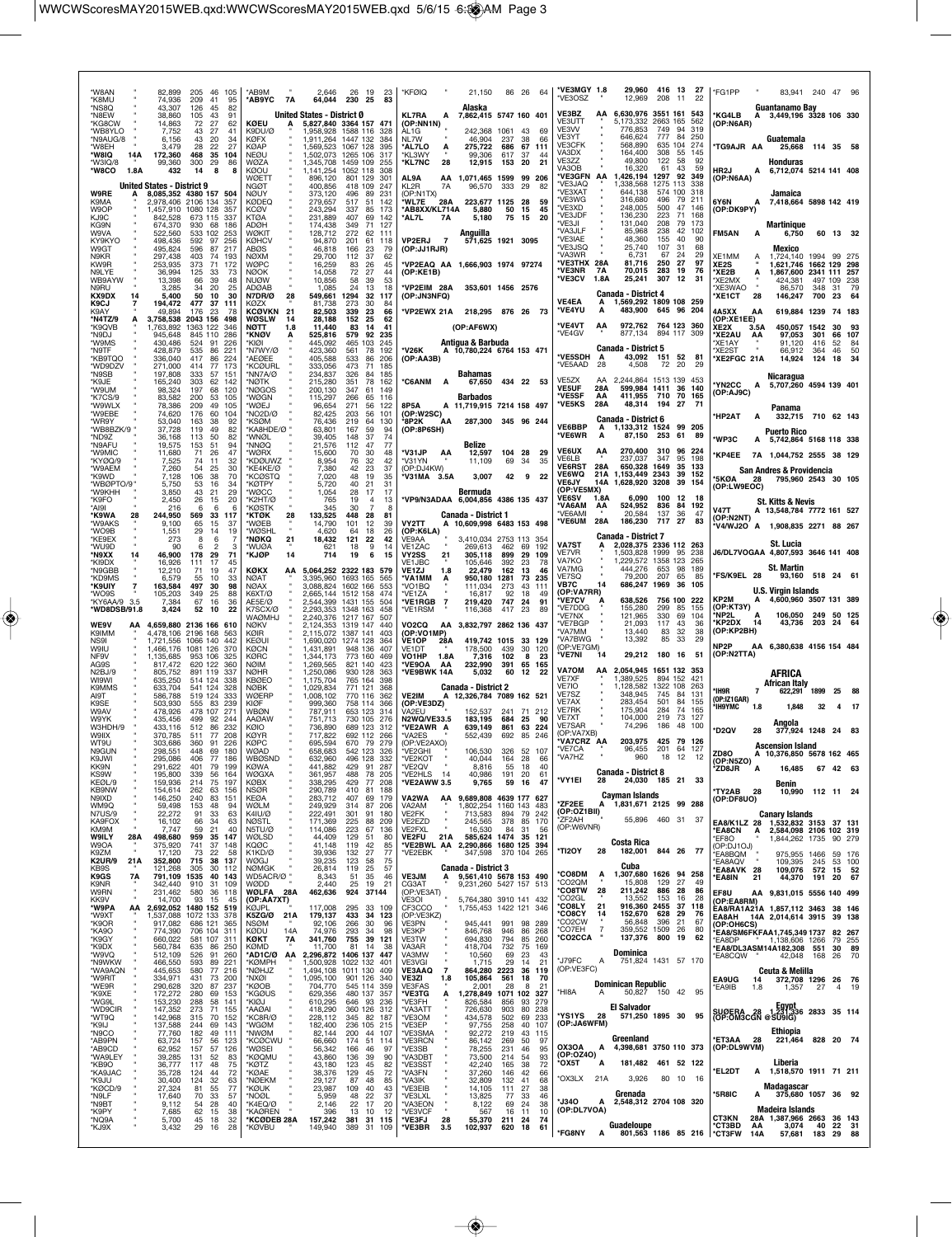| *W8AN<br>*K8MU                          | 82,899<br>74,936                  | 205<br>46<br>-105<br>209<br>41<br>95                         | *AB9M<br><b>AB9YC</b><br>7A                     | 2.646<br>64,044                     | 26 19<br>-23<br>230 25<br>83                                                        | *KFØIQ                                                           | 21.150                                                                         |                                              | 86 26 64                | *VE3MGY 1.8<br>*VF3OSZ                     |                   | 29,960<br>12,969                                                       | 416 13<br>208<br>11                    | 27<br>22                            | *FG1PP                                                        | 83.941                                                               | 240 47 96               |                        |                  |
|-----------------------------------------|-----------------------------------|--------------------------------------------------------------|-------------------------------------------------|-------------------------------------|-------------------------------------------------------------------------------------|------------------------------------------------------------------|--------------------------------------------------------------------------------|----------------------------------------------|-------------------------|--------------------------------------------|-------------------|------------------------------------------------------------------------|----------------------------------------|-------------------------------------|---------------------------------------------------------------|----------------------------------------------------------------------|-------------------------|------------------------|------------------|
| *NS8O<br>*N8EW<br>*KG8CW                | 43,307<br>38,860<br>14,863        | 126<br>45<br>82<br>105<br>43<br>91<br>72<br>27<br>62         | KØEU                                            | United States - District 0          | 5,827,840 3364 157 471                                                              | KL7RA<br>А<br>(OP:NN1N)                                          | Alaska<br>7,862,415 5747 160 401                                               |                                              |                         | VE3BZ<br>VE3UTT                            | AA                | 6,630,976<br>5,173,332                                                 | 3551 161<br>2663 165                   | 543<br>562                          | *KG4LB<br>А<br>(OP:N6AR)                                      | Guantanamo Bay<br>3,449,196 3328 106 330                             |                         |                        |                  |
| *WB8YLO<br>*N9AUG/8<br>*W8EH            | 7,752<br>6.156<br>3,479           | 43<br>27<br>41<br>43<br>20<br>34<br>28<br>22<br>27           | K9DU/Ø<br><b>KØFX</b><br><b>KØAP</b>            |                                     | 1,958,928 1588 116<br>328<br>1,911,264 1447 132<br>384<br>1,569,523 1067 128<br>395 | AL1G<br>NI 7W                                                    | 242,368<br>46.904<br>275,722                                                   | 1061<br>43<br>237<br>38<br>686<br>67         | 69<br>66<br>111         | VE3VV<br>VE3YT<br><b>VE3CFK</b>            |                   | 776,853<br>646,624<br>568,890                                          | 749<br>777<br>84<br>104<br>635         | 94<br>319<br>250<br>274             | 'TG9AJR AA                                                    | Guatemala                                                            | 114 35 58               |                        |                  |
| *W8IQ<br>14A<br>*W3IQ/8                 | 172,360<br>99,360                 | 468<br>35<br>104<br>300<br>86<br>29                          | <b>NEØU</b><br>WØZA                             | 1.502.073<br>1,345,708              | 1265 106<br>317<br>1459 109<br>255                                                  | *AL7LO<br>Α<br>*KL3WY<br>'KL7NC<br>28                            | 99,306<br>12,915                                                               | 617<br>37<br>153<br>20                       | 44<br>21                | VA3DX<br>VE3ZZ<br>VA3OB                    |                   | 164.400<br>49,800<br>16.320                                            | 308<br>-55<br>122<br>58<br>61<br>43    | 145<br>92<br>59                     |                                                               | 25,668<br><b>Honduras</b>                                            |                         |                        |                  |
| *W8CO<br>1.8A                           | 432<br>United States - District 9 | 8<br>14                                                      | KØOU<br>WØETT<br><b>NGØT</b>                    | 1,141,254<br>896,120<br>400,856     | 1052 118<br>308<br>801 129<br>-301<br>418 109<br>247                                | AL9A<br>KL2R<br>7A                                               | AA 1,071,465 1599<br>96,570                                                    | 333<br>29                                    | 99 206<br>82            | *VE3GFN<br>'VE3JAQ                         | AA                | 1,426,194<br>1,338,568                                                 | 1297<br>1275 113                       | 92<br>349<br>338                    | HR2J<br>А<br>(OP:N6AA)                                        | 6,712,074 5214 141 408                                               |                         |                        |                  |
| W9RE<br>K9MA<br>W9OP                    | 2,978,406 2106 134<br>1,457,910   | 8,085,352 4380 157 504<br>357<br>1080 128<br>357             | <b>NØUY</b><br><b>KØDEQ</b><br>KCØV             | 373,120<br>279,657<br>243,294       | 231<br>496<br>89<br>517<br>51<br>142<br>337<br>85<br>-173                           | (OP:N1TX)<br>WL7E<br>28A<br>*AB8XX/KL714A                        | 223,677 1125<br>5,880                                                          | 28<br>50<br>15                               | 59<br>45                | *VE3XAT<br>*VE3WG<br>'VE3XD                |                   | 644,138<br>316.680<br>248,005                                          | 574<br>100<br>496<br>- 79<br>500<br>47 | 318<br>211<br>146                   | 6Y6N<br>А<br>(OP:DK9PY)                                       | Jamaica<br>7,418,664 5898 142 419                                    |                         |                        |                  |
| KJ9C<br>KG9N<br>W9VA                    | 842,528<br>674.370<br>522,560     | 673 115<br>337<br>930<br>68<br>186<br>533 102<br>253         | <b>KTØA</b><br><b>ADØH</b><br>WØKIT             | 231,889<br>174,438<br>128,712       | 407<br>69<br>142<br>349<br>71<br>127<br>272<br>62<br>111                            | AL7L*<br>7A                                                      | 5,180<br>Anguilla                                                              | 75<br>15                                     | 20                      | *VE3JDF<br>*VE3JI<br><b>'VA3JLF</b>        |                   | 136,230<br>131,040<br>85,968                                           | 223<br>71<br>208<br>- 79<br>238        | 168<br>173<br>42<br>102             | FM5AN<br>А                                                    | Martinique<br>6,750                                                  |                         | 60 13 32               |                  |
| KY9KYO<br>W9GT<br>N9KR                  | 498,436<br>495,824                | 97<br>256<br>592<br>596<br>87<br>217<br>74<br>193            | <b>KØHCV</b><br>ABØS                            | 94,870<br>46,818                    | 201<br>61<br>118<br>166<br>23<br>79<br>37<br>112                                    | <b>VP2ERJ</b><br>$\overline{7}$<br>(OP:JJ1RJR)                   |                                                                                | 571,625 1921 3095                            |                         | *VE3IAE<br>*VE3JSQ<br>*VA3WR               |                   | 48,360<br>25,740<br>6,731                                              | 155<br>107<br>31<br>67<br>24           | 40<br>90<br>68<br>29                | XE1MM                                                         | Mexico                                                               | 1994 99 275             |                        |                  |
| KW9R<br>N9LYE                           | 297,438<br>253,935<br>36,994      | 403<br>373<br>71<br>172<br>125<br>33<br>-73                  | <b>NØXM</b><br>WØPC<br><b>NØOK</b>              | 29,700<br>16,259<br>14,058          | 62<br>83<br>26<br>45<br>72<br>27<br>44                                              | *VP2EAQ AA 1,666,903 1974 97274<br>(OP:KE1B)                     |                                                                                |                                              |                         | *VE3THX 28A<br>*VE3NR<br>*VE3CV            | <b>7A</b><br>1.8A | 81,716<br>70,015<br>25,241                                             | 27<br>250<br>283<br>19<br>307<br>12    | 97<br>76<br>31                      | Ā<br>XE <sub>2</sub> S<br>XE2B*<br>A                          | 1,724,140<br>1.621.746 1662 129 298<br>1,867,600 2341 111 257        |                         |                        |                  |
| WB9AYW<br>N9RU<br>KX9DX<br>14           | 13,398<br>3,285<br>5,400          | 39<br>48<br>66<br>34<br>20<br>25<br>50<br>10<br>30           | <b>NUØW</b><br><b>ADØAB</b><br>N7DR/Ø<br>28     | 10,856<br>1,085<br>549,661          | 58<br>39<br>53<br>24<br>13<br>18<br>1294<br>32<br>-117                              | VP2EIM 28A<br>(OP:JN3NFQ)                                        |                                                                                | 353,601 1456 2576                            |                         |                                            |                   | <b>Canada - District 4</b>                                             |                                        |                                     | *XE2MX<br>*XE3WAO<br>*XE1CT<br>28                             | 424,381<br>86,570<br>146,247                                         | 497<br>348<br>700       | 109<br>31<br>23        | 238<br>79<br>64  |
| K9CJ<br>K9AY<br>*N4TZ/9                 | 194,472<br>49,894<br>3,758,538    | 477<br>37<br>111<br>176<br>23<br>78<br>2043 156<br>498       | KØZX<br><b>KCØVKN</b><br>21<br>WØSLW<br>14      | 81,738<br>82,503<br>28,188          | 273<br>30<br>84<br>339<br>23<br>66<br>152<br>25<br>62                               | VP2EWX 21A 218,295 876 26 73                                     |                                                                                |                                              |                         | <b>VE4EA</b><br>*VE4YU                     | А<br>Α            | 1,569,292 1809 108 259<br>483,900                                      | 645 96 204                             |                                     | 4A5XX<br>AA<br>(OP:XE1EE)                                     | 619,884 1239                                                         |                         | 74 183                 |                  |
| *K9QVB<br>N9DJ*<br>'W9MS                | 1,763,892<br>945,648<br>430,486   | 1363 122<br>346<br>845 110<br>286<br>524<br>91<br>226        | мотт<br>1.8<br>*KNØV<br>A<br>*KIØI              | 11,440<br>525,816<br>445,092        | 41<br>83<br>14<br>579<br>92<br>235<br>465 103<br>245                                |                                                                  | (OP:AF6WX)<br>Antigua & Barbuda                                                |                                              |                         | *VE4VT<br>*VE4GV                           | АΑ                | 972,762<br>877,134                                                     | 764 123 360<br>894 117 309             |                                     | XE2X<br>3.5A<br>*XE2AU<br>AA<br>*XF1AY                        | 450,057<br>97,053<br>91.120                                          | 1542<br>301<br>416      | 30<br>66<br>52         | 93<br>107<br>-84 |
| *N9TF<br>*KB9TQO                        | 428,879<br>336,040                | 535<br>86<br>221<br>224<br>417<br>86                         | *N7WY/Ø<br><b>AFØFF</b>                         | 423,360<br>405,588                  | 561<br>78<br>192<br>533<br>86<br>206                                                | *V26K<br>(OP:AA3B)                                               | A 10,780,224 6764 153 471                                                      |                                              |                         | *VE5SDH                                    | А                 | <b>Canada - District 5</b><br>43,092                                   | 151 52                                 | 81                                  | 'XE2ST<br>XE2FGC 21A                                          | 66,912<br>14,924                                                     | 364<br>124              | 46<br>18               | 50<br>34         |
| *WD9DZV<br>*N9SB<br>*K9JE               | 271,000<br>197,808<br>165,240     | 414<br>77<br>173<br>333<br>57<br>-151<br>303<br>62<br>142    | *KCØURL<br>'NN7A/Ø<br>*NØTK                     | 333,056<br>234,837<br>215,280       | 473<br>71<br>185<br>326<br>84<br>185<br>351<br>78<br>162                            | <b>C6ANM</b><br>A                                                | <b>Bahamas</b><br>67,650                                                       | 434 22 53                                    |                         | *VE5AAD<br>VE5ZX                           | 28<br>AA          | 4,508<br>2,244,864                                                     | 72<br>20<br>1513 139                   | 29<br>453                           | *YN2CC<br>Α                                                   | Nicaragua<br>5,707,260 4594 139 401                                  |                         |                        |                  |
| MU <sub>8</sub> W*<br>*K7CS/9<br>*W9WLX | 98.324<br>83,582<br>78,386        | 197<br>120<br>68<br>200<br>53<br>105<br>209<br>49<br>105     | *NØGOS<br>*WØGN<br>*WØEJ                        | 200,130<br>115,297<br>96,654        | 347<br>61<br>149<br>266<br>65<br>116<br>271<br>56<br>122                            | 8P5A                                                             | Barbados<br>A 11,719,915 7214 158 497                                          |                                              |                         | <b>VE5UF</b><br>*VE5SF<br><b>*VE5KS</b>    | 28A<br>AA<br>28A  | 599,984 1411 36<br>411,955<br>48,314                                   | 710 70<br>194<br>-27                   | 140<br>165<br>- 71                  | (OP:AJ9C)                                                     |                                                                      |                         |                        |                  |
| *W9EBE<br>*WR9Y                         | 74,620<br>53,040                  | 176<br>60<br>104<br>163<br>38<br>92                          | *NO2D/Ø<br>'KSØM                                | 82,425<br>76,436                    | 203<br>56<br>101<br>219<br>64<br>130                                                | (OP:W2SC)<br>8P2K<br>АΑ                                          |                                                                                | 287.300 345 96 244                           |                         | VE6BBP                                     | Α                 | <b>Canada - District 6</b><br>1,133,312 1524 99 205                    |                                        |                                     | <b>HP2AT</b><br>А                                             | Panama<br>332,715 710 62 143                                         |                         |                        |                  |
| *ND9Z<br>*N9AFU                         | 37,728<br>36,168<br>19,575        | 119<br>49<br>82<br>113<br>50<br>82<br>153<br>51<br>94        | "KA8HDE/Ø"<br>*WNØL<br>*NNØQ                    | 63,801<br>39,405<br>21,576          | 167<br>59<br>94<br>148<br>37<br>74<br>77<br>112<br>47                               | (OP:8P6SH)                                                       | Belize                                                                         |                                              |                         | *VE6WR                                     | А                 | 87.150 253 61                                                          |                                        | -89                                 | *WP3C                                                         | <b>Puerto Rico</b><br>A 5,742,864 5168 118 338                       |                         |                        |                  |
| *W9MIC<br>*KYØQ/9<br>*W9AEM             | 11,680<br>7,525<br>7,260          | 71<br>26<br>47<br>74<br>11<br>32<br>54<br>30<br>25           | *WØRX<br><b>*KDØUWZ</b><br>KE4KE/Ø*             | 15,600<br>8,954<br>7,380            | 70<br>30<br>48<br>32<br>76<br>42<br>42<br>23<br>37                                  | *V31JP<br>AA<br>'V31YN<br>(OP:DJ4KW)                             | 12,597<br>11,109                                                               | 104<br>28<br>69<br>-34                       | 29<br>35                | <b>VE6UX</b><br>VE6LB<br><b>VE6RST</b>     | AA<br>28A         | 270,400<br>237,037<br>650,328 1649                                     | 310<br>347                             | 96 224<br>95<br>198<br>35<br>133    | *KP4EE                                                        | 7A 1,044,752 2555 38 129<br>San Andres & Providencia                 |                         |                        |                  |
| *K9WD<br>*WBØPTO/9<br>*W9KHH            | 7,128<br>5,750<br>3,850           | 106<br>38<br>70<br>53<br>16<br>34<br>43<br>21<br>29          | <b>KCØSTO</b><br>*KØTPY<br>'WØCC                | 7,020<br>5,720<br>1,054             | 48<br>19<br>35<br>40<br>21<br>31<br>17<br>17<br>28                                  | V31MA 3.5A                                                       | 3,007<br>Bermuda                                                               | 42                                           | 9<br>-22                | <b>VE6WQ</b><br><b>VE6JY</b><br>(OP:VE5MX) | 21A<br>14A        | 1,153,449 2343<br>1,628,920                                            | 3208                                   | 39<br>152<br>39<br>154              | *5KØA<br>28<br>(OP:LW9EOC)                                    | 795,960 2543 30 105                                                  |                         |                        |                  |
| *K9FO<br>*AI9I                          | 2,450<br>216                      | 26<br>20<br>15<br>-6<br>6<br>6                               | *K2HT/Ø<br><b>*KØSTK</b>                        | 765<br>345                          | 19<br>4<br>13<br>30<br>-7<br>-8                                                     | *VP9/N3ADAA 6,004,856 4386 135 437                               |                                                                                |                                              |                         | <b>VE6SV</b><br><b>VA6AM</b><br>*VE6AMI    | 1.8A<br>AA        | 6,090<br>524,952<br>20,584                                             | 100<br>836<br>137<br>36                | 12<br>18<br>84<br>192<br>47         | <b>V47T</b>                                                   | <b>St. Kitts &amp; Nevis</b><br>A 13,548,784 7772 161 527            |                         |                        |                  |
| *K9WA<br>28<br>*W9AKS<br>*WO9B          | 244,950<br>9,100<br>1,551         | 569<br>33<br>117<br>65<br>15<br>37<br>29<br>14<br>19         | *KTØK<br>28<br>'WØEB<br>*WØSHL                  | 133,525<br>14,790<br>4.620          | 448<br>28<br>81<br>101<br>12<br>39<br>26<br>64<br>18                                | VY2TT<br>А<br>(OP:K6LA)                                          | <b>Canada - District 1</b><br>10,609,998 6483 153 498                          |                                              |                         | <b>*VE6UM</b>                              | 28A               | 186,230                                                                | 717<br>27                              | 83                                  | (OP:N2NT)                                                     | V4/WJ2O A 1,908,835 2271 88 267                                      |                         |                        |                  |
| *KE9EX<br>*WU9D<br>*N9XX<br>14          | 273<br>٩n<br>46,900               | 8<br>6<br>6<br>2<br>з<br>178<br>29<br>71                     | *NØKQ<br>21<br>*WUØA<br>*KJØP<br>14             | 18,432<br>621<br>714                | 42<br>121<br>22<br>18<br>9<br>14<br>6<br>19<br>15                                   | VE9AA<br>VE1ZAC<br><b>VY2SS</b><br>21                            | 269,613<br>305,118                                                             | 3,410,034 2753 113<br>69<br>462<br>899<br>29 | 354<br>192<br>109       | VA7ST<br><b>VE7VR</b>                      |                   | <b>Canada - District 7</b><br>2,028,375 2336 112 263<br>1.503.828 1999 |                                        | 238<br>95                           |                                                               | St. Lucia<br>J6/DL7VOGAA 4,807,593 3646 141 408                      |                         |                        |                  |
| *KI9DX<br>*N9GBB<br>*KD9MS              | 16,926<br>12,210<br>6,579         | 111<br>17<br>45<br>71<br>19<br>47<br>55<br>10<br>33          | KØKX<br>AΑ<br>NØAT                              | 3,395,960                           | 5,064,252 2322 183 579<br>1693 165<br>565                                           | VE1JBC<br>VE1ZJ<br>1.8<br>'VA1MM<br>А                            | 105,646<br>22,479<br>950,180                                                   | 392<br>23<br>162<br>13<br>1281<br>73         | 78<br>46<br>235         | VA7KO<br>VA7MG<br>VE7SQ                    |                   | 1,229,572<br>444,276<br>79,200                                         | 1358 123<br>653<br>98<br>207<br>65     | 265<br>189<br>-85                   | *FS/K9EL 28                                                   | St. Martin                                                           | 93,160 518 24 61        |                        |                  |
| *K9UIY<br>*WO9S                         | 163,584<br>105,203                | 497<br>98<br>30<br>25<br>349<br>88                           | <b>NØAX</b><br>K6XT/Ø                           | 3,088,824                           | 1602 166<br>553<br>2,665,144 1512 158<br>474                                        | *VO1BQ<br>'VE1ZA                                                 | 111,034<br>16,817                                                              | 273<br>43<br>92<br>18                        | 111<br>49               | VB7C<br>(OP:VA7RR)<br>VE7CV                | 14                | 686,247<br>638,526                                                     | 1969<br>756 100                        | 36<br>105<br>222                    | KP2M                                                          | <b>U.S. Virgin Islands</b><br>4,600,960 3507 131 389                 |                         |                        |                  |
| *KY6AA/9 3.5<br>*WD8DSB/91.8            | 7,384<br>3,424                    | 67<br>16<br>36<br>22<br>52<br>10                             | AE5E/Ø<br>K7SCX/Ø<br>WAØMHJ                     | 2,544,399                           | 1431 155<br>504<br>2,293,353 1348 163<br>458<br>2,240,376 1217 167<br>507           | $\overline{7}$<br>*VE1RGB<br>*VE1RSM                             | 219,420<br>116,368                                                             | 747<br>24<br>417<br>23                       | 91<br>89                | *VE7DDG<br>*VE7NX                          |                   | 155,280<br>121,965                                                     | 299<br>330                             | 85<br>155<br>69<br>104              | (OP:KT3Y)<br>*NP2L<br>Α                                       | 106,050                                                              | 249                     | 50 125                 |                  |
| WE9V<br>AA<br>K9IMM<br>NS <sub>91</sub> | 4,478,106<br>1.721.556            | 4,659,880 2136 166 610<br>2196 168<br>563<br>1066 140<br>442 | <b>NØKV</b><br>KØIR<br>KFØUI                    | 2,124,353<br>2,115,072<br>1,690,020 | 1319 147<br>440<br>1387 141<br>403<br>1274 128<br>364                               | VO <sub>2</sub> CQ<br>(OP:VO1MP)<br>VE1OP<br>28A                 | AA 3,832,797 2862 136 437<br>419,742 1015                                      |                                              | 33 129                  | 'VE7BGP<br>'VA7MM<br>'VA7BWG               |                   | 21.093<br>13,440<br>13,392                                             | 117<br>83<br>32<br>85                  | 43<br>36<br>38<br>33<br>29          | *KP2DX<br>14<br>(OP:KP2BH)                                    | 43,736                                                               | 203                     | 24                     | -64              |
| W9IU<br>NF9V<br>AG9S                    | 1,466,176<br>1,135,685<br>817,472 | 1081 126<br>370<br>953 106<br>325<br>620 122<br>360          | KØCN<br><b>KØRC</b><br><b>NØIM</b>              | 1,431,891<br>1,344,173<br>1,269,565 | 948 136<br>407<br>773 160<br>469<br>821 140<br>423                                  | VE1DT<br>VO1HP<br>1.8A<br>*VE9OA<br>AA                           | 178,500<br>7,316<br>232,990                                                    | 439<br>30<br>102<br>65<br>391                | 120<br>8<br>23<br>165   | (OP:VE7GM)<br><b>VE7NI</b>                 | 14                | 29,212                                                                 | 180 16                                 | - 51                                | NP <sub>2</sub> P<br>(OP:N2TTA)                               | AA 6,380,638 4156 154 484                                            |                         |                        |                  |
| N2BJ/9<br>WI9WI                         | 805,752<br>635,250                | 891 119<br>337<br>514 124<br>-338                            | <b>NØHR</b><br><b>KBØEO</b>                     | 1.250.086<br>1,175,704              | 930 128<br>363<br>765 164<br>398                                                    | *VE9BWK 14A                                                      | 5,032                                                                          | 60<br>12                                     | 22                      | VA7OM<br><b>VE7XF</b><br>VE7IO             |                   | AA 2,054,945 1651 132 353<br>1,389,525<br>1,128,582                    | 894 152<br>1322 108                    | 421<br>263                          |                                                               | AFRICA<br>African Italy                                              |                         |                        |                  |
| K9MMS<br>AI9T<br>K9SE                   | 633,704<br>586,788<br>503,930     | 541 124<br>328<br>519 124<br>333<br>83<br>555<br>239         | <b>NØBK</b><br>WØERP<br>KIØF                    | 1,029,834<br>1,008,102<br>999,360   | 771 121<br>368<br>770 116<br>362<br>758 114<br>366                                  | <b>VE2IM</b><br>(OP:VE3DZ)                                       | <b>Canada - District 2</b><br>A 12,326,784 7089 162 521                        |                                              |                         | VE7SZ<br>VE7AX                             |                   | 348,945<br>283,454                                                     | 745<br>-84<br>501                      | 131<br>84<br>155                    | 'IH9R<br>7<br>(OP:IZ1GAR)<br>*IH9YMC<br>1.8                   | 622,291<br>1,848                                                     | 1899<br>32              | -25<br>4               | - 17             |
| W9AV<br>W9YK<br>W3HDH/9                 | 478,926<br>435,456<br>433,116     | 478 107<br>271<br>499<br>92<br>244<br>512<br>86<br>232       | <b>WBØN</b><br><b>AAØAW</b><br>KØIO             | 787,911<br>751.713<br>736,890       | 653 123<br>314<br>730 105<br>276<br>689 123<br>312                                  | VA2EU<br>N2WQ/VE33.5<br>*VE2AWR A                                | 152.537<br>183,195<br>639,149                                                  | 241<br>684<br>25<br>861<br>63                | 71 212<br>90<br>224     | VE7RK<br>VE7XT<br>VE7SAR                   |                   | 175,904<br>104,000<br>74,296                                           | 284<br>219<br>186                      | 74<br>165<br>73<br>127<br>48<br>100 | *D2QV                                                         | Angola                                                               |                         |                        |                  |
| <b>W9IIX</b><br>WT9U<br>N9GUN           | 370,785<br>303,686<br>298,551     | 208<br>511<br>77<br>360<br>91<br>226<br>448<br>69<br>180     | <b>KØYR</b><br><b>KØPC</b><br><b>WØAD</b>       | 717,822<br>695,594<br>658,683       | 692 112<br>266<br>670 79<br>279<br>542 123<br>326                                   | *VA2ES<br>(OP:VE2AXO)<br>*VE2GHI                                 | 552,439<br>106,530                                                             | 692<br>85<br>326 52 107                      | 246                     | (OP:VA7XB)<br>'VA7CRZ AA<br>*VE7CA         |                   | 203,975<br>96.455                                                      | 425 79 126<br>201                      | 64<br>127                           | 28                                                            | 377,924 1248 24 83<br><b>Ascension Island</b>                        |                         |                        |                  |
| K9JWI<br>KK9N                           | 295,086<br>291,622                | 406<br>77<br>186<br>401<br>79<br>199                         | <b>WBØSND</b><br>KØWA                           | 632,960<br>441,882                  | 332<br>496 128<br>429<br>287<br>91                                                  | VE2KOT<br>*VE2QV                                                 | 40.044<br>8,816                                                                | 164<br>28<br>55<br>18                        | 66<br>40                | VA/HZ                                      |                   | 960<br><b>Canada - District 8</b>                                      | 18<br>-12                              |                                     | ZD8O<br>(OP:N5ZO)<br>*ZD8JR<br>Α                              | 76.850<br>10.37<br>16,485                                            |                         | 78 162 465<br>67 42 63 |                  |
| KS9W<br>KEØL/9<br>KB9NW                 | 195,800<br>159,936<br>154,614     | 339<br>56<br>164<br>214<br>75<br>197<br>262<br>63<br>156     | WØGXA<br>KØBX<br><b>NSØR</b>                    | 361,957<br>338,295<br>290,789       | 78<br>488<br>205<br>429<br>77<br>208<br>410<br>81<br>188                            | *VE2HLS<br>14<br>*VE2AWW 3.5                                     | 40,986<br>9,765                                                                | 191<br>20<br>59                              | 61<br>16<br>47          | *VY1EI                                     | 28                | 24,030 185 21 33                                                       |                                        |                                     | *TY2AB 28                                                     | Benin<br>10,990                                                      | 112 11 24               |                        |                  |
| N9IXD<br>WM9Q<br><b>N7US/9</b>          | 146,250<br>59,498<br>22,272       | 240<br>83<br>151<br>153<br>48<br>94<br>91<br>33<br>63        | KEØA<br>WØLM<br>K4IU/Ø                          | 283,712<br>249,929<br>222,491       | 407<br>69<br>179<br>314<br>87<br>206<br>301<br>91<br>180                            | VA2WA<br>ΑA<br>VA2AM<br>VE2FK                                    | 9,689,808 4639 177 627<br>1,802,254 1160 143<br>713,583                        | 79<br>894                                    | 483<br>242              | *ZF2EE<br>(OP:OZ1BII)                      | А                 | Cayman Islands<br>1,831,671 2125 99 288                                |                                        |                                     | (OP:DF8UO)                                                    | <b>Canary Islands</b>                                                |                         |                        |                  |
| KA9FOX<br>KM9M<br><b>W9ILY</b><br>28A   | 16,102<br>7,747<br>498,680        | 66<br>34<br>63<br>59<br>21<br>40<br>959<br>35<br>147         | <b>NØSTL</b><br>N5TU/Ø<br>WØLSD                 | 171,369<br>114,086<br>44,409        | 225<br>88<br>209<br>223<br>67<br>136<br>129<br>51<br>80                             | VE2EZD<br>VE2FXL<br><b>VE2FU</b><br>21A                          | 245,565<br>16,530<br>585,624 1474                                              | 378<br>85<br>84<br>31<br>35                  | 170<br>56<br>121        | ZF2AH<br>(OP:W6VNR)                        |                   | 55,896                                                                 | 460 31 37                              |                                     | EA8/K1LZ 28<br>*EA8CN<br>А<br>EF8O                            | 1,532,832 3153 37 131<br>2,584,098 2106 102 319<br>1,844,262 1735    |                         | 90 279                 |                  |
| W9OA<br>K9ZM<br><b>K2UR/9</b><br>21A    | 375,920<br>17,120<br>352,800      | 741<br>37<br>148<br>73<br>22<br>58<br>715                    | KQØC<br>K1KD/Ø<br>WØGJ                          | 41,148<br>39,936<br>39,235          | 119<br>42<br>85<br>132<br>27<br>77<br>123<br>58<br>75                               | *VE2BWL AA<br>*VE2EBK                                            | 2,290,866 1680 125 394<br>347,598                                              | 370 104 265                                  |                         | *TI2OY                                     | 28                | Costa Rica<br>182,001 844 26 77                                        |                                        |                                     | (OP:DJ1OJ)<br>EA8BQM                                          | 975,955 1466                                                         |                         | 59 176                 |                  |
| KB9S<br>K9GS<br>7Α                      | 121,268<br>791,109                | 38 137<br>305<br>30<br>112<br>1535<br>40<br>143              | <b>NØMGK</b><br>WD5ACR/Ø "                      | 26,814<br>8,343<br>2,440            | 119<br>25<br>57<br>$\frac{51}{25}$<br>35<br>46                                      | <b>VE3JM</b><br>Ą.                                               | <b>Canada - District 3</b><br>9,561,410 5678 153 490<br>9,231,260 5427 157 513 |                                              |                         | *CO8DM                                     | Ą                 | Cuba<br>1,307,680 1626 94 258                                          | 129<br>27                              | 49                                  | *EA8AQV<br>EA8AVK 28*<br>*EA8IN<br>21                         | 109,395<br>109,076<br>44,370                                         | 245<br>572 15 52<br>191 | 53 100<br>20           | 67               |
| K9NR<br><b>W9RN</b><br>KK9V             | 342,440<br>231,462<br>14,700      | 910<br>31<br>109<br>580<br>36 118<br>93<br>15<br>45          | WØDD<br>WØLFA<br>28A<br>(OP:AA7XT)              | 462,636                             | 19<br>21<br>924 37144                                                               | CG3AT<br>(OP:VE3AT)<br>VE3OI                                     | 5,764,380 3910 141 432                                                         |                                              |                         | *CO2QM<br>*CO8TW<br>°CO2GL                 | 28                | 15,808<br>211,242<br>13,552                                            | 886<br>28<br>153                       | 86<br>28<br>16                      | EF8U<br>(OP:EA8RM)                                            | AA 9,831,015 5556 140 499                                            |                         |                        |                  |
| *W9PA<br>ΑА<br>*W9XT<br>*K9OR           | 2,692,052<br>1,537,088<br>917,082 | 1480 152 519<br>1072 133 378<br>686 121<br>365               | KØJPL<br>K5ZG/Ø<br>21A<br><b>NSØM</b>           | 117,008<br>179,137<br>92,106        | 295<br>33 109<br>433<br>34 123<br>266<br>30<br>96                                   | CF3CCO<br>(OP:VE3KZ)<br>VE3PN                                    | 1,755,453 1422 121 346<br>945,441                                              | 991<br>98                                    | 289                     | *CO8LY<br>*СО8СҮ<br>CO <sub>2</sub> CW     | 21<br>14          | 916,360 2455<br>152,670<br>56,848                                      | 628<br>396<br>21                       | 37<br>118<br>29<br>76<br>67         | (OP:OH6CS)                                                    | EA8/RA1A21A 1,857,112 3463 38 146<br>EA8AH 14A 2,014,614 3915 39 138 |                         |                        |                  |
| *KA9O<br>*K9GY<br>*K9DX                 | 774,390<br>660,022                | 706 104<br>-311<br>581 107<br>311<br>86 250                  | 14A<br><b>KØDU</b><br>KØKT<br>7A<br><b>KØMD</b> | 74,976<br>341,760                   | 293<br>34<br>98<br>755 39 121<br>81<br>14<br>38                                     | VE3KP<br>VE3TW<br>VA3AR                                          | 846,768<br>694,830                                                             | 946<br>86<br>794<br>85<br>732                | 268<br>260<br>75<br>169 | °CO7EH<br><b>*CO2CCA</b>                   | $\overline{7}$    | 359,552 1509<br>137,376                                                | 800<br>19                              | 26<br>80<br>62                      | *EA8DP                                                        | <b>EA8/SM6FKFAA1.745.349 1737</b><br>1,138,606 1266                  |                         | 82 267<br>79 255       |                  |
| *W9VQ<br>*N9WKW                         | 560,784<br>512,109<br>466,550     | 635<br>526<br>91<br>260<br>593<br>89<br>221                  | *AD1C/Ø AA<br>*KØMPH                            | 11,700<br>1,500,928                 | 2,296,872 1406 137<br>447<br>1022 132<br>401                                        | VA3MW<br>VE3VGI                                                  | 418,704<br>10,560<br>1,715                                                     | 69<br>29<br>14                               | 23<br>43<br>21          | *J79FC                                     | Α                 | Dominica<br>751,824 1431 57 170                                        |                                        |                                     | <b>EA8CQW</b>                                                 | EA8/DL3ASM14A182,308 551<br>42,048                                   | 168                     | 30 89<br>26            | 70               |
| *WA9AQN<br>*W9RIT<br>*WE9R              | 445,653<br>334,971<br>290,628     | 580<br>77<br>216<br>431<br>73 200<br>320<br>87<br>237        | *NØHJZ<br>*NXØI<br>*KØOB                        | 1,494,108<br>1,095,100<br>704,770   | 1011 130<br>409<br>901 126 340<br>545 114<br>359                                    | $\overline{7}$<br><b>VE3AAQ</b><br>VE3ZI<br>1.8<br><b>VE3FAS</b> | 864,280 2223<br>105,864<br>2,001                                               | 561<br>18<br>28                              | 36 119<br>70<br>8<br>21 | (OP:VE3FC)                                 |                   | <b>Dominican Republic</b>                                              |                                        |                                     | <b>EA9UG</b><br>14<br><b>EA9IB</b><br>1.8                     | Ceuta & Melilla<br>372,708 1296 26 76<br>1,357                       | 27                      | 4 19                   |                  |
| *K9XE<br>*WG9L<br>*WD9CIR               | 172,272<br>153,230<br>147,352     | 280<br>69<br>153<br>288<br>58<br>141<br>273<br>71<br>155     | *KGØUS<br>*KIØJ<br>'AAØAI                       | 629,356<br>610,295<br>418,290       | 480 137<br>357<br>646 93<br>236<br>360 126<br>312                                   | *VE3TG<br>Ą<br>*VE3FH<br><b>'VA3ATT</b>                          | 1,278,849 1071 102 327<br>826,584<br>726,630                                   | 856<br>93<br>903<br>80                       | 279<br>238              | *HI8A                                      | A                 | 50,827 150 42 95<br><b>El Salvador</b>                                 |                                        |                                     |                                                               |                                                                      |                         |                        |                  |
| *WT9Q<br>*K9IJ                          | 142,968<br>137,588                | 315<br>70<br>152<br>244<br>69<br>143                         | *KC8R/Ø<br>*WGØM                                | 228,112<br>182,400                  | 345 82<br>187<br>236 105 215                                                        | *VE3OM<br>*VE3EP                                                 | 434,578<br>97,755                                                              | 502<br>69<br>40<br>258                       | 233<br>107              | *YS1YS<br>(OP:JA6WFM)                      | 28                | 571,250 1895 30                                                        |                                        | 95                                  | Egypt<br>SUØERA 28 1,231,336 2833 35 114<br>(OP:OM3CGN@SU9IG) | <b>Ethiopia</b>                                                      |                         |                        |                  |
| *N9CO<br>*AB9PN<br>*AB9CD               | 77,760<br>63,724<br>62,952        | 182<br>49<br>111<br>157<br>56<br>123<br>157<br>57<br>126     | *NWØM<br><b>KCØCWU</b><br>*WØSEI                | 82,144<br>66,660<br>56,342          | 200<br>44<br>107<br>174<br>51<br>114<br>166<br>46<br>97                             | *VE3SMA<br>*VE3RCN<br>*VE3SB                                     | 92,272<br>86,142<br>78,255                                                     | 219<br>43<br>269<br>50<br>231<br>46          | 115<br>97<br>95         | OX3OA<br>(OP:0Z40)                         | А                 | Greenland<br>4,398,681 3750 110 373                                    |                                        |                                     | <b>ET3AA</b><br>-28<br>(OP:DL9WVM)                            | 221,464                                                              | 828 20 74               |                        |                  |
| *WA9LEY<br>*KB9O<br>*KA9JAC             | 39,285<br>36,777<br>35,728        | 131<br>52<br>83<br>75<br>48<br>117<br>124<br>44<br>72        | <b>*KØQMU</b><br>*KØTZ<br>*KØAE                 | 43,860<br>43,180<br>38,376          | 136<br>39<br>90<br>123<br>45<br>82<br>129<br>45<br>72                               | <b>*VA3DBT</b><br>*VE3SST<br>*VA3FN                              | 73,500<br>42,240<br>37,260                                                     | 214<br>54<br>38<br>165<br>146                | 93<br>72<br>42<br>66    | OX5T*                                      | А                 | 181,482                                                                | 461 52 122                             |                                     | *EL2DT<br>А                                                   | Liberia<br>1,518,570 1911 71 211                                     |                         |                        |                  |
| *K9JU<br>*KØCD/9<br>*N9LF               | 30,400<br>27,324<br>17,640        | 124<br>32<br>63<br>81<br>55<br>77<br>70<br>33<br>57          | *NØEKM<br>*KØUK<br>*NOØL                        | 29,127<br>23,987<br>5,959           | 87<br>48<br>85<br>109<br>40<br>43<br>48<br>22<br>37                                 | *VA3IK<br>*VE3EIB<br>*VE3LXL                                     | 32,809<br>14,105<br>13,825                                                     | 132<br>41<br>111<br>27<br>77<br>33           | 68<br>38<br>46          | *OX3LX                                     | 21A               | 3,926<br>Grenada                                                       |                                        | 80 10 16                            | *5R8IC<br>А                                                   | Madagascar<br>375,680 1057 36 92                                     |                         |                        |                  |
| *N9BT<br>*K9PY<br>*NQ9A                 | 9,112<br>7,685<br>5,700           | 54<br>28<br>40<br>62<br>15<br>38<br>45<br>18<br>32           | *K4EQ/Ø<br>*KAØREN<br>*KCØDEB 28A               | 2,146<br>396<br>157,242             | 22<br>17<br>20<br>13<br>10<br>12<br>381 31 115                                      | *VA3EON<br>*VE3VCF<br>*VE3FJ<br>28                               | 8,122<br>567<br>55,370                                                         | 69<br>24<br>16<br>11<br>211<br>24            | 38<br>10<br>74          | *J340<br>(OP:DL7VOA)                       | Α                 | 2,548,312 2704 108 320                                                 |                                        |                                     | <b>CT3KN</b>                                                  | <b>Madeira Islands</b><br>28A 1,387,966 2663                         |                         | 36 143                 |                  |
| *KJ9X                                   | 3,432                             | 29<br>16<br>28                                               | *KØVBU                                          | 149,940                             | 389<br>31<br>109                                                                    | *VE3BR<br>3.5                                                    | 102,937                                                                        | 620<br>18                                    | 61                      | *FG8NY                                     | A                 | Guadeloupe                                                             |                                        |                                     | *CT3BD<br>AA<br>801,563 1186 85 216 *CT3FW<br>14A             | 3,074<br>57,681                                                      | 40<br>183 29 88         | -22                    | - 31             |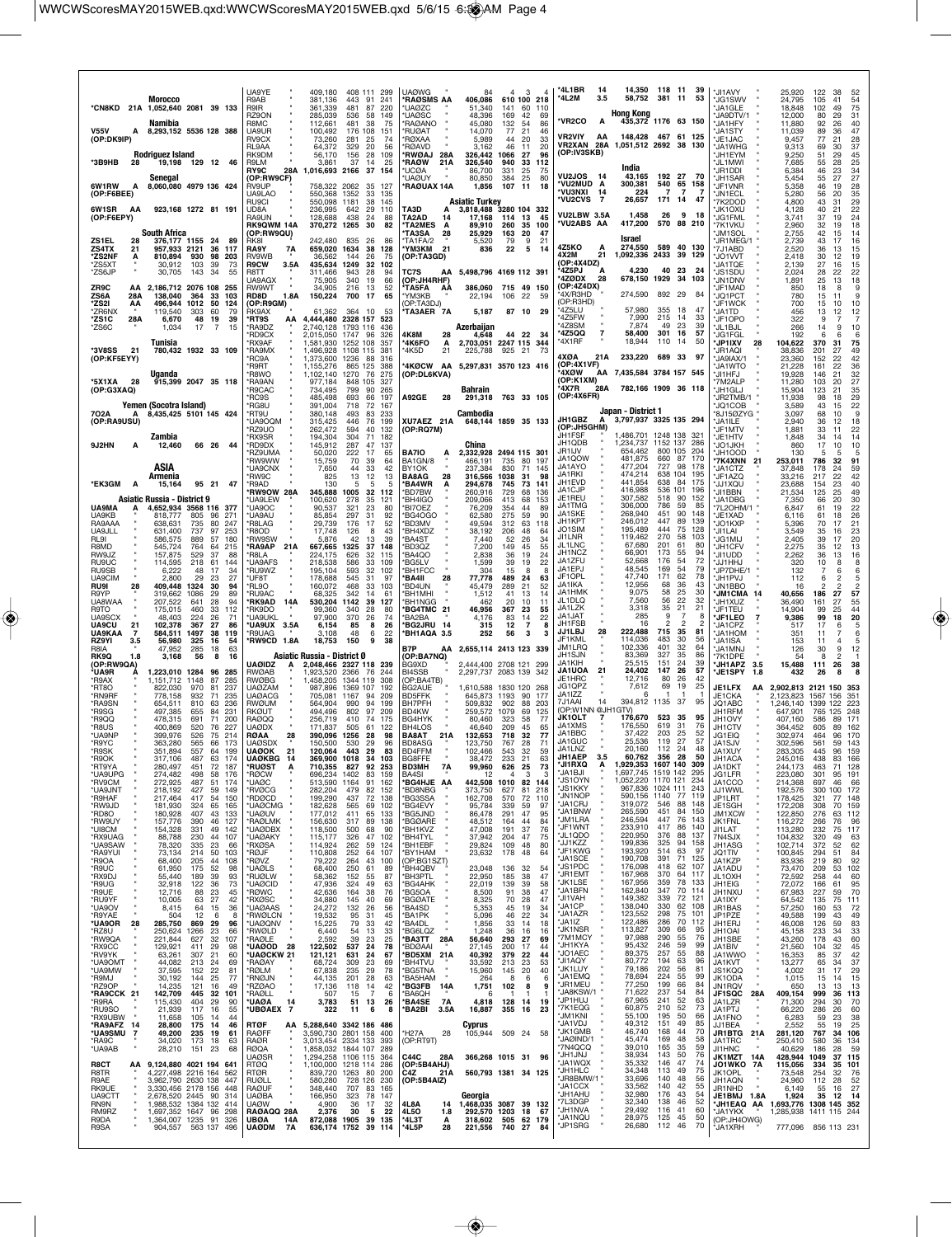| <b>Morocco</b>                                                                                                                                | UA9YE<br>R9AB                                          | 409,180<br>408 111 299<br>381,136<br>443<br>91<br>241                                                 | <b>UAØWG</b><br>*RAØSMS AA                             | 3<br>84<br>$\overline{4}$<br>$\Delta$<br>406,086<br>610 100 218                                                | *4L1BR<br>-14<br>*4L2M<br>3.5                   | 14.350<br>58,752                                  | 118 11<br>-39<br>381 11<br>53                                  | <b>JI1AVY</b><br>'JG1SWV                         | 25,920<br>122<br>24,795<br>105                                 | 38<br>52<br>41<br>54<br>75                                     |
|-----------------------------------------------------------------------------------------------------------------------------------------------|--------------------------------------------------------|-------------------------------------------------------------------------------------------------------|--------------------------------------------------------|----------------------------------------------------------------------------------------------------------------|-------------------------------------------------|---------------------------------------------------|----------------------------------------------------------------|--------------------------------------------------|----------------------------------------------------------------|----------------------------------------------------------------|
| *CN8KD<br>1,052,640 2081 39 133<br>21 A<br>Namibia                                                                                            | R9IR<br>RZ9ON<br>R8MC                                  | 361,339<br>481<br>87<br>220<br>285,039<br>536<br>58<br>149<br>112,661<br>481<br>38<br>75              | <b>UAØZC</b><br>*UAØSC<br>*RAØANO                      | 51,340<br>141<br>60<br>110<br>48,396<br>169<br>42<br>69<br>45,080<br>132<br>54<br>86                           | <b>*VR2CO</b><br>A                              | <b>Hong Kong</b>                                  | 435,372 1176 63 150                                            | 'JA1GLE<br>*JA9DTV/1<br>*JA1HFY                  | 102<br>18,848<br>12,000<br>80<br>11,880<br>92                  | 49<br>31<br>29<br>26<br>40                                     |
| <b>V55V</b><br>8,293,152 5536 128 388<br>А<br>(OP:DK9IP)                                                                                      | UA9UR<br>RV9CX<br>RL9AA                                | 100,492<br>176 108<br>151<br>73,260<br>281<br>25<br>74<br>329<br>64,372<br>-20<br>56                  | 'RUØAT<br><b>'RØXAA</b><br><b>RØAVD</b>                | 46<br>14,070<br>77<br>21<br>5,989<br>44<br>20<br>33<br>46<br>20<br>3,162<br>11                                 | <b>VR2VIY</b><br>AA<br>VR2XAN 28A               | 1,051,512 2692 38 130                             | 148.428 467 61 125                                             | 'JA1STY<br><b>JE1JAC</b><br>'JA1WHG              | 11,039<br>89<br>77<br>9,457<br>9,313<br>69                     | 47<br>36<br>21<br>28<br>37<br>30                               |
| Rodriguez Island<br>*3B9HB<br>19,198 129 12 46<br>28                                                                                          | RK9DM<br>R9LM<br>RY9C<br>28A                           | 56,170<br>156<br>28<br>109<br>37<br>3.861<br>14<br>25<br>1,016,693 2166<br>37<br>154                  | <b>RWØAJ</b><br>28A<br>*RAØW<br>21A<br>'UCØA           | 326,442<br>1066<br>27<br>96<br>326,540<br>940<br>112<br>33<br>86,700<br>331<br>25<br>75                        | (OP:IV3SKB)                                     | India                                             |                                                                | 'JH1EYM<br>*JL1MWI<br>'JR1DDI                    | 9,250<br>51<br>7,685<br>55<br>6,384<br>46                      | 45<br>29<br>28<br>23                                           |
| Senegal<br>6W1RW<br>8,060,080 4979 136 424<br>A<br>(OP:F6BEE)                                                                                 | (OP:RW9CF)<br><b>RV9UP</b><br>UA9LAO                   | 758,322<br>2062<br>35<br>127<br>550,368 1352<br>33<br>135                                             | <b>UAØUY</b><br>*RAØUAX 14A                            | 384<br>25<br>80<br>80,850<br>1,856<br>107<br>11<br>18                                                          | <b>VU2JOS 14</b><br>*VU2MUD A<br>'VU3NXI 14     | 43,165<br>300,381<br>224                          | 192 27<br>- 70<br>540<br>65<br>158<br>$\overline{7}$<br>7<br>7 | *JH1SAR<br><b>JF1VNR</b><br><b>JN1ECL</b>        | 55<br>5.454<br>5,358<br>46<br>5.280<br>56                      | 25<br>34<br>27<br>28<br>27<br>19<br>20                         |
| 6W1SR<br>923,168 1272 81 191<br>AA                                                                                                            | RU9CI<br><b>UD8A</b>                                   | 550,098<br>1181<br>38<br>145<br>236,995<br>642<br>29<br>110                                           | TA3D<br>А                                              | <b>Asiatic Turkey</b><br>3,818,488<br>3280 104 332                                                             | <b>*VU2CVS</b><br>$\overline{7}$<br>VU2LBW 3.5A | 26,657<br>1,458                                   | 171 14<br>47<br>26<br>9<br>18                                  | *7K2DOD<br>'JK1OXU                               | 4,800<br>43<br>40<br>4,128                                     | 35<br>29<br>31<br>22<br>21                                     |
| (OP:F6EPY)<br><b>South Africa</b>                                                                                                             | RA9UN<br><b>RK9QWM 14A</b><br>(OP:RW9QU)               | 128,688<br>438<br>24<br>88<br>370,272 1265<br>30<br>82                                                | TA2AD<br><b>TA2MES</b><br>А<br>'TA3SA<br>28            | 17,168<br>114<br>13<br>45<br>35 100<br>89,910<br>260<br>163<br>20<br>47<br>25,929                              | <b>VU2ABS AA</b>                                | 417,200                                           | 570 88 210                                                     | <b>'JG1FML</b><br>*7K1VKU<br>'JM1SOL             | 3,741<br>37<br>32<br>2,960<br>42<br>2,755                      | 24<br>19<br>18<br>19<br>14<br>15                               |
| ZS1EL<br>28<br>376,177 1155 24<br><b>ZS4TX</b><br>36<br>21<br>957.933 2121<br>-117<br>*ZS2NF<br>А<br>810,894<br>930<br>98<br>203              | RK8I<br>RA9Y<br>7A<br>RV9WB                            | 242,480<br>835<br>26<br>86<br>659,020 1634<br>38<br>128<br>36,562<br>144<br>26<br>75                  | TA1FA/2<br><b>'YM3KM</b><br>21<br>(OP:TA3GD)           | 5,520<br>79<br>9<br>21<br>22<br>5<br>836<br>14                                                                 | 4Z5KO<br>A<br>4X2M<br>21                        | Israel<br>274,550<br>1,092,336 2433 39 129        | 589 40 130                                                     | 'JR1MEG/<br>*7J1ABD<br>UO1VVT*                   | 43<br>2,739<br>2,520<br>36<br>30<br>2,418                      | 16<br>17<br>15<br>13<br>12                                     |
| *ZS5XT<br>30,912<br>103<br>39<br>73<br>*ZS6JP<br>30,705<br>143<br>34<br>55                                                                    | 3.5A<br>R9CW<br>R8TT                                   | 435,634<br>1249<br>32<br>102<br>311,466<br>943<br>28<br>94                                            | TC7S                                                   | AA 5,498,796 4169 112 391                                                                                      | (OP:4X4DZ)<br>4Z5PJ<br>Α<br>*4ZØDX<br>-28       | 4,230<br>678,150 1929                             | 40<br>23<br>24<br>34<br>103                                    | 'JA1TQE<br>'JS1SDU                               | 27<br>2,139<br>28<br>2,024                                     | $\frac{19}{15}$<br>16<br>22                                    |
| ZR9C<br>2.186.712 2076 108<br>255<br>AA<br>ZS6A<br>138,040<br>33<br>28A<br>364<br>103                                                         | <b>JA9AGX</b><br><b>RW9WT</b><br>1.8A<br>RD8D          | 75,905<br>340<br>66<br>19<br>34,905<br>216<br>13<br>52<br>150,224<br>700<br>17<br>65                  | (OP:JH4RHF)<br>'TA5FA<br>ΑÀ<br>*YM3KB                  | 386.060<br>715 49 150<br>106<br>22<br>22,194<br>-59                                                            | (OP:4Z4DX)<br>'4X/R3HD                          | 274,590                                           | 892 29<br>84                                                   | 'JN1DNV<br><b>'JF1MAD</b><br>*JQ1PCT             | 25<br>1.891<br>850<br>780<br>15                                | 22<br>18<br>9<br>13<br>18<br>8<br>9<br>11                      |
| *ZS2I<br>496,944<br>1012<br>50<br>124<br>AA<br>*ZR6NX<br>119,540<br>303<br>60<br>79<br>*ZS1C<br>28A<br>6,670<br>48<br>19<br>39                | (OP:R9GM)<br>RK9AX<br>*RT9S<br>АΑ                      | 364 10<br>61,362<br>53<br>4,444,480 2328 157<br>523                                                   | (OP:TA3DJ)<br>TA3AER 7A                                | 5,187<br>87 10 29                                                                                              | (OP:R3HD)<br>'4Z5LU<br>'4Z5FW                   | 57,980<br>7,990                                   | 355<br>18<br>47<br>215<br>14<br>33                             | *JF1WCK<br><b>IA1TD</b><br>*JF1OPO               | 700<br>15<br>456<br>13<br>322                                  | 10<br>10<br>$\begin{array}{c} 12 \\ 7 \end{array}$<br>12<br>9  |
| *ZS6C<br>1,034<br>17<br>7<br>15<br>Tunisia                                                                                                    | *RA9DZ<br>'RD9CX<br>RX9AF                              | 2,740,128 1793 116<br>436<br>2,015,050 1747 96<br>326<br>1,581,930 1252 108<br>357                    | 4K8M<br>28<br><b>'4K6FO</b><br>А                       | Azerbaijan<br>4,648<br>44 22<br>-34<br>2,703,051 2247 115 344                                                  | '478SM<br>*4Z5QQ<br>'4X1RF                      | 7.874<br>58,400<br>18.944                         | 23<br>39<br>49<br>301<br>16<br>57<br>110<br>50<br>14           | *JL1BJL<br>*JG1FGL<br><b>*JP1IXV</b><br>28       | 266<br>14<br>192<br>104,622<br>370                             | 9<br>10<br>$\frac{6}{75}$<br>31                                |
| *3V8SS<br>21<br>780,432 1932 33 109<br>(OP:KF5EYY)                                                                                            | *RA9MX<br>'RC9A                                        | 1,496,928 1108 115<br>381<br>1,373,600 1236<br>88<br>316                                              | 21<br>'4K5D                                            | 925 21<br>225,788<br>-73                                                                                       | 4XØA<br>21A<br>(OP:4X1VF)                       | 233,220                                           | 689 33<br>97                                                   | 'JR1AQI<br>JA9IAX/1                              | 38,836<br>201<br>152<br>23,360                                 | 49<br>27<br>22<br>42                                           |
| Uganda<br>*5X1XA<br>915,399 2047 35 118<br>- 28                                                                                               | 'R9RT<br>'R8WO<br>*RA9AN                               | 1,155,276<br>865 125<br>388<br>1270<br>1.102.140<br>76<br>275<br>977,184<br>848 105<br>327            | *4KØCW<br>AA<br>(OP:DL6KVA)                            | 5,297,831 3570 123 416                                                                                         | 4XOW<br>(OP:K1XM)                               | AA 7,435,584 3784 157 545                         |                                                                | 'JA1WTO<br>'JI1HFJ<br>7M2ALP                     | 21,228<br>161<br>19,928<br>146<br>103<br>11,280                | 36<br>22<br>21<br>32<br>27<br>20                               |
| (OP:G3XAQ)<br>Yemen (Socotra Island)                                                                                                          | 'R9CAC<br>*RC9S<br>*RG8U                               | 799<br>734,495<br>90<br>265<br>485,498<br>197<br>693<br>66<br>391,004<br>718<br>72<br>167             | A92GE<br>28                                            | Bahrain<br>291,318 763 33 105                                                                                  | 4X7R<br>28A<br>(OP:4X6FR)                       |                                                   | 782.166 1909 36 118                                            | 'JH1GLJ<br>'JR2TMB/1<br>*JQ1COB                  | 15,904<br>123<br>11,938<br>98<br>3,589<br>43                   | 35<br>21<br>$\frac{29}{22}$<br>18<br>15                        |
| 702A<br>8,435,425 5101 145 424<br>А<br>(OP:RA9USU)                                                                                            | *RT9U<br><b>UA9OOM</b><br>'RZ9UO                       | 493<br>83<br>380,148<br>233<br>315,425<br>446<br>76<br>199<br>262,472<br>594<br>132<br>40             | XU7AEZ 21A<br>(OP:RQ7M)                                | Cambodia<br>648,144 1859 35 133                                                                                | JH1GBZ<br>A<br>(OP:JH5GHM)                      | Japan - District 1<br>3,797,937 3325 135 294      |                                                                | *8J15ØZYG<br>*JA1ILE<br>JF1MTV                   | 3,097<br>68<br>2,940<br>36<br>1,881<br>33                      | 10<br>18<br>12<br>11                                           |
| Zambia<br>9J2HN<br>66 26<br>12,460<br>44<br>A                                                                                                 | *RX9SR<br>*RD9DX                                       | 194,304<br>304<br>71<br>182<br>287<br>47<br>137<br>145,912                                            |                                                        | China<br>2.332.928 2494 115 301                                                                                | JH1FSF<br>JH1QDB<br>JR1IJV                      | 1,486,701 1248 138<br>1,234,737<br>654,462        | 321<br>1152 137<br>286<br>800 105<br>204                       | *JE1HTV<br>*JO1JKH                               | 1,848<br>34<br>17<br>860                                       | $\frac{22}{14}$<br>14<br>10<br>10                              |
| ASIA                                                                                                                                          | 'RZ9UMA<br>'RW9WW<br>*UA9CNX                           | 50,020<br>222<br>17<br>65<br>70<br>64<br>15,759<br>39<br>33<br>42<br>7,650<br>44                      | <b>BA7IO</b><br>BA1GN/8<br>BY <sub>1</sub> OK          | 466,191<br>735<br>80 197<br>830<br>237,384<br>71<br>145                                                        | JA1QOW<br>JA1AYO<br>JA1RKI                      | 481,875<br>477,204<br>474,214                     | 87<br>660<br>170<br>727<br>98<br>178<br>638 104<br>195         | 'JH1OOD<br><b>7K4XNN</b><br>-21<br>'JA1CTZ       | 130<br>253,011<br>786<br>37,848<br>178                         | 5<br>5<br>32<br>91<br>59<br>24                                 |
| Armenia<br>*EK3GM<br>95 21<br>47<br>A<br>15,164                                                                                               | *RW9C<br>*R9AD<br><b>RW9OW 28A</b>                     | 13<br>825<br>12<br>13<br>130<br>5<br>5<br>5<br>345,888<br>1005<br>32<br>112                           | <b>BA8AG</b><br>28<br>*BA4WR<br>A<br>'BD7BW            | 1038<br>316,566<br>31<br>98<br>745<br>294,678<br>73 141<br>260,916<br>729<br>68<br>136                         | JH1EVD<br>JA1CJP                                | 441,854<br>416,988                                | 638<br>84<br>175<br>536 101<br>196                             | JF1AZQ<br>UQXILL*<br>'JI1BBN                     | 33,216<br>217<br>23,688<br>154<br>125<br>21,534                | 22<br>$\frac{42}{40}$<br>23<br>25<br>49                        |
| <b>Asiatic Russia - District 9</b><br>4,652,934 3568 116<br>UA9MA<br>377<br>А<br>UA9KB<br>818,777<br>805<br>96<br>271                         | <b>'UA9LEW</b><br>*UA9OC<br>'UA9AU                     | 35<br>100,620<br>278<br>121<br>90,537<br>321<br>23<br>80<br>297<br>92<br>85,854<br>31                 | 'BH4IGO<br>'BI7OEZ<br>'BG4OGO                          | 68<br>209,066<br>413<br>153<br>76,209<br>354<br>44<br>89<br>59<br>62.580<br>275<br>90                          | JE1REU<br>JA1TMG<br>JA1SKE                      | 307,582<br>306,000<br>268,940                     | 518<br>90<br>152<br>59<br>786<br>85<br>451<br>90<br>148        | *JA1DBG<br>*7L2OHM/1<br>*JE1XAD                  | 66<br>7,350<br>6,847<br>61<br>6.116<br>61                      | 30<br>20<br>22<br>19<br>26<br>18                               |
| RA9AAA<br>735<br>80<br>247<br>638,631<br>UA9JLL<br>737<br>97<br>253<br>631,400<br>RL9I<br>586,575<br>889<br>57<br>180                         | 'R8LAG<br>'R8OD<br>'RW9SW                              | 29,739<br>176<br>17<br>52<br>17,748<br>126<br>8<br>43<br>5,876<br>42<br>13<br>39                      | 'BD3MV<br>*BH4XDZ<br>'BA4ST                            | 49,594<br>312<br>63<br>118<br>48<br>38,192<br>206<br>64<br>7,440<br>52<br>26<br>34                             | JH1KPT<br>JO1SIM<br>JI1LNR                      | 246,012<br>195,489<br>119,462                     | 447<br>89<br>139<br>444<br>75<br>128<br>270<br>58<br>103       | *JO1KXP<br>'JI1LAI<br>'JG1MIJ                    | 5,396<br>70<br>3,549<br>35<br>2,405<br>39                      | 21<br>17<br>23<br>16<br>20<br>17                               |
| R8MD<br>545,724<br>764<br>64<br>215<br>RW9JZ<br>157,875<br>529<br>37<br>88                                                                    | <b>RA9AP</b><br>21A<br>'R8LA                           | 667,665 1325<br>37<br>148<br>224,175<br>626<br>32<br>115                                              | BD3QZ*<br><b>BA4QO</b>                                 | 7,200<br>149<br>45<br>55<br>2,838<br>36<br>19<br>24                                                            | JL1LNC<br>JH1NCZ<br>JA1ZFU                      | 67,680<br>66,901                                  | 201<br>61<br>80<br>173<br>55<br>94<br>72<br>176                | <b>JH1CFV</b><br>*JI1UDD                         | 2.275<br>35<br>36<br>2.262                                     | 13<br>12<br>16<br>13                                           |
| RU9UC<br>114,595<br>218<br>61<br>144<br>RU9SB<br>6,222<br>17<br>34<br>48<br>UA9CIM<br>2.800<br>29<br>27<br>23                                 | 'UA9AFS<br>*RU9WZ<br>'UF8T                             | 586<br>33<br>218.538<br>109<br>195,104<br>593<br>32<br>102<br>178,688<br>545<br>97<br>-31             | *BG5LV<br>BH1FCC<br>'BA4II<br>28                       | 39<br>19<br>22<br>1,599<br>304<br>15<br>8<br>8<br>77.778<br>489<br>24<br>63                                    | JA1EPJ<br>JF1OPL                                | 52,668<br>48,545<br>47,740                        | 54<br>169<br>54<br>79<br>171<br>62<br>78                       | LHHTLL*<br>'JP7DHE/1<br><b>UVRTHU</b> *          | 320<br>132<br>112                                              | 8<br>10<br>8<br>6<br>6<br>$\frac{5}{2}$<br>$\overline{c}$<br>6 |
| RU9I<br>28<br>409,448<br>1324<br>30<br>94<br>R9YP<br>89<br>319,662<br>1086<br>29<br>UA8WAA<br>94<br>207,522<br>641<br>28                      | *RL9O<br>*RU9AC<br>*RK9AD<br>14A                       | 468<br>33<br>103<br>160,072<br>68,325<br>342<br>14<br>61<br>530,204 1142<br>39<br>127                 | <b>BD4UN</b><br>'BH1MHI<br>'BH1NGG                     | 45,479<br>289<br>21<br>52<br>1,512<br>41<br>13<br>14<br>20<br>10<br>462<br>11                                  | JA1IKA<br>JA1HMK<br>JL1DLQ                      | 12,956<br>9,075<br>7,560                          | 68<br>36<br>43<br>58<br>25<br>30<br>22<br>56<br>32             | *JN1BBO<br><b>*JM1CMA</b><br>14<br>*JH1XUZ       | 16<br>40,656<br>186<br>36,490<br>161                           | $\overline{2}$<br>27<br>57<br>55<br>27                         |
| 112<br>R9TO<br>175,015<br>460<br>33                                                                                                           | 'RK9DO                                                 | 99,360<br>340<br>28<br>80                                                                             | *BG4TMC 21                                             |                                                                                                                | JA1LZK                                          | 3,318                                             | 35<br>21<br>21                                                 |                                                  |                                                                |                                                                |
| <b>UA9SCX</b><br>26<br>48.403<br>224<br>71                                                                                                    | 'UA9UKL                                                | 97,900<br>370<br>74<br>-26                                                                            | 'BA2BA                                                 | 46,956<br>367<br>23<br>55<br>22<br>4,176<br>83<br>14                                                           | JA1JAT<br>JH1FSB                                | 285<br>16                                         | 9<br>-7<br>8<br>$\overline{2}$                                 | 'JF1TEU<br>*JF1LEO<br>2                          | 14,904<br>99<br>99<br>9,386                                    | 25<br>44<br>20<br>18                                           |
| <b>UA9CU</b><br>27<br>21<br>102,378<br>367<br>86<br>UA9KAA<br>1497<br>38<br>119<br>-7<br>584,511<br>RZ9YI<br>3.5<br>56,980<br>325<br>16<br>54 | UA9UX 3.5A<br>'R9UAG<br>'RW9CD<br>1.8A                 | 6,154<br>85<br>8<br>26<br>3,108<br>48<br>6<br>22<br>18,753<br>150<br>9<br>38                          | *BG2JRU 14<br>*BH1AQA 3.5                              | 315<br>12<br>$\overline{\phantom{a}}$<br>8<br>56<br>3<br>252<br>3                                              | JJ1LBJ<br>28<br>JF1KML                          | 222,488<br>114,036                                | 715<br>35<br>81<br>483<br>30<br>56                             | <b>JA1CPZ</b><br><b>JA1HOM</b><br>'JA1ISA        | 517<br>17<br>351<br>11<br>153<br>11                            | 5<br>6<br>6<br>7<br>5<br>$\overline{4}$                        |
| 63<br>R8IA<br>285<br>18<br>47.952<br>RK9Q<br>1.8<br>3,168<br>56<br>8<br>16<br>(OP:RW9QA)                                                      | <b>UAØIDZ</b><br>A                                     | Asiatic Russia - District 0<br>2.048.466 2327 118 239                                                 | B7P<br>(OP:BA7NQ)<br>BG9XD                             | AA 2,655,114 2413 123 339<br>2,444,400 2708 121 299                                                            | JM1LRQ<br>JH1SJN<br>JA1KIH                      | 102,336<br>83,369<br>25,515                       | 401<br>32<br>64<br>327<br>35<br>86<br>151<br>24<br>39          | <b>JA1MNJ</b><br>*7K1DPE<br><b>JH1APZ</b><br>3.5 | 30<br>126<br>54<br>15,488<br>111                               | 12<br>9<br>$\overline{c}$<br>8<br>38<br>26                     |
| *UA9R<br>1,223,010 1284<br>96<br>285<br>1,151,712 1148<br>87<br>*R9AX<br>285<br>*RT8O<br>822,030<br>970<br>81<br>237                          | <b>RWØAB</b><br><b>RWØBG</b><br>UAØZAM                 | ,923,520 2366<br>76<br>244<br>1.458.205 1344 119<br>308<br>987,896<br>1369 107<br>192                 | BI4SSB<br>(OP:BA4TB)<br>BG2AUE                         | 2,297,737 2083 139 342<br>1,610,588 1830 120 268                                                               | 21<br><b>JA1UOA</b><br>JE1HRC<br>JG1QPZ         | 24,402<br>12,716<br>7,612                         | 147<br>26<br>57<br>80<br>26<br>42<br>69<br>19<br>25            | *JE1SPY<br>1.8<br>JE1LFX<br>AA                   | 432<br>26<br>2,902,813 2121 150                                | 8<br>353                                                       |
| *RN9RF<br>235<br>778.158<br>932<br>71<br>*RA9SN<br>654,511<br>810<br>63<br>-236<br>*R9SG<br>231<br>497,385<br>655<br>84                       | <b>UAØACG</b><br>RWØUM<br>RKØUT                        | 705.081 1167<br>209<br>94<br>94<br>564.904<br>990<br>199<br>97<br>494,496<br>802<br>209               | <b>BD5FFK</b><br>BH7PFH<br>BD4KW                       | 645.873<br>1193<br>90<br>177<br>88<br>509,832<br>902<br>203<br>259,572<br>1079<br>69<br>125                    | JA1177<br>7J1AAI<br>14<br>(OP:W1NN @JH1GTV)     | 6<br>394,812 1135                                 | -1<br>-1<br>37<br>95                                           | JE1CKA<br>JQ1ABC<br>JH1RFM                       | 2.123.823<br>1,246,140<br>1399<br>647,901                      | 1567 156<br>351<br>223<br>122<br>765 125<br>248                |
| *R9QQ<br>71<br>200<br>478,315<br>691<br>520<br>*R8US<br>400,869<br>76<br>227<br>399.976<br>526<br>75<br>-214                                  | RAØQQ<br>uaødx<br>28                                   | 175<br>256,719<br>410<br>74<br>505<br>171,837<br>61<br>122<br>-28<br>98                               | BG4HYK<br>BH4LOS                                       | 80,460<br>323<br>58<br>77<br>46,640<br>209<br>45<br>65                                                         | <b>JK1OLT</b><br>JA1XMS<br>JA1BBC               | 176,670<br>176.550<br>37,422                      | 523<br>35<br>95<br>619<br>31<br>76<br>203<br>25<br>52          | JH1OVY<br>JH1CTV                                 | 407,160<br>586<br>364,452<br>605<br>464                        | 171<br>89<br>89<br>162<br>170<br>96                            |
| *UA9NF<br>*R9YC<br>363,280<br>565<br>66<br>173<br>*R9SK<br>351,894<br>557<br>64<br>199                                                        | RØAA<br>UAØSDX<br>21<br><b>UAØOK</b>                   | 390,096<br>1256<br>150,500<br>530<br>29<br>96<br>120,064<br>443<br>83<br>- 29                         | BA8AT<br>21 A<br>BD8ASG<br>BD4FFM                      | 132,653<br>718<br>32<br>77<br>123,750<br>767<br>28<br>71<br>102,466<br>543<br>32<br>59                         | JA1GUC<br>JA1LNZ<br><b>JH1AEP</b>               | 25,536<br>20,160<br>60.762                        | 27<br>57<br>119<br>24<br>112<br>48<br>356<br>28<br>50          | JG1EIQ<br>JA1SJV<br>JA1XUY                       | 302,974<br>302,596<br>561<br>283,305<br>445                    | 59<br>143<br>159<br>96                                         |
| R9OK<br>317.106<br>487<br>63<br>$\frac{1}{2}$<br>72<br>*RT9YA<br>280,497<br>451<br>187<br>*UA9UPG<br>274,482<br>498<br>58<br>176              | JAVKBG<br>Α<br><b>RUØST</b><br>*RØCW                   | 1018<br>369.9UU<br>92<br>827<br>710,355<br>253<br>696,234 1402<br>83<br>159                           | <b>BD3MH</b><br>7A<br>BA4SI                            | 63<br>18.472<br>73<br>626<br>25<br>99,960<br>3<br>3<br>12<br>$\overline{4}$                                    | *JI1RXQ<br>Α<br>*JA1BJI                         | 1,929,353 1607 140 309<br>1,697,745 1519 142      | 295                                                            | JH TAGA<br>JA1DKT<br>JG1LFR                      | 245,01 <sub>b</sub><br>438<br>244,173<br>463<br>223,080<br>301 | 83<br>166<br>71<br>128<br>95<br>191                            |
| *RV9CM<br>272,925<br>487<br>51<br>174<br>*UA9JNT<br>218,192<br>427<br>59<br>149<br>*R9HAF<br>417<br>217,464<br>54<br>150                      | 'UAØC<br>*RVØCG<br>'RDØCD                              | 513,590 1164<br>162<br>91<br>282,204<br>479<br>82<br>152<br>199,290<br>437<br>72<br>138               | *BG4HJE AA<br>*BD8NBG<br>*BG3SSA                       | 442,508 1010 82 144<br>373,750<br>627<br>81<br>218<br>162,708<br>570<br>72<br>110                              | *JS1OYN<br><b>JS1KKY</b><br>*JN1NOP             | 1,052,220 1170 121<br>967,836 1024 111<br>590,156 | 234<br>243<br>1140<br>77<br>119                                | JA1CCO<br><b>JJ1WWL</b><br>JP1LRT                | 214,368<br>697<br>192,576<br>300<br>178,425<br>321             | 46<br>66<br>100<br>172<br>77 148                               |
| *RW9JD<br>181,930<br>324<br>65<br>165<br>*RD8O<br>180,928<br>407<br>43<br>133<br>46                                                           | *UAØCMG<br><b>UAØUV</b>                                | 182,628<br>565<br>69<br>102<br>177,012<br>411<br>65<br>133                                            | *BG4EVY<br>*BG5JND                                     | 95,784<br>339<br>59<br>97<br>95<br>86,478<br>291<br>47<br>44                                                   | 'JA1CRJ<br>*JA1BNW<br>*JM1LRA                   | 319,072<br>265,590<br>246,594                     | 546<br>88<br>148<br>451<br>84<br>150<br>447<br>76<br>143       | JE1SGH<br>JM1XCW                                 | 172,208<br>308<br>122,850<br>276                               | 70<br>159<br>112<br>63<br>76<br>96                             |
| *RW9UY<br>157,776<br>390<br>127<br>*UI8CM<br>154,328<br>331<br>49<br>142<br>*RX9UAG<br>88,788<br>230<br>44<br>107                             | *RAØLMK<br><b>UAØDBX</b><br>'UAØAKY                    | 156,630<br>317<br>89<br>138<br>118,500<br>500<br>68<br>90<br>102<br>115,177<br>326<br>47              | *BGØARE<br>*BH1KVZ<br>*BH4TYL                          | 48,512<br>164<br>84<br>47,008<br>76<br>191<br>37<br>47<br>75<br>37,942<br>204                                  | *JF1WNT<br>*JL1QDO                              | 233,910<br>220,950                                | 417<br>86<br>140<br>376<br>88<br>137<br>94                     | JK1FNL<br>JI1LAT<br>7N4SJX                       | 116,272<br>266<br>113,280<br>232<br>104,832<br>320             | 117<br>75<br>63<br>49                                          |
| *UA9SAW<br>78,320<br>335<br>23<br>66<br>*RA9YUI<br>50<br>73,134<br>214<br>103<br>*R9OA<br>68,400<br>205<br>44<br>108                          | *RXØSA<br>*RØJF<br>*RØVZ                               | 114,924<br>262<br>59<br>124<br>110,808<br>252<br>64<br>107<br>79,222<br>264<br>43<br>100              | *BH1EBF<br>*BY1HAM<br>(OP:BG1SZT)                      | 29,824<br>80<br>109<br>48<br>23,632<br>178<br>48<br>64                                                         | *JJ1KZZ<br>*JF1KWG<br>*JA1SCE                   | 199,836<br>193,920                                | 325<br>158<br>514<br>63<br>97<br>391<br>71<br>125              | JH1ASG<br>JQ1TIV<br>JA1KZP                       | 102,714<br>372<br>100,845<br>294<br>83,936<br>219              | 62<br>52<br>84<br>51<br>92<br>80                               |
| *R9UC<br>61,950<br>175<br>52<br>98<br>*RX9DJ<br>55,440<br>189<br>39<br>93<br>32,918<br>122<br>36<br>73<br>*R9UG                               | *UAØLS<br>'RUØLW<br>*UAØCID                            | 68,400<br>250<br>61<br>89<br>58,362<br>152<br>55<br>87<br>47,936<br>324<br>49<br>63                   | *BH4QBV<br>'BH3PTL<br>*BG4AHK                          | 23,048<br>136<br>32<br>54<br>22,950<br>185<br>38<br>47<br>22,019<br>139<br>39<br>58                            | *JS1PDC<br>*JR1EMT<br>*JK1LSE                   | 190,708<br>176,098<br>167,968<br>167,956          | 418<br>62<br>107<br>370<br>64<br>117<br>359<br>78<br>133       | JA1ADU<br>JL1OXH<br>JH1EIG                       | 73,470<br>209<br>72,592<br>258<br>72,072<br>166                | 102<br>53<br>60<br>44<br>95<br>61                              |
| *R9UE<br>12,716<br>88<br>23<br>45<br>*RU9YF<br>10,005<br>27<br>42<br>63                                                                       | *RØWC<br>*RXØSC                                        | 42,636<br>164<br>38<br>76<br>34,880<br>145<br>40<br>69                                                | *BG5OA<br>*BGØATF                                      | 8,500<br>91<br>38<br>47<br>8,325<br>47<br>70<br>28                                                             | *JA1BFN<br>*JI1VAH<br>*JA1CP                    | 162,840<br>149,382<br>138,040                     | 347<br>70<br>114<br>339<br>72<br>121<br>330<br>62<br>108       | JH1NXU<br>JA1IXY                                 | 67,983<br>227<br>64,542<br>135                                 | 59<br>70<br>75<br>111                                          |
| *UA9OV<br>8,415<br>64<br>15<br>36<br>*R9YAF<br>504<br>12<br>-8<br>- 6<br>*UA9OR<br>28<br>285,750<br>869<br>29<br>96                           | *UAØAAS<br>*RWØLCN<br>*UAØQNV                          | 24,272<br>132<br>26<br>56<br>19,532<br>95<br>31<br>45<br>15,225<br>79<br>33<br>42                     | *BA4SD<br>*BA1PK<br>*BA4DL                             | 5,353<br>45<br>19<br>34<br>22<br>5,096<br>46<br>34<br>1,856<br>33<br>14<br>18                                  | *JA1AZR<br>JA1IZ <sup>*</sup><br>*JK1NSR        | 123,552<br>122,486                                | 298<br>75<br>101<br>286<br>70<br>112<br>309<br>66<br>95        | JR1BAS<br>JP1PZE<br>JH1ERJ                       | 57,250<br>160<br>49,588<br>199<br>46,008<br>126                | 53<br>72<br>43<br>49<br>59<br>83                               |
| *RZ8U<br>250,624<br>23<br>66<br>1266<br>*RW9QA<br>221,844<br>627<br>32<br>107<br>29<br>*RX9CC<br>129,921<br>411<br>98                         | <b>'RWØLD</b><br><b>RAØLE</b><br><b>UAØOD</b><br>28    | 6,440<br>54<br>33<br>13<br>2,592<br>39<br>23<br>25<br>122,502<br>537<br>24<br>78                      | *BG6LQZ<br>28A<br>*BA3TT<br><b>BDØAAI</b>              | 36<br>1,248<br>16<br>16<br>56,640<br>293<br>27<br>69<br>27,145<br>200<br>17<br>44                              | *7M1MCY<br>*JH1KYA                              | 113,827<br>97,988<br>95,432                       | 290<br>55<br>76<br>246<br>59<br>99                             | JH1OAI<br>JH1SBE<br>JA1BIV                       | 233<br>45,158<br>43,260<br>178<br>21,560<br>104                | 33<br>34<br>60<br>43<br>32<br>45                               |
| *RV9YK<br>63,261<br>307 21<br>60<br>*UA9OMT<br>44,082<br>213<br>24<br>69<br>*UA9MW<br>37,595<br>152<br>22<br>81                               | *UAØCKW 21<br>*RAØAY<br>'RØLM                          | 631 24<br>121,121<br>67<br>68,724<br>309<br>23<br>69<br>29<br>67,838<br>235<br>78                     | *BD5XM 21A<br>*BH4TVU<br>*BG5TNA                       | 40,392<br>379 22<br>44<br>33,592<br>213<br>23<br>53<br>145<br>40<br>15,960<br>-20                              | *JO1AEC<br>*JI1AQY<br>*JK1LUY                   | 89,375<br>80,772<br>79,186                        | 257<br>55<br>88<br>194<br>63<br>96<br>202<br>56<br>81          | JA1WWO<br>JA1KVT<br>JS1KQQ                       | 16,353<br>85<br>13,277<br>65<br>4,002<br>31                    | 42<br>37<br>34<br>37<br>29<br>17                               |
| *R9MJ<br>30,192<br>144<br>25<br>77<br>*RZ9OP<br>49<br>14,235<br>121<br>-16<br>445<br>32<br>101                                                | <b>'RNØJN</b><br>*RZØAO<br>'RAØLL                      | 44,135<br>201<br>28<br>63<br>42<br>17,136<br>118<br>14<br>507<br>15<br>6                              | <b>BA5HAM</b><br>*BG3FB 14A<br>'BA6QH                  | 264<br>8<br>6<br>6<br>1,751<br>102<br>8<br>9<br>6                                                              | *JA1EMQ<br>*JR1MEU<br>*JA8KSW/1                 | 78,694<br>77,250<br>71,622                        | 224<br>55<br>99<br>199<br>66<br>84<br>237<br>54<br>84          | JK1ODA<br>JN1RQV<br><b>JF1SQC</b><br>28A         | 1,015<br>15<br>650<br>13<br>409,154<br>999                     | 14<br>15<br>13<br>13<br>113<br>36                              |
| *RA9CCK 21<br>142,709<br>29<br>115,430<br>404<br>90<br>*R9RA<br>*RU9SO<br>21,939<br>117<br>16<br>55                                           | 14<br>*UAØA<br>*UBØAEX 7                               | 3,783<br>51<br>13<br>26<br>322<br>11<br>6<br>8                                                        | 7A<br>*BA4SE<br>*BA2BI<br>3.5A                         | 4,818<br>128<br>14<br>19<br>16,887<br>355<br>16<br>23                                                          | *JP1HUJ<br>*7K1EQG                              | 67,965<br>60,875                                  | 52<br>241<br>63<br>210<br>73<br>52<br>50                       | JA1LZR<br>JA1PTJ                                 | 294<br>71,300<br>66,220<br>286                                 | -30<br>70<br>26<br>60                                          |
| *RX9UBW<br>11,658<br>105<br>44<br>-14<br>*RA9AFZ 14<br>28,800<br>175<br>14<br>46<br>*UA9SMU<br>49,200<br>235<br>19<br>-7<br>61                | RTØF<br>ΑА<br><b>RAØFF</b>                             | 5,288,640 3342 186<br>486<br>3,590,730 2801 158<br>400                                                | *H27A<br>28                                            | Cyprus<br>509 24<br>58<br>105,944                                                                              | 'JM1KNI<br>'JA1VDJ<br>*JK1GMB                   | 55,100<br>49,312<br>46,740                        | 195<br>66<br>151<br>49<br>85<br>168<br>44<br>70                | JA1FNO<br>JJ1BEA<br><b>JR1BTG</b><br>21A         | 6,283<br>59<br>2,552<br>55<br>281,120<br>767                   | 23<br>38<br>19<br>25<br>34 106                                 |
| *RA9C<br>34,020<br>173<br>-18<br>63<br>*UA9AB<br>28,210<br>151<br>23<br>68                                                                    | <b>RAØR</b><br><b>RØQA</b><br>UAØSR                    | 3,013,454 2334 133<br>393<br>1,858,032 1844 107<br>289<br>1,294,258 1106 115<br>364                   | (OP:RT9T)<br>C44C<br>28A                               | 366,268 1015 31<br>96                                                                                          | 'JAØIND/1<br>*7N4QCQ<br>UNUTHU*                 | 45,474<br>39,010<br>38,934                        | 169<br>48<br>58<br>165<br>35<br>59<br>143<br>50<br>76          | JA1TRC<br>JI1HNC<br>JK1MZT<br>14A                | 250,410<br>580<br>186<br>40.629<br>428,944<br>1049             | 36<br>134<br>59<br>28<br>37<br>115                             |
| R8CT<br>9,124,880 4021 194 641<br>AA<br>R8TR<br>4,227,498 2216 164 562<br>R9AE<br>3,962,790 2630 138<br>447                                   | <b>RTØQ</b><br><b>RTØR</b><br>RUØLL                    | 1,100,000 1218 114<br>286<br>839,720 1263 80 200<br>728 126<br>580,280<br>230                         | (OP:5B4AHJ)<br>C4Z<br>21A<br>(OP:5B4AIZ)               | 560,793 1381 34 125                                                                                            | *JA1WQX<br>'JH1HLC<br>*JR8BMW/1                 | 35,332<br>34,348<br>33,696                        | 47<br>74<br>146<br>113<br>49<br>75<br>140<br>48<br>56          | <b>JO1WKO</b><br>7A<br>JK1OPL<br>JH1AQN          | 115,056<br>334<br>73,548<br>254<br>24,960<br>112               | 35 101<br>76<br>-32<br>52<br>28                                |
| RK9UE<br>3,330,456 2178 156<br>448<br>UA9CTT<br>2,678,520 2445 90<br>314<br>414                                                               | <b>RAØUF</b><br>UAØBA<br>UAØW                          | 348,440<br>707 83<br>165<br>166,950<br>323<br>78<br>147<br>-32                                        |                                                        | Georgia                                                                                                        | <b>"JA1CCX</b><br><b>JH1AHU</b><br>*7L3DGP      | 33,562<br>32,980<br>32,340                        | 140<br>42<br>55<br>176<br>43<br>54<br>52<br>138<br>46          | JR1NHD<br>JE1BMJ 1.8A                            | 6,149<br>55<br>35<br>1,924                                     | 27<br>16<br>12<br>-14                                          |
| RN9N<br>1,988,532 1384 132<br>1,697,352 1647<br>RM9RZ<br>96<br>298<br>1,364,007 1235<br>91<br>R9DA<br>326<br>R9SA<br>904,557<br>563 137 496   | RAØAQQ 28A<br><b>UBØA</b><br>14A<br><b>UAØDM</b><br>7A | 4,900<br>36<br>17<br>30<br>22<br>2,376<br>5<br>872,088 1905<br>39<br>135<br>636,174 1752<br>39<br>114 | 4L8A<br>14<br>4L5O<br>1.8<br>*4L3T<br>А<br>*4L5P<br>28 | 1,468,035 3087 39 132<br>292,570 1203<br>18<br>67<br>505<br>318,602<br>62<br>179<br>221,556<br>740<br>27<br>84 | *JH1NVA<br>*JA1NQU<br>*JP1SRG                   | 29,492<br>28,975<br>26,680                        | 116 41<br>60<br>125<br>45<br>50<br>112 46<br>70                | *JH1EAQ AA<br>*JA1YKX<br>(OP:JH4OWG)<br>*JA1XRH  | 1,693,776 1308 145 352<br>1,285,938<br>777,096                 | 1411 115 244<br>856 113 231                                    |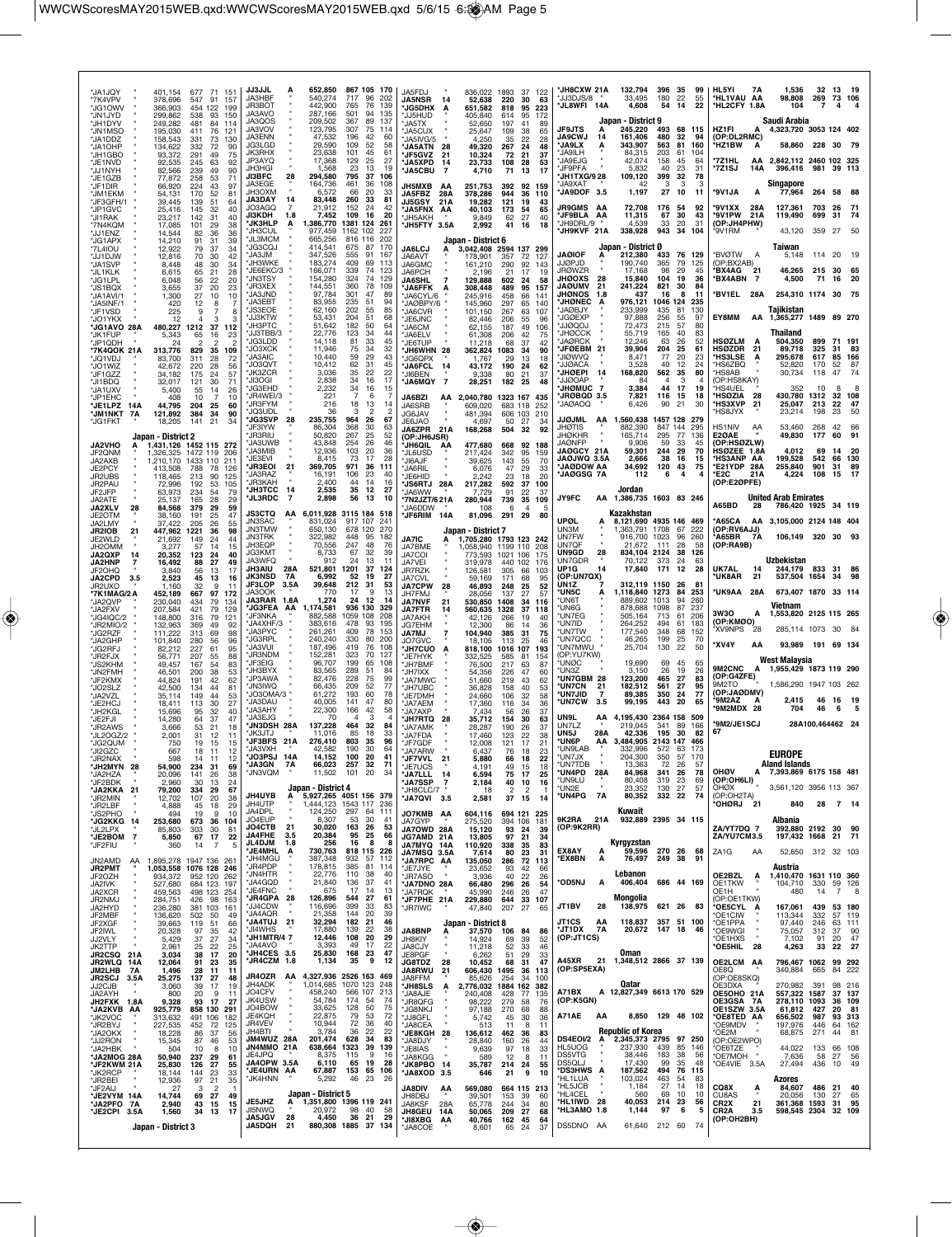| 'JA1JQY<br>*7K4VPV<br>*JG10WV<br>*JN1JYD                       | 401,154<br>677<br>71 151<br>547<br>91<br>378,696<br>157<br>366,903<br>454 122<br>199<br>299,862<br>93<br>538<br>150     | <b>JJ3JJL</b><br>652,850<br>Ą<br>JA3HBF<br>540,274<br>JR3BOT<br>442,900<br>JA3AVO<br>287,166                                       | 867 105 170<br>717<br>96<br>202<br>765<br>76<br>139<br>501<br>94<br>135        | JA5FDJ<br><b>JA5NSR</b><br>14<br><b>JG5DHX</b><br>Α<br>JJ5HUD           | 836,022 1893<br>52,638<br>651,582<br>405.840                       | 220<br>30<br>95<br>818<br>95<br>614                       | 37 122<br>63<br>223<br>172 | *JH8CXW 21A<br>'JJ3DJS/8<br>JL8WFI 14A                                        | 132,794<br>33,495<br>4,608                                             | 396 35<br>180<br>-22<br>54<br>14                 | 99<br>55<br>22         | HL5YI<br>7A<br>*HL1VAU AA<br>*HL2CFY 1.8A                               | 1,536<br>98,808<br>104                                                   | 32<br>13<br>269<br>$\overline{7}$    | 73 106                         |
|----------------------------------------------------------------|-------------------------------------------------------------------------------------------------------------------------|------------------------------------------------------------------------------------------------------------------------------------|--------------------------------------------------------------------------------|-------------------------------------------------------------------------|--------------------------------------------------------------------|-----------------------------------------------------------|----------------------------|-------------------------------------------------------------------------------|------------------------------------------------------------------------|--------------------------------------------------|------------------------|-------------------------------------------------------------------------|--------------------------------------------------------------------------|--------------------------------------|--------------------------------|
| *JH1DYV<br>*JN1MSO<br>*JA1DDZ<br>*JA1OHP                       | 249,282<br>84<br>481<br>114<br>195,030<br>76<br>411<br>121<br>158,543<br>73<br>130<br>331<br>134,622<br>332<br>90<br>72 | JA3QOS<br>209,502<br>JA3VOV<br>123,795<br><b>JA3ENN</b><br>47,532<br>29,590<br>JG3LGD                                              | 367<br>89<br>137<br>307<br>-75<br>114<br>196<br>42<br>60<br>52<br>109<br>58    | JA5TX<br><b>JA5CUX</b><br>JA5IVG/5<br><b>JA5ATN</b><br>-28              | 52,650<br>25,647<br>4,250<br>49,320                                | 197<br>41<br>109<br>38<br>35<br>22<br>24<br>267           | 89<br>65<br>28<br>48       | <b>JF9JTS</b><br><b>JA9CWJ</b><br>14<br><b>JA9LX</b><br>А                     | Japan - District 9<br>245,220<br>161,406<br>343.907                    | 493<br>480<br>32<br>81<br>563                    | 68 115<br>94<br>160    | HZ1FI<br>Δ<br>(OP:DL2RMC)<br>HZ1BW<br>А                                 | Saudi Arabia<br>4,323,720 3053 124 402<br>58,860 228 30                  |                                      | - 79                           |
| *JH1GBO<br>*JF1NVD<br>*JJ1NYH                                  | 93,372<br>291<br>75<br>49<br>92.535<br>245<br>63<br>92<br>82,566<br>239<br>49<br>90                                     | <b>JK3RHX</b><br>23,638<br>JP3AYQ<br>17,368<br>JH3HGI<br>1,568<br><b>JI3BFC</b><br>294,580<br>28                                   | 101<br>45<br>61<br>25<br>129<br>27<br>23<br>13<br>19<br>795<br>37<br>106       | JF5GVZ<br>21<br><b>JA5XPD</b><br>14<br><b>JA5CBU</b><br>-7              | 10,324<br>23,733<br>4,710                                          | 21<br>72<br>28<br>108<br>71<br>13                         | 37<br>53<br>17             | JA9ILH<br><b>JA9FJG</b><br>JF9PFA<br>JH1TXG/9 28                              | 84.315<br>42,074<br>5,832<br>109,120                                   | 203<br>61<br>158<br>45<br>40<br>23               | 104<br>64<br>31<br>78  | *7Z1HL<br>*7Z1SJ<br>14A                                                 | AA 2,842,112 2460 102 325<br>396,416 981 39 113                          |                                      |                                |
| *JE1GZB<br>*JF1DIR<br>*JM1EKM<br>*JF3GFH/1                     | 77,872<br>258<br>53<br>71<br>66,920<br>224<br>43<br>97<br>54,131<br>170<br>52<br>81<br>39,445<br>139<br>51<br>64        | <b>JA3EGE</b><br>164,736<br>JH3OXM<br>6.572<br><b>JA3DAY</b><br>14<br>83,448                                                       | 461<br>36<br>108<br>66<br>-20<br>33<br>260<br>33<br>81                         | <b>JH5MXB</b><br>АA<br>JA5FBZ<br>28A<br><b>JJ5GSY</b><br>21 A           | 251,753<br>378,286<br>19,282                                       | 392<br>944<br>36<br>121<br>19                             | 92 159<br>110<br>43        | JA9XAT<br>JA9DOF 3.5                                                          | 42<br>1,197                                                            | 399<br>32<br>3<br>3<br>27<br>10                  | 3<br>11                | *9V1JA<br>А                                                             | Singapore<br>77,964                                                      | 264 58                               | - 88                           |
| 'JP1GVC<br>*JI1RAK<br>*7N4KQM                                  | 25,416<br>145<br>32<br>40<br>23,217<br>142<br>31<br>40<br>17,085<br>101<br>29<br>38                                     | JO3AGQ<br>$\overline{7}$<br>21,912<br><b>JI3KDH</b><br>7,452<br>1.8<br><b>JK3HLP</b><br>А<br>1,386,770<br><b>JH3CUL</b><br>977,459 | 152<br>24<br>42<br>16<br>20<br>109<br>1381 124<br>261<br>1162 102<br>227       | JA5FNX AA<br>JH5AKH<br>JH5FTY 3.5A                                      | 40,103<br>9,849<br>2,992                                           | 173<br>54<br>62<br>27<br>41<br>16                         | 65<br>40<br>18             | <b>JR9GMS AA</b><br><b>JF9BLA AA</b><br>JH9DRL/9<br>JH9KVF 21A                | 72,708<br>11,315<br>4,539<br>338,928                                   | 176<br>54<br>30<br>67<br>33<br>20<br>943<br>-34  | 92<br>43<br>31<br>104  | '9V1XX<br>28A<br>*9V1PW<br>21 A<br>(OP:JH4PHW)<br>*9V1RM                | 127,361<br>119,490<br>43,120                                             | 703<br>26<br>699<br>-31<br>359<br>27 | - 71<br>-74<br>50              |
| *JJ1ENZ<br>*JG1APX<br>*7L4IOU<br>*JJ1DJW                       | 14,544<br>36<br>36<br>82<br>14,210<br>91<br>31<br>39<br>12,922<br>79<br>37<br>34<br>12,816<br>70<br>30<br>42            | <b>JL3MCM</b><br>665,256<br><b>'JG3CQJ</b><br>414,541<br>JA3JM<br>347,526                                                          | 816 116<br>202<br>675<br>-87<br>170<br>555<br>91<br>167                        | <b>JA6LCJ</b><br>A<br>JA6AVT                                            | Japan - District 6<br>3,042,408 2594 137 299<br>178,901            | 357<br>72                                                 | 127                        | <b>JAØIOF</b><br>А                                                            | Japan - District Ø<br>212,380                                          | 433<br>76                                        | 129                    | *BVØTW<br>Α                                                             | Taiwan<br>5,148                                                          | 114 20                               | -19                            |
| *JA1SVP<br>*JL1KLK<br>*JG1LPL                                  | 30<br>8.448<br>48<br>34<br>6,615<br>65<br>21<br>28<br>6,048<br>22<br>20<br>56                                           | JH3WKE<br>183,274<br>JE6EKC/3<br>166,071<br><b>'JN3TSY</b><br>154,280<br>'JR3XEX<br>144,551                                        | 409<br>69<br>113<br>339<br>74<br>123<br>324<br>129<br>-74<br>360<br>78<br>109  | JA6GMC<br>JA6PCH<br><b>JA6SHL</b>                                       | 161,210<br>2.196<br>129,888                                        | 290<br>92<br>17<br>21<br>602<br>24                        | 143<br>19<br>58            | <b>JJØPJD</b><br><b>JRØWZR</b><br><b>JHØOXS</b><br>-28<br><b>JAØUMV</b><br>21 | 190,740<br>17.168<br>15,840<br>241,224                                 | 365<br>79<br>29<br>98<br>104<br>-19<br>821<br>30 | 125<br>45<br>36<br>84  | (OP:BX2AB)<br><b>'BX4AG</b><br>$21$<br><b>*BX4ABN</b><br>$\overline{7}$ | 46,265<br>4,500                                                          | 215 30<br>71<br>16                   | -20                            |
| *JS1BQX<br>*JA1AVI/1<br>*JA5INF/1<br>*JF1VSD                   | 3,655<br>37<br>20<br>23<br>27<br>1,300<br>10<br>10<br>420<br>12<br>8<br>-7<br>225<br>9<br>7<br>8                        | JA3JND<br>97,784<br><b>'JA3EBT</b><br>83,955<br>*JS3EOE<br>62,160                                                                  | 301<br>47<br>89<br>235<br>51<br>94<br>202<br>55<br>85                          | JA6FFK<br>А<br>JA6CYL/6<br>JAØBPY/6<br><b>JA6CVR</b>                    | 308,448<br>245,916<br>145,960<br>101,150                           | 489<br>95<br>458<br>66<br>297<br>65<br>267<br>63          | 157<br>141<br>140<br>107   | <b>JHØNOS</b><br>1.8<br><b>JHØNEC</b><br>JAØBJY                               | 437<br>976,121<br>233,999                                              | 16<br>8<br>1046 124 235<br>435<br>81             | -11<br>130             | BV1EL 28A                                                               | 254,310 1174 30<br>Taiikistan                                            |                                      | - 75                           |
| *JO1YKX<br>*JG1AVO 28A<br><b>'JK1FUP</b>                       | 12<br>4<br>3<br>-3<br>480,227<br>1212<br>37<br>112<br>5,343<br>65<br>16<br>23                                           | <b>'JJ3KTW</b><br>53,431<br>JH3PTC<br>51,642<br>'JJ3TBB/3<br>22,776<br><b>JG3LDD</b><br>14,118                                     | 204<br>51<br>68<br>50<br>182<br>64<br>123<br>34<br>44<br>81<br>33<br>45        | JE6JNC<br>JA6CM<br>JA6ELV                                               | 82,446<br>62,155<br>61,308                                         | 206<br>55<br>187<br>49<br>206<br>42                       | 96<br>106<br>75            | <b>JGØEXP</b><br><b>LODQUL</b><br><b>JHØCCK</b><br><b>JAØRCK</b>              | 97,888<br>72,473<br>55,719<br>12,246                                   | 256<br>55<br>215<br>57<br>165<br>40<br>63<br>26  | 97<br>80<br>83<br>52   | EY8MM<br><b>HSØZLM</b><br>A                                             | AA 1,365,277 1489 89 270<br>Thailand<br>504,350                          | 899                                  | 71 191                         |
| *JP1QDH<br>*7K4QOK 21A<br>*JQ1VDJ<br>*JO1WIZ                   | 24<br>313,776<br>829<br>35<br>109<br>311<br>72<br>83,700<br>28<br>28<br>56<br>42.672<br>220                             | 'JO3XCK<br>11,946<br><b>JA3AIC</b><br>10,440<br>'JO3QVT<br>10,412                                                                  | 34<br>75<br>32<br>59<br>29<br>43<br>62<br>31<br>45                             | JE6TUP<br>JH6WHN 28<br>JG6QPX<br><b>JA6FCL</b><br>-14                   | 11,218<br>362,824<br>1,767<br>43,172                               | 68<br>37<br>1083<br>34<br>13<br>29<br>190<br>24           | 42<br>90<br>18<br>62       | <b>JFØEBM</b><br>-21<br>'JIØWVQ<br><b>JJØACA</b>                              | 39,904<br>8,471<br>3,528                                               | 204<br>25<br>77<br>20<br>40<br>-12               | 61<br>23<br>24         | <b>HSØZDR</b><br>21<br>*HS3LSE<br>A<br>'HS6ZBQ                          | 89,718<br>295,678<br>52,820                                              | 325<br>-31<br>617<br>85<br>170<br>52 | 83<br>166<br>87                |
| *JF1GZZ<br>*JI1BDQ<br>*JA1UXV<br>*JP1EHC                       | 175<br>57<br>34.182<br>24<br>32.017<br>30<br>121<br>71<br>5,400<br>55<br>26<br>14<br>10<br>10<br>408<br>-7              | JK3ZCR<br>3,036<br>JI3OGI<br>2,838<br>2,232<br>JG3EHD<br>JR4WEI/3<br>221                                                           | 35<br>22<br>22<br>34<br>16<br>17<br>34<br>15<br>16<br>6<br>7                   | JI6BEN<br>JA6MQY 7<br>JA6BZI                                            | 9,338<br>28,251<br>2,040,780                                       | 80<br>21<br>182 25<br>1323 167                            | 37<br>48<br>435            | <b>JHØEPI</b><br>14<br>JJØOAF<br><b>JHØMUC 7</b><br>JRØBQD 3.5                | 168,820<br>84<br>3,384<br>7,821                                        | 562<br>35<br>з<br>44<br>17<br>116<br>-15         | 80<br>19<br>18         | 'HS8AB<br>(OP:HS8KAY)<br>ʻHS4UEL<br>*HSØZIA<br>- 28                     | 30,734<br>352<br>430.780 1312                                            | 118<br>47<br>10                      | 74<br>8<br>8<br>32 108         |
| *JE1LPZ 14A<br><b>JM1NKT 7A</b><br>*JG1FKT                     | 44,795<br>204<br>25<br>60<br>34<br>121,892<br>384<br>90<br>18,205<br>141<br>21<br>34                                    | 'JR3FYM<br>216<br><b>JO3UDL</b><br>36<br><b>'JG3SVP</b><br>28<br>235,755                                                           | 18<br>13<br>14<br>$\mathcal{P}$<br>2<br>з<br>964<br>26<br>67                   | AA<br>JA6SRB<br>JG6JAV<br>JE6JAO                                        | 609,020<br>481,394<br>4,697                                        | 683 118<br>606 103<br>50<br>-27                           | 252<br>210<br>34           | <b>JAØAOQ</b><br>JJØJML<br>AA                                                 | 6,426<br>1,560,438                                                     | 90<br>21<br>1457 128                             | 30<br>279              | *HS3XVP<br>-21<br>'HS8JYX                                               | 25,047<br>23,214                                                         | 213<br>22<br>23<br>198               | 47<br>50                       |
| <b>JA2VHO</b><br>А<br>JF2QNM                                   | Japan - District 2<br>1.431.126 1452 115 272<br>1,326,325<br>1472 119<br>-206                                           | <b>IF3IYW</b><br>86,304<br><b>JR3RIU</b><br>50,820<br><b>IA3UWB</b><br>43,848<br>JA3MIB<br>12,936                                  | 368<br>30<br>63<br>267<br>25<br>52<br>26<br>254<br>46<br>20<br>103<br>36       | <b>JA6ZPR</b><br>21A<br>(OP:JH6JSR)<br>JH6QIL AA<br>'JL6USD             | 168,268<br>477,680<br>217,424                                      | 504<br>32<br>668<br>342<br>95                             | 92<br>92 188<br>159        | <b>JHOTIS</b><br><b>JHØKHR</b><br><b>JAØNFP</b><br><b>JAØGCY 21A</b>          | 882,390<br>165,714<br>9.906<br>59,301                                  | 847 144<br>295<br>77<br>59<br>33<br>244<br>-29   | 295<br>136<br>45<br>70 | HS1NIV<br>AA<br>E2ØAE<br>(OP:HSØZLW)<br>HSØZEE 1.8A                     | 53,460<br>49,830<br>4,012                                                | 42<br>268<br>177<br>60<br>69<br>-14  | 66<br>91<br>-20                |
| JA2AXB<br>JE2PCY<br>JR2UBS                                     | 1,210,170<br>1433 110<br>211<br>-78<br>126<br>413.508<br>788<br>118,465<br>90<br>125<br>213                             | JE3EVI<br>8,415<br>369,705<br><b>JR3EOI</b><br>21<br>JA3RAZ<br>16,191                                                              | 73<br>17<br>28<br>971<br>-36<br>111<br>106<br>23<br>40                         | <b>JI6AJF</b><br>JA6RIL<br>JE6HID                                       | 39,625<br>6.076<br>2,242                                           | 143<br>55<br>29<br>47<br>23<br>18                         | 70<br>33<br>20             | <b>JAØJWQ 3.5A</b><br>JAØDOW AA<br><b>JAØGSG 7A</b>                           | 2,666<br>34,692<br>112                                                 | 38<br>16<br>120<br>43<br>6<br>4                  | 15<br>75               | <b>HS3ANP AA</b><br>*E21YDP 28A<br>21A<br>*E2C                          | 199,528<br>255,840<br>4,224                                              | 542<br>66<br>901<br>31<br>108<br>15  | 130<br>89<br>-17               |
| JR2PAU<br>JF2JFP<br>JA2ATF<br><b>JA2XLV</b><br>28              | 72,996<br>192<br>53<br>105<br>63,973<br>54<br>79<br>234<br>28<br>29<br>25.137<br>165<br>84,568<br>379<br>29<br>59       | 'JR3KAH<br>2.400<br><b>JH3TCC</b><br>14<br>2,535<br><b>JL3RDC</b><br>-7<br>2,898                                                   | 44<br>-14<br>16<br>35<br>12<br>27<br>56<br>- 13<br>10                          | <b>JS6RTJ</b><br>28A<br>JA6WW<br><b>7N2JZT/621A</b><br>JA6DDW           | 217,282<br>7,729<br>280,944<br>108                                 | 37<br>592<br>91<br>22<br>739<br>35<br>6<br>$\overline{4}$ | 100<br>37<br>109<br>5      | JY9FC<br>AA                                                                   | Jordan<br>1,386,735 1603 83 246                                        |                                                  |                        | (OP:E2ØPFE)<br>A65BD<br>28                                              | <b>United Arab Emirates</b><br>786,420 1925                              |                                      | 34 119                         |
| JF20TM<br>JA2LMY<br>JR2IOB<br>21                               | 191<br>38,160<br>25<br>47<br>37.422<br>205<br>26<br>55<br>447,962<br>1221<br>36<br>98                                   | <b>JS3CTQ</b><br>AA<br>JN3SAC<br>831,024<br><b>JN3TMW</b><br>650,130<br><b>JN3TRK</b><br>322,982                                   | 6,011,928 3115 184 518<br>917 107<br>241<br>678 120<br>270<br>95<br>448<br>182 | JF6RIM 14A                                                              | 81,096<br>Japan - District 7                                       | 291<br>29                                                 | 80                         | <b>UPØL</b><br>UN3M<br><b>UN7FW</b>                                           | Kazakhstan<br>8,121,690 4935 146 469<br>1.363.791 1708<br>916,700 1023 | 67<br>96                                         | 222<br>260             | *A65CA<br>(OP:RV6AJJ)<br>*A65BR 7A                                      | AA 3,105,000 2124 148 404<br>106,149 320 30                              |                                      |                                |
| JE2WLD<br>JH2OMM<br><b>JA2QXP</b><br>14<br><b>JA2HNP</b>       | 21,692<br>149<br>24<br>44<br>3,277<br>57<br>15<br>14<br>20,352<br>24<br>40<br>123<br>27<br>16,492<br>88<br>49           | JH3EQP<br>70,556<br>JG3KMT<br>8,733<br>JA3WFO<br>912                                                                               | 247<br>48<br>76<br>67<br>32<br>39<br>13<br>24<br>11                            | <b>JA7IC</b><br>А<br>JA7BME<br>JA7COI<br>JA7VEI                         | 1,705,280 1793 123 242<br>1,058,940 1199 110<br>773,593<br>319,978 | 1021 106<br>440 102                                       | 208<br>175<br>176          | UN7QF<br><b>UN9GD</b><br>28<br>UN7GDR                                         | 21,672<br>834,104 2124<br>70.122                                       | 28<br>111<br>38<br>-373<br>24                    | .58<br>126<br>-63      | (OP:RA9B)                                                               | <b>Uzbekistan</b>                                                        |                                      |                                |
| JF2OHQ<br><b>JA2CPD</b><br>3.5<br><b>JR2UXO</b><br>*7K1MAG/2 A | 3,840<br>56<br>13<br>17<br>2,523<br>45<br>13<br>16<br>1.160<br>32<br>9<br>-11<br>452,189<br>667<br>97<br>172            | 28A<br>521,801<br><b>JH3AIU</b><br><b>JK3NSD</b><br>7A<br>6,992<br>JF3LOP<br>39,648<br>3.5A<br>JA3OOK<br>770                       | 1201<br>-37<br>124<br>52<br>19<br>27<br>212<br>-31<br>53<br>17<br>9<br>13      | JR7RZK<br>JA7CVL<br><b>JA7CPW</b><br>28<br>JH7FMJ                       | 126,581<br>59,169<br>46,893<br>28,056                              | 305<br>66<br>171<br>68<br>25<br>248<br>137<br>27          | 103<br>95<br>52<br>57      | UP1G<br>14<br>(OP:UN7QX)<br>UN1Z<br>*UN5C<br>А                                | 17,840<br>312,119 1150<br>1,118,840 1273                               | 12<br>171<br>-26<br>84                           | 28<br>-81<br>253       | UK7AL<br>14<br><b>UK8AR</b><br>21<br>*UK9AA 28A                         | 244,179 833 31 86<br>537,504 1654<br>673,407 1870 33 114                 | 34                                   |                                |
| *JA2QVP<br>*JA2FXV<br>*JG4IQC/2                                | 230,040<br>79<br>134<br>434<br>207,584<br>421<br>79<br>129<br>148,800<br>79<br>121<br>316                               | JA3RAR 1.8A<br>1,274<br><b>'JG3FEA AA</b><br>1,174,581<br>JF3NKA<br>882,588                                                        | 24 12<br>14<br>936 130<br>329<br>1059 108<br>208                               | <b>JA7NVF</b><br>21<br><b>JA7FTR</b><br>JA7AKH                          | 530,850<br>560,635<br>42,126                                       | 1408<br>34<br>1328<br>37<br>266<br>19                     | 116<br>118<br>40           | 'UN6T<br>'UN6G<br>'UN7EG                                                      | 889,602 1013<br>878,688<br>505,164                                     | 94<br>1098<br>87<br>713<br>61                    | 260<br>237<br>206      | 3W3O<br>А<br>(OP:KMØO)                                                  | Vietnam<br>1,553,820 2125 115 265                                        |                                      |                                |
| *JR2MIO/2<br>*JG2RZF<br>*JA2GHP<br>*JG2RFJ                     | 132,963<br>49<br>369<br>92<br>111.222<br>69<br>98<br>313<br>101,840<br>280<br>56<br>96<br>82,212<br>227<br>61<br>95     | JA4XHF/3<br>383,616<br>JA3PYC<br>261,261<br><b>JG3RPL</b><br>240,240<br><b>JA3VUL</b><br>187.496                                   | 478<br>93<br>195<br>409<br>78<br>153<br>330<br>80<br>200<br>419<br>76<br>108   | JG7EHM<br><b>JA7MJ</b><br>7<br>JO7GVC<br><b>JH7CUO</b><br>A             | 12,300<br>104,940<br>18.105<br>818,100                             | 86<br>14<br>385<br>31<br>113<br>25<br>1016 107            | 36<br>75<br>46<br>193      | 'un7id<br><b>UN7TW</b><br>'UN7QCC<br>'UN7MWU                                  | 264,252<br>177,540<br>46,265<br>25,704                                 | 494<br>61<br>348<br>68<br>199<br>25<br>130<br>22 | 183<br>152<br>70<br>50 | 'XV9NPS<br>-28<br>*XV4Y<br>AA                                           | 285,114 1073 30<br>93,989 191 69 134                                     |                                      |                                |
| *JR2FJX<br>*JS2KHM<br>*JN2FMH                                  | 88<br>56,771<br>207<br>55<br>49,457<br>167<br>54<br>83<br>46,501<br>53<br>200<br>38                                     | 'JR3NDM<br>152,281<br><b>JF3EIG</b><br>96,707<br>'JH3BYX<br>83,565<br>JP3AWA<br>82.476                                             | 323<br>127<br>70<br>199<br>65<br>108<br>289<br>51<br>84<br>228<br>99           | JE7HYK<br>JH7BMF<br>JH7IXX                                              | 332,525<br>76,500<br>54,356                                        | 585<br>81<br>217<br>63<br>47<br>226                       | 154<br>87<br>60            | (OP:YU7KW)<br><b>UNØC</b><br>'UN3Z<br><b>UN7GBM 28</b>                        | 19,690<br>3,150<br>123,200                                             | 69<br>45<br>26<br>19<br>465                      | 65<br>26<br>83         | 9M2CNC A<br>(OP:G4ZFE)                                                  | West Malaysia<br>1,955,429 1873 119 290                                  |                                      |                                |
| *JF2KMX<br>*JO2SLZ<br>*JA2VZL<br>*JE2HCJ                       | 44,824<br>191<br>42<br>62<br>42,500<br>134<br>44<br>81<br>35,114<br>149<br>44<br>53<br>18,411<br>30<br>27<br>113        | 'JN3IWQ<br>66,435<br>'JO3OMA/3<br>61,272<br>JA3DAU<br>40,005                                                                       | 75<br>52<br>209<br>77<br>193<br>60<br>78<br>141<br>47<br>80                    | JA7MWC<br>'JH7UBC<br>JE7DMH<br>JA7AEM                                   | 51,660<br>36,828<br>24,660<br>17,360                               | 219<br>43<br>40<br>158<br>106<br>32<br>34<br>116          | 62<br>53<br>58<br>36       | <b>UN7CN</b><br>21<br><b>UN7JID</b><br>$\overline{7}$<br><b>*UN7CW</b><br>3.5 | 182,512<br>89,385<br>99,195                                            | 27<br>561<br>27<br>350<br>24<br>443<br>-20       | 95<br>77<br>65         | 9M2TO<br>(OP:JAØDMV)<br>*9M2AZ                                          | 1,586,290 1947 103 262<br>2,415                                          | 46 16                                | - 19                           |
| *JH2KGL<br>*JE2FJI<br>*JR2AWS                                  | 15,696<br>95<br>32<br>40<br>14,280<br>37<br>47<br>64<br>3,666<br>53<br>21<br>18                                         | JA3AHY<br>22,300<br>JA3EJG<br>70<br>JN3DSH 28A<br>137,228                                                                          | 166<br>42<br>58<br>з<br>4<br>4<br>464<br>32<br>84<br>85<br>33                  | 'JA7AXP<br><b>JH7RTQ</b><br>-28<br><b>JA7AMK</b>                        | 7,434<br>35,712<br>28,287                                          | 56<br>26<br>154<br>30<br>190<br>26                        | 37<br>63<br>37             | UN9L<br>ΑА<br>UN7LZ<br>UN5J<br>28A                                            | 4,195,430<br>219,045                                                   | 2364 158 509<br>341<br>89<br>195<br>-30          | 166<br>82              | <b>9M2MDX 28</b><br><b>9M2/JE1SCJ</b><br>67                             | 704                                                                      | 46<br>28A100,464462 24               | 5<br>- 6                       |
| *JL2OGZ/2<br>*JG2QUM<br>*JI2GZC<br>JR2NAX                      | 2,001<br>31<br>12<br>11<br>750<br>19<br>15<br>15<br>12<br>18<br>-11<br>667<br>598                                       | JK3JTJ<br>11,016<br>JF3BFS 21A<br>276,410<br>*JA3VXH<br>42.582<br>JO3PSJ<br>14,152                                                 | 18<br>803<br>35<br>96<br>30<br>64<br>190<br>100<br>20                          | JA7FDA<br><b>'JF7GDF</b><br><b>MATARW</b><br>JF7VVL<br>21               | 17,460<br>12,008<br>6,437<br>5.880                                 | 22<br>123<br>121<br>17<br>76<br>18<br>66<br>18            | 38<br>21<br>23<br>22       | *UN6P<br>*UN9LAB<br>UN7JX                                                     | 42,336<br>AA 3,484,905 2143 147<br>332.996<br>204,300                  | 572 63<br>350<br>57                              | 466<br>-173<br>170     |                                                                         | <b>EUROPE</b>                                                            |                                      |                                |
| *JH2MYN 28<br>*JA2HZA<br>*JF2BDK<br>*JA2KKA 21                 | 54,900<br>234<br>31<br>69<br>141<br>38<br>20,096<br>26<br>2,960<br>30<br>13<br>24                                       | <b>'JA3GN</b><br>7A<br>66,023<br><b>JN3VQM</b><br>11,502<br>Japan - District 4                                                     | 71<br>257<br>32<br>101 20<br>34                                                | *JE7UCS<br>*JA7LLL<br>14<br><b>JA7SSP</b><br>$\overline{7}$             | 4,191<br>6,594<br>2,184                                            | 49<br>15<br>75<br>17<br>40<br>10                          | 18<br>25<br>16             | UN7TDB<br>*UN4PD 28A<br>'UN9LU<br>UN2E*                                       | 13,363<br>84,968<br>80,408<br>23,352                                   | 72<br>26<br>341<br>26<br>319<br>23<br>130<br>27  | 57<br>78<br>69<br>57   | OHØV<br>А<br>(OP:OH6LI)<br>OHØX                                         | <b>Aland Islands</b><br>7,393,869 6175 158 481<br>3,561,120 3956 113 367 |                                      |                                |
| *JR2MIN<br>*JR2LBF<br>*JS2PHO                                  | 79,200<br>334<br>67<br>-29<br>12,702<br>107<br>20<br>38<br>4,888<br>45<br>18<br>29<br>494<br>19<br>9<br>10              | <b>JH4UYB</b><br>Ą<br>JH4UTP<br>JA4DPL<br>124,250                                                                                  | 5,927,265 4051 156 379<br>1,444,123 1543 117<br>236<br>297<br>64<br>111        | JH8CLC/7<br>JA7QVI 3.5<br>JO7KMB AA                                     | 18<br>2,581<br>604,116                                             | 2<br>$\overline{2}$<br>37<br>15<br>694 121 225            | 14                         | *UN4PG<br>7A                                                                  | 80,352<br>Kuwait                                                       | 332 22                                           | 74                     | (OP:OH2TA)<br>21<br>*OHØRJ                                              | 840                                                                      | 28                                   | 7 14                           |
| *JG2KKG 14<br>*JL2LPX<br>*JE2BOM<br>$\overline{7}$<br>*JF2FIU  | 253,680<br>673<br>36<br>104<br>85,803<br>303<br>30<br>81<br>67<br>22<br>17<br>5,850<br>360<br>5<br>14<br>-7             | JO4EUP<br>8,307<br><b>JO4CTB</b><br>30,020<br>21<br><b>JA4FHE</b><br>20,384<br>3.5<br><b>JL4DJM</b><br>1.8<br>256                  | 53<br>-30<br>41<br>163<br>26<br>53<br>95 25<br>66<br>16<br>8<br>8              | JA7GYP<br><b>JA7OWD 28A</b><br>JG7AMD 21A<br>JA7MYQ 14A                 | 275,520<br>15,120<br>13,805<br>110,920                             | 394 106<br>93<br>24<br>97<br>21<br>338<br>35              | 181<br>39<br>34<br>83      | 9K2RA<br>21A<br>(OP:9K2RR)                                                    | 932,889 2395 34 115<br>Kyrgyzstan                                      |                                                  |                        | ZA/YT7DQ 7<br>ZA/YU7CM3.5                                               | Albania<br>392,880 2192 30<br>197,432 1668                               |                                      | 90<br>21 71                    |
| JN2AMD<br>AA<br><b>JR2PMT</b>                                  | 1,895,278<br>1947 136<br>261<br>1,053,558 1076 128 246                                                                  | 730,763<br><b>JE4MHL</b><br>Α<br>JH4MGU<br>387,348<br>*JR4PDP<br>178,815                                                           | 818 115<br>226<br>932<br>57<br>112<br>81<br>385<br>-114                        | JA7MSQ 3.5A<br><b>JA7RPC AA</b><br>JE7JYE                               | 7,614<br>135,050<br>23,652                                         | 23<br>80<br>286<br>72<br>93<br>42                         | 31<br>113<br>-66           | EX8AY<br>А<br>*EX8BN<br>Α                                                     | 59,596<br>76,497                                                       | 270 26<br>249 38                                 | 68<br>91               | ZA <sub>1</sub> G<br>AA                                                 | 52.650 312 32 103<br>Austria                                             |                                      |                                |
| JF2OZH<br>JA2IVK<br>JA2XCR<br>JR2NMJ                           | 934,372<br>952 120<br>262<br>527,680<br>684 123<br>197<br>459,563<br>498 123<br>254<br>284,751<br>426 98<br>163         | 'JN4HTR<br>22,776<br>JA4GQD<br>21,840<br>*JE4FNC<br>675<br>*JR4GPA 28<br>126,896                                                   | 110<br>38<br>40<br>37<br>136<br>41<br>17<br>13<br>14<br>544<br>-27<br>61       | <b>JR7ASO</b><br>JA7DNO 28A<br>'JA7RQK<br><b>JF7PHE 21A</b>             | 3,936<br>66,480<br>45,990<br>229,880                               | 40<br>22<br>26<br>296<br>246<br>-26<br>644                | 26<br>54<br>47<br>33 107   | *OD5NJ<br>A                                                                   | Lebanon<br>406,404<br>Mongolia                                         | 686 44 169                                       |                        | OE2BZL<br>A<br>OE1TKW<br>$\mathbf{u}$<br>OF <sub>1</sub> H<br>OP:OE1TKW | 1,410,470 1631 110 360<br>104,710<br>480                                 | 330<br>14                            | 59 126<br>$\overline{7}$<br>-8 |
| JA2HYD<br>JF2MBF<br>JF2XGF                                     | 236,280<br>381 103<br>161<br>136,620<br>502<br>50<br>49<br>119<br>51<br>39,663<br>66                                    | *JJ4CDW<br>116,696<br>'JA4AQR<br>21,358<br><b>UTPAL</b> *<br>21<br>32,294<br>JI4WHS<br>17,880                                      | 399<br>33<br>83<br>144<br>20<br>39<br>182<br>21<br>46<br>22<br>139<br>38       | 'JR7IWC                                                                 | 47,840<br>Japan - District 8                                       | 207<br>27                                                 | 65                         | JT1BV<br>28<br>JT1CS<br>AA<br><b>'JT1DX</b><br>7A                             | 138,975<br>118,837<br>20,672                                           | 621 26<br>357 51 100<br>147 18                   | - 83<br>46             | *OE5CYL<br>A<br>OE1CIW<br>*OE1PPA                                       | 167,061<br>113,344<br>97,440                                             | 439<br>332<br>57<br>246              | 53 180<br>119<br>63 111        |
| JF2IWL<br>JJ2VLY<br>JK2TTP<br>JR2CSQ 21A                       | 20,328<br>97<br>35<br>42<br>5,429<br>37<br>34<br>27<br>22<br>25<br>2,961<br>25<br>3,034<br>38<br>17<br>20               | <b>'JH1MTR/4 7</b><br>12,446<br>3,393<br>JA4AVO<br>25,830<br>*JH4CES 3.5                                                           | 20<br>108<br>29<br>49<br>17<br>22<br>168 23<br>47                              | <b>JA8BNP</b><br>A<br>JH8KIY<br>JA8CJY<br>×<br>JE8PGF                   | 37,570<br>14,924<br>11,218<br>6.262                                | 106 84<br>69<br>-39<br>52<br>33<br>51<br>29               | 86<br>52<br>46<br>33       | (OP:JT1CS)                                                                    | <b>Oman</b>                                                            |                                                  |                        | *OE9WGI<br>OE1HXS <sup>*</sup><br>*OE5HIL<br>28                         | 75,057<br>7,102<br>4,263                                                 | 312<br>37<br>91<br>20<br>33<br>22    | 90<br>47<br>27                 |
| JR2WLQ 14A<br>7A<br><b>JM2LHB</b><br>JR2SCJ 3.5A               | 12,064<br>91<br>23<br>35<br>28<br>1,496<br>11<br>-11<br>25,275<br>137<br>27<br>48<br>17                                 | JR4CZM 1.8<br>1,134<br><b>JR4OZR</b><br>AA<br>JH4ADK                                                                               | 35<br>9<br>12<br>4,327,936 2526 163 469<br>1,014,685 1070 123 248              | JG8TDZ<br>28<br><b>JA8RWU</b><br>21<br>JA8FFM                           | 10,452<br>606,430<br>85,626                                        | 68<br>31<br>1495<br>254<br>34                             | 47<br>36 113<br>100        | <b>A45XR</b><br>21<br>(OP:SP5EXA)                                             | 1,348,512 2866 37 139<br>0atar                                         |                                                  |                        | OE2LCM AA<br>OE8Q<br>(OP:OE8SKQ)<br>OE3DXA                              | 796,467 1062 99 292<br>340,884<br>270,982                                | 665<br>391                           | 84 222<br>98<br>216            |
| JJ2CJB<br>JA2AYH<br>JH2FXK 1.8A<br>*JA2KVB AA                  | 39<br>3,060<br>19<br>800<br>20<br>9<br>11<br>93<br>17<br>9,328<br>27<br>925,779<br>858 130<br>291                       | JO4CFV<br>458,240<br><b>JK4USW</b><br>54,784<br>JO4BOW<br>33,625                                                                   | 566 107<br>213<br>174 54<br>-74<br>128<br>50<br>75                             | <b>JH8SLS</b><br>Ą<br>JA8AJE<br>JR8QFG<br>'JG8NKJ                       | 2,776,032<br>240,408<br>98,222<br>97,188                           | 1884 162 382<br>428<br>77<br>279<br>58<br>68<br>270       | 135<br>76<br>88            | A71BX<br>(OP:K5GN)                                                            | A 12,827,349 6613 170 529                                              |                                                  |                        | OE5OHO 21A<br>OE3GSA 7A<br>OE1SZW 3.5A                                  | 557,322 1587<br>278,110 1093<br>61,812                                   | 427<br>-20                           | 37 137<br>36 109<br>81         |
| *JK2VOC<br>*JR2BYJ<br>JA2OKX                                   | 313,632<br>491 106<br>182<br>227,535<br>452<br>72<br>125<br>18,228<br>86<br>37<br>56                                    | <b>JE4KQH</b><br>22,875<br>JR4VEV<br>10,944<br>JH4BTI<br>3,784<br><b>JM4WUZ 28A</b><br>201,474                                     | 79<br>53<br>72<br>72<br>36<br>40<br>22<br>36<br>22<br>628<br>34<br>83          | 'JJ8GFL<br><b>JA8CEA</b><br><b>JE8KGH</b><br>28                         | 5,742<br>513<br>136,612                                            | 45<br>30<br>-11<br>8<br>462<br>36                         | 36<br>11<br>83             | A71AE<br>AA<br><b>DS4EOI/2</b><br>А                                           | <b>Republic of Korea</b><br>2,345,373 2795 97 250                      | 8,850 129 48 102                                 |                        | *OE8TED AA<br>*OE9MDV<br>'OE2M<br>(OP:OE2WPO)                           | 656,502<br>197,976<br>68,875                                             | 987<br>446<br>271<br>44              | 93 313<br>64 162<br>81         |
| *JJ2RON<br>*JA2HBK<br>*JA2MOG 28A<br>*JF2KWM 21A               | 87<br>53<br>15,345<br>46<br>504<br>10<br>8<br>10<br>50,940<br>237<br>29<br>61<br>25,830<br>126<br>27<br>55              | JN4MMO 21A<br>638,664 1323<br>JE4JPQ<br>8,375<br>JA4OPW 3.5A<br>6,110                                                              | 39<br>139<br>115<br>9<br>16<br>65<br>- 19<br>28                                | 'JA8DJY<br>JE8IAS<br><b>JA8KGG</b><br><b>JK8PBO</b><br>-14              | 28,840<br>9,639<br>589<br>35,787                                   | 160<br>26<br>97<br>18<br>12<br>8<br>214<br>24             | 44<br>33<br>11<br>55       | HL5UOG<br>DS5VTG<br>DS5QLJ                                                    | 237,930<br>38,446<br>17,430                                            | 439<br>85<br>183<br>38<br>99<br>35               | 146<br>56<br>48        | *OE6TZE<br>OE7MOH<br>*OE4VIE 3.5A                                       | 44,022<br>7,636<br>27,494                                                | 133<br>58<br>27<br>436<br>10         | 66 108<br>56<br>49             |
| *JK2RCP<br>*JR2BEI<br>*JF2AIJ<br>*JE2VYM 14A                   | 33<br>144<br>23<br>18,144<br>12,936<br>97<br>21<br>35<br>27<br>3<br>2<br>י<br>14,744<br>69<br>27<br>49                  | *JE4URN AA<br>67,887<br>5,292<br><b>*JK4HNN</b><br>Japan - District 5                                                              | 153 65<br>106<br>46 23<br>26                                                   | JA8XOD 3.5<br><b>VIGBAL</b><br>AA<br>JH8DBJ                             | 646<br>569,080<br>39,501                                           | 21<br>9<br>664 115 213<br>153<br>39                       | 10<br>60                   | *DS3HWS A<br>'HL1LUA<br>'HL5JCB<br><b>HL4CEL</b>                              | 187,562<br>103,024<br>1,184<br>560                                     | 494<br>76<br>463<br>54<br>27<br>14<br>69<br>10   | 115<br>83<br>18<br>10  | CQ8X<br>A<br>CU8AS                                                      | Azores<br>84,607<br>20,056                                               | 486<br>21<br>130<br>27               | 40<br>65                       |
| *JA2PFO 7A<br>*JE2CPI 3.5A                                     | 2,940<br>43<br>15<br>15<br>1,560<br>34<br>13<br>17<br>Japan - District 3                                                | <b>JE5JHZ</b><br>А<br>JI5NWQ<br>20,972<br><b>JA5JGV</b><br>28<br>4.450<br><b>JA5DQH</b><br>21                                      | 1,351,800 1396 119 241<br>98<br>40<br>58<br>36 21<br>29<br>880,308 1885 37 134 | JA8KSF<br>28A<br><b>JH8GEU</b><br>14A<br><b>JI8XBG</b><br>AA<br>'JA8COE | 65.778<br>50,065<br>40,766<br>8,601                                | 244<br>34<br>209<br>27<br>45<br>162<br>65<br>24           | 80<br>68<br>64<br>37       | HL1IWD 28<br>*HL3AMO 1.8<br>DS5DNO AA                                         | 40,053<br>1,144<br>61,640                                              | 214<br>23<br>97<br>6<br>212 60                   | 56<br>5<br>- 74        | CR <sub>2</sub> X<br>21<br>CR <sub>2</sub> A<br>3.5<br>(OP:OH2BH)       | 361,368 1593<br>598,545 2304                                             | 31                                   | 95<br>32 109                   |
|                                                                |                                                                                                                         |                                                                                                                                    |                                                                                |                                                                         |                                                                    |                                                           |                            |                                                                               |                                                                        |                                                  |                        |                                                                         |                                                                          |                                      |                                |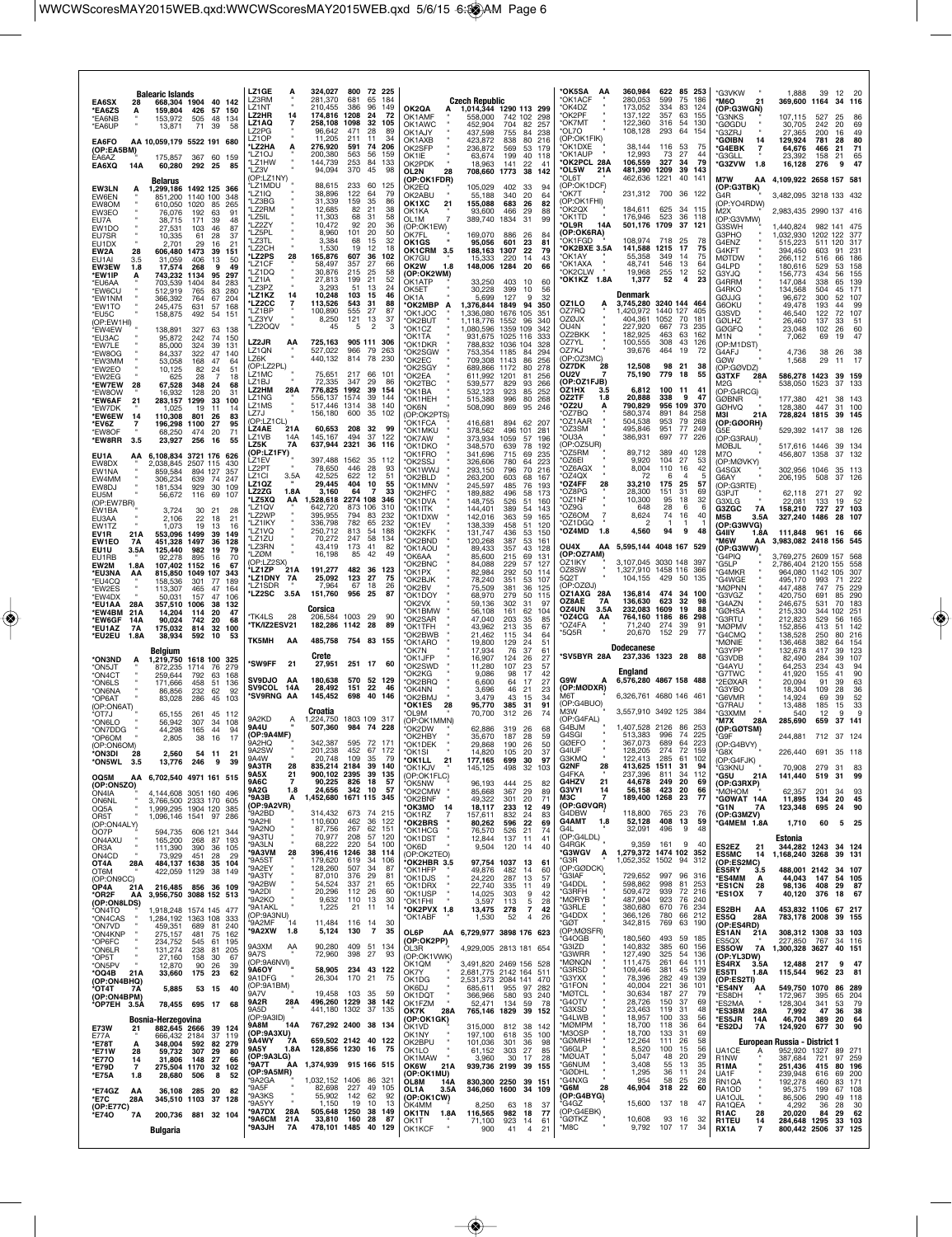| <b>Balearic Islands</b><br>EA6SX<br>28<br>668,304 1904<br>40 142<br>159,804<br>426<br>57 150<br>*EA6ZS<br>А<br>*EA6NB<br>153,972<br>505<br>48<br>134<br>*FA6UP<br>71<br>39<br>13.871<br>-58<br>EA6FO<br>AA 10,059,179 5522 191 680<br>(OP:EA5BM)<br>367<br><b>FA6A7</b><br>175.857<br>60 159<br><b>EA6XQ</b><br>14A<br>60,280<br>292 25<br>85<br>Belarus<br><b>EW3LN</b><br>1,299,186 1492 125 366<br>А<br>EW6EN<br>851,200<br>1140 100<br>348<br>EW8OM<br>610,050<br>1020<br>85<br>265<br>EW3EO<br>76,076<br>192<br>63<br>91<br>EU7A<br>38,715<br>171<br>39<br>48<br><b>EW1DO</b><br>87<br>27,531<br>103<br>46<br>EU7SR<br>10,335<br>28<br>61<br>37<br><b>FU1DX</b><br>2.701<br>21<br>29<br>16<br>EW2A<br>28<br>606,480<br>1473<br>39<br>151<br>FU <sub>1</sub> AI<br>31,059<br>50<br>3.5<br>406<br>13<br><b>EW3EW</b><br>17,574<br>268<br>49<br>1.8<br>9<br>*EW1IP<br>743,232<br>1134<br>95<br>297<br>А<br>*EU6AA<br>703,539<br>1404<br>283<br>84<br>*EW6CU<br>512,919<br>765<br>83<br>280<br>*EW1NM<br>366,392<br>764<br>67<br>204<br>*EW1TO<br>245,475<br>631<br>57 168<br>*EU5C<br>158,875<br>492<br>54<br>151<br>(OP:EW1HI)<br>327<br>*EW4EW<br>138,891<br>63<br>- 138<br>*EU3AC<br>95,872<br>242<br>74<br>150<br>*EW7LE<br>85,000<br>324<br>39<br>131<br>*EW8OG<br>322<br>47<br>84.337<br>140<br>*EW3MM<br>53,058<br>168<br>47<br>64<br>*EW2EO<br>10,125<br>82<br>24<br>51<br>*FW2FG<br>625<br>28<br>18<br>7<br>*EW7EW<br>28<br>67,528<br>348<br>24<br>68<br>*FW8OW<br>16,932<br>128<br>20<br>31<br>*EW6AF<br>21<br>283,157<br>1299<br>33<br>100<br>'EW7DK<br>1,025<br>11<br>19<br>14<br>*EW6EW<br>801<br>14<br>110,308<br>-26<br>83<br>*EV6Z<br>196,298<br>1100<br>27<br>95<br>7<br>*EW8OF<br>68,250<br>474<br>-20<br>71<br>*EW8RR<br>3.5<br>23,927<br>256<br>16<br>55<br>EU1A<br>6,108,834 3721 176 626<br>AA<br>EW8DX<br>2,038,845 2507 115<br>430<br>EW1NA<br>859,584<br>894 127<br>357<br>FW4MM<br>639<br>74<br>306,234<br>247<br>EW8DJ<br>181,534<br>929<br>30<br>109<br>56,672<br>116<br>69<br>FU <sub>5</sub> M<br>107<br>(OP:EW7BR)<br>EW1BA<br>3.724<br>30<br>21<br>28<br>EU3AA<br>2,106<br>22<br>18<br>21<br>EW1TZ<br>1.073<br>19<br>13<br>16<br>553,096<br>EV1R<br>21A<br>1499<br>-39<br>149<br><b>EW1EO</b><br>7A<br>451,328<br>1497<br>36<br>128<br>125,440<br>EU1U<br>3.5A<br>982<br>-19<br>79<br>EU1RB<br>92,278<br>895<br>16<br>70<br>EW2M<br>1.8A<br>107.402 1152<br>-16<br>67<br>*EU3NA<br>815,850<br>1049 107<br>343<br>AA<br>*EU4CQ<br>158,536<br>301<br>189<br>77<br>*EW2ES<br>113,307<br>465<br>47<br>164<br>*EW4DX<br>50.031<br>47<br>157<br>106<br>*EU1AA<br>28A<br>357,510<br>1006<br>38<br>132<br><b>*EW4BM</b><br>14.204<br>114<br>20<br>47<br>21 A<br>*EW6GF<br>90,024<br>742<br>20<br>68<br>14A<br>*EU1AZ<br>175,032<br>814<br><b>7A</b><br>32 100<br>*EU2EU<br>1.8A<br>38,934<br>592<br>10<br>53<br>Belgium<br>*ON3ND<br>1,219,750<br>1618 100 325<br>A<br>*ON5JT<br>872,235<br>1714<br>-76<br>279<br>'ON4CT<br>259,644<br>792<br>63<br>168<br>*ON6LS<br>171,666<br>458<br>51<br>136<br>*ON6NA<br>86,856<br>232<br>62<br>92<br>83,028<br>286<br>*OP6AT<br>45<br>103<br>(OP:ON6AT)<br><sup>ł</sup> OT7J<br>65,155<br>261<br>-45<br>-112<br>*ON6LO<br>56,942<br>307<br>34<br>108<br>44,298<br>44<br>*ON7DDG<br>165<br>94<br>*OP6OM<br>2,805<br>16<br>17<br>38<br>(OP:ON6OM)<br>*ON3DI<br>2,560<br>54 11<br>21<br>*ON5WL 3.5<br>13,776 246<br>-9<br>39<br>OQ5M<br>AA 6,702,540 4971 161 515<br>(OP:ON5ZO)<br>ON4IA<br>4.144.608 3051 160 496<br>3,766,500 2333 170 605<br><b>ON6NL</b><br>1,999,295 1904 120 385<br>OQ5A<br>1,096,146 1541 97 286<br>OR5T<br>(OP:ON4ALY)<br>ÒO7P<br>594,735 606 121 344<br>ON4AXU<br>165,200<br>268 87 193<br>390<br>OR3A<br>111,390<br>36 105<br>ON4CD<br>73,929<br>451<br>28<br>-29<br>484,137 1638 35 104<br>OT4A<br>28A<br>OT6M<br>422,059 1129 38 149<br>(OP:ON9CC)<br>OP4A<br>216,485 856 36 109<br>21 A<br>*OR2F<br>3,956,750 3088 152 513<br>AA<br>(OP:ON8LDS)<br>ON4TO <sup>*</sup><br>1,918,248 1574 145 477<br>*ON4CAS<br>1,284,192 1363 108 333<br>*ON7VD<br>459,351<br>689<br>81 240<br>*ON4KNP<br>275,157<br>481<br>75 162<br>*OP6FC<br>234,752<br>545<br>61<br>195 | <b>LZ1GE</b><br>А<br>LZ3RM<br>LZ1NT<br>14<br>LZ2HR<br>LZ1AQ<br>l 72PG<br>LZ1OP<br>LZ2HA<br>A<br>LZ1OJ<br>'I 71HW<br>LZ3V<br>(OP:LZ1NY)<br>'LZ1MDU<br>'LZ1IQ<br>'LZ3BG<br>'LZ2RM<br>'LZ5IL<br>'LZ2ZY<br>'LZ5PL<br>'LZ3TL<br>'I 72CH<br><b>LZ2PS</b><br>28<br>'LZ1CF<br>'LZ1DQ<br>'I 71IA<br>LZ3PZ<br>LZ1KZ<br>14<br><b>'LZ2CC</b><br>'LZ1BP<br>'LZ3YV<br>'LZ2OQV<br><b>LZ2JR</b><br>AA<br>LZ1ON<br>LZ6K<br>(OP:LZ2PL)<br>LZ1MC<br><b>171BJ</b><br><b>LZ2HM</b><br>28A<br>LZ1NG<br>LZ1MS<br>LZ7J<br>(OP:LZ1CL)<br>21A<br><b>LZ4AE</b><br>LZ1VB<br>14A<br>LZ5K<br>7A<br>(OP:LZ1FY)<br>LZ1EV<br>LZ2PT<br>LZ1CI<br>3.5A<br>LZ1QZ<br><b>LZ2ZG</b><br>1.8A<br>LZ5XQ<br>AA<br>'LZ1QV<br>1.72WP<br>'LZ1IKY<br>'LZ1VQ<br>'LZ1ZU<br>'LZ3RN<br>'LZØM<br>(OP:LZ2SX)<br>'LZ1ZP<br>21 A<br>LZ1DNY 7A<br>'LZ1SDR<br><b>LZ2SC</b><br>3.5A<br>TK4LS<br>28<br><b>TK/IZ2ESV21</b><br>тк5мн<br>ΑA<br>'SW9FF<br>21<br><b>SV9DJO</b><br>AA<br>SV9COL 14A<br><b>SV9RNG AA</b><br>9A2KD<br>Ą<br>9A4U<br>(OP:9A4MF)<br>9A2HQ<br>9A2SW<br>9A3TR<br>28<br>9A5X<br>21<br>$\overline{7}$<br><b>9A6C</b><br>9A2G<br>1.8<br>*9A3B<br>Α<br>(OP:9A2VR)<br>'9A2BD<br>'9A2HI<br>'9A2NO<br>'9A3TU<br>'9A3LN<br>'9A3VM<br>28<br>'9A5ST<br>'9A2EY<br>'9A3TY<br>'9A2BW<br>'9A2DI<br>'9A2KO<br>'9A1AKL<br>(OP:9A3NU)<br>'9A2MF<br>-14<br>'9A2XW 1.8<br>9A3XM<br>AA | 324,027<br>800<br>72 225<br>281,370<br>681<br>65<br>184<br>210 455<br>386<br>96<br>149<br>174,816 1208<br>-24<br>72<br>258,108<br>1098<br>32<br>105<br>96.642<br>471<br>28<br>-89<br>11,205<br>211<br>11<br>34<br>276,920<br>591<br>74<br>206<br>200,380<br>563<br>56<br>159<br>144,739<br>253<br>84<br>133<br>94,094<br>370<br>45<br>98<br>88,615<br>233<br>60<br>125<br>38,896<br>122<br>64<br>79<br>31,339<br>159<br>-35<br>86<br>12,685<br>82<br>21<br>38<br>11,303<br>68<br>-31<br>58<br>10,472<br>92<br>20<br>36<br>8,960<br>101<br>20<br>50<br>3,384<br>68<br>15<br>32<br>1,530<br>12<br>19<br>18<br>165,876<br>607<br>36<br>102<br>58.497<br>357<br>27<br>66<br>30,876<br>215<br>25<br>58<br>27,813<br>21<br>52<br>199<br>3,293<br>51<br>13<br>24<br>10,248<br>103<br>46<br>-15<br>113,526<br>543<br>31<br>88<br>100,890<br>555<br>27<br>87<br>121<br>8,250<br>13<br>37<br>45<br>5<br>$\overline{c}$<br>3<br>905 111<br>725,163<br>306<br>527,022<br>966<br>- 79<br>263<br>440,132<br>814 78<br>230<br>217<br>75.651<br>66<br>101<br>72.335<br>347<br>29<br>86<br>776,825<br>1992<br>39<br>154<br>1574<br>556.137<br>39<br>-144<br>517,446 1314<br>38<br>140<br>600<br>35<br>156,180<br>102<br>60,653<br>208<br>32<br>99<br>494<br>145,167<br>37<br>122<br>637,944 2321<br>36<br>116<br>397.488 1562<br>35<br>112<br>78,650<br>446<br>28<br>93<br>42,525<br>622<br>12<br>51<br>404<br>29,445<br>10<br>55<br>3,160<br>64<br>33<br>-7<br>528,618 2274 108<br>346<br>873 106<br>310<br>642.720<br>395,955<br>794<br>83<br>232<br>336,798<br>782<br>65<br>232<br>813<br>54<br>250,712<br>188<br>70,272<br>247<br>58<br>134<br>43,419<br>173<br>41<br>82<br>16,198<br>85<br>42<br>49<br>191,277<br>482 36<br>123<br>25,092<br>123<br>27<br>75<br>7,964<br>67<br>-18<br>26<br>151,760<br>956<br>25<br>87<br>Corsica<br>206.584 1003 29<br>90<br>182,286 1142<br>28<br>89<br>485,758 754 83 155<br>Crete<br>27,951 251 17<br>60<br>180,638<br>570<br>52<br>129<br>22<br>28,492<br>151<br>46<br>145,452<br>698<br>40<br>146<br>Croatia<br>1803 109<br>317<br>1,224,750<br>507,360<br>984<br>74<br>228<br>342,387<br>595 72 171<br>201,238<br>452 67 172<br>20.748<br>109<br>-35<br>835,214 2184 39 140<br>900,102 2395<br>39<br>135<br>90,225<br>826<br>18<br>57<br>$342$ 10<br>24,656<br>- 57<br>1,452,680 1671 115 345<br>314,432<br>673 74 215<br>110,600<br>462<br>36<br>122<br>267<br>87,756<br>62<br>151<br>57<br>70,977<br>208<br>120<br>68,222<br>220<br>54 100<br>396,416 1246 38<br>114<br>179,620<br>619<br>34<br>106<br>507<br>128,260<br>34<br>87<br>87,010<br>376<br>29<br>81<br>337<br>21<br>54,524<br>65<br>20,296<br>112<br>26<br>60<br>9,632<br>110<br>13<br>30<br>1,225<br>21 11<br>14<br>11,484 116 14<br>30<br>$\overline{7}$<br>5,124<br>130<br>35<br>90,280<br>409 51<br>134 | <b>Czech Republic</b><br>OK2QA<br>1,014,344 1290 113 299<br>558,000<br>742 102 298<br>OK1AMF<br>OK1AWC<br>452,904<br>704<br>-82<br>257<br>OK1AJY<br>437,598<br>755<br>238<br>84<br>OK1AXB<br>423,872<br>838<br>80<br>216<br>OK2SFP<br>236,872<br>569<br>53<br>179<br>OK1IE<br>63,674<br>199<br>40<br>118<br>OK2PDK<br>18,963<br>141<br>22<br>41<br>OL2N<br>708,660 1773<br>28<br>38<br>142<br>(OP:OK1FDR)<br>105,029<br>402<br>OK2EQ<br>33<br>94<br>340<br>OK2ABU<br>55,188<br>20<br>64<br>OK1XC<br>21<br>155,088<br>683<br>26<br>82<br>93,600<br>466<br>OK1KA<br>29<br>88<br>389,740 1834<br>OL1M<br>31<br>99<br>(OP:OK1EW)<br><b>OK7FL</b><br>169,070<br>886<br>-26<br>84<br>OK1GS<br>95,056<br>601<br>23<br>81<br>OK1CRM 3.5<br>188,163 1307<br>22<br>79<br>220<br>OK7GU<br>15.333<br>14<br>43<br>148,006 1284<br>OK2W<br>20<br>66<br>1.8<br>(OP:OK2WM)<br>OK1ATP<br>33,250<br>403<br>10<br>60<br>30,228<br>OK5ET<br>399<br>10<br>56<br>OK <sub>1</sub> A<br>5,699<br>127<br>9<br>32<br>OK2MBP*<br>1,376,844 1849 94<br>Α<br>350<br>*OK1JOC<br>1,336,080<br>1676 105<br>351<br>*OK2BUT<br>1,118,776<br>1552<br>96<br>340<br>*OK1CZ<br>1,080,596 1359 109<br>342<br>931,675 1025 116<br><b>OK1TA</b><br>333<br>*OK1DKR<br>1036 104<br>788,832<br>328<br>'OK2SGW<br>753,354 1185<br>294<br>-84<br>*OK2EC<br>709,308 1143<br>86<br>256<br>'OK2SGY<br>689,866 1172<br>80<br>278<br>'OK2EA<br>611,992<br>1201<br>81<br>256<br>OK2TBC<br>539,577<br>829<br>93<br>266<br>'OK1BA<br>532,123<br>923<br>85<br>252<br>'OK1HEH<br>515,388<br>996<br>80<br>268<br>*OK6N<br>508,090<br>869<br>95<br>246<br>(OP:OK2PTS)<br>416,681<br>894 62 207<br>'OK1FCA<br>378,562<br>'OK1MKU<br>496 101<br>281<br>373,934<br>'OK7AW<br>1059<br>57<br>196<br>*OK1DKO<br>348,570<br>78<br>192<br>639<br>341,696<br><b>OK1FRO</b><br>715<br>235<br>69<br>'OK2SSJ<br>326,606<br>780<br>64<br>223<br>'OK1WWJ<br>293,150<br>796<br>70<br>216<br>'OK2BLD<br>263,200<br>603<br>68<br>167<br>'OK1MNV<br>245,597<br>485<br>76<br>193<br>*OK2HFC<br>189,882<br>496<br>58<br>173<br>*OK1DVA<br>148,755<br>526<br>51<br>160<br>'OK1ITK<br>144,401<br>389<br>54<br>143<br>142,016<br>'OK1DXW<br>363<br>59<br>165<br>'OK1EV<br>138,339<br>458<br>51<br>120<br>'OK2KFK<br>131,747<br>436<br>53<br>150<br>'OK2BND<br>120,268<br>387<br>53<br>161<br>*OK1AOU<br>89,433<br>357<br>43<br>128<br>85,600<br>*OK6AA<br>215<br>69<br>131<br>'OK2BNC<br>84,088<br>229<br>57<br>127<br>82,984<br>292<br>*OK1PX<br>50<br>114<br>*OK2BJK<br>78,240<br>351<br>53<br>107<br>*OK2BV<br>75,509<br>381<br>36<br>125<br>*OK1DOY<br>68,970<br>279<br>50<br>115<br><b>OK2VX</b><br>302<br>31<br>97<br>59.136<br>'OK1BMW<br>56,108<br>161<br>62<br>104<br>*OK2SAR<br>47,040<br>203<br>35<br>85<br>*OK1TFH<br>43,962<br>213<br>-35<br>67<br>'OK2BWB<br>21,462<br>115<br>34<br>64<br>*OK1ARO<br>19,800<br>129<br>24<br>51<br>'OK7N<br>17,934<br>76<br>37<br>61<br>*OK1JFP<br>16,907<br>124<br>26<br>27<br>11,280<br>*OK2SWD<br>107<br>23<br>57<br>'OK2KG<br>9,086<br>98<br>-17<br>42<br>OK2BRQ<br>6,600<br>64<br>17<br>27<br>3,696<br>23<br>'OK4NN<br>46<br>21<br>*OK2BMJ<br>3,479<br>43<br>15<br>34<br>385<br><b>OK1ES</b><br>28<br>95,770<br>-31<br>91<br>70,700<br>'OL9M<br>312<br>26<br>74<br>(OP:OK1MMN)<br>'OK2DW<br>62,886<br>319<br>26<br>68<br>187<br>*OK2HBY<br>35,670<br>28<br>59<br>*OK1DFK<br>29,868<br>190<br>26<br>50<br>*OK1SI<br>14,820<br>105<br>20<br>37<br>*OK1LL<br>21<br>177,165<br>699 30<br>- 97<br>*OK1KJV<br>145,125<br>498<br>32<br>103<br>(OP:OK1FLC)<br>OK5NW<br>96,193<br>444<br>25<br>82<br>*OK2CMW<br>367<br>85,668<br>29<br>89<br>*OK2BNF<br>49,322<br>301<br>20<br>71<br>окзмо<br>14<br>18,117<br>233<br>12<br>49<br>*OK1RZ<br>157,611<br>832<br>24<br>83<br>*OK2BRS<br>80,262<br>596<br>22<br>69<br>*OK1HCG<br>76,570<br>526<br>21<br>74<br>*OK1DST<br>12,844<br>137 11<br>41<br>*OK6D<br>9,504<br>120<br>14<br>40<br>(OP:OK2TEO)<br>*OK2HBR 3.5<br>97,754 1037<br>13<br>61<br>49,876<br>*OK1HFP<br>482<br>14<br>60<br>*OK1DJS<br>57<br>24,220<br>287<br>-13<br>*OK1DRX<br>22,740<br>335<br>11<br>49<br>*OK1USP<br>14,025<br>303<br>9<br>42<br>3,597<br>*OK1FHI<br>113<br>5<br>28<br>*OK2PVX 1.8<br>$\overline{7}$<br>13,475<br>278<br>42<br>*OK1ABF<br>1,530<br>52<br>$\overline{4}$<br>26<br>OL6P<br>AA 6,729,977 3898 176 623<br>(OP:OK2PP) | *OK5SA AA<br>*OK1ACF<br>*OK4DZ<br>'OK2PF<br>OK7MT<br>'OL 70<br>(OP:OK1FIK)<br>*OK1DXE<br>'OK1AUP<br>*OK2PCL 28A<br>*OL5W<br>21A<br>'OL 6T<br>(OP:OK1DCF)<br>'OK7T<br>(OP:OK1FHI)<br>'OK2QX<br>*OK1TD<br>OL9R'<br>14A<br>(OP:OK6RA)<br>OK1FGD<br>OK2BXE 3.5A<br>*OK1AY<br>*OK1AXA<br>*OK2CLW<br>*OK1KZ 1.8A<br>OZ1LO<br>OZ7RQ<br><b>OZØJX</b><br>OU4N<br>OZ2BKK<br>OZ7YL<br>OZ7KJ<br>(OP:OZ3MC)<br>OZ7DK<br>28<br>OU2V<br>(OP:OZ1FJB)<br>OZ1HX<br>3.5<br>OZ2TF<br>1.8<br>*OZ2U<br>OZ7BQ<br>'OZ1AAR<br>'OZ3SM<br>*OU3A<br>OP:OZ5UR)<br>'OZ5RM<br>'OZ6EI<br>OZ6AGX<br>'OZ4QX<br><b>OZ4FF</b><br>28<br>'OZ8PG<br>*OZ1NF<br>'OZ9G<br>OZ6OM<br>$\overline{7}$<br>*OZ1DGQ<br>OZ4MD'<br>1.8<br>OU4X<br>(OP:OZ7AM)<br>OZ1IKY<br>OZ8SW<br>5Q2T<br>(OP:OZØJ)<br>OZ1AXG 28A<br>OZ8AE<br>7A<br>OZ4UN<br>3.5A<br><b>OZ4CG</b><br>AA<br>'OZ4FA<br>*5Q5R<br>*SV5BYR 28A<br><b>G9W</b><br>Α<br>(OP:MØDXR)<br>M6T<br>(OP:G4BUO)<br>MЗW<br>(OP:G4FAL)<br>G4BJM<br>G4SGI<br><b>GØEFO</b><br>G4IUF<br>G3KMQ<br>G2NF<br>28<br>G4FKA<br>G4HZV<br>21<br><b>G3VYI</b><br>14<br>МЗС<br>(OP:GØVQR)<br>G4DBW<br><b>G4AMT</b><br>1.8<br>G4L<br>OP: G4LDL<br>G4RGK<br>*G3WGV<br>A<br>*G3R<br>(OP:GØDCK)<br>*G3IAF<br>*G4DDL<br>*G3RFH<br>*MØRYB<br>*G3RLE<br>*G4DDX<br>*GØT<br>(OP:MØSFR)<br>'G4OGB<br>*G3IZD | 360,984<br>622 85 253<br>280,053<br>599<br>75<br>186<br>173,052<br>334<br>83<br>124<br>357<br>137,122<br>63<br>155<br>122,360<br>316<br>54<br>130<br>108,128<br>293<br>64<br>-154<br>38,144<br>116<br>53<br>-75<br>12,993<br>73<br>27<br>44<br>106,559<br>327<br>79<br>34<br>481,390 1209<br>39<br>143<br>462,636 1221<br>40<br>141<br>231,312 700 36 122<br>184,611<br>625<br>34<br>115<br>523<br>36<br>176,946<br>118<br>501,176 1709<br>37<br>121<br>108.974<br>718<br>25<br>78<br>141,588<br>1215<br>17<br>75<br>55,358<br>75<br>349<br>14<br>48.741<br>546<br>64<br>13<br>19,968<br>255<br>12<br>52<br>4<br>23<br>1,377<br>52<br>Denmark<br>3,745,280<br>3240 144<br>464<br>1,420,972<br>1440 127<br>405<br>404.361<br>1052<br>70<br>181<br>227,920<br>667<br>73<br>235<br>182,925<br>463<br>63<br>162<br>100,555<br>308<br>43<br>126<br>39,676<br>464<br>19<br>72<br>12,508<br>98<br>21<br>38<br>75,190<br>779<br>18<br>55<br>6,812<br>100<br>-11<br>41<br>20,888<br>338<br>9<br>47<br>790,829<br>956 109<br>370<br>580,374<br>891<br>258<br>-84<br>504,538<br>953<br>79<br>268<br>495,846<br>951<br>77<br>249<br>386,931<br>697<br>-77<br>-226<br>89,712<br>389<br>40<br>128<br>9,920<br>104<br>27<br>53<br>8,004<br>110<br>42<br>16<br>72<br>5<br>6<br>33,210<br>175<br>57<br>25<br>28,300<br>31<br>151<br>69<br>10,300<br>95<br>18<br>32<br>648<br>28<br>6<br>6<br>8,624<br>74<br>40<br>16<br>94<br>4,560<br>9<br>48<br>AA 5,595,144 4048 167 529<br>3,107,045 3030 148 397<br>1,327,910 1458 116 366<br>104,155<br>429 50<br>135<br>136,814<br>474<br>34 100<br>136,630<br>623<br>32<br>98<br>232,083 1609<br>19<br>88<br>764,160 1186<br>86<br>298<br>71,240<br>274<br>91<br>39<br>20,670<br>152<br>77<br>-29<br><b>Dodecanese</b><br>237,336 1323 28<br>88<br>England<br>6,576,280 4867 158 488<br>6.326.761 4680 146 461<br>3,557,910 3492 125 384<br>1,407,528 2126<br>86<br>253<br>513,383<br>996<br>225<br>-74<br>367,073<br>689<br>64<br>223<br>274<br>72<br>128,205<br>159<br>122.413 285<br>61<br>102<br>94<br>413,625 1511<br>-31<br>237,396<br>34<br>112<br>811<br>249<br>44,678<br>20<br>69<br>423<br>56,158<br>20<br>66<br>189,400 1268 23<br>77<br>118,800 765 23<br>-76<br>52,128 408 13<br>59<br>32,091<br>496<br>9<br>48<br>9,359<br>161<br>9<br>40<br>1,279,372 1474 102 352<br>1,052,352 1502 94 312<br>729,652<br>997<br>96 316<br>598,862<br>998<br>81 253<br>509,472<br>939<br>72<br>216<br>487,904<br>923<br>76 240<br>380,680<br>670<br>76 234<br>366.126<br>780<br>66 212<br>342,815<br>769<br>63<br>190<br>180,560<br>493<br>59 185<br>140,832<br>385<br>60<br>156 | *G3VKW<br>*M6O<br>21<br>(OP:G3WGN)<br><b>"G3NKS</b><br>*GØGDU<br>*G37RJ<br><b>GØIBN</b><br>14<br>*G4EBK<br>*G3GLL<br><b>*G3ZVW</b><br>1.8<br>M7W<br>(OP:G3TBK)<br>G4R<br>(OP:YO4RDW)<br>M2X<br>(OP:G3VMW)<br>G3SWH<br>G3PHO<br>G4ENZ<br>G4KFT<br><b>MØTDW</b><br>G4LPD<br>G3YJQ<br>G4RRM<br>G4RKO<br>GØJJG<br>G6OKU<br>G3SVD<br><b>GØLHZ</b><br><b>GØGFQ</b><br>M <sub>1</sub> N<br>(OP:M1DST)<br>G4AFJ<br>GØW<br>(OP:GØVDZ)<br><b>G3TXF</b><br>28A<br>M2G<br>(OP:G4RCG)<br><b>GØBNR</b><br><b>GØHVQ</b><br>MЗI<br>21A<br>(OP:GØORH)<br>G5E<br>(OP:G3RAU)<br>MØBJL<br>M7O<br>(OP:MØVKY)<br>G4SGX<br>G6AY<br>(OP:G3RTE)<br>G3PJT<br>G3XLG<br>G3ZGC<br>7A<br>M5B<br>3.5A<br>(OP:G3WVG)<br><b>G4IIY</b><br>1.8A<br>*M6W<br>ΑА<br>(OP:G3WW)<br>*G4PIQ<br>*G5LP<br>*G4MKR<br>*G4WGE<br><b>MØPNN</b><br>*G3VGZ<br>*G4AZN<br>*GØHSA<br>*G3RTU<br>*MØPM\<br>*G4CMQ<br>*MØNIE<br>G3YPP<br>*G3VDB<br>*G4AYU<br>*G7TWC<br>*2EØXAR<br>*G3YBO<br>*G6VMR<br>*G7RAU<br>*G3XMM<br>*M7X<br>28A<br>(OP:GØTSM)<br>*G9F<br>(OP:G4BVY)<br>*G8X<br>(OP:G4FJK)<br>*G3KNU<br>*G5U<br>21A<br>(OP:G3RXP)<br>MØHOM*<br>*GØWAT 14A<br>*G1N<br>7A<br>(OP:G3MZV)<br>G4MEM 1.8A<br>ES2EZ<br>21<br><b>ES5MC</b><br>14<br>(OP:ES2MC)<br>ÈS5RY<br>3.5<br>*ES4MM<br>А<br>*ES1CN<br>28<br>*ES1OX<br>-7<br>ES2BH<br>AA<br>ES5Q<br>28A<br>(OP:ES4RD)<br>ES1AN<br>21A<br><b>FS5OX</b> | 1,888<br>39<br>-12<br>20<br>369,600 1164<br>34 116<br>107,115<br>527<br>25<br>86<br>30,705<br>242<br>20<br>69<br>27.365<br>49<br>200<br>16<br>129,924<br>781<br>28<br>80<br>71<br>64,676<br>466<br>21<br>65<br>23,392<br>158<br>21<br>47<br>16,128<br>276<br>9<br>AA 4,109,922 2658 157 581<br>3,482,095 3218 133 432<br>2,983,435 2990 137 416<br>1,440,824<br>982 141 475<br>1,032,930 1202 122<br>377<br>515,223<br>511 120<br>317<br>394,450<br>231<br>603<br>91<br>266,112<br>186<br>516<br>66<br>180,616<br>529<br>53<br>158<br>156,773<br>434<br>56<br>155<br>147,084<br>338<br>65<br>139<br>171<br>134,568<br>504<br>45<br>96,672<br>300<br>52<br>107<br>99<br>49.478<br>193<br>44<br>46,540<br>122<br>72<br>107<br>26,460<br>137<br>33<br>51<br>23,048<br>102<br>60<br>26<br>7,062<br>47<br>69<br>19<br>4,736<br>38<br>26<br>38<br>1,568<br>29<br>17<br>11<br>586,278 1423<br>39 159<br>538,050<br>37 133<br>1523<br>177,380<br>421<br>38 143<br>31 100<br>128,380<br>447<br>728,824 1815<br>39 145<br>529.392 1417 38 126<br>517,616 1446<br>39 134<br>456,807 1358<br>37 132<br>302.956 1046 35 113<br>206,195<br>508<br>37 126<br>271<br>62.118<br>27<br>92<br>52<br>22,081<br>133<br>19<br>27 103<br>158,210<br>727<br>327,240<br>1486<br>28 107<br>111,848 961 16 66<br>3,983,082 2418 156 545<br>3,769,275 2609 157<br>2,786,404 2120 155<br>558<br>964,080 1142 105<br>-307<br>495,170<br>993<br>222<br>71<br>229<br>447,488<br>747<br>75<br>420,750<br>691<br>290<br>85<br>183<br>246,675<br>531<br>70<br>215,330<br>344<br>102<br>251<br>212,823<br>165<br>529<br>56<br>152,856<br>413<br>51<br>142<br>138,528<br>250<br>80<br>216<br>136,468<br>382<br>64<br>154<br>132,678<br>417<br>39<br>123<br>107<br>82,490<br>284<br>39<br>64,253<br>234<br>43<br>94<br>90<br>41,920<br>155<br>41<br>20,094<br>91<br>39<br>63<br>36<br>18,304<br>109<br>28<br>14,924<br>52<br>69<br>39<br>33<br>13,488<br>185<br>15<br>540<br>12<br>9<br>ç<br>285,690<br>37 141<br>659<br>244,881<br>712 37 124<br>226,440<br>691<br>35 118<br>70,908<br>279<br>31<br>83<br>99<br>141,440<br>519<br>31<br>201<br>62,357<br>34<br>93<br>11,895<br>134<br>20<br>45<br>123,348<br>90<br>695<br>24<br>1,710<br>60<br>5 25<br>Estonia<br>344,282 1243<br>34 124<br>1,168,240 3268<br>39 131<br>488,001 2142<br>34 107<br>54 105<br>44,043<br>147<br>98,136<br>408<br>29 87<br>40,120<br>376<br>18 67<br>453,832 1106 67 217<br>783,178 2008<br>39 155<br>308,312 1308<br>33 103<br>227.850 767<br>34 116 |
|------------------------------------------------------------------------------------------------------------------------------------------------------------------------------------------------------------------------------------------------------------------------------------------------------------------------------------------------------------------------------------------------------------------------------------------------------------------------------------------------------------------------------------------------------------------------------------------------------------------------------------------------------------------------------------------------------------------------------------------------------------------------------------------------------------------------------------------------------------------------------------------------------------------------------------------------------------------------------------------------------------------------------------------------------------------------------------------------------------------------------------------------------------------------------------------------------------------------------------------------------------------------------------------------------------------------------------------------------------------------------------------------------------------------------------------------------------------------------------------------------------------------------------------------------------------------------------------------------------------------------------------------------------------------------------------------------------------------------------------------------------------------------------------------------------------------------------------------------------------------------------------------------------------------------------------------------------------------------------------------------------------------------------------------------------------------------------------------------------------------------------------------------------------------------------------------------------------------------------------------------------------------------------------------------------------------------------------------------------------------------------------------------------------------------------------------------------------------------------------------------------------------------------------------------------------------------------------------------------------------------------------------------------------------------------------------------------------------------------------------------------------------------------------------------------------------------------------------------------------------------------------------------------------------------------------------------------------------------------------------------------------------------------------------------------------------------------------------------------------------------------------------------------------------------------------------------------------------------------------------------------------------------------------------------------------------------------------------------------------------------------------------------------------------------------------------------------------------------------------------------------------------------------------------------------------------------------------------------------------------------------------------------------------------------------------------------------------------------------------------------------------------------------------------------------------------------------------------------------------------------------------------------------------------------------------------------------------------------------------------------------------------------------------------------------------------------------------------------------------------------------------------------|---------------------------------------------------------------------------------------------------------------------------------------------------------------------------------------------------------------------------------------------------------------------------------------------------------------------------------------------------------------------------------------------------------------------------------------------------------------------------------------------------------------------------------------------------------------------------------------------------------------------------------------------------------------------------------------------------------------------------------------------------------------------------------------------------------------------------------------------------------------------------------------------------------------------------------------------------------------------------------------------------------------------------------------------------------------------------------------------------------------------------------------------------------------------------------------------------------------------------------------------------------------------------------------------------------------------------|-----------------------------------------------------------------------------------------------------------------------------------------------------------------------------------------------------------------------------------------------------------------------------------------------------------------------------------------------------------------------------------------------------------------------------------------------------------------------------------------------------------------------------------------------------------------------------------------------------------------------------------------------------------------------------------------------------------------------------------------------------------------------------------------------------------------------------------------------------------------------------------------------------------------------------------------------------------------------------------------------------------------------------------------------------------------------------------------------------------------------------------------------------------------------------------------------------------------------------------------------------------------------------------------------------------------------------------------------------------------------------------------------------------------------------------------------------------------------------------------------------------------------------------------------------------------------------------------------------------------------------------------------------------------------------------------------------------------------------------------------------------------------------------------------------------------------------------------------------------------------------------------------------------------------------------------------------------------------------------------------------------------------------------------------------------------------------------------------------------------------------------------------------------------------------------------------------------------------------------------------------------------------------------------------------------------------------------------------------------------------------------------------------------------------------------------------------------------------------------------------------------------------------------------------------------------------------------------------------------------------------------------------------------------------------------------------------------------------------------------------------------------------------------------------------|---------------------------------------------------------------------------------------------------------------------------------------------------------------------------------------------------------------------------------------------------------------------------------------------------------------------------------------------------------------------------------------------------------------------------------------------------------------------------------------------------------------------------------------------------------------------------------------------------------------------------------------------------------------------------------------------------------------------------------------------------------------------------------------------------------------------------------------------------------------------------------------------------------------------------------------------------------------------------------------------------------------------------------------------------------------------------------------------------------------------------------------------------------------------------------------------------------------------------------------------------------------------------------------------------------------------------------------------------------------------------------------------------------------------------------------------------------------------------------------------------------------------------------------------------------------------------------------------------------------------------------------------------------------------------------------------------------------------------------------------------------------------------------------------------------------------------------------------------------------------------------------------------------------------------------------------------------------------------------------------------------------------------------------------------------------------------------------------------------------------------------------------------------------------------------------------------------------------------------------------------------------------------------------------------------------------------------------------------------------------------------------------------------------------------------------------------------------------------------------------------------------------------------------------------------------------------------------------------------------------------------------------------------------------------------------------------------------------------------------------------------------------------------------------------------------------------------------------------------------------------------------------------------------------------------------------------------------------------------------------------------------------------------------------------------------------------------------------------------------------------------------------------------------------------------------------------------------------------------------------------------------------------------------------------------------------------------------------------------------------------------------------------------------------------------------------------------------------------------------------------------------------------------------------------------------------------------------------------------------------------------------------------------------------------------------------------------------------------------------------------------------------------------------------------------------------------------------------------------------------------------------------------------------------------------------------------------------------------------------------------------------------------------------------------------------------------------------------------------------------------------------------------------------------------------------------------------------------------------------------------------------------------------------------------------------------|---------------------------------------------------------------------------------------------------------------------------------------------------------------------------------------------------------------------------------------------------------------------------------------------------------------------------------------------------------------------------------------------------------------------------------------------------------------------------------------------------------------------------------------------------------------------------------------------------------------------------------------------------------------------------------------------------------------------------------------------------------------------------------------------------------------------------------------------------------------------------------------------------------------------------------------------------------------------------------------------------------------------------------------------------------------------------------------------------------------------------------------------------------------------------------------------------------------------------------------------------------------------------------|--------------------------------------------------------------------------------------------------------------------------------------------------------------------------------------------------------------------------------------------------------------------------------------------------------------------------------------------------------------------------------------------------------------------------------------------------------------------------------------------------------------------------------------------------------------------------------------------------------------------------------------------------------------------------------------------------------------------------------------------------------------------------------------------------------------------------------------------------------------------------------------------------------------------------------------------------------------------------------------------------------------------------------------------------------------------------------------------------------------------------------------------------------------------------------------------------------------------------------------------------------------------------------------------------------------------------------------------------------------------------------------------------------------------------------------------------------------------------------------------------------------------------------------------------------------------------------------------------------------------------------------------------------------------------------------------------------------------------------------------------------------------------------------------------------------------------------------------------------------------------------------------------------------------------------------------------------------------------------------------------------------------------------------------------------------------------------------------------------------------------------------------------------------------------------------------------------------------------------------------------------------------------------------------------------------------------------------------------------------------------------------------------------------------------------------------------------------------------------------------------------------------------------------------------------------------------------------------------------|------------------------------------------------------------------------------------------------------------------------------------------------------------------------------------------------------------------------------------------------------------------------------------------------------------------------------------------------------------------------------------------------------------------------------------------------------------------------------------------------------------------------------------------------------------------------------------------------------------------------------------------------------------------------------------------------------------------------------------------------------------------------------------------------------------------------------------------------------------------------------------------------------------------------------------------------------------------------------------------------------------------------------------------------------------------------------------------------------------------------------------------------------------------------------------------------------------------------------------------------------------------------------------------------------------------------------------------------|----------------------------------------------------------------------------------------------------------------------------------------------------------------------------------------------------------------------------------------------------------------------------------------------------------------------------------------------------------------------------------------------------------------------------------------------------------------------------------------------------------------------------------------------------------------------------------------------------------------------------------------------------------------------------------------------------------------------------------------------------------------------------------------------------------------------------------------------------------------------------------------------------------------------------------------------------------------------------------------------------------------------------------------------------------------------------------------------------------------------------------------------------------------------------------------------------------------------------------------------------------------------------------------------------------------------------------------------------------------------------------------------------------------------------------------------------------------------------------------------------------------------------------------------------------------------------------------------------------------------------------------------------------------------------------------------------------------------------------------------------------------------------------------------------------------------------------------------------------------------------------------------------------------------------------------------------------------------------------------------------------------------------------------------------------------------------------------------------------------------------------------------------------------------------------------------------------------------------------------------------------------------------------------------------------------------------------------------------------------------------------------------------------------------------------------------------------------------------------------------|
|                                                                                                                                                                                                                                                                                                                                                                                                                                                                                                                                                                                                                                                                                                                                                                                                                                                                                                                                                                                                                                                                                                                                                                                                                                                                                                                                                                                                                                                                                                                                                                                                                                                                                                                                                                                                                                                                                                                                                                                                                                                                                                                                                                                                                                                                                                                                                                                                                                                                                                                                                                                                                                                                                                                                                                                                                                                                                                                                                                                                                                                                                                                                                                                                                                                                                                                                                                                                                                                                                                                                                                                                                                                                                                                                                                                                                                                                                                                                                                                                                                                                                                                                                      |                                                                                                                                                                                                                                                                                                                                                                                                                                                                                                                                                                                                                                                                                                                                                                                                                                                                                                                                                                                                                                                                                                                                                                                                                                                                                                                           |                                                                                                                                                                                                                                                                                                                                                                                                                                                                                                                                                                                                                                                                                                                                                                                                                                                                                                                                                                                                                                                                                                                                                                                                                                                                                                                                                                                                                                                                                                                                                                                                                                                                                                                                                                                                                                                                                                                                                                                                                                                                                                                                                                                                                                                                                                                                                                                                                                                                                                                                                                                                                                                                                                                                                                                                     |                                                                                                                                                                                                                                                                                                                                                                                                                                                                                                                                                                                                                                                                                                                                                                                                                                                                                                                                                                                                                                                                                                                                                                                                                                                                                                                                                                                                                                                                                                                                                                                                                                                                                                                                                                                                                                                                                                                                                                                                                                                                                                                                                                                                                                                                                                                                                                                                                                                                                                                                                                                                                                                                                                                                                                                                                                                                                                                                                                                                                                                                                                                                                                                                                                                                                                                                                                                                                                                                                                                                                                                                                                                                                                                                                                                                                                                                                                                                                                                                                                                                                                                                                                                                                                                                                                                     |                                                                                                                                                                                                                                                                                                                                                                                                                                                                                                                                                                                                                                                                                                                                                                                                                                                                                                                                                                                                                                                                                                                                                                                                                                                                                 |                                                                                                                                                                                                                                                                                                                                                                                                                                                                                                                                                                                                                                                                                                                                                                                                                                                                                                                                                                                                                                                                                                                                                                                                                                                                                                                                                                                                                                                                                                                                                                                                                                                                                                                                                                                                                                                                                                                                                                                                                                                                                                                                                                                                                                                                                                                                                                                                                                                                                                                                                                                                        |                                                                                                                                                                                                                                                                                                                                                                                                                                                                                                                                                                                                                                                                                                                                                                                                                                                                                                                                                                                                                                                                                                                                                                                                                                                                                                                                                |                                                                                                                                                                                                                                                                                                                                                                                                                                                                                                                                                                                                                                                                                                                                                                                                                                                                                                                                                                                                                                                                                                                                                                                                                                                                                                                                                                                                                                                                                                                                                                                                                                                                                                                                                                                                                                                                                                                                                                                                                                                                                                                                                                                                                                                                                                                                                                                                                                                                                              |
| 131,274<br>238 81<br>205<br>*ON6LR<br>*OP5T<br>27,160<br>158<br>30<br>67<br>*ON5PV<br>12,870<br>90<br>26<br>39<br>21A<br>*OQ4B<br>33,660<br>175 23<br>62<br>(OP:ON4BHQ)<br>*OT4T<br>7A<br>5,885<br>53 15<br>40<br>(OP:ON4BPM)<br>*OP7EH 3.5A<br>78,455 695 17 68                                                                                                                                                                                                                                                                                                                                                                                                                                                                                                                                                                                                                                                                                                                                                                                                                                                                                                                                                                                                                                                                                                                                                                                                                                                                                                                                                                                                                                                                                                                                                                                                                                                                                                                                                                                                                                                                                                                                                                                                                                                                                                                                                                                                                                                                                                                                                                                                                                                                                                                                                                                                                                                                                                                                                                                                                                                                                                                                                                                                                                                                                                                                                                                                                                                                                                                                                                                                                                                                                                                                                                                                                                                                                                                                                                                                                                                                                     | 9A7S<br>(OP:9A6NVI)<br>9A6OY<br>9A1DFG<br>(OP:9A1BM)<br>9A7V<br>9A2R<br>28A<br>9A5D<br>(OP:9A3ID)                                                                                                                                                                                                                                                                                                                                                                                                                                                                                                                                                                                                                                                                                                                                                                                                                                                                                                                                                                                                                                                                                                                                                                                                                         | 72,960<br>398 27<br>93<br>58,905 234 43 122<br>26,304<br>170 21<br>75<br>19,458 103 35<br>59<br>496,260 1229 38<br>142<br>441,180 1302 37<br>135                                                                                                                                                                                                                                                                                                                                                                                                                                                                                                                                                                                                                                                                                                                                                                                                                                                                                                                                                                                                                                                                                                                                                                                                                                                                                                                                                                                                                                                                                                                                                                                                                                                                                                                                                                                                                                                                                                                                                                                                                                                                                                                                                                                                                                                                                                                                                                                                                                                                                                                                                                                                                                                    | OL3R<br>4,929,005 2813 181 654<br>(OP:OK1VWK)<br>OK1QM<br>3,491,820 2469 156 528<br>2,681,775 2142 164 511<br>OK7Y<br>OK1DG<br>2,531,373 2084 141 470<br>OK6DJ<br>685,611<br>955 97 282<br>OK1DQT<br>366,966<br>580<br>93<br>240<br>OK1FZM<br>52,471 134<br>59<br>- 78<br>28A<br>OK7K<br>765,146 1829 39<br>152                                                                                                                                                                                                                                                                                                                                                                                                                                                                                                                                                                                                                                                                                                                                                                                                                                                                                                                                                                                                                                                                                                                                                                                                                                                                                                                                                                                                                                                                                                                                                                                                                                                                                                                                                                                                                                                                                                                                                                                                                                                                                                                                                                                                                                                                                                                                                                                                                                                                                                                                                                                                                                                                                                                                                                                                                                                                                                                                                                                                                                                                                                                                                                                                                                                                                                                                                                                                                                                                                                                                                                                                                                                                                                                                                                                                                                                                                                                                                                                                     | *G3WRR<br>*MØNQN<br>*G3RSD<br>*G3YXX<br>*G1FON<br>*MØTCL<br>*G4OTV<br>*G3XSD<br>*G4LWB                                                                                                                                                                                                                                                                                                                                                                                                                                                                                                                                                                                                                                                                                                                                                                                                                                                                                                                                                                                                                                                                                                                                                                                          | 127,490<br>325<br>54<br>136<br>111,475<br>261<br>64 111<br>109,446<br>381<br>45 129<br>78,396<br>282<br>49<br>139<br>40,004<br>221<br>36<br>101<br>30,634<br>187<br>27<br>79<br>28,726<br>150<br>37<br>69<br>23,463<br>119<br>31<br>48<br>100<br>33<br>56                                                                                                                                                                                                                                                                                                                                                                                                                                                                                                                                                                                                                                                                                                                                                                                                                                                                                                                                                                                                                                                                                                                                                                                                                                                                                                                                                                                                                                                                                                                                                                                                                                                                                                                                                                                                                                                                                                                                                                                                                                                                                                                                                                                                                                                                                                                                              | <b>ES5OW</b><br>7A<br>(OP:YL3DW)<br><b>ES4RX</b><br>3.5A<br>ES5TI<br>1.8A<br>(OP:ES2TI)<br>*ES4NY<br>ΆA<br>*ES8DH<br>*ES2MA<br>*ES3BM<br>28A                                                                                                                                                                                                                                                                                                                                                                                                                                                                                                                                                                                                                                                                                                                                                                                                                                                                                                                                                                                                                                                                                                                                                                                                   | 1,300,328 3627<br>40 151<br>12,488<br>217<br>9<br>47<br>23 81<br>115,544<br>962<br>549,750 1070<br>86 289<br>172,967<br>395<br>65 204<br>128,304<br>341<br>53<br>79<br>38<br>7,992<br>47<br>36                                                                                                                                                                                                                                                                                                                                                                                                                                                                                                                                                                                                                                                                                                                                                                                                                                                                                                                                                                                                                                                                                                                                                                                                                                                                                                                                                                                                                                                                                                                                                                                                                                                                                                                                                                                                                                                                                                                                                                                                                                                                                                                                                                                                                                                                                               |
| Bosnia-Herzegovina<br>882,645 2666<br>E73W<br>39 124<br>21<br>666,432 2184<br>37 119<br>E77A<br>*E78T<br>348,004<br>592 82 279<br>А<br>*E71W<br>28<br>59,732<br>307<br>-29<br>80<br>*E770<br>14<br>31,806<br>148<br>27<br>66<br>275,504 1170 32 102<br>*E79D<br>7<br>*E75A<br>28,680<br>506<br>8<br>1.8<br>52<br>*E74GZ<br>AA<br>36,108<br>285<br>20<br>82<br>*E7C<br>28A<br>345,510 1103 37 128<br>(OP:E77C)<br>*E740<br><b>7A</b><br>200,736 881 32 104<br><b>Bulgaria</b>                                                                                                                                                                                                                                                                                                                                                                                                                                                                                                                                                                                                                                                                                                                                                                                                                                                                                                                                                                                                                                                                                                                                                                                                                                                                                                                                                                                                                                                                                                                                                                                                                                                                                                                                                                                                                                                                                                                                                                                                                                                                                                                                                                                                                                                                                                                                                                                                                                                                                                                                                                                                                                                                                                                                                                                                                                                                                                                                                                                                                                                                                                                                                                                                                                                                                                                                                                                                                                                                                                                                                                                                                                                                         | 9A8M<br>14A<br>(OP:9A3XU)<br>9A4WY<br>7A<br>9A5Y<br>1.8A<br>(OP:9A3LG)<br>'9A7T<br>(OP:9A5MR)<br>9A2GA<br>'9A5F<br>'9A3KS<br>'9A5YY<br>'9A7DX<br>28A<br><b>9A6CM</b><br>21A<br>'9A3JH<br>7A                                                                                                                                                                                                                                                                                                                                                                                                                                                                                                                                                                                                                                                                                                                                                                                                                                                                                                                                                                                                                                                                                                                               | 767,292 2400 38 134<br>659,502 2142 40 122<br>128,856 1230 16<br>75<br>AA 1,374,939 915 166 515<br>1,032,152 1406 86<br>321<br>82,698<br>227<br>49<br>105<br>55,902<br>142<br>62<br>92<br>1.150<br>19<br>-10<br>13<br>505,648 1250 38 149<br>33,810 160 28<br>-87<br>478,101 1485 40 129                                                                                                                                                                                                                                                                                                                                                                                                                                                                                                                                                                                                                                                                                                                                                                                                                                                                                                                                                                                                                                                                                                                                                                                                                                                                                                                                                                                                                                                                                                                                                                                                                                                                                                                                                                                                                                                                                                                                                                                                                                                                                                                                                                                                                                                                                                                                                                                                                                                                                                            | (OP:OK1GK)<br>315,000<br>OK1VD<br>812 38<br>142<br>197,100 618<br>OK1NY<br>35<br>100<br>OK2BPU<br>101,036<br>301<br>-36<br>98<br>OK1LO<br>61,152<br>303<br>27<br>85<br>OK1MAW<br>17<br>3,960<br>30<br>-28<br><b>OK6W</b><br>21A<br>939,736 2199 39<br>155<br>(OP:OK1MU)<br>OL8M<br>14A<br>830,300 2250 39<br>151<br>346,060 1600 34<br>OL1A<br>3.5A<br>109<br>(OP:OK1CW)<br>OK4MM<br>8,250<br>63 18<br>37<br>1.8A<br>116,565<br>982 18<br>77<br>OK1TN<br>OK1T<br>71,100<br>923<br>61<br>-14<br>OK1KCF<br>900<br>41<br>$\overline{4}$<br>21                                                                                                                                                                                                                                                                                                                                                                                                                                                                                                                                                                                                                                                                                                                                                                                                                                                                                                                                                                                                                                                                                                                                                                                                                                                                                                                                                                                                                                                                                                                                                                                                                                                                                                                                                                                                                                                                                                                                                                                                                                                                                                                                                                                                                                                                                                                                                                                                                                                                                                                                                                                                                                                                                                                                                                                                                                                                                                                                                                                                                                                                                                                                                                                                                                                                                                                                                                                                                                                                                                                                                                                                                                                                                                                                                                          | *MØMPM<br>*M3OSP<br>*GØMRH<br>*G6GLP<br>*MØUAT<br>*G6NUM<br>*GØDHL<br>*G4NXG<br>*G6M<br>28<br>(OP:G4BYG)<br>*G4GZ<br>(OP:G4EBK)<br>*GØTKZ<br>*M8C                                                                                                                                                                                                                                                                                                                                                                                                                                                                                                                                                                                                                                                                                                                                                                                                                                                                                                                                                                                                                                                                                                                               | 18,957<br>18,700<br>118<br>-36<br>64<br>18,700<br>133<br>31<br>69<br>12,264<br>111<br>26<br>58<br>8,520<br>100<br>15<br>56<br>29<br>5,047<br>48<br>20<br>55<br>35<br>3,408<br>13<br>1,295<br>36<br>24<br>11<br>954<br>58<br>25<br>28<br>46,904<br>318 22<br>60<br>15,600<br>137 18<br>47<br>10,608<br>93 16<br>32<br>9,792<br>107 17<br>34                                                                                                                                                                                                                                                                                                                                                                                                                                                                                                                                                                                                                                                                                                                                                                                                                                                                                                                                                                                                                                                                                                                                                                                                                                                                                                                                                                                                                                                                                                                                                                                                                                                                                                                                                                                                                                                                                                                                                                                                                                                                                                                                                                                                                                                             | *ES5JR<br>14A<br>*ES2DJ<br>7A<br>UA1CE<br>Α<br>R <sub>1</sub> NW<br>R1MA<br>UA1F<br>RN1QA<br>RA1OD<br>UA1OJL<br>RA1QEA<br>R1AC<br>28<br>R1TEU<br>14<br>RX1A<br>7                                                                                                                                                                                                                                                                                                                                                                                                                                                                                                                                                                                                                                                                                                                                                                                                                                                                                                                                                                                                                                                                                                                                                                               | 64<br>46,704<br>389<br>20<br>677<br>90<br>124,920<br>30<br>European Russia - District 1<br>952,920 1327<br>89 271<br>97 259<br>387,684<br>721<br>251,436<br>415<br>80 196<br>69 200<br>239,948<br>616<br>192,278<br>460<br>83 171<br>199<br>95,375<br>67 108<br>86,506<br>290<br>49 118<br>4,292<br>36<br>28<br>30<br>20,020<br>29<br>62<br>84<br>284,648 1295<br>33 103<br>800,442 2506 37 125                                                                                                                                                                                                                                                                                                                                                                                                                                                                                                                                                                                                                                                                                                                                                                                                                                                                                                                                                                                                                                                                                                                                                                                                                                                                                                                                                                                                                                                                                                                                                                                                                                                                                                                                                                                                                                                                                                                                                                                                                                                                                              |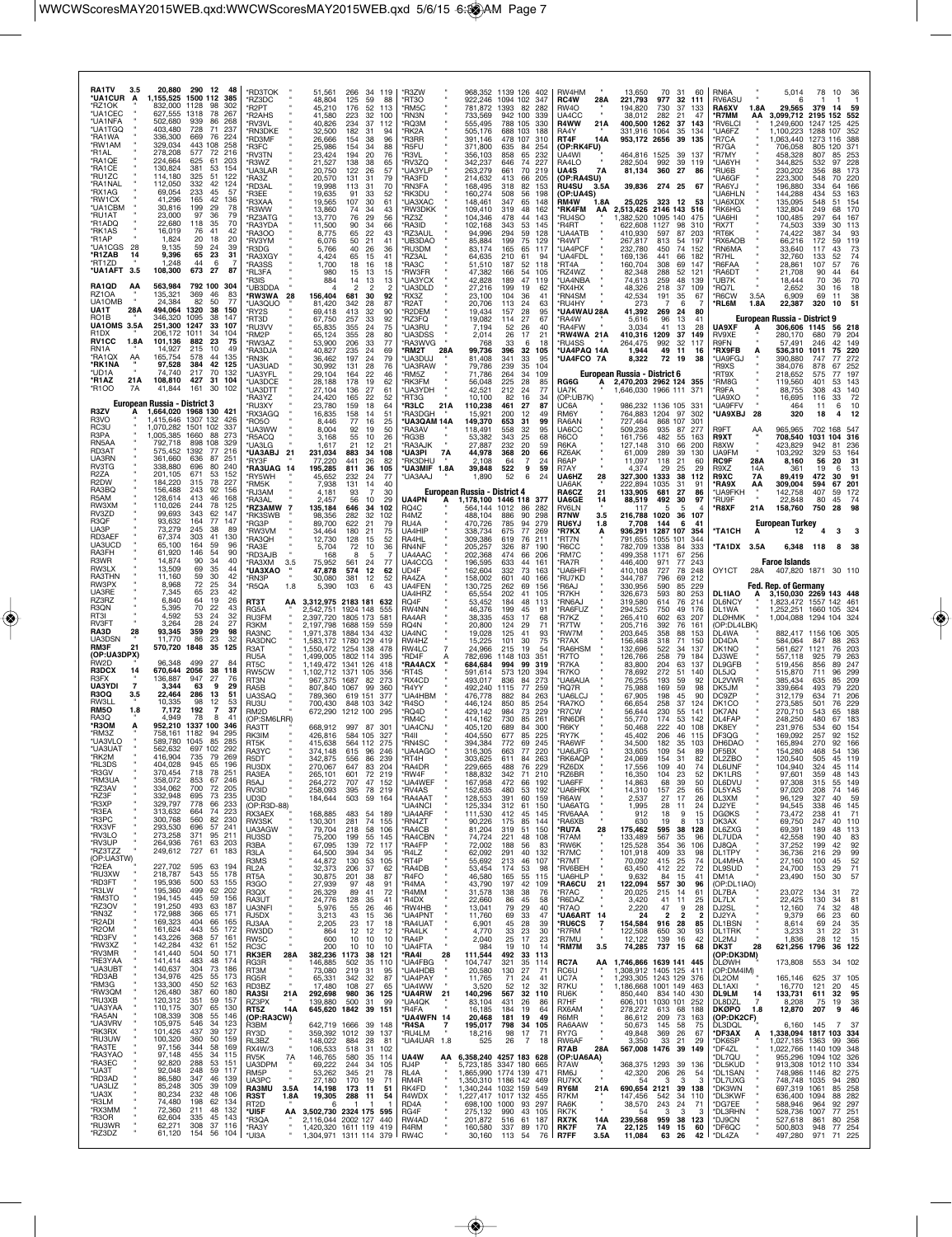| <b>RA1TV</b><br>3.5<br>*UA1CUR<br>A<br>*RZ1OK<br>*UA1CEC<br>*UA1NFA<br>*UA1TGQ<br>*RA1WA<br>*RW1AM<br>*R1AL<br>*RA1QE<br>*RA1CE<br>*RU1ZC<br>*RA1NAL<br>*RX1AG<br>*RW1CX<br>*UA1CBM<br>*RU1AT<br>*R1ADQ<br>*RK1AS<br>*R1AP<br>*UA1CGS<br>28<br>*R1ZAB<br>14<br>*RT1ZD<br>3.5<br>*UA1AFT<br>RA1QD<br>АΑ<br>RZ1OA<br>UA1OMB<br>UA1T<br>28A | 20,880<br>1,155,525<br>832,000<br>627,555<br>502,680<br>403,480<br>336,300<br>329,034<br>278,208<br>224,664<br>130,824<br>114,180<br>112,050<br>69,054<br>41,296<br>30,816<br>23,000<br>22,680<br>16,019<br>1,824<br>9,135<br>9,396<br>1.248<br>108,300<br>563,984<br>135,321<br>24,384<br>494,064 | 290 12<br>- 48<br>1500 112<br>385<br>98<br>1128<br>302<br>78<br>267<br>1318<br>86<br>268<br>939<br>728<br>71<br>237<br>76<br>224<br>669<br>258<br>443 108<br>577<br>72<br>216<br>625<br>61<br>203<br>381<br>53<br>154<br>325<br>51<br>122<br>332<br>42<br>124<br>233<br>45<br>57<br>165<br>42<br>136<br>29<br>199<br>78<br>97<br>36<br>79<br>118<br>35<br>70<br>76<br>41<br>42<br>20<br>18<br>20<br>59<br>24<br>39<br>65<br>23<br>31<br>44<br>673<br>27<br>87<br>792 100 304<br>369<br>46<br>83<br>82<br>50<br>77<br>1320<br>38<br>150 | *RD3TOK<br>'RZ3DC<br>'R2PT<br>'R2AHS<br>'RV3VL<br>*RN3DKE<br>*RD3MF<br>*R3FC<br>'RV3TN<br>'R3WZ<br>'UA3LAR<br>*RA37<br>*RD3AL<br>'R3EE<br>'R3XAA<br>'R3WW<br>RZ3ATG<br>RA3YDA<br>'RA3OO<br>'RV3YM<br>'R3DG<br>'RA3XGY<br>*RA3SS<br>*RL3FA<br>R3IS<br>'UB3DDA<br>*RW3WA 28<br>*UA3QUO<br>*RY2S | 51,561<br>48,804<br>45,210<br>41.580<br>40,826<br>32,500<br>26,666<br>25,986<br>23,424<br>21.527<br>20,750<br>20,570<br>19,998<br>19,635<br>19,565<br>13,860<br>13,770<br>11,500<br>8,775<br>6,076<br>5,766<br>4,424<br>1,700<br>980<br>884<br>156,404<br>81,420<br>69,418 | 266<br>34 119<br>125<br>59<br>88<br>52<br>176<br>113<br>223<br>32<br>100<br>234<br>37<br>112<br>182<br>-31<br>94<br>154<br>38<br>96<br>154<br>34<br>88<br>194<br>20<br>76<br>138<br>38<br>65<br>122<br>26<br>57<br>131<br>31<br>79<br>113<br>31<br>70<br>91<br>33<br>52<br>107<br>30<br>61<br>74<br>34<br>43<br>76<br>29<br>56<br>90<br>34<br>66<br>65<br>22<br>43<br>50<br>21<br>41<br>26<br>40<br>36<br>65<br>15<br>41<br>18<br>16<br>18<br>15<br>13<br>15<br>14<br>13<br>13<br>30<br>681<br>92<br>342<br>28<br>87<br>32<br>413<br>90 | *R3ZW<br>'RT3O<br>'RM5C<br>*RN3N<br>'RQ3M<br>'RK2A<br><b>R3RR</b><br>'R5FU<br>'R3VL<br>'RV3ZQ<br>'UA3YLP<br>'RA3FD<br>'RN3FA<br>'RK3DU<br><b>UA3XAC</b><br>'RW3DKK<br>'RZ3Z<br><b>RA3ID</b><br>'RZ3AUL<br>UB3DAO<br>'RU3DM<br><b>RZ3AL</b><br>RA3C<br><b>RW3FR</b><br>UA3YCX<br>UA3DLD<br>RX3Z<br>R2AT<br>R2DEM | 922,246<br>781,872<br>733,569<br>555,495<br>505,176<br>391,146<br>371,800<br>356,103<br>342,237<br>263,279<br>214,632<br>168,495<br>160,274<br>148,461<br>109,410<br>104,346<br>102,168<br>94,996<br>85,884<br>83,174<br>64,635<br>51,510<br>47,382<br>42,828<br>27,216<br>23,100<br>20,706<br>19,434 | 968,352 1139 126 402<br>1094 102<br>1393<br>82<br>942 100<br>788 105<br>688 103<br>478<br>107<br>635<br>-84<br>858<br>646<br>661<br>413<br>318<br>508<br>347<br>319<br>478<br>343<br>294<br>199<br>165<br>210<br>61<br>187<br>166<br>189<br>199<br>104<br>36<br>113<br>157 | 347<br>282<br>339<br>330<br>188<br>310<br>254<br>65<br>232<br>227<br>74<br>70<br>219<br>66<br>205<br>82<br>153<br>56<br>198<br>65<br>148<br>48<br>162<br>44<br>143<br>53<br>145<br>59<br>128<br>75<br>129<br>65<br>117<br>94<br>52<br>118<br>54<br>105<br>47<br>119<br>19<br>62<br>41<br>24<br>63<br>28<br>95 | RW4HM<br>RC4W<br>28A<br><b>RW4O</b><br>UA4CC<br>R4WW<br>21A<br>RA4Y<br>RT4F<br>14A<br>(OP:RK4FU)<br>ÙA4WI<br>RA4LO<br>UA4S<br>7A<br>(OP:RA4SU)<br><b>RU4SU</b><br>3.5A<br>(OP:UA4S)<br>RM4W<br>1.8A<br>*RK4FM<br>AA<br><b>RU4SO</b><br>R4RT<br><b>UA4ATB</b><br>'R4WT<br>UA4PCF<br>UA4FDL<br>*RT4A<br>'RZ4WZ<br>UA4NBA<br>'RX4HX<br><b>RN4SM</b><br>'RU4HY<br><b>UA4WAU 28A</b> | 13,650<br>221,793<br>194,820<br>38,012<br>400,500<br>331,916<br>953,172 2656<br>464,816<br>282,504<br>81,134<br>39,836<br>25,025<br>2,513,426<br>1,382,520<br>622,608<br>410,930<br>267,817<br>232,780<br>169,136<br>160.704<br>82,348<br>74,613<br>48,326<br>42,534<br>273<br>41,392 | 70 31<br>977<br>32<br>730<br>37<br>282<br>21<br>1262<br>1064<br>35<br>39<br>1525<br>39<br>992<br>39<br>360<br>27<br>274 25<br>323<br>- 12<br>2146 143 516<br>1095<br>140<br>1127<br>98<br>597<br>87<br>813<br>54<br>450<br>74<br>441<br>66<br>308<br>69<br>288<br>52<br>259<br>48<br>218<br>37<br>191<br>35<br>269<br>24 | 60<br>111<br>133<br>47<br>37 143<br>134<br>135<br>- 13<br>119<br>86<br>-67<br>53<br>310<br>203<br>197<br>152<br>182<br>14<br>$12^{\circ}$<br>139<br>109<br>-67<br>6<br>80 | RN6A<br>RV6ASU<br>RA6XV<br>*R7MM<br>*RV6LCI<br>*UA6FZ<br>*R7CA<br>'R7GA<br>*R7MY<br>'UA6YH<br>*RU6B<br>'UA6GF<br>*RA6YJ<br><b>UA6HLN</b><br>'UA6XDX<br>'RK6HG<br>'UA6HI<br>'RX7T<br>*RT6K<br>*RX6AOB<br><b>'RN6MA</b><br>'R7HL<br>*R6FAA<br>'RA6DT<br>'UB7K<br>*RQ7L<br>*R6CW<br>*RL6M | 1.8A<br>ΑА<br>3.5A<br>1.8A         | 5,014<br>29,565<br>3,099,712<br>1,249,600<br>1,100,223<br>1,063,440<br>706,058<br>458,328<br>344,825<br>230,202<br>223,300<br>196,880<br>144,288<br>135,095<br>132,804<br>100,485<br>74,503<br>74,422<br>66,216<br>33,640<br>32,760<br>28,861<br>21,708<br>18,444<br>2,652<br>6,909<br>22,387 | 78<br>379<br>2195 152<br>1247<br>1288<br>1273<br>805<br>807<br>532<br>356<br>548<br>334<br>434<br>548<br>249<br>297<br>339<br>387<br>172<br>117<br>133<br>107<br>90<br>70<br>30<br>69<br>320 | 10<br>36<br>14<br>59<br>552<br>125<br>425<br>107<br>352<br>388<br>116<br>120<br>-371<br>85<br>253<br>228<br>97<br>173<br>88<br>70<br>220<br>64<br>166<br>163<br>53<br>51<br>154<br>170<br>68<br>167<br>30<br>113<br>34<br>93<br>59<br>119<br>73<br>43<br>52<br>74<br>76<br>57<br>64<br>44<br>70<br>36<br>16<br>18<br>38<br>11<br>10<br>51 |  |
|------------------------------------------------------------------------------------------------------------------------------------------------------------------------------------------------------------------------------------------------------------------------------------------------------------------------------------------|----------------------------------------------------------------------------------------------------------------------------------------------------------------------------------------------------------------------------------------------------------------------------------------------------|----------------------------------------------------------------------------------------------------------------------------------------------------------------------------------------------------------------------------------------------------------------------------------------------------------------------------------------------------------------------------------------------------------------------------------------------------------------------------------------------------------------------------------------|-----------------------------------------------------------------------------------------------------------------------------------------------------------------------------------------------------------------------------------------------------------------------------------------------|----------------------------------------------------------------------------------------------------------------------------------------------------------------------------------------------------------------------------------------------------------------------------|-----------------------------------------------------------------------------------------------------------------------------------------------------------------------------------------------------------------------------------------------------------------------------------------------------------------------------------------------------------------------------------------------------------------------------------------------------------------------------------------------------------------------------------------|-----------------------------------------------------------------------------------------------------------------------------------------------------------------------------------------------------------------------------------------------------------------------------------------------------------------|-------------------------------------------------------------------------------------------------------------------------------------------------------------------------------------------------------------------------------------------------------------------------------------------------------|----------------------------------------------------------------------------------------------------------------------------------------------------------------------------------------------------------------------------------------------------------------------------|---------------------------------------------------------------------------------------------------------------------------------------------------------------------------------------------------------------------------------------------------------------------------------------------------------------|---------------------------------------------------------------------------------------------------------------------------------------------------------------------------------------------------------------------------------------------------------------------------------------------------------------------------------------------------------------------------------|---------------------------------------------------------------------------------------------------------------------------------------------------------------------------------------------------------------------------------------------------------------------------------------|--------------------------------------------------------------------------------------------------------------------------------------------------------------------------------------------------------------------------------------------------------------------------------------------------------------------------|---------------------------------------------------------------------------------------------------------------------------------------------------------------------------|----------------------------------------------------------------------------------------------------------------------------------------------------------------------------------------------------------------------------------------------------------------------------------------|------------------------------------|-----------------------------------------------------------------------------------------------------------------------------------------------------------------------------------------------------------------------------------------------------------------------------------------------|----------------------------------------------------------------------------------------------------------------------------------------------------------------------------------------------|-------------------------------------------------------------------------------------------------------------------------------------------------------------------------------------------------------------------------------------------------------------------------------------------------------------------------------------------|--|
| RO1B<br>UA1OMS 3.5A<br>R1DX<br>RV1CC<br>1.8A<br>RN1A<br>*RA1OX<br>AA<br>*RK1NA<br>*UD1A<br>*R1AZ<br>21A<br>*R100<br><b>7A</b><br>R3ZV<br>R3VO<br>RC3U<br>R3PA<br>RN5AA<br>RD3AT<br>UA3RN<br>RV3TG<br><b>R27A</b><br>R2DW<br>RA3BQ                                                                                                        | 346,320<br>251,300<br>206.172<br>101,136<br>14.927<br>165,754<br>97,528<br>74.740<br>108,810<br>41.844<br>European Russia - District 3<br>1,664,020 1968 130<br>1,415,646<br>1.070.282<br>1,005,385<br>792,718<br>575.452<br>361,660<br>338,880<br>201,105<br>184,220<br>156,488                   | 1095<br>38<br>147<br>1247<br>107<br>33<br>1011<br>34<br>104<br>882<br>23<br>75<br>215<br>10<br>49<br>44<br>578<br>135<br>384<br>42<br>125<br>217<br>70<br>132<br>427<br>31<br>104<br>30<br>161<br>102<br>- 421<br>1307 132<br>426<br>1501<br>102<br>337<br>1660<br>88<br>273<br>898<br>108<br>329<br>216<br>1392<br>77<br>87<br>$25^{\circ}$<br>636<br>240<br>696<br>80<br>53<br>671<br>152<br>78<br>227<br>315<br>243<br>156<br>92                                                                                                    | 'RT3D<br>'RU3W<br>'RM2P<br>'RW3AZ<br>*RA3DJA<br>*RN3K<br><b>'UA3UAD</b><br>'UA3YFL<br>'UA3DCE<br>'UA3DTT<br>'RA3YZ<br>'RU3XY<br>*RX3AGQ<br>*RO5O<br>'UA3WW<br>'R5ACQ<br>'UA3LG<br>*UA3ABJ 21<br>'RY3F<br>RA3UAG 14<br>'RY5WH<br>*RM5K<br>'RJ3AM                                               | 67,750<br>65.835<br>65,124<br>53,900<br>40,827<br>36,462<br>30,992<br>29,104<br>28,188<br>27,104<br>24,420<br>23,780<br>16,835<br>8,446<br>8,004<br>3,168<br>1.617<br>231,034<br>77.220<br>195,285<br>45,652<br>7.938<br>4,181                                             | 257<br>33<br>92<br>355<br>24<br>75<br>355<br>28<br>80<br>33<br>206<br>77<br>24<br>235<br>69<br>197<br>24<br>79<br>28<br>76<br>131<br>164<br>22<br>46<br>178<br>19<br>62<br>136<br>27<br>61<br>22<br>165<br>52<br>159<br>18<br>64<br>158<br>14<br>51<br>77<br>16<br>25<br>92<br>19<br>50<br>55<br>10<br>26<br>21<br>-12<br>21<br>883<br>108<br>-34<br>441<br>26<br>82<br>36<br>811<br>105<br>232<br>24<br>77<br>131<br>14<br>40<br>93<br>30                                                                                              | 'RZ3FQ<br>'UA3RU<br><b>UA3DSS</b><br>RA3WVG<br>'RM2T<br>28A<br>UA3DUJ<br>'UA3RAW<br>'RM5Z<br>'RK3FM<br><b>UA3YDH</b><br>'RT3G<br>'R3LC<br>21A<br>'RA3DGH<br><b>UA3QAM 14A</b><br>RA3AV<br>'RG3B<br><b>RA3AJK</b><br><b>UA3PI</b><br>RK3DHU<br>UA3MIF 1.8A<br>UA3AAJ                                             | 19,082<br>7.194<br>2,014<br>768<br>99,736<br>81,408<br>79,786<br>71,786<br>56,048<br>42,521<br>10.100<br>110,238<br>15,921<br>149,370<br>118,491<br>53,382<br>27.887<br>7A<br>44,978<br>2.108<br>39,848<br>1,890<br>European Russia - District 4                                                      | 114<br>52<br>26<br>26<br>17<br>33<br>396<br>341<br>239<br>264<br>225<br>212<br>82<br>461<br>200<br>31<br>653<br>558<br>343<br>20<br>232<br>368<br>64<br>522<br>52                                                                                                          | 27<br>67<br>40<br>21<br>18<br>6<br>32<br>105<br>33<br>95<br>35<br>104<br>34<br>109<br>28<br>85<br>24<br>77<br>16<br>34<br>27<br>87<br>12<br>49<br>99<br>32<br>95<br>25<br>68<br>59<br>20<br>66<br>24<br>59<br>9<br>6                                                                                          | 'RA4W<br><b>RA4FW</b><br>*RW4WA 21A<br>RU4SS<br>*UA4PAQ 14A<br><b>UA4FCO 7A</b><br>RG6G<br>UA7K<br>(OP:UB7K)<br>UC6A<br>RM6Y<br>RA6AN<br>UA6CC<br>R6CO<br>R6KA<br>RZ6AK<br>R6AP<br>R7AY<br>UA6HZ<br>28<br>UA6AK<br>RA6CZ<br>21                                                                                                                                                  | 5.616<br>3.034<br>410,316<br>264.475<br>1,944<br>8,322<br>European Russia - District 6<br>2,470,203 2962 124 355<br>1.646.030 1966 111<br>986,232<br>764,883<br>727,464<br>509,236<br>161,756<br>127,148<br>61,009<br>11,097<br>4.374<br>327.300<br>222.894<br>133,905                | 96<br>13<br>41<br>13<br>1209<br>37<br>32<br>992<br>49<br>11<br>72<br>19<br>1136 105<br>1204<br>97<br>868<br>107<br>935<br>87<br>482<br>55<br>310<br>66<br>289<br>-39<br>118<br>21<br>29<br>25<br>1333<br>38<br>1035<br>-31<br>681<br>27                                                                                  | 28<br>149<br>117<br>16<br>38<br>33<br>302<br>$30^{\circ}$<br>277<br>163<br>200<br>130<br>60<br>29<br>112<br>91<br>86                                                      | UA9XF<br>RV9XE<br>R9FN<br>*RX9FB<br>*UA9FGJ<br>'R9XS<br>RT9X<br>*RM8G<br>'R9FA<br><b>UA9XO</b><br>*UA9FFV<br><b>*UA9XBJ</b><br>R9FT<br>R9XT<br><b>R8XW</b><br>UA9FM<br><b>RC9F</b><br>R9XZ<br>R9XC<br><b>'RA9X</b><br>*UA9FKH                                                          | 28<br>AA<br>28A<br>14A<br>7A<br>ΑА | European Russia - District 9<br>306,606 1145<br>280,170<br>57,491<br>536,310<br>390,880<br>384,076<br>218,652<br>119,560<br>88,755<br>16,695<br>464<br>320<br>965,965<br>708,540<br>423,829<br>103,292<br>8,160<br>361<br>89,419<br>309,004<br>142,758                                        | 680<br>246<br>1011<br>747<br>878<br>575<br>401<br>308<br>116<br>11<br>18<br>1031<br>942<br>329<br>56<br>19<br>472<br>594<br>407                                                              | 218<br>56<br>79<br>204<br>42<br>149<br>75<br>220<br>77<br>272<br>67<br>252<br>197<br>77<br>53<br>143<br>43<br>140<br>72<br>33<br>10<br>6<br>12<br>4<br>702 168 547<br>104<br>316<br>81<br>236<br>53<br>164<br>20<br>31<br>13<br>30<br>91<br>67<br>-201<br>59<br>172                                                                       |  |
| R5AM<br>RW3XM<br>RV3ZD<br>R3QF<br>UA3P<br>RD3AEF                                                                                                                                                                                                                                                                                         | 128,614<br>110,026<br>99,693<br>93,632<br>73,279<br>67,374                                                                                                                                                                                                                                         | 413<br>46<br>168<br>244<br>78<br>125<br>343<br>62<br>147<br>164<br>77<br>147<br>245<br>38<br>89<br>303<br>41<br>130                                                                                                                                                                                                                                                                                                                                                                                                                    | 'RA3AL<br>*RZ3AMW<br>$\overline{7}$<br>'RK3SWB<br>'RG3P<br>'RW3VM<br>'RA3QH                                                                                                                                                                                                                   | 2.457<br>135,184<br>98,356<br>89,700<br>34,464<br>12,730                                                                                                                                                                                                                   | 29<br>56<br>10<br>646<br>34<br>102<br>282<br>32<br>102<br>622<br>21<br>79<br>180<br>21<br>75<br>128<br>15<br>52                                                                                                                                                                                                                                                                                                                                                                                                                         | UA4PN<br>RQ4C<br>R4MZ<br>RU4A<br>UA4HIP<br>RA4HL                                                                                                                                                                                                                                                                | 1,178,100 1446 118<br>А<br>564,144<br>488,104<br>470,726<br>338,734<br>309,386                                                                                                                                                                                                                        | 1012<br>886<br>785<br>675<br>619                                                                                                                                                                                                                                           | -377<br>86<br>282<br>90<br>298<br>94<br>279<br>77<br>269<br>76<br>211                                                                                                                                                                                                                                         | <b>UA6GE</b><br>14<br>RV6LN<br><b>R7NW</b><br>3.5<br><b>RU6YJ</b><br>*R7KX<br>*RT7N                                                                                                                                                                                                                                                                                             | 88,519<br>117<br>216,788<br>7,708<br>936,291<br>791,655                                                                                                                                                                                                                               | 492<br>30<br>5<br>1020<br>36<br>144<br>1287 107<br>1055<br>101                                                                                                                                                                                                                                                           | 97<br>5<br>107<br>6<br>41<br>354<br>344                                                                                                                                   | *RU9F<br><b>'R8XF</b><br><b>*TA1CH</b>                                                                                                                                                                                                                                                 | 21A<br>A                           | 22,848<br>158,760<br><b>European Turkey</b><br>12                                                                                                                                                                                                                                             | 80<br>750                                                                                                                                                                                    | 45<br>-74<br>28<br>з                                                                                                                                                                                                                                                                                                                      |  |
| UA3UCD<br>RA3FH<br>R3WR<br>RW3LX                                                                                                                                                                                                                                                                                                         | 65.100<br>61,920<br>14.874<br>13,509                                                                                                                                                                                                                                                               | 164<br>59<br>96<br>146<br>54<br>90<br>90<br>34<br>40<br>69<br>35<br>44                                                                                                                                                                                                                                                                                                                                                                                                                                                                 | 'RA3E<br>'RD3AJB<br><b>RA3XM</b><br>3.5<br>*UA3XAO                                                                                                                                                                                                                                            | 5,704<br>168<br>75.952<br>47,878                                                                                                                                                                                                                                           | 72<br>10<br>36<br>5<br>561<br>24<br>77<br>574<br>12<br>62                                                                                                                                                                                                                                                                                                                                                                                                                                                                               | RN4NF<br>UA4AAC<br>UA4CCG<br>UD4F                                                                                                                                                                                                                                                                               | 205,257<br>202,368<br>196,595<br>162,604                                                                                                                                                                                                                                                              | 326<br>87<br>474<br>633<br>332                                                                                                                                                                                                                                             | 190<br>66<br>206<br>44<br>161<br>73<br>163                                                                                                                                                                                                                                                                    | *R6CC<br>'RM7C<br><b>RA7R</b><br>'UA6HFI                                                                                                                                                                                                                                                                                                                                        | 782.709<br>499,358<br>446.400<br>410,108                                                                                                                                                                                                                                              | 1338<br>84<br>67<br>1171<br>77<br>971<br>727<br>78                                                                                                                                                                                                                                                                       | 333<br>256<br>243<br>248                                                                                                                                                  | *TA1DX 3.5A<br>OY1CT                                                                                                                                                                                                                                                                   | 28A                                | 6,348 118<br><b>Faroe Islands</b><br>407,820 1871 30 110                                                                                                                                                                                                                                      |                                                                                                                                                                                              | 8<br>- 38                                                                                                                                                                                                                                                                                                                                 |  |
| <b>RA3THN</b><br>RW3PX<br>UA3RE<br>RZ3RZ<br>R3QN<br>RT3I                                                                                                                                                                                                                                                                                 | 11,160<br>8,968<br>7,345<br>6,840<br>5,395<br>4,592                                                                                                                                                                                                                                                | 59<br>30<br>42<br>72<br>25<br>34<br>23<br>42<br>65<br>64<br>19<br>26<br>70<br>22<br>43<br>53<br>24<br>32<br>27                                                                                                                                                                                                                                                                                                                                                                                                                         | 'RN3P<br>*R5QA<br>1.8<br>RT3T<br>ΑА<br>RG5A<br><b>RU3FM</b>                                                                                                                                                                                                                                   | 30,080<br>5,390<br>2,542,751<br>2.397.720                                                                                                                                                                                                                                  | 381<br>12<br>52<br>103<br>6<br>43<br>3,312,975 2183 181<br>632<br>1924 148<br>555<br>1805 173<br>$58 -$                                                                                                                                                                                                                                                                                                                                                                                                                                 | RA4ZA<br>UA4FEN<br>UA4HRZ<br>RQ4F<br>RW4NN<br>RA4AR                                                                                                                                                                                                                                                             | 158,002<br>130,725<br>65,554<br>53,452<br>46,376<br>38,335                                                                                                                                                                                                                                            | 601<br>262<br>202<br>184<br>199<br>453                                                                                                                                                                                                                                     | 40<br>166<br>69<br>156<br>41<br>105<br>48<br>113<br>45<br>91<br>17<br>68                                                                                                                                                                                                                                      | RU7KD<br>'R6AJ<br>*R7KH<br><b>'RN6AJ</b><br>RA6FUZ<br>*R7KZ                                                                                                                                                                                                                                                                                                                     | 344,787<br>330,956<br>326,673<br>319,580<br>294,525<br>265,410                                                                                                                                                                                                                        | 796<br>69<br>590<br>85<br>593<br>80<br>614<br>76<br>750<br>49<br>602<br>63                                                                                                                                                                                                                                               | 212<br>229<br>253<br>214<br>176<br>-207                                                                                                                                   | DL1IAO<br><b>DL6NCY</b><br>DL1WA<br><b>DLØHMK</b>                                                                                                                                                                                                                                      | А                                  | Fed. Rep. of Germany<br>3,150,030 2269 143 448<br>1,823,472 1557 142 461<br>1,252,251 1660 105<br>1,004,088 1294 104                                                                                                                                                                          |                                                                                                                                                                                              | 324<br>-324                                                                                                                                                                                                                                                                                                                               |  |
| RV3FT<br>RA3D<br>28<br>UA3DSN<br>RM3F<br>21<br>(OP:UA3DPX)                                                                                                                                                                                                                                                                               | 3,264<br>93,345<br>11,770<br>570,720                                                                                                                                                                                                                                                               | 28<br>24<br>29<br>359<br>98<br>86<br>23<br>32<br>1848<br>35<br>125                                                                                                                                                                                                                                                                                                                                                                                                                                                                     | R3KM<br>RA3NC<br>RA3DNC<br>R3AT<br>RU5A                                                                                                                                                                                                                                                       | 2,197,798<br>1,971,378<br>1,583,172<br>1,550,472                                                                                                                                                                                                                           | 1688 159<br>559<br>1884 134<br>432<br>1780 129<br>419<br>1254 138<br>478<br>1,499,005 1802 114<br>395 <sup>-</sup>                                                                                                                                                                                                                                                                                                                                                                                                                      | RQ4N<br>UA4NC<br>RW4HZ<br>RW4LC<br>'RD4F                                                                                                                                                                                                                                                                        | 20,800<br>19,028<br>15,225<br>24,966<br>782,696                                                                                                                                                                                                                                                       | 124<br>125<br>101<br>19<br>215<br>1148<br>103                                                                                                                                                                                                                              | 29<br>71<br>41<br>93<br>30<br>75<br>54<br>351                                                                                                                                                                                                                                                                 | 'R7TW<br>"RW7M<br>R7AX<br><b>RA6HSM</b><br>*R7TO                                                                                                                                                                                                                                                                                                                                | 205,716<br>203,645<br>156,468<br>132,696<br>126,766                                                                                                                                                                                                                                   | 392<br>76<br>358<br>88<br>318<br>71<br>522<br>34<br>258<br>79                                                                                                                                                                                                                                                            | $16^{\circ}$<br>153<br>150<br>137<br>184                                                                                                                                  | (OP:DL4LBK)<br>DL4WA<br>DD4DA<br>DK1NO<br>DJ3WE                                                                                                                                                                                                                                        |                                    | 882,417 1156 106<br>584,064<br>561,627<br>557,118                                                                                                                                                                                                                                             | 847<br>1121<br>925                                                                                                                                                                           | -305<br>88<br>263<br>76<br>203<br>263<br>79                                                                                                                                                                                                                                                                                               |  |
| RW2D<br><b>R3DCX</b><br>14<br>R3FX<br><b>UA3YDI</b><br>$\overline{\mathbf{r}}$                                                                                                                                                                                                                                                           | 96,348<br>670,644<br>136,887<br>3,344                                                                                                                                                                                                                                                              | 499<br>27<br>84<br>2056<br>38<br>118<br>947<br>27<br>76<br>63<br>29<br>9                                                                                                                                                                                                                                                                                                                                                                                                                                                               | RT <sub>5</sub> C<br>RW5CW<br>RT3N<br>RA5B                                                                                                                                                                                                                                                    | 1,149,472<br>1,102,712<br>967.375<br>807,840                                                                                                                                                                                                                               | 1341 126<br>418<br>1371<br>105<br>356<br>1687<br>82<br>273<br>1067<br>99<br>360                                                                                                                                                                                                                                                                                                                                                                                                                                                         | <b>RA4ACX</b><br>'RT4S<br>RX4CD<br>'R4YY                                                                                                                                                                                                                                                                        | 684,684<br>591,614<br>493,017<br>492,240                                                                                                                                                                                                                                                              | 994<br>99<br>120<br>573<br>836<br>84<br>1115                                                                                                                                                                                                                               | 319<br>394<br>273<br>77<br>259                                                                                                                                                                                                                                                                                | *R7KA<br>*R7KO<br><b>UA6AUA</b><br>'RQ7R                                                                                                                                                                                                                                                                                                                                        | 83,800<br>78,692<br>76,255<br>75,988                                                                                                                                                                                                                                                  | 204<br>63<br>272<br>-51<br>193<br>59<br>169<br>59                                                                                                                                                                                                                                                                        | 137<br>140<br>92<br>98                                                                                                                                                    | DL9GFB<br>DL5JQ<br>DL2VWR<br>DK5JM                                                                                                                                                                                                                                                     |                                    | 519,456<br>515,870<br>385,434<br>339,664                                                                                                                                                                                                                                                      | 856<br>711<br>635<br>493                                                                                                                                                                     | 247<br>89<br>299<br>96<br>209<br>85<br>220<br>79                                                                                                                                                                                                                                                                                          |  |
| <b>R3OQ</b><br>3.5<br>RW3LL<br>RM5O<br>1.8<br>RA3Q<br>*R3OM<br>Α                                                                                                                                                                                                                                                                         | 22,464<br>10,335<br>7,172<br>4.949<br>952,210                                                                                                                                                                                                                                                      | 286<br>13<br>51<br>98<br>12<br>53<br>37<br>192<br>7<br>78<br>8<br>41<br>100<br>1337<br>346                                                                                                                                                                                                                                                                                                                                                                                                                                             | UA3SAQ<br>RU3U<br>RM2D<br>(OP:SM6LRR)                                                                                                                                                                                                                                                         | 789,360<br>700,430<br>672,290                                                                                                                                                                                                                                              | 619 151<br>377<br>848 103<br>342<br>1212 100<br>295                                                                                                                                                                                                                                                                                                                                                                                                                                                                                     | UA4HBM<br>'R4SO<br>'RQ4D<br>'RM4C                                                                                                                                                                                                                                                                               | 476,778<br>446,124<br>429,142<br>414,162                                                                                                                                                                                                                                                              | 882<br>850<br>984<br>730                                                                                                                                                                                                                                                   | 263<br>84<br>85<br>254<br>73<br>229<br>85<br>261                                                                                                                                                                                                                                                              | UA6LCJ<br>'RA7KO<br>'R7CW<br>'RN6DR                                                                                                                                                                                                                                                                                                                                             | 67,905<br>66,654<br>56,644<br>55,770                                                                                                                                                                                                                                                  | 198<br>45<br>258<br>-37<br>230<br>55<br>174<br>53                                                                                                                                                                                                                                                                        | 90<br>124<br>141<br>142                                                                                                                                                   | DC9ZP<br>DK <sub>1</sub> CO<br>DK7AN<br>DL4FAP                                                                                                                                                                                                                                         |                                    | 312,179<br>273,585<br>270,710<br>248,250                                                                                                                                                                                                                                                      | 634<br>501<br>543<br>480                                                                                                                                                                     | 206<br>71<br>76<br>229<br>188<br>65<br>67<br>183<br>60                                                                                                                                                                                                                                                                                    |  |
| *RM3Z<br>*UA3VLO<br>*UA3UAT<br>*RK2M                                                                                                                                                                                                                                                                                                     | 758.161<br>589,780<br>562,632<br>416.904                                                                                                                                                                                                                                                           | 1182<br>94<br>295<br>85<br>285<br>1045<br>697<br>102<br>292<br>735<br>79<br>269                                                                                                                                                                                                                                                                                                                                                                                                                                                        | RA3TT<br>RK3IM<br>RT5K<br>RA3YC                                                                                                                                                                                                                                                               | 668,912<br>426,816<br>415,638<br>374,148<br>342.875                                                                                                                                                                                                                        | 997 87 30<br>584 105 327<br>564 112 275<br>615 96<br>246<br>86<br>239                                                                                                                                                                                                                                                                                                                                                                                                                                                                   | UA4CNJ<br>'R4II<br>'RN4SC<br>'UA4AGO<br>614H                                                                                                                                                                                                                                                                    | 405,120<br>404,550<br>394,384<br>316,305<br>303.625                                                                                                                                                                                                                                                   | 689<br>677<br>772<br>69<br>663<br>-77<br>611                                                                                                                                                                                                                               | 84<br>300<br>85<br>225<br>245<br>220<br>84<br>26.                                                                                                                                                                                                                                                             | R6KY<br>'RY7K<br><b>'RA6WF</b><br>*UA6JFG<br>KKOAUI                                                                                                                                                                                                                                                                                                                             | 50,468<br>45.402<br>34,500<br>33,605<br>24.U69                                                                                                                                                                                                                                        | 222<br>40<br>206<br>46<br>182<br>35<br>109<br>54<br>154<br>3                                                                                                                                                                                                                                                             | 108<br>115<br>103<br>89<br>8.                                                                                                                                             | DK8EY<br>DF3QG<br>DH6DAO<br>DF5BX<br>DI 27BC                                                                                                                                                                                                                                           |                                    | 231,976<br>169,092<br>165,894<br>154,280<br>120.540                                                                                                                                                                                                                                           | 534<br>257<br>270<br>468                                                                                                                                                                     | 154<br>92<br>152<br>92<br>166<br>54<br>136<br>119                                                                                                                                                                                                                                                                                         |  |
| *RL3DS<br>*R3GV<br>*RM3UA<br>*RZ3AV                                                                                                                                                                                                                                                                                                      | 404,028<br>370,454<br>358,072<br>334,062                                                                                                                                                                                                                                                           | 65<br>945<br>196<br>718<br>78<br>251<br>853<br>67<br>246<br>700<br>72<br>205                                                                                                                                                                                                                                                                                                                                                                                                                                                           | RU3DX<br>RA3EA<br><b>R5AJ</b><br>RV3ID                                                                                                                                                                                                                                                        | 270,067<br>265,101<br>264,272<br>258,093                                                                                                                                                                                                                                   | 647<br>83<br>204<br>601<br>72<br>219<br>47<br>707<br>152<br>395<br>78<br>219                                                                                                                                                                                                                                                                                                                                                                                                                                                            | 'RA4DR<br>*RW4F<br>'UA4WEF<br>*RV4AS                                                                                                                                                                                                                                                                            | 229,665<br>188,832<br>167,958<br>152,635                                                                                                                                                                                                                                                              | 488<br>342<br>71<br>472<br>480<br>53                                                                                                                                                                                                                                       | 76<br>229<br>210<br>66 192<br>192                                                                                                                                                                                                                                                                             | *RZ6DX<br>*RZ6BR<br>*UA6FF<br>*UA6HRX                                                                                                                                                                                                                                                                                                                                           | 17,556<br>16,350<br>14,863<br>14,310                                                                                                                                                                                                                                                  | 109<br>40<br>104<br>23<br>68<br>39<br>157<br>25                                                                                                                                                                                                                                                                          | 74<br>52<br>50<br>65                                                                                                                                                      | <b>DL6UNF</b><br>DK1LRS<br><b>DL6DVU</b><br>DL5YAS                                                                                                                                                                                                                                     |                                    | 104.940<br>97,601<br>97,308<br>97,020                                                                                                                                                                                                                                                         | 324<br>359<br>315<br>208                                                                                                                                                                     | 45<br>114<br>48<br>143<br>55 149<br>74<br>146                                                                                                                                                                                                                                                                                             |  |
| *RZ3F<br>*R3XP<br>$\mathbf{u}$<br>*R3EA<br>*R3PC                                                                                                                                                                                                                                                                                         | 332,948<br>329,797<br>313.632<br>300,768                                                                                                                                                                                                                                                           | 695<br>73<br>235<br>778<br>66<br>233<br>74<br>223<br>664<br>560<br>82<br>230                                                                                                                                                                                                                                                                                                                                                                                                                                                           | UD3D<br>(OP:R3D-88)<br>RX3AEX<br>RW3SK                                                                                                                                                                                                                                                        | 184,644<br>168,885<br>130,301                                                                                                                                                                                                                                              | 503<br>59 164<br>483<br>-54<br>189<br>74<br>281<br>155                                                                                                                                                                                                                                                                                                                                                                                                                                                                                  | *RA4AAT<br>'UA4NCI<br><b>UA4ARF</b><br>*RN4ZT                                                                                                                                                                                                                                                                   | 128,553<br>125,334<br>111,530<br>90,226                                                                                                                                                                                                                                                               | 60<br>391<br>312<br>61<br>412<br>175<br>85                                                                                                                                                                                                                                 | 159<br>150<br>45<br>145<br>144                                                                                                                                                                                                                                                                                | *R6AW<br>*UA6ATG<br>*RV6AAA<br>*RA6XB                                                                                                                                                                                                                                                                                                                                           | 2,537<br>1,995<br>912<br>630                                                                                                                                                                                                                                                          | 27<br>17<br>28<br>11<br>18<br>19                                                                                                                                                                                                                                                                                         | 26<br>24<br>9<br>15<br>8<br>13                                                                                                                                            | DL3XM<br>DJ2YE<br><b>DGØKS</b><br>DK3AX                                                                                                                                                                                                                                                |                                    | 96,129<br>94,545<br>73.472<br>69,750                                                                                                                                                                                                                                                          | 327<br>338<br>238<br>247                                                                                                                                                                     | 40<br>59<br>46<br>145<br>-71<br>41<br>40<br>110                                                                                                                                                                                                                                                                                           |  |
| *RX3VF<br>*RV3LO<br>*RV3UP<br>*RZ3TZZ                                                                                                                                                                                                                                                                                                    | 293,530<br>273,258<br>264,936<br>249,612                                                                                                                                                                                                                                                           | 57 241<br>696<br>371<br>95<br>211<br>761<br>63 203<br>727<br>61 183                                                                                                                                                                                                                                                                                                                                                                                                                                                                    | UA3AGW<br><b>RU3SD</b><br>R3BA<br>R3LA                                                                                                                                                                                                                                                        | 79,704<br>75,200<br>67,095<br>64,500                                                                                                                                                                                                                                       | 218<br>58<br>106<br>199<br>55<br>145<br>139<br>72<br>117<br>394<br>-34<br>95                                                                                                                                                                                                                                                                                                                                                                                                                                                            | *RA4CB<br>'RA4CBN<br>'RA4FP<br>*R4LZ                                                                                                                                                                                                                                                                            | 81,204<br>74,724<br>72,002<br>62,092                                                                                                                                                                                                                                                                  | 319<br>221<br>188<br>56<br>291<br>40                                                                                                                                                                                                                                       | 51 150<br>48 108<br>83<br>132                                                                                                                                                                                                                                                                                 | *RU7A<br>28<br>*R7AM<br>*RW6K<br>*R7MC                                                                                                                                                                                                                                                                                                                                          | 175.462<br>133,489<br>125,528<br>101,918                                                                                                                                                                                                                                              | 595<br>567<br>-35<br>354<br>36<br>409<br>33                                                                                                                                                                                                                                                                              | 38 128<br>96<br>106<br>98                                                                                                                                                 | DL6ZXG<br>DL7UDA<br>DJ8QA<br>DL1TPY                                                                                                                                                                                                                                                    |                                    | 69,391<br>42,558<br>37,252<br>36,736                                                                                                                                                                                                                                                          | 189<br>190<br>199<br>216                                                                                                                                                                     | 48 113<br>83<br>40<br>92<br>42<br>99<br>29                                                                                                                                                                                                                                                                                                |  |
| (OP:UA3TW)<br>R2EA<br>*RU3XW<br>*RD3FT<br>*R3LW                                                                                                                                                                                                                                                                                          | 227,702<br>218,787<br>195,936<br>195,360                                                                                                                                                                                                                                                           | 595<br>63 194<br>543<br>55 178<br>500<br>53 155<br>499<br>62<br>202                                                                                                                                                                                                                                                                                                                                                                                                                                                                    | R3MS<br>×<br>RL <sub>2</sub> A<br>RT5A<br>R3GO<br>R3QX                                                                                                                                                                                                                                        | 44,872<br>32,373<br>30,875<br>27,939<br>26,329                                                                                                                                                                                                                             | 130<br>53<br>105<br>206<br>37<br>62<br>38<br>201<br>87<br>48<br>97<br>91<br>89<br>41<br>72                                                                                                                                                                                                                                                                                                                                                                                                                                              | *RT4P<br>'RA4DB<br>'R4FO<br>*R4MA<br>*R4MM                                                                                                                                                                                                                                                                      | 55,692<br>×<br>53,454<br>46,580<br>43.790<br>31,578                                                                                                                                                                                                                                                   | 213<br>174<br>53<br>55<br>165<br>197<br>138<br>38                                                                                                                                                                                                                          | 46 107<br>98<br>115<br>42<br>109<br>76                                                                                                                                                                                                                                                                        | *R7MT<br>*RV6BEH<br>'UA6HLP<br>21<br>*RA6CU<br>*R7AC                                                                                                                                                                                                                                                                                                                            | 70,092<br>63,450<br>9,632<br>122,094<br>20,025                                                                                                                                                                                                                                        | 415<br>25<br>22<br>412<br>84<br>15<br>557<br>30<br>215<br>14                                                                                                                                                                                                                                                             | 74<br>72<br>41<br>96<br>61                                                                                                                                                | DL4MHA<br>DL9SUD<br>DM1A<br>(OP:DL1IAO)<br>DL7BA                                                                                                                                                                                                                                       |                                    | 27,160<br>24,700<br>23,490<br>23,072                                                                                                                                                                                                                                                          | 100<br>153<br>150<br>134                                                                                                                                                                     | 52<br>45<br>71<br>29<br>57<br>30<br>31<br>72                                                                                                                                                                                                                                                                                              |  |
| *RM3TO<br>*RZ3OV<br>*RN3Z<br>*R <sub>2</sub> ADI                                                                                                                                                                                                                                                                                         | 194,145<br>191,250<br>172,988<br>169,323                                                                                                                                                                                                                                                           | 445<br>59<br>156<br>493<br>63 187<br>366<br>65 171<br>404<br>66<br>165                                                                                                                                                                                                                                                                                                                                                                                                                                                                 | RA3UT<br>UA3NFI<br>RJ5DX<br>RJ3AA                                                                                                                                                                                                                                                             | 24,776<br>5,976<br>3,213<br>2,205                                                                                                                                                                                                                                          | 35<br>128<br>41<br>55<br>26<br>46<br>43<br>15<br>36<br>23<br>17<br>18                                                                                                                                                                                                                                                                                                                                                                                                                                                                   | *R4DX<br>*RW4HB<br>*UA4PNT<br>*RA4UAT                                                                                                                                                                                                                                                                           | 22,660<br>13,041<br>11,760<br>6,901                                                                                                                                                                                                                                                                   | 86<br>45<br>79<br>29<br>33<br>69<br>45<br>28                                                                                                                                                                                                                               | 58<br>40<br>47<br>39                                                                                                                                                                                                                                                                                          | *R6DAZ<br>*R7AO<br>*UA6ART<br>14<br>*RU6CS<br>7                                                                                                                                                                                                                                                                                                                                 | 3,420<br>2,220<br>24<br>154,584                                                                                                                                                                                                                                                       | 41<br>-11<br>47<br>-2<br>916<br>28                                                                                                                                                                                                                                                                                       | 25<br>9<br>28<br>$\overline{2}$<br>2<br>85                                                                                                                                | DL7LX<br>DJ2SL<br>DJ2YA<br>DL1BSN                                                                                                                                                                                                                                                      |                                    | 22,425<br>12,160<br>9,379<br>8,614                                                                                                                                                                                                                                                            | 130<br>74<br>66<br>69                                                                                                                                                                        | 81<br>34<br>32<br>48<br>60<br>23<br>24<br>35                                                                                                                                                                                                                                                                                              |  |
| *R2OM<br>*RD3FV<br>*RW3XZ<br>*RV3MR                                                                                                                                                                                                                                                                                                      | 161,624<br>143,226<br>142,284<br>141,440                                                                                                                                                                                                                                                           | 443<br>55<br>172<br>368<br>57<br>161<br>432<br>61<br>- 152<br>504<br>50<br>171                                                                                                                                                                                                                                                                                                                                                                                                                                                         | RW3DD<br>RW5C<br>$\alpha$<br>RC3C<br>RK3ER<br>28A                                                                                                                                                                                                                                             | 864<br>600<br>200<br>382,236                                                                                                                                                                                                                                               | 12<br>12<br>12<br>10<br>10<br>10<br>10<br>10<br>10<br>1173<br>38<br>121                                                                                                                                                                                                                                                                                                                                                                                                                                                                 | 'RA4LK<br>'RA4P<br><b>UA4FTA</b><br>*RA4I                                                                                                                                                                                                                                                                       | 4,770<br>2,040<br>984<br>28<br>111,544                                                                                                                                                                                                                                                                | 33<br>23<br>25<br>17<br>19<br>492                                                                                                                                                                                                                                          | 30<br>23<br>10<br>14<br>33 113                                                                                                                                                                                                                                                                                | *R7RM<br>*R7MU<br>*RM7M<br>3.5                                                                                                                                                                                                                                                                                                                                                  | 122.508<br>12,122<br>74,285                                                                                                                                                                                                                                                           | 30<br>650<br>139<br>16<br>737 15                                                                                                                                                                                                                                                                                         | 93<br>42<br>68                                                                                                                                                            | <b>DL1TRK</b><br>DL2MJ<br>DK3T<br>(OP:DK3DM)                                                                                                                                                                                                                                           | 28                                 | 3,233<br>1,836<br>621,256                                                                                                                                                                                                                                                                     | 31<br>28<br>1796                                                                                                                                                                             | 22<br>31<br>12<br>15<br>36 122                                                                                                                                                                                                                                                                                                            |  |
| *RE3YAA<br>*UA3UBT<br>*RD3AB<br>*RM3G                                                                                                                                                                                                                                                                                                    | 141,414<br>140,637<br>134.976<br>133,300                                                                                                                                                                                                                                                           | 483<br>48 174<br>304<br>73<br>186<br>425<br>55<br>173<br>52<br>450<br>163                                                                                                                                                                                                                                                                                                                                                                                                                                                              | RG3R<br>RT3M<br>$\alpha$<br>RG5R<br>$\mathbf{u}$<br>RD3BZ                                                                                                                                                                                                                                     | 146,885<br>73,080<br>65,331<br>17,480                                                                                                                                                                                                                                      | 502<br>35<br>110<br>219<br>-31<br>95<br>342<br>32<br>87<br>27<br>108<br>65                                                                                                                                                                                                                                                                                                                                                                                                                                                              | UA4FBG<br>*UA4HDB<br>'UA4PAY<br>*UA4WW                                                                                                                                                                                                                                                                          | 104,747<br>20,580<br>11,765<br>3,520                                                                                                                                                                                                                                                                  | 321<br>35<br>130<br>-27<br>71<br>24<br>52<br>12                                                                                                                                                                                                                            | 114<br>71<br>41<br>32                                                                                                                                                                                                                                                                                         | RC7A<br>АΑ<br>RC6U<br>UC7A<br>R7KU                                                                                                                                                                                                                                                                                                                                              | 1,746,866 1639 141 445<br>1,308,912<br>1,293,305<br>1,186,668 1001 149                                                                                                                                                                                                                | 1405 125<br>1243 129                                                                                                                                                                                                                                                                                                     | 411<br>376<br>463                                                                                                                                                         | <b>DLØWH</b><br>(OP:DM4IM)<br>DL <sub>2</sub> OM<br>DL1AXI                                                                                                                                                                                                                             | п,                                 | 173,808<br>165,146<br>16,770                                                                                                                                                                                                                                                                  | 553<br>625<br>121                                                                                                                                                                            | 34 102<br>37<br>105<br>20<br>45                                                                                                                                                                                                                                                                                                           |  |
| *RW3QM<br>*RU3XB<br>*UA3YAA<br>*RA5AN<br>*UA3VRV                                                                                                                                                                                                                                                                                         | 126,480<br>120,312<br>110,175<br>108,339<br>105,975                                                                                                                                                                                                                                                | 387<br>60<br>180<br>351<br>59<br>157<br>307<br>65<br>130<br>308<br>55<br>146<br>546<br>34<br>123                                                                                                                                                                                                                                                                                                                                                                                                                                       | <b>RA3SI</b><br>21A<br>RZ3PX<br>RT5Z<br>14A<br>(OP:RA3CW)                                                                                                                                                                                                                                     | 292,698<br>139.880                                                                                                                                                                                                                                                         | 36<br>980<br>125<br>500<br>-31<br>-99<br>645,620 1842 39 151                                                                                                                                                                                                                                                                                                                                                                                                                                                                            | <b>UA4RW</b><br>*UA4QK<br>*R4FA<br>UA4WFN 14                                                                                                                                                                                                                                                                    | 21<br>140,296<br>83,104<br>16,185<br>20,468                                                                                                                                                                                                                                                           | 567<br>431<br>-26<br>184<br>19<br>181<br>19                                                                                                                                                                                                                                | 32<br>110<br>-86<br>64<br>49                                                                                                                                                                                                                                                                                  | RU6K<br>R7HF<br>RX6AM<br>R6MR                                                                                                                                                                                                                                                                                                                                                   | 850,440<br>606,101<br>278,272<br>86,612                                                                                                                                                                                                                                               | 834 140<br>1030 101<br>613<br>68<br>209<br>-73                                                                                                                                                                                                                                                                           | 430<br>252<br>188<br>163                                                                                                                                                  | DL9LM<br>DI 8DZL<br><b>DKØPO</b><br>(OP:DK2CF)                                                                                                                                                                                                                                         | 14<br>7<br>1.8                     | 133,731<br>8.208<br>12,870                                                                                                                                                                                                                                                                    | 611<br>-75<br>207                                                                                                                                                                            | 95<br>32<br>38<br>19<br>46<br>9                                                                                                                                                                                                                                                                                                           |  |
| *RK3RX<br><b>RU3UW</b><br>*RA3TE<br>*RA3YAO                                                                                                                                                                                                                                                                                              | 101,426<br>100,320<br>97,156<br>97,148                                                                                                                                                                                                                                                             | 437<br>-39<br>127<br>360<br>50<br>159<br>58<br>344<br>169<br>455<br>34 115                                                                                                                                                                                                                                                                                                                                                                                                                                                             | R3BM<br>RY3D<br>RL3BZ<br>$\mathbf{u}$<br>RX4W/3                                                                                                                                                                                                                                               | 642,719<br>359,392<br>148,022<br>106,533                                                                                                                                                                                                                                   | 1666<br>39<br>148<br>1012<br>39 137<br>884<br>-28<br>-81<br>31<br>518<br>102                                                                                                                                                                                                                                                                                                                                                                                                                                                            | <b>R4SA*</b><br>*RU4LM<br>'UA4UAR 1.8                                                                                                                                                                                                                                                                           | 195,017<br>7<br>18,216<br>525                                                                                                                                                                                                                                                                         | 798<br>98 17<br>26                                                                                                                                                                                                                                                         | 34<br>105<br>71<br>$\overline{7}$<br>18                                                                                                                                                                                                                                                                       | RA6AAW<br>RY7G<br>RW6AF<br>R7AB<br>28A                                                                                                                                                                                                                                                                                                                                          | 50,673<br>49,848<br>3,350                                                                                                                                                                                                                                                             | 145<br>58<br>369 26<br>33 21<br>567,008 1476 39 149                                                                                                                                                                                                                                                                      | 75<br>67<br>29                                                                                                                                                            | DL3DQL<br>*DF3AX<br>*DK6SP<br>*DF4ZL                                                                                                                                                                                                                                                   | Α                                  | 6,160<br>1,338,094 1817 103 334<br>1,027,185 1363<br>1,022,766 1140 109                                                                                                                                                                                                                       | 145                                                                                                                                                                                          | 7<br>37<br>366<br>99<br>348                                                                                                                                                                                                                                                                                                               |  |
| *RA3EC<br>*UA3T<br>*RD3AD<br>*UA3LIZ                                                                                                                                                                                                                                                                                                     | 92,820<br>92,048<br>86,580<br>85,248                                                                                                                                                                                                                                                               | 288<br>53 151<br>248<br>59<br>117<br>347<br>46 139<br>305<br>39<br>109                                                                                                                                                                                                                                                                                                                                                                                                                                                                 | 7A<br>RV5K<br>UA3DPM<br>RM5P<br>UA3PC                                                                                                                                                                                                                                                         | 146,765<br>69,222<br>53,262<br>27,180                                                                                                                                                                                                                                      | 580<br>35<br>114<br>244<br>34<br>105<br>345<br>21<br>78<br>170<br>19<br>71                                                                                                                                                                                                                                                                                                                                                                                                                                                              | UA4W<br>RJ4P<br>RL4A<br>RM4R                                                                                                                                                                                                                                                                                    | 6,358,240 4257 183 628<br>AA<br>5,723,185<br>1,865,990 1774 139 471<br>1,350,310 1186 142 469                                                                                                                                                                                                         | 3347 180 665                                                                                                                                                                                                                                                               |                                                                                                                                                                                                                                                                                                               | (OP:UA6AA)<br>R <sub>7</sub> AW<br>RM6J<br>RU7KX                                                                                                                                                                                                                                                                                                                                | 368,375<br>42,320<br>54                                                                                                                                                                                                                                                               | 1293<br>39<br>206<br>26<br>з                                                                                                                                                                                                                                                                                             | 136<br>54<br>3<br>3                                                                                                                                                       | *DL7QU<br>*DL5KUD<br>*DL1SAN<br>*DL7UXG                                                                                                                                                                                                                                                |                                    | 955,296<br>913,308 1012 110<br>748,986 1146<br>748,748 1035                                                                                                                                                                                                                                   | 1094                                                                                                                                                                                         | 102<br>326<br>334<br>82<br>275<br>94<br>280<br>85                                                                                                                                                                                                                                                                                         |  |
| *UA3X<br>*R3LM<br>*RX3MM<br>*R3OR                                                                                                                                                                                                                                                                                                        | 80,234<br>74,480<br>72,360                                                                                                                                                                                                                                                                         | 232<br>48<br>106<br>198<br>62<br>134<br>211<br>48 132<br>335<br>45<br>143                                                                                                                                                                                                                                                                                                                                                                                                                                                              | RA3MU<br>3.5A<br>R3ST<br>1.8A<br>RT2D<br>*UI5F<br>ΑА                                                                                                                                                                                                                                          | 14,198<br>19,305<br>6                                                                                                                                                                                                                                                      | 173<br>11<br>51<br>288 11<br>54<br>3,502,730 2324 175<br>595<br>2,116,044 2002 127<br>440                                                                                                                                                                                                                                                                                                                                                                                                                                               | RK4FD<br>R4WDX<br>RD4A<br>RG4F<br>RW4AD                                                                                                                                                                                                                                                                         | 1,340,244 1032 159 549<br>$\mathbf{u}$<br>1,227,417 1017 132 455<br>698,100 1000<br>275,132<br>201,872                                                                                                                                                                                                | 93<br>990<br>43                                                                                                                                                                                                                                                            | 297<br>105<br>61<br>187                                                                                                                                                                                                                                                                                       | 21A<br>RY6M<br>R7KM<br>×<br>RA6K<br>RK7K<br>14A<br><b>RX7K</b>                                                                                                                                                                                                                                                                                                                  | 690,654 2121<br>147,456<br>38,570<br>54<br>239,568                                                                                                                                                                                                                                    | 39<br>542<br>34<br>243<br>24<br>з<br>959                                                                                                                                                                                                                                                                                 | 138<br>110<br>71<br>3<br>3<br>38 123                                                                                                                                      | *DK3WN<br>*DL3KWF<br>*DG7EE<br>*DL3RHN<br>*DJ9CN                                                                                                                                                                                                                                       |                                    | 697,319 1061<br>636,400 1094<br>588,946<br>528,736<br>527,618                                                                                                                                                                                                                                 | 964<br>1007                                                                                                                                                                                  | 258<br>88<br>282<br>297<br>92<br>77<br>251                                                                                                                                                                                                                                                                                                |  |
|                                                                                                                                                                                                                                                                                                                                          | 62,604                                                                                                                                                                                                                                                                                             |                                                                                                                                                                                                                                                                                                                                                                                                                                                                                                                                        | *R3QA                                                                                                                                                                                                                                                                                         |                                                                                                                                                                                                                                                                            |                                                                                                                                                                                                                                                                                                                                                                                                                                                                                                                                         |                                                                                                                                                                                                                                                                                                                 |                                                                                                                                                                                                                                                                                                       | 516                                                                                                                                                                                                                                                                        |                                                                                                                                                                                                                                                                                                               |                                                                                                                                                                                                                                                                                                                                                                                 |                                                                                                                                                                                                                                                                                       |                                                                                                                                                                                                                                                                                                                          |                                                                                                                                                                           |                                                                                                                                                                                                                                                                                        |                                    |                                                                                                                                                                                                                                                                                               | 861                                                                                                                                                                                          | 80<br>258                                                                                                                                                                                                                                                                                                                                 |  |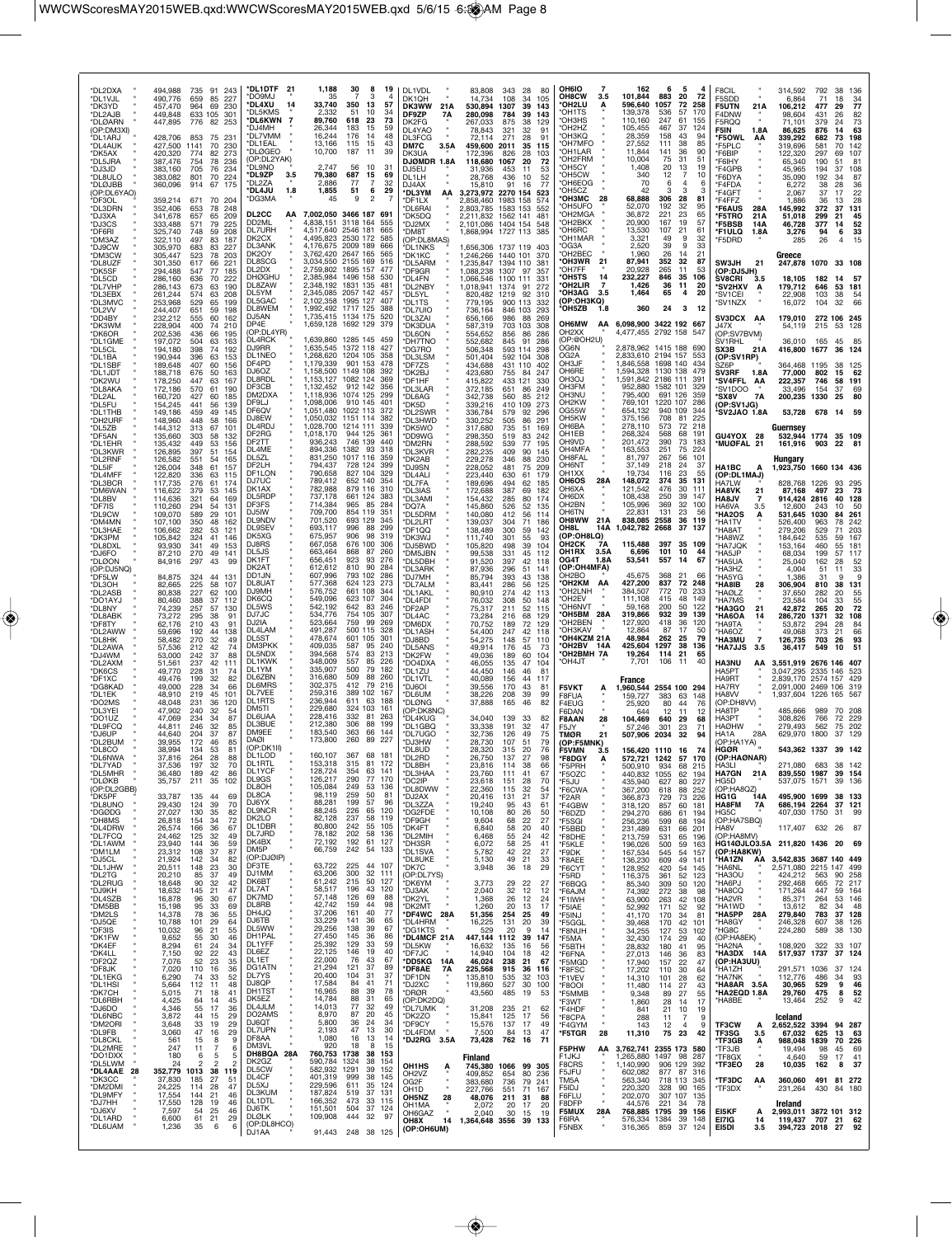| *DL2DXA<br>*DL1VJL<br>*DK3YD<br>*DL2AJB<br>*DLØARN<br>(OP:DM3XI)<br>*DL1ARJ<br>*DL4AUK<br>*DK5AX<br>*DL5JRA<br>*DJ3JD<br>*DL8ULO<br>*DLØJBB<br>(OP:DL6YAO)<br>*DF3OL<br>*DL3DRN<br>*DJ3XA<br>*DJ3CS<br>*DF6RI<br>*DM3AZ | 494,988<br>490,776<br>457,470<br>449,848<br>447,895<br>428,706<br>427,500<br>420,320<br>387,476<br>383,160<br>383,082<br>360,096<br>359,214<br>352,406<br>341,678<br>333,488<br>325,740<br>322,110 | 735 91 243<br>659<br>85<br>227<br>69<br>964<br>230<br>633 105<br>301<br>82<br>776<br>253<br>853<br>75 231<br>1141<br>70<br>230<br>774<br>82<br>273<br>754<br>78<br>236<br>705<br>76<br>234<br>801<br>70<br>224<br>914<br>67<br>175<br>671<br>70<br>204<br>653<br>78<br>248<br>657<br>65<br>209<br>571<br>79<br>225<br>59<br>208<br>748<br>497<br>83<br>187 | *DL1DTF 21<br><b>LMPOQ</b> *<br><b>DL4XU</b><br>14<br>*DL5KMS<br>*DL6KWN<br>$\overline{7}$<br>'DJ4MH<br>*DL7VMM<br>*DL1EAL<br>*DLØGEO<br>(OP:DL2YAK)<br>DL9NO<br>*DL9ZP<br>3.5<br>*DI 27A<br><b>DL4JU</b><br>1.8<br>'DG3MA<br>DL2CC<br>ΑА<br>DD2ML<br><b>DL7URH</b><br>DK2CX | 1,188<br>35<br>33,740<br>2,332<br>89,760<br>26,344<br>16,244<br>13,166<br>10,700<br>2.747<br>79,380<br>2,886<br>1,855<br>45<br>7,002,050 3466 187<br>4,838,151<br>4,517,640 | 30<br>8<br>19<br>з<br>$\overline{4}$<br>350<br>13<br>57<br>51<br>10<br>34<br>618<br>-23<br>73<br>183<br>15<br>59<br>176<br>48<br>14<br>43<br>115<br>15<br>39<br>187<br>11<br>56<br>10<br>31<br>687<br>15<br>69<br>$\overline{7}$<br>77<br>32<br>51<br>6<br>29<br>9<br>691<br>3118 164<br>555<br>2546 181<br>4.495.823 2530 172<br>585 | DL1VDL<br>DK1QH<br>DK3WW<br>21A<br>DF9ZP<br>7A<br>DK2FG<br>DL4YAO<br><b>DL3FCG</b><br><b>DM7C</b><br>3.5A<br>DK3UA<br><b>DJØMDR 1.8A</b><br>DJ5EU<br>DL1LH<br>DJ4AX<br><b>DL3YM</b><br>AA<br>'DF1LX<br>'DL6RAI<br><b>DK5DQ</b><br>'DJ2MX<br>'DM8T<br>(OP:DL8MAS) | 83,808<br>14,734<br>530.894<br>280,098<br>267.033<br>78,843<br>72.114<br>459,600<br>172,396<br>118,680<br>31,936<br>28.768<br>15,810<br>3,273,972<br>2,858,460<br>2,803,785<br>2,211,832<br>2,101,086 1404 154<br>1,868,994 1727 113 | 343<br>108<br>1307<br>784<br>875<br>321<br>271<br>2011<br>826<br>1067<br>453<br>436<br>91<br>2270 154<br>1983 158<br>1583 153<br>1562 141 | 28<br>80<br>34<br>105<br>39<br>143<br>39<br>143<br>38<br>129<br>32<br>91<br>28<br>91<br>35<br>115<br>28<br>103<br>20<br>72<br>53<br>11<br>52<br>10<br>16<br>77<br>523<br>574<br>552<br>481<br>548<br>385 | OH6IO                          | <b>OH8CW</b><br>3.5<br><b>OH2LU</b><br>'OH1TS<br>'OH3HS<br>OH <sub>2</sub> H <sub>Z</sub><br>ОНЗКО<br>'OH7MFO<br>OH1LAR<br>OH2FRM<br>'OH5CY<br>'OH5CW<br>OH6EOG<br>'OH5CZ<br><b>ОНЗМС</b><br>28<br>'OH5UFO<br>OH2MGA<br>OH2BKX<br>*OH6RC<br>OH1MAR <sup>*</sup> | 162<br>101,844<br>596,640<br>139,378<br>110.160<br>105,455<br>28,359<br>27,552<br>11,844<br>10,004<br>1,408<br>340<br>70<br>42<br>68,888<br>52,070<br>36,872<br>20,900<br>13,530<br>3,321 | 6<br>883<br>1057<br>536<br>247<br>467<br>158<br>111<br>141<br>75<br>20<br>12<br>6<br>з<br>306<br>192<br>221<br>167<br>107<br>49 | 5<br>20<br>72<br>72<br>258<br>57<br>170<br>61<br>155<br>37<br>124<br>43<br>94<br>38<br>85<br>36<br>90<br>31<br>51<br>13<br>19<br>7<br>10<br>4<br>6<br>28<br>81<br>32<br>95<br>23<br>65<br>19<br>57<br>21<br>61<br>9<br>32 | F8CIL<br>F5SDD<br>F5UTN<br>F4DNW<br>F5RQQ<br>F5IN<br><b>F5OWL</b><br>*F5PLC<br>*F6BIP<br>*F6IHY<br>*F4GPB<br>*F6DYA<br>*F4FDA<br>*F4GFT<br>*F4FFZ<br>*F6AUS<br>*F5TRO<br>*F5BSB<br>*F1ULQ<br>*F5DRD | 21A<br>1.8A<br>AA<br>28A<br>21A<br>14A<br>1.8A | 314,592<br>6,864<br>106.212<br>98,604<br>71.101<br>86,625<br>339.292<br>319,696<br>122,320<br>65,340<br>45,965<br>35,090<br>6,272<br>2,067<br>1,886<br>145,992<br>51,018<br>46,728<br>3,276<br>285 | 792<br>71<br>477<br>431<br>379<br>876<br>682<br>581<br>297<br>190<br>194<br>192<br>38<br>37<br>36<br>372<br>299<br>377<br>94<br>26 | 38<br>18<br>29<br>26<br>24<br>14<br>73<br>70<br>69<br>51<br>37<br>34<br>28<br>17<br>13<br>37<br>21<br>14<br>6 | 136<br>34<br>77<br>82<br>73<br>63<br>198<br>142<br>107<br>81<br>108<br>87<br>36<br>22<br>28<br>131<br>45<br>52<br>33<br>15 |
|-------------------------------------------------------------------------------------------------------------------------------------------------------------------------------------------------------------------------|----------------------------------------------------------------------------------------------------------------------------------------------------------------------------------------------------|------------------------------------------------------------------------------------------------------------------------------------------------------------------------------------------------------------------------------------------------------------------------------------------------------------------------------------------------------------|------------------------------------------------------------------------------------------------------------------------------------------------------------------------------------------------------------------------------------------------------------------------------|-----------------------------------------------------------------------------------------------------------------------------------------------------------------------------|---------------------------------------------------------------------------------------------------------------------------------------------------------------------------------------------------------------------------------------------------------------------------------------------------------------------------------------|------------------------------------------------------------------------------------------------------------------------------------------------------------------------------------------------------------------------------------------------------------------|--------------------------------------------------------------------------------------------------------------------------------------------------------------------------------------------------------------------------------------|-------------------------------------------------------------------------------------------------------------------------------------------|----------------------------------------------------------------------------------------------------------------------------------------------------------------------------------------------------------|--------------------------------|-----------------------------------------------------------------------------------------------------------------------------------------------------------------------------------------------------------------------------------------------------------------|-------------------------------------------------------------------------------------------------------------------------------------------------------------------------------------------|---------------------------------------------------------------------------------------------------------------------------------|---------------------------------------------------------------------------------------------------------------------------------------------------------------------------------------------------------------------------|-----------------------------------------------------------------------------------------------------------------------------------------------------------------------------------------------------|------------------------------------------------|----------------------------------------------------------------------------------------------------------------------------------------------------------------------------------------------------|------------------------------------------------------------------------------------------------------------------------------------|---------------------------------------------------------------------------------------------------------------|----------------------------------------------------------------------------------------------------------------------------|
| *DJ9CW<br>*DM3CW<br>*DL8UZF                                                                                                                                                                                             | 305,970<br>305,447<br>301,350                                                                                                                                                                      | 83<br>227<br>683<br>523<br>78<br>203<br>617<br>66<br>221                                                                                                                                                                                                                                                                                                   | <b>DL3ANK</b><br>DK2OY<br>DL8SCG<br>DL2DX                                                                                                                                                                                                                                    | 2,759,802                                                                                                                                                                   | 4,176,675 2009 189<br>666<br>3,762,420 2647 165<br>565<br>3.034.550 2155 169<br>516<br>1895 157<br>477                                                                                                                                                                                                                                | <b>DL1NKS</b><br>'DK1KC<br>*DL5ARM                                                                                                                                                                                                                               | 1,656,306 1737 119 403<br>1,246,266 1440 101<br>1.235.847                                                                                                                                                                            | 1394 110                                                                                                                                  | 370<br>381                                                                                                                                                                                               |                                | OG3A<br>OH2BEC<br>21<br><b>OH3WR</b><br>'OH7FF                                                                                                                                                                                                                  | 2,520<br>1.960<br>87,941                                                                                                                                                                  | 39<br>26<br>352<br>265                                                                                                          | 9<br>33<br>14<br>21<br>32<br>87<br>53                                                                                                                                                                                     | SW3JH                                                                                                                                                                                               | 21                                             | Greece<br>247,878 1070                                                                                                                                                                             |                                                                                                                                    | 33 108                                                                                                        |                                                                                                                            |
| *DK5SF<br>*DL5CD<br>*DL7VHP<br>*DL3EBX<br>*DL3MVC                                                                                                                                                                       | 294.488<br>286,160<br>286,143<br>261,244<br>253,968                                                                                                                                                | 547<br>77<br>185<br>636<br>70<br>222<br>673<br>63<br>190<br>63<br>574<br>208<br>529<br>65<br>199                                                                                                                                                                                                                                                           | <b>DHØGHL</b><br>DL8ZAW<br>DL5YM<br>DL5GAC<br>DL8WEM                                                                                                                                                                                                                         | 2,385,984                                                                                                                                                                   | 1496 158<br>530<br>2,348,192 1831 135<br>481<br>2,345,085 2057 142<br>2,102,358 1995 127<br>1,992,492 1717 125<br>388                                                                                                                                                                                                                 | *DF9GR<br>*DL4FN<br>DL2NBY<br>'DL5YL<br>'DL1TS                                                                                                                                                                                                                   | 1,088,238<br>1,066,546<br>1,018,941<br>820,482<br>779,195                                                                                                                                                                            | 1307 97<br>1100 111<br>1374<br>1219<br>900 113                                                                                            | 357<br>331<br>91<br>272<br>92<br>310<br>332                                                                                                                                                              |                                | OH5TS'<br>14<br><b>OH2LIR</b><br>$\overline{7}$<br>*OH3AG<br>3.5<br>(OP:OH3KQ)<br>OH5ZB<br>1.8                                                                                                                                                                  | 20,928<br>232,227<br>1,426<br>1,464<br>360                                                                                                                                                | 846<br>36<br>65<br>24                                                                                                           | 11<br>35<br>106<br>11<br>20<br>4<br>20<br>3<br>12                                                                                                                                                                         | (OP:DJ5JH)<br>SV8CRI<br><b>*SV2HXV</b><br>*SV1CEI<br>*SV1NZX                                                                                                                                        | 3.5<br>A                                       | 18,105<br>179,712<br>22,908<br>16,072                                                                                                                                                              | 182<br>646<br>103<br>104                                                                                                           | 14<br>53 181<br>38<br>32                                                                                      | -57<br>54<br>66                                                                                                            |
| *DL2VV<br>*DD4BY<br>*DK3WM<br>*DK6OR                                                                                                                                                                                    | 244,407<br>232,212<br>228,904<br>202,536                                                                                                                                                           | 651<br>59<br>198<br>555<br>60<br>162<br>400<br>74<br>210<br>436<br>66<br>195                                                                                                                                                                                                                                                                               | DJ5AN<br>DP4E<br>(OP:DL4YR)                                                                                                                                                                                                                                                  |                                                                                                                                                                             | 1,735,415 1134 175<br>520<br>1,659,128 1692 129<br>379                                                                                                                                                                                                                                                                                | <b>DL7UIO</b><br><b>DL3ZAI</b><br><b>DK3DUA</b><br>DL6ON                                                                                                                                                                                                         | 736,164<br>656,166<br>587,319<br>554,652                                                                                                                                                                                             | 846 103<br>986<br>703 103<br>856                                                                                                          | -293<br>88<br>269<br>308<br>86<br>286                                                                                                                                                                    |                                | OH6MW<br>OH <sub>2</sub> XX                                                                                                                                                                                                                                     | AA 6,098,900 3422 192 667<br>4,477,455 2792 158                                                                                                                                           |                                                                                                                                 | 547                                                                                                                                                                                                                       | <b>SV3DCX AA</b><br>J47X<br>(OP:SV7BVM)                                                                                                                                                             |                                                | 179,010<br>54,119                                                                                                                                                                                  | 272 106 245<br>215                                                                                                                 | 53 128                                                                                                        |                                                                                                                            |
| *DL1GME<br>*DL5CL<br>*DL1BA                                                                                                                                                                                             | 197,072<br>194,180<br>190,944                                                                                                                                                                      | 504<br>63<br>163<br>398<br>74<br>192<br>396<br>63<br>153                                                                                                                                                                                                                                                                                                   | DL4RCK<br>DJ9RR<br>DL1NEO                                                                                                                                                                                                                                                    |                                                                                                                                                                             | 1,639,860 1285 145<br>1,635,545 1372 118<br>427<br>1,268,620 1204 105<br>358                                                                                                                                                                                                                                                          | <b>DH7TNO</b><br>*DG7RO<br><b>DL3LSM</b>                                                                                                                                                                                                                         | 552,682<br>506,348<br>501,404                                                                                                                                                                                                        | 845<br>593 114<br>592 104                                                                                                                 | 91<br>286<br>298<br>308                                                                                                                                                                                  | OG6N<br>OG2A                   | (OP:@OH2U)                                                                                                                                                                                                                                                      | 2,878,962 1415 188<br>2,833,610 2194 157                                                                                                                                                  |                                                                                                                                 | 690<br>553                                                                                                                                                                                                                | SV1RHL<br>SX3B<br>(OP:SV1RP)                                                                                                                                                                        | 21A                                            | 36,010<br>416,800                                                                                                                                                                                  | 165<br>1677                                                                                                                        | 45<br>36 124                                                                                                  | 85                                                                                                                         |
| *DL1SBF<br>*DL1JDT<br>*DK2WU                                                                                                                                                                                            | 189,648<br>188,718<br>178,250                                                                                                                                                                      | 60<br>156<br>407<br>676<br>50<br>163<br>63<br>447<br>167                                                                                                                                                                                                                                                                                                   | DF4PD<br>DJ6OZ<br>DL8RDL                                                                                                                                                                                                                                                     | 1,179,339<br>1,158,500<br>1,153,127 1082 124                                                                                                                                | 901 153<br>478<br>1149 108<br>392                                                                                                                                                                                                                                                                                                     | 'DF7ZS<br>'DK2BJ<br>'DF1HF                                                                                                                                                                                                                                       | 434,688<br>423,680<br>415,822                                                                                                                                                                                                        | 431 110<br>755<br>433                                                                                                                     | 402<br>84<br>247<br>121<br>330                                                                                                                                                                           | OH3JF                          | OH6RE<br>OH3OJ                                                                                                                                                                                                                                                  | 1,846,558<br>1,594,328<br>1,591,842                                                                                                                                                       | 1698 140<br>1130 138<br>2186 111                                                                                                | 434<br>479<br>$39 -$                                                                                                                                                                                                      | SZ6P<br>SV3RF<br><b>SV4FFL*</b>                                                                                                                                                                     | 1.8A<br>AA                                     | 364,468<br>77,000<br>222,357                                                                                                                                                                       | 1195<br>802<br>746                                                                                                                 | 38<br>15<br>58                                                                                                | - 125<br>62<br>191                                                                                                         |
| *DL8AKA<br>*DL2AL<br>*DL5FU                                                                                                                                                                                             | 172,186<br>160,720<br>154,245                                                                                                                                                                      | 570<br>61<br>190<br>427<br>60<br>185<br>441<br>56<br>139                                                                                                                                                                                                                                                                                                   | DF3CB<br>DM2DXA<br>DF9LJ                                                                                                                                                                                                                                                     | 1,132,452<br>1,118,936<br>1,098,006                                                                                                                                         | 912 142<br>356<br>1074 125<br><b>299</b><br>910 145<br>401<br>372                                                                                                                                                                                                                                                                     | *DL3LAR<br>'DL6AG<br>'DK5D                                                                                                                                                                                                                                       | 372,185<br>342,738<br>339,216                                                                                                                                                                                                        | 651<br>560<br>410                                                                                                                         | 86<br>249<br>85<br>212<br>109<br>273                                                                                                                                                                     |                                | OH3FM<br><b>OH3NU</b><br>OH <sub>2</sub> KW                                                                                                                                                                                                                     | 952,880<br>795,400<br>769,101                                                                                                                                                             | 1582 101<br>691 126<br>1220 107<br>940 109                                                                                      | 329<br>359<br>286                                                                                                                                                                                                         | 'SV1DOO<br>*SX8V<br>(OP:SV1JG)                                                                                                                                                                      | <b>7A</b>                                      | 33,496<br>200,235                                                                                                                                                                                  | 154<br>1330                                                                                                                        | 37<br>25                                                                                                      | $\frac{69}{80}$                                                                                                            |
| *DL1THB<br>*DH2URF<br>*DL5ZB                                                                                                                                                                                            | 149,186<br>148,960<br>144,312                                                                                                                                                                      | 459<br>49<br>145<br>448<br>58<br>166<br>313<br>67<br>101<br>58                                                                                                                                                                                                                                                                                             | DF6QV<br>DJ8EW<br>DL4RDJ<br>DF2RG                                                                                                                                                                                                                                            | 1.050.032<br>1,028,700<br>1,018,170                                                                                                                                         | 1,051,480 1022 113<br>1151 114<br>382<br>1214 111<br>339<br>944 125                                                                                                                                                                                                                                                                   | *DL2SWR<br>DL3HWD<br>'DK5WO                                                                                                                                                                                                                                      | 336,784<br>330,252<br>317,680                                                                                                                                                                                                        | 579<br>505<br>735                                                                                                                         | 92<br>296<br>86<br>291<br>51<br>169                                                                                                                                                                      |                                | OG55W<br>OH5KW<br>OH6BA<br>OH1EB                                                                                                                                                                                                                                | 654,132<br>375,156<br>278,110<br>268,324                                                                                                                                                  | 708<br>573<br>568                                                                                                               | 344<br>81<br>225<br>72<br>218<br>68<br>191                                                                                                                                                                                | 'SV2JAO 1.8A                                                                                                                                                                                        |                                                | 53,728 678<br>Guernsey                                                                                                                                                                             |                                                                                                                                    | 14 59                                                                                                         |                                                                                                                            |
| *DF5AN<br>*DL1EHR<br>*DL3KWR<br>*DL2RNF                                                                                                                                                                                 | 135,660<br>135,432<br>126,895<br>126,582                                                                                                                                                           | 303<br>132<br>53<br>449<br>156<br>397<br>51<br>154<br>54<br>551<br>165                                                                                                                                                                                                                                                                                     | DF2TT<br>DL4ME<br>DL5ZL                                                                                                                                                                                                                                                      | 936.243<br>894,336<br>831,250                                                                                                                                               | 746 139<br>440<br>1382<br>93<br>318<br>1017 116<br>359                                                                                                                                                                                                                                                                                | DD9WG<br>'DM2RN<br><b>DL3KVR</b><br><b>DK2AB</b>                                                                                                                                                                                                                 | 298,350<br>288,592<br>282,235<br>229,278                                                                                                                                                                                             | 519<br>539<br>409<br>346                                                                                                                  | 83<br>242<br>77<br>195<br>90<br>145<br>88<br>230                                                                                                                                                         | OH <sub>9</sub> V <sub>D</sub> | OH4MFA<br>OH8FAL                                                                                                                                                                                                                                                | 201,472<br>163,553<br>81,797                                                                                                                                                              | 390<br>251<br>267                                                                                                               | 73<br>183<br>75<br>224<br>56<br>101                                                                                                                                                                                       | GU4YOX 28<br>*MUØFAL 21                                                                                                                                                                             |                                                | 532,944 1774<br>161,916<br>Hungary                                                                                                                                                                 | 903                                                                                                                                | 35 109<br>22 81                                                                                               |                                                                                                                            |
| *DL5IF<br>*DL4MFF<br>*DL3BCR                                                                                                                                                                                            | 126,004<br>122,820<br>117,735                                                                                                                                                                      | 61<br>348<br>157<br>336<br>63<br>115<br>61<br>276<br>174                                                                                                                                                                                                                                                                                                   | DF2LH<br>DF1LON<br>DJ7UC                                                                                                                                                                                                                                                     | 794,437<br>790,658<br>789,412                                                                                                                                               | 728 124<br>399<br>827 104<br>329<br>652 140<br>354                                                                                                                                                                                                                                                                                    | *DJ9SN<br>*DL4ALI<br>*DL7FA                                                                                                                                                                                                                                      | 228,052<br>223,440<br>189,696                                                                                                                                                                                                        | 481<br>630<br>494                                                                                                                         | 75<br>209<br>61<br>179<br>62<br>185                                                                                                                                                                      | OH <sub>1</sub> XX             | OH6NT<br><b>OH6OS</b><br>28A                                                                                                                                                                                                                                    | 37,149<br>19,734<br>148,072                                                                                                                                                               | 218<br>116<br>374                                                                                                               | 24<br>37<br>23<br>55<br>35<br>131                                                                                                                                                                                         | HA1BC<br>(OP:DL1MAJ)<br>HA7LW                                                                                                                                                                       | А                                              | 1,923,750 1660 134 436<br>828,768                                                                                                                                                                  | 1226                                                                                                                               | 93                                                                                                            | 295                                                                                                                        |
| *DM6WAN<br>*DL8BV<br>*DF7IS                                                                                                                                                                                             | 116,622<br>114,636<br>110,260                                                                                                                                                                      | 379<br>53<br>145<br>321<br>64<br>169<br>294<br>54<br>131                                                                                                                                                                                                                                                                                                   | DK1AX<br>DL5RDP<br>DF3FS                                                                                                                                                                                                                                                     | 782,988<br>737,178<br>714,384                                                                                                                                               | 879 116<br>31C<br>661 124<br>965<br>85<br>284                                                                                                                                                                                                                                                                                         | <b>DL3IAS</b><br>*DL3AMI<br>*DQ7A                                                                                                                                                                                                                                | 172,688<br>154,432<br>145,860                                                                                                                                                                                                        | 387<br>285<br>526                                                                                                                         | 69<br>182<br>80<br>174<br>52<br>135                                                                                                                                                                      |                                | OH6XA<br>OH6DX<br>OH <sub>2</sub> BN                                                                                                                                                                                                                            | 121,542<br>108,438<br>105,996                                                                                                                                                             | 476<br>250<br>369                                                                                                               | 30<br>111<br>39<br>147<br>32<br>100                                                                                                                                                                                       | HA8VK<br><b>HA8JV</b><br><b>HA6VA</b>                                                                                                                                                               | 21<br>3.5                                      | 87,168<br>914,424<br>12.600                                                                                                                                                                        | 497<br>2816<br>243                                                                                                                 | 23<br>40<br>10                                                                                                | 73<br>128<br>50                                                                                                            |
| *DL9CW<br>*DM4MN<br>*DL3HAE                                                                                                                                                                                             | 109,070<br>107,100<br>106,662                                                                                                                                                                      | 589<br>29<br>101<br>350<br>48<br>162<br>282<br>53<br>121                                                                                                                                                                                                                                                                                                   | DJ5IW<br><b>DL9NDV</b><br><b>DL9SEV</b><br>DK5XG                                                                                                                                                                                                                             | 709,700<br>701,520<br>693,117<br>675,957                                                                                                                                    | 854<br>119<br>351<br>693 129<br>345<br>996<br>88<br>299<br>906<br>98<br>319                                                                                                                                                                                                                                                           | *DL5DRM<br><b>DL2LRT</b><br>'DF1QQ                                                                                                                                                                                                                               | 140,080<br>139,037<br>138,489                                                                                                                                                                                                        | 412<br>304<br>300                                                                                                                         | 56<br>114<br>71<br>186<br>59<br>142                                                                                                                                                                      | OH8L                           | OH6TN<br>OH8WW<br>21A<br>14A<br>(OP:OH8LQ)                                                                                                                                                                                                                      | 22,831<br>838,085<br>1,042,782                                                                                                                                                            | 131<br>2558<br>2668                                                                                                             | 23<br>56<br>36<br>119<br>37<br>137                                                                                                                                                                                        | <b>HA2OS</b><br>*HA1TV<br>*HA8AT                                                                                                                                                                    |                                                | 531,645<br>526,400<br>279,206                                                                                                                                                                      | 1030<br>963<br>529                                                                                                                 | 84<br>78<br>71                                                                                                | 261<br>242<br>203                                                                                                          |
| *DK3PM<br>*DL8DXL<br>*DJ6FO                                                                                                                                                                                             | 105,842<br>93,930<br>87,210                                                                                                                                                                        | 324<br>41<br>146<br>341<br>49<br>153<br>270<br>49<br>141<br>43<br>99                                                                                                                                                                                                                                                                                       | DJ8RS<br>DL5JS<br>DK1FT                                                                                                                                                                                                                                                      | 667,058<br>663,464<br>656,451                                                                                                                                               | 676<br>100<br>306<br>868<br>87<br>260<br>923<br>93<br>276                                                                                                                                                                                                                                                                             | 'DK3WJ<br>'DJ5BWD<br>'DM5JBN                                                                                                                                                                                                                                     | 111,740<br>105,820<br>99,538<br>91.520                                                                                                                                                                                               | 301<br>498<br>331<br>397                                                                                                                  | 55<br>93<br>104<br>39<br>45<br>112<br>42<br>118                                                                                                                                                          | OG4T                           | OH2CK<br>7Α<br>OH1RX<br>3.5A<br>1.8A                                                                                                                                                                                                                            | 115,488<br>6,696<br>53,541                                                                                                                                                                | 397<br>101<br>557                                                                                                               | 35 109<br>10<br>-44<br>67<br>14                                                                                                                                                                                           | 'HA8WZ<br>'HA7JQK<br>*HA5JP<br>*HA5UA                                                                                                                                                               |                                                | 184,642<br>153,164<br>68,034                                                                                                                                                                       | 535<br>460<br>199<br>162                                                                                                           | 59<br>55<br>57<br>28                                                                                          | 167<br>181<br>117                                                                                                          |
| *DLØON<br>(OP:DJ5NQ)<br><b>DF5LW</b><br>*DL3OH                                                                                                                                                                          | 84,916<br>84,875<br>82,665                                                                                                                                                                         | 297<br>324<br>44<br>131<br>225<br>58<br>107                                                                                                                                                                                                                                                                                                                | DK <sub>2</sub> AT<br>DD1JN<br>DL8UAT                                                                                                                                                                                                                                        | 612,612<br>607,996<br>577,368                                                                                                                                               | 810<br>90<br>284<br>793 102<br>286<br>624 123<br>273                                                                                                                                                                                                                                                                                  | *DL5DBH<br><b>DL3ARK</b><br>'DJ7MH<br>*DL7ALM                                                                                                                                                                                                                    | 87,936<br>85.794<br>83,441                                                                                                                                                                                                           | 296<br>393<br>286                                                                                                                         | 51<br>141<br>43<br>138<br>56<br>125                                                                                                                                                                      |                                | (OP:OH4MFA)<br>OH2BO<br><b>OH2KM</b><br>AA                                                                                                                                                                                                                      | 45,675<br>427,200                                                                                                                                                                         | 368<br>837                                                                                                                      | 21<br>66<br>72<br>248                                                                                                                                                                                                     | HA3HZ<br><b>HA5YG</b><br>*HA8IB                                                                                                                                                                     | 28                                             | 25,040<br>4,004<br>1.386<br>306,904                                                                                                                                                                | 51<br>31<br>810                                                                                                                    | 11<br>9<br>38                                                                                                 | 52<br>33<br>9<br>131                                                                                                       |
| *DL2ASB<br>*DO1AYJ<br>*DL8NY                                                                                                                                                                                            | 80,838<br>80,460<br>74,239                                                                                                                                                                         | 227<br>62<br>100<br>388<br>37<br>112<br>257<br>57<br>130                                                                                                                                                                                                                                                                                                   | DJ9MH<br>DK6CQ<br>DL5WS                                                                                                                                                                                                                                                      | 576,752<br>549,096<br>542,192                                                                                                                                               | 661 108<br>344<br>623 107<br>304<br>642<br>83<br>246                                                                                                                                                                                                                                                                                  | *DL1AKL<br>*DL4FDI<br>DF2AP                                                                                                                                                                                                                                      | 80,910<br>76,032<br>75,317                                                                                                                                                                                                           | 274<br>308<br>211                                                                                                                         | 42<br>113<br>50<br>148<br>52<br>115                                                                                                                                                                      |                                | 'OH2LNH<br>OH <sub>2</sub> EV<br>OH6NVT                                                                                                                                                                                                                         | 384,507<br>111,108<br>59.168                                                                                                                                                              | 772<br>415<br>200                                                                                                               | 70<br>233<br>48<br>149<br>50<br>122                                                                                                                                                                                       | *HAØLZ<br>*HA7MS<br><b>HA3GO</b>                                                                                                                                                                    | 21                                             | 37.650<br>23,584<br>42,872                                                                                                                                                                         | 282<br>104<br>265                                                                                                                  | 20<br>33<br>20                                                                                                | 55<br>55<br>72                                                                                                             |
| *DL8ABK<br>*DF8TY<br>*DL2AWW                                                                                                                                                                                            | 73,272<br>62,176<br>59,696                                                                                                                                                                         | 295<br>38<br>91<br>210<br>43<br>91<br>192<br>44<br>138                                                                                                                                                                                                                                                                                                     | DJ7JC<br>DJ2IA<br>DL4LAM                                                                                                                                                                                                                                                     | 534,776<br>523,664<br>491,287                                                                                                                                               | 754 105<br>307<br>759<br>99<br>269<br>500<br>115<br>328<br>601 105<br>301                                                                                                                                                                                                                                                             | *DL4AC<br>*DM6DX<br>'DL1ASH                                                                                                                                                                                                                                      | 73,284<br>70,752<br>54,400                                                                                                                                                                                                           | 216<br>189<br>247                                                                                                                         | 68<br>129<br>72<br>129<br>42<br>118                                                                                                                                                                      |                                | <b>OH5BM 28A</b><br>OH2BEN<br>'OH3KAV                                                                                                                                                                                                                           | 319,866<br>127,920<br>12,864                                                                                                                                                              | 932<br>418<br>87<br>262                                                                                                         | 39<br>139<br>36<br>120<br>17<br>50<br>79<br>25                                                                                                                                                                            | *HA6OA<br><b>HA9TA</b><br>*HA6OZ                                                                                                                                                                    |                                                | 286,720<br>53.872<br>49,068                                                                                                                                                                        | 1371<br>294<br>373                                                                                                                 | 32<br>28<br>21                                                                                                | 108<br>84<br>66                                                                                                            |
| *DL8HK<br>*DL2AWA<br>*DJ4WM                                                                                                                                                                                             | 58,482<br>57,536<br>53,000                                                                                                                                                                         | 32<br>270<br>49<br>74<br>212<br>42<br>242<br>37<br>88                                                                                                                                                                                                                                                                                                      | DL5ST<br><b>DM3PKK</b><br>DL5NDX<br>DL1KWK                                                                                                                                                                                                                                   | 478,674<br>409,035<br>394,568<br>348,009                                                                                                                                    | 587<br>95<br><b>240</b><br>574<br>83<br>213<br>557<br>85<br>226                                                                                                                                                                                                                                                                       | 'DJ8BD<br>*DL5ANS<br>'DK2FW                                                                                                                                                                                                                                      | 54,275<br>49.914<br>49,036                                                                                                                                                                                                           | 148<br>176<br>189                                                                                                                         | 57<br>110<br>45<br>73<br>60<br>104                                                                                                                                                                       |                                | OH4KZM 21A<br>*OH2BV 14A<br>OH2BMH 7A<br>'OH4JT                                                                                                                                                                                                                 | 48,984<br>425,604<br>19,264<br>7,701                                                                                                                                                      | 1297<br>114 21<br>106                                                                                                           | 38<br>136<br>65<br>-11<br>40                                                                                                                                                                                              | *НАЗМU<br>*HA7JJS                                                                                                                                                                                   | $\overline{7}$<br>3.5                          | 126,735<br>36,417                                                                                                                                                                                  | 703<br>549                                                                                                                         | 26<br>10                                                                                                      | 93<br>51                                                                                                                   |
| *DL2AXM<br>*DK6CS<br>*DF1XC<br>*DG8KAD                                                                                                                                                                                  | 51,561<br>49,770<br>49.476<br>49,000                                                                                                                                                               | 237<br>42<br>111<br>228<br>31<br>74<br>32<br>199<br>82<br>228<br>34<br>66                                                                                                                                                                                                                                                                                  | DL1YM<br>DL6ZBN<br><b>DL6MRS</b>                                                                                                                                                                                                                                             | 335,907<br>316,680<br>302,375                                                                                                                                               | 500<br>79<br>182<br>509<br>88<br>260<br>412<br>79<br>216                                                                                                                                                                                                                                                                              | <b>DO4DXA</b><br>'DL1ZU<br>'DL1VTL<br>'DJ6OI                                                                                                                                                                                                                     | 46,055<br>44,450<br>40,089<br>39,556                                                                                                                                                                                                 | 135<br>146<br>156<br>170                                                                                                                  | 104<br>47<br>46<br>81<br>44<br>117<br>43<br>81                                                                                                                                                           | F5VKT                          |                                                                                                                                                                                                                                                                 | France<br>1,960,544 2554 100 294                                                                                                                                                          |                                                                                                                                 |                                                                                                                                                                                                                           | <b>HA3NU</b><br>HA5PT<br>HA9RT<br>HA7RY                                                                                                                                                             | ΑА                                             | 3,551,919 2676 146 407<br>3,047,295<br>2,839,170 2574 157<br>2,091,000 2469 106                                                                                                                    | 2335 146                                                                                                                           |                                                                                                               | 523<br>429<br>319                                                                                                          |
| *DL1EK<br>*DO2MS<br>*DL3YEI                                                                                                                                                                                             | 48,910<br>48,048<br>47.902                                                                                                                                                                         | 45<br>101<br>219<br>231<br>36<br>120<br>240<br>32<br>.54                                                                                                                                                                                                                                                                                                   | DL7VEE<br><b>DL1RTS</b><br>DM5TI                                                                                                                                                                                                                                             | 259,316<br>236,944<br>229,680                                                                                                                                               | 389 102<br>167<br>611<br>63<br>188<br>324 103<br>161                                                                                                                                                                                                                                                                                  | <b>DL6UM</b><br>*DLØNG<br>(OP:DK8NC)                                                                                                                                                                                                                             | 38,226<br>37,888                                                                                                                                                                                                                     | 208<br>165                                                                                                                                | 99<br>39<br>82<br>46                                                                                                                                                                                     | F8FUA<br>F4EUG                 | F6DAN                                                                                                                                                                                                                                                           | 159,727<br>25,920<br>644                                                                                                                                                                  | 383<br>80<br>12                                                                                                                 | 63<br>148<br>44<br>76<br>11<br>12                                                                                                                                                                                         | HA8VV<br>(OP:DH8VV)<br>HA8TP                                                                                                                                                                        |                                                | ,937,604<br>485,666                                                                                                                                                                                | 1226 165<br>989                                                                                                                    | 70                                                                                                            | 567<br>-208                                                                                                                |
| *DO1UZ<br>*DL9FCQ<br>*DJ6UP                                                                                                                                                                                             | 47,069<br>44,811<br>44,640                                                                                                                                                                         | 234<br>34<br>87<br>32<br>246<br>85<br>204<br>37<br>87                                                                                                                                                                                                                                                                                                      | DL6UAA<br>DL3BUE<br>DM9EE                                                                                                                                                                                                                                                    | 228,416<br>212,380<br>183,540                                                                                                                                               | 332<br>81<br>263<br>306<br>88<br>199<br>363<br>66<br>144                                                                                                                                                                                                                                                                              | <b>DL4KUG</b><br>DL1GBQ<br>*DL7UGO                                                                                                                                                                                                                               | 34,040<br>33,338<br>32,736                                                                                                                                                                                                           | 139<br>191<br>126                                                                                                                         | 33<br>32<br>47<br>49<br>75                                                                                                                                                                               | F5JY<br><b>TMØR</b>            | F8AAN<br>28<br>21                                                                                                                                                                                                                                               | 104,469<br>57,246<br>507,906                                                                                                                                                              | 640<br>301<br>2034                                                                                                              | 29<br>68<br>23<br>71<br>32<br>94                                                                                                                                                                                          | НАЗРТ<br><b>HAØHW</b><br>HA1A                                                                                                                                                                       | 28A                                            | 308,826<br>279,493<br>629,970                                                                                                                                                                      | 766<br>562<br>1800                                                                                                                 | 72<br>75<br>37                                                                                                | 229<br>202<br>129                                                                                                          |
| *DL2BUM<br>*DL8CO<br>DLONWA                                                                                                                                                                                             | 39,955<br>38,994<br>37.816                                                                                                                                                                         | 172<br>46<br>85<br>53<br>134<br>81<br>264<br>28<br>85                                                                                                                                                                                                                                                                                                      | DAØI<br>(OP:DK1II)<br>חמ וז וח                                                                                                                                                                                                                                               | 173,800                                                                                                                                                                     | 89<br>227<br>260<br>160 107 367 68 181                                                                                                                                                                                                                                                                                                | *DJ3HW<br>*DL8UD<br>DLZKD                                                                                                                                                                                                                                        | 28,730<br>28,320<br>26.750                                                                                                                                                                                                           | 107<br>315<br>137                                                                                                                         | 51<br>79<br>76<br>20<br>21<br>Уč                                                                                                                                                                         |                                | (OP:F5MNK)<br>F5VMN<br>3.5<br>'F8DGY                                                                                                                                                                                                                            | 156,420 1110 16<br>572,721 1242                                                                                                                                                           |                                                                                                                                 | - 74<br>57<br>170                                                                                                                                                                                                         | (OP:HA1YA)<br>HGØR<br>(OP:HAØNAR)                                                                                                                                                                   |                                                | 543,362 1337 39 142                                                                                                                                                                                |                                                                                                                                    |                                                                                                               |                                                                                                                            |
| *DL7YAD<br>*DL5MHR<br>*DLØKB                                                                                                                                                                                            | 37,536<br>36,480<br>35,757                                                                                                                                                                         | 197<br>70<br>32<br>86<br>189<br>42<br>35<br>102<br>211                                                                                                                                                                                                                                                                                                     | DL1RTL<br>DL1YCF<br>DL9GS<br>DL8OH                                                                                                                                                                                                                                           | 153,318<br>128,724<br>126,217<br>105,084                                                                                                                                    | 315<br>81<br>172<br>354<br>63<br>141<br>290<br>77<br>170<br>249<br>53<br>136                                                                                                                                                                                                                                                          | *DL8BH<br>*DL3HAA<br>*DC2IP                                                                                                                                                                                                                                      | 23,816<br>23,760<br>23,618                                                                                                                                                                                                           | 114<br>111<br>151                                                                                                                         | 38<br>66<br>41<br>67<br>28<br>70                                                                                                                                                                         | *F5JU                          | *F5PRH<br>*F5OZC                                                                                                                                                                                                                                                | 500,910<br>440,832<br>435,940                                                                                                                                                             | 934<br>1055<br>627                                                                                                              | 68<br>215<br>62<br>194<br>80<br>227                                                                                                                                                                                       | HA3LI<br><b>HA7GN</b><br>HG5D                                                                                                                                                                       | 21A                                            | 271,080<br>839,550 1987<br>537,075 1571                                                                                                                                                            | 683                                                                                                                                | 38 142<br>39 154<br>39 136                                                                                    |                                                                                                                            |
| (OP:DL2GBB)<br>*DK5PF<br>*DL8UNO<br>*DGØDG                                                                                                                                                                              | 33,787<br>29,430<br>27.027                                                                                                                                                                         | 135<br>-44<br>69<br>124<br>39<br>70<br>130<br>35<br>82                                                                                                                                                                                                                                                                                                     | DL8CA<br>DJ6YX<br><b>DL9NCR</b>                                                                                                                                                                                                                                              | 98,119<br>88,281<br>88,245                                                                                                                                                  | 259<br>50<br>81<br>199<br>57<br>96<br>226<br>65<br>120                                                                                                                                                                                                                                                                                | *DL8DWW<br>*DJ2AX<br>*DL3ZZA<br>*DG2FDE                                                                                                                                                                                                                          | 22,360<br>20,416<br>19,240<br>10,108                                                                                                                                                                                                 | 115<br>131<br>95<br>80                                                                                                                    | 32<br>54<br>21<br>37<br>43<br>61<br>26<br>50                                                                                                                                                             | *F2AR                          | *F6CWA<br>*F4GBW<br>*F6DZD                                                                                                                                                                                                                                      | 367,200<br>366,873<br>318,120<br>294,270                                                                                                                                                  | 618<br>729<br>857<br>686                                                                                                        | 252<br>88<br>73<br>226<br>60<br>181<br>61<br>194                                                                                                                                                                          | (OP:HA8QZ)<br>HG1G<br>HA8FM<br>HG5C                                                                                                                                                                 | 14A<br>7A                                      | 495,900 1699<br>686,194 2264<br>407,030 1750                                                                                                                                                       |                                                                                                                                    | 38 133<br>37 121<br>31                                                                                        | 99                                                                                                                         |
| *DH8MS<br>*DL4DRW<br>*DL7FCQ                                                                                                                                                                                            | 26,818<br>26,574<br>24,462                                                                                                                                                                         | 154<br>34<br>72<br>166<br>36<br>67<br>125<br>32<br>49                                                                                                                                                                                                                                                                                                      | DK2LO<br>DL1DBR<br>DL7JRD                                                                                                                                                                                                                                                    | 82,128<br>80,800<br>78,182                                                                                                                                                  | 237<br>58<br>119<br>242<br>55<br>105<br>202<br>58<br>136                                                                                                                                                                                                                                                                              | *DF9GH<br>*DK4FT<br>*DL2MIH                                                                                                                                                                                                                                      | 9,604<br>6,840<br>6,468                                                                                                                                                                                                              | 68<br>58<br>55                                                                                                                            | 22<br>27<br>20<br>40<br>24<br>42                                                                                                                                                                         |                                | *F5SGI<br>*F5BBD<br>*F8DHE                                                                                                                                                                                                                                      | 256,236<br>231,489<br>213,759                                                                                                                                                             | 599<br>631<br>531                                                                                                               | 68<br>194<br>66<br>201<br>196<br>65                                                                                                                                                                                       | (OP:HA7SBQ)<br>HA8V<br>(OP:HA8MV)                                                                                                                                                                   |                                                | 117,407 632 26 87                                                                                                                                                                                  |                                                                                                                                    |                                                                                                               |                                                                                                                            |
| *DL1AWM<br>*DM1LM<br>*DJ5CL                                                                                                                                                                                             | 23,940<br>23,312<br>21,924                                                                                                                                                                         | 144<br>36<br>59<br>108<br>37<br>87<br>142<br>34<br>82                                                                                                                                                                                                                                                                                                      | DK4BX<br>DM5P<br>(OP:DJØIP)                                                                                                                                                                                                                                                  | 72,192<br>66,759                                                                                                                                                            | 61<br>192<br>127<br>242<br>54 133                                                                                                                                                                                                                                                                                                     | *DH3SR<br>*DL1SVA<br>*DL8UKE                                                                                                                                                                                                                                     | 6,072<br>5,782<br>5,130                                                                                                                                                                                                              | 58<br>42<br>49                                                                                                                            | 25<br>41<br>22<br>27<br>21<br>33                                                                                                                                                                         | *F9DK                          | *F5KLE<br>*F8AEE                                                                                                                                                                                                                                                | 196,026<br>167,534<br>136,230                                                                                                                                                             | 500<br>545<br>609                                                                                                               | 59<br>163<br>54<br>157<br>49<br>141                                                                                                                                                                                       | (OP:HA8KW)<br>*HA1ZN                                                                                                                                                                                | AA                                             | HG14ØJLO3.5A 211,820 1436 20 69<br>3,542,835 3687 140 449                                                                                                                                          |                                                                                                                                    |                                                                                                               |                                                                                                                            |
| *DL1JHW<br>*DL2TG<br>*DL2RUG                                                                                                                                                                                            | 20,511<br>20,210<br>18,648                                                                                                                                                                         | 148<br>23<br>30<br>37<br>85<br>49<br>90<br>32<br>42                                                                                                                                                                                                                                                                                                        | DF3TE<br>DJ1MM<br>DK6BT<br>DL7AT                                                                                                                                                                                                                                             | 63,722<br>63,206<br>61,242<br>58,517                                                                                                                                        | 225<br>44<br>107<br>300<br>32 111<br>215<br>50<br>127<br>196<br>43<br>120                                                                                                                                                                                                                                                             | *DK7C<br>(OP:DL7YS)<br>*DK6YM                                                                                                                                                                                                                                    | 3,948<br>3,773                                                                                                                                                                                                                       | 36<br>29                                                                                                                                  | 18<br>29<br>22<br>27                                                                                                                                                                                     | *F5RD                          | *F6CYT<br>*F6BQG                                                                                                                                                                                                                                                | 128,952<br>116,375<br>85,340<br>74,392                                                                                                                                                    | 420<br>361<br>309                                                                                                               | 54 145<br>52<br>123<br>50<br>120                                                                                                                                                                                          | *HA6NL<br>*HA3OU<br>*HA6PJ                                                                                                                                                                          |                                                | 2,571,080 2215 147<br>424,212<br>292,468                                                                                                                                                           | 563<br>665                                                                                                                         | 90<br>72 217                                                                                                  | 499<br>258                                                                                                                 |
| *DJ9KH<br>*DL4SZB<br>*DM5BB<br>*DM2LS                                                                                                                                                                                   | 18,632<br>16,878<br>15,198<br>14,378                                                                                                                                                               | 145<br>21<br>47<br>30<br>67<br>96<br>95<br>33<br>69<br>78<br>36<br>55                                                                                                                                                                                                                                                                                      | DK7MD<br>DL8RB<br>DH4JQ                                                                                                                                                                                                                                                      | 57,148<br>42,742<br>37,206                                                                                                                                                  | 126<br>69<br>88<br>159<br>44<br>98<br>161<br>40<br>77                                                                                                                                                                                                                                                                                 | *DJ3AK<br>*DK2YL<br>'DK2MT<br>*DF4WC 28A                                                                                                                                                                                                                         | 2,040<br>1,368<br>1,260<br>51,356                                                                                                                                                                                                    | 32<br>26<br>20<br>254                                                                                                                     | 12<br>12<br>12<br>24<br>13<br>17<br>25<br>49                                                                                                                                                             | *F5IAE                         | *F6AJM<br>*F1IWH                                                                                                                                                                                                                                                | 63,900<br>52,992                                                                                                                                                                          | 272<br>263<br>171<br>170                                                                                                        | 38<br>98<br>42<br>108<br>52<br>92<br>34<br>81                                                                                                                                                                             | *HA8CQ<br>*HA2VR<br>*HA1WD<br>*HA5PP                                                                                                                                                                | 28A                                            | 171,264<br>85,371<br>13,612<br>279,840                                                                                                                                                             | 447<br>264<br>82<br>783                                                                                                            | 59 164<br>53 146<br>34<br>37 128                                                                              | 48                                                                                                                         |
| *DJ5QE<br>*DF3IS<br>*DK1FW                                                                                                                                                                                              | 10,788<br>10,032<br>9,652                                                                                                                                                                          | 101<br>29<br>64<br>96<br>21<br>55<br>55<br>30<br>46                                                                                                                                                                                                                                                                                                        | DJ6TB<br>DL5WW<br>DH1PAL                                                                                                                                                                                                                                                     | 33,229<br>29,256<br>27,450                                                                                                                                                  | 141<br>36<br>65<br>138<br>39<br>67<br>145<br>36<br>86                                                                                                                                                                                                                                                                                 | *DL4HRM<br><b>DG1KTS</b><br>*DL4MCF 21A                                                                                                                                                                                                                          | 16,225<br>529<br>447,144 1112                                                                                                                                                                                                        | 131<br>20                                                                                                                                 | 20<br>39<br>-9<br>14<br>39<br>147                                                                                                                                                                        | *F5INJ                         | *F5GGL<br>*F8NUH<br>*F5MA                                                                                                                                                                                                                                       | 41,170<br>39,468<br>34,255<br>32,430                                                                                                                                                      | 170<br>127<br>174                                                                                                               | 42<br>101<br>53<br>102<br>29<br>40                                                                                                                                                                                        | *HA8GY<br>*HG8C<br>(OP:HA8EK)                                                                                                                                                                       |                                                | 246,328<br>224,280                                                                                                                                                                                 | 607<br>589                                                                                                                         | 38 126<br>38 130                                                                                              |                                                                                                                            |
| *DK4EF<br>*DK4LL<br>*DF2QZ                                                                                                                                                                                              | 8,294<br>7,150<br>7,076                                                                                                                                                                            | 34<br>61<br>24<br>92<br>22<br>43<br>52<br>23<br>35                                                                                                                                                                                                                                                                                                         | DL1YFF<br>DL6EZ<br>DL1ET                                                                                                                                                                                                                                                     | 25,392<br>22,125<br>22,000                                                                                                                                                  | 129<br>33<br>59<br>146<br>19<br>40<br>76<br>43<br>67                                                                                                                                                                                                                                                                                  | *DL5KW<br>*DF7JC<br>*DD5KG<br>14A                                                                                                                                                                                                                                | 16,632<br>14,940<br>46,024                                                                                                                                                                                                           | 135<br>104<br>238                                                                                                                         | 16<br>56<br>18<br>42<br>21<br>67                                                                                                                                                                         |                                | *F5BTH<br>*F6FNA<br>*F5MGD                                                                                                                                                                                                                                      | 28,832<br>27,013<br>17,940                                                                                                                                                                | 180<br>146<br>157                                                                                                               | 41<br>95<br>36<br>83<br>22<br>47                                                                                                                                                                                          | *HA2NA<br>*HA3DX<br>(OP:HA3UU)                                                                                                                                                                      | 14A                                            | 108,920<br>517,937 1737                                                                                                                                                                            | 322                                                                                                                                | 33 107<br>37 124                                                                                              |                                                                                                                            |
| *DF8JK<br>*DL1EKG<br>*DL1HSI                                                                                                                                                                                            | 7,020<br>6,290<br>5,664                                                                                                                                                                            | 110<br>16<br>36<br>52<br>74<br>33<br>112<br>11<br>48                                                                                                                                                                                                                                                                                                       | DG1ATN<br>DL7YS<br>DJ8QP<br>DH1TST                                                                                                                                                                                                                                           | 21,294<br>20,400<br>17,584                                                                                                                                                  | 121<br>37<br>89<br>31<br>104<br>37<br>84<br>41<br>71<br>88<br>39<br>78                                                                                                                                                                                                                                                                | *DF8AE<br>7A<br>*DF1DN<br>*DJ2XC                                                                                                                                                                                                                                 | 225,568<br>135,810<br>119,860                                                                                                                                                                                                        | 915<br>535<br>527                                                                                                                         | 36<br>116<br>32<br>103<br>30<br>100                                                                                                                                                                      |                                | *F8FSC<br>*F1VEV<br>*F8OOI                                                                                                                                                                                                                                      | 17,202<br>14,310<br>11,480                                                                                                                                                                | 110<br>101<br>114                                                                                                               | 30<br>64<br>28<br>62<br>27<br>43                                                                                                                                                                                          | *HA1ZH<br>*HA7NK<br>*HA8AR 3.5A                                                                                                                                                                     |                                                | 291,571 1036<br>112,776<br>30,965                                                                                                                                                                  | 486<br>529                                                                                                                         | 37 124<br>34<br>9                                                                                             | 93<br>46                                                                                                                   |
| *DK7CH<br>*DL6RBH<br>*DJ6DO                                                                                                                                                                                             | 5,015<br>4,425<br>4,346                                                                                                                                                                            | 71<br>18<br>41<br>64<br>14<br>45<br>17<br>55<br>36                                                                                                                                                                                                                                                                                                         | DK5EZ<br>DL4JLM<br>DO2AMS                                                                                                                                                                                                                                                    | 16,965<br>14,784<br>14,013<br>8,970                                                                                                                                         | 88<br>31<br>65<br>32<br>77<br>49<br>87<br>20<br>45                                                                                                                                                                                                                                                                                    | *DRØR<br>(OP:DK2DQ)<br>*DL7UMK                                                                                                                                                                                                                                   | 43,560<br>31,208                                                                                                                                                                                                                     | 485<br>235                                                                                                                                | 19<br>53<br>21<br>62                                                                                                                                                                                     |                                | *F5MMB<br>'F3WT<br>*F4HDF                                                                                                                                                                                                                                       | 9,348<br>1,860<br>841                                                                                                                                                                     | 89<br>28<br>21                                                                                                                  | 27<br>55<br>14<br>17<br>10<br>19                                                                                                                                                                                          | *HA2EQD 1.8A<br>*HA8BE                                                                                                                                                                              |                                                | 29,760<br>13,464                                                                                                                                                                                   | 475<br>252                                                                                                                         | 8<br>9                                                                                                        | 52<br>42                                                                                                                   |
| *DL6NBC<br>*DM2ORI<br>*DL9FB<br>*DL8CKL                                                                                                                                                                                 | 3,872<br>3,648<br>3,060<br>561                                                                                                                                                                     | 29<br>44<br>15<br>33<br>19<br>29<br>47<br>29<br>16<br>15<br>8<br><sub>9</sub>                                                                                                                                                                                                                                                                              | DJ6QT<br><b>DL7UPN</b><br>DF8AA                                                                                                                                                                                                                                              | 5,800<br>2,193<br>1,080                                                                                                                                                     | 36<br>24<br>34<br>47<br>13<br>30<br>16<br>13<br>14                                                                                                                                                                                                                                                                                    | *DK2ZO<br>'DF9CY<br>*DL4FDM<br>*DJ2RG 3.5A                                                                                                                                                                                                                       | 15,841<br>15,576<br>7,500<br>73,428                                                                                                                                                                                                  | 125<br>137<br>84<br>762 16                                                                                                                | 56<br>17<br>17<br>49<br>13<br>47<br>-71                                                                                                                                                                  |                                | *F8CPA<br>*F4GYM<br>*F5TGR<br>28                                                                                                                                                                                                                                | 288<br>143<br>11,310                                                                                                                                                                      | 11<br>12<br>75                                                                                                                  | -7<br>-9<br>9<br>$\overline{4}$<br>23<br>42                                                                                                                                                                               | TF3CW<br>TF3SG                                                                                                                                                                                      | А<br>3.5                                       | Iceland<br>2,652,522 3394<br>67,032                                                                                                                                                                | 625<br>1839                                                                                                                        | 94 287<br>13<br>70 226                                                                                        | 63                                                                                                                         |
| *DL2MRE<br>*DO1DXX<br>*DL5LWM                                                                                                                                                                                           | 247<br>180<br>24                                                                                                                                                                                   | 11<br>7<br>6<br>6<br>5<br>5<br>$\overline{2}$<br>$\overline{2}$<br>2                                                                                                                                                                                                                                                                                       | DM3VL<br>DH8BQA 28A<br>DK2GZ                                                                                                                                                                                                                                                 | 920<br>760,753 1738<br>590,784                                                                                                                                              | 18<br>-8<br>15<br>38<br>153<br>1324<br>38<br>154                                                                                                                                                                                                                                                                                      | OH <sub>1</sub> HS<br>A                                                                                                                                                                                                                                          | Finland<br>745,380 1066 99 305                                                                                                                                                                                                       |                                                                                                                                           |                                                                                                                                                                                                          | F1JKJ<br>F8CRS                 | F5PHW<br>AA                                                                                                                                                                                                                                                     | 3,762,741 2355 173<br>1,265,880<br>1,140,990                                                                                                                                              | 1497 98<br>906 129                                                                                                              | 580<br>-287<br>392                                                                                                                                                                                                        | *TF3GB<br>*TF3JB<br>*TF8GX<br>*TF3EO                                                                                                                                                                | A<br><b>III</b><br>28                          | 988,048<br>19,494<br>4,640<br>10,035                                                                                                                                                               | 98<br>59<br>162                                                                                                                    | 45<br>17<br>8                                                                                                 | 69<br>41<br>37                                                                                                             |
| *DL4AAE 28<br>*DK3CC<br>*DM2DMI                                                                                                                                                                                         | 352,779<br>37,830<br>24,225                                                                                                                                                                        | 1013<br>38<br>119<br>185<br>27<br>51<br>28<br>47<br>114                                                                                                                                                                                                                                                                                                    | DL5CW<br>DL4CF<br>DL5XJ                                                                                                                                                                                                                                                      | 582,932<br>401,319<br>229,596                                                                                                                                               | 1291<br>39<br>152<br>999<br>38<br>145<br>611<br>35<br>124<br>37                                                                                                                                                                                                                                                                       | OH <sub>2</sub> V <sub>Z</sub><br>OG2F<br>OH <sub>1</sub> D                                                                                                                                                                                                      | 409,852<br>383,680<br>227,766                                                                                                                                                                                                        | 654<br>736<br>551                                                                                                                         | 80<br>236<br>79<br>241<br>71<br>167                                                                                                                                                                      | F5JFU<br>TM5A<br>F5IDJ         |                                                                                                                                                                                                                                                                 | 602,082<br>563,340<br>220,320                                                                                                                                                             | 877 87<br>718 113<br>328 90                                                                                                     | 316<br>345<br>165                                                                                                                                                                                                         | *TF3DC<br>*TF3DX                                                                                                                                                                                    | ΑА                                             | 360,060<br>231,264                                                                                                                                                                                 | 491<br>430                                                                                                                         | 81 272<br>84 180                                                                                              |                                                                                                                            |
| *DL9MFY<br>*DJ7HH<br>*DJ6XV                                                                                                                                                                                             | 17,554<br>17,550<br>7,597                                                                                                                                                                          | 144<br>21<br>46<br>128<br>19<br>46<br>25<br>46<br>54                                                                                                                                                                                                                                                                                                       | <b>DL3KUM</b><br>DL1DTL<br>DJ6TK<br><b>DLØLK</b>                                                                                                                                                                                                                             | 187,824<br>166,352<br>151,501<br>109,908                                                                                                                                    | 519<br>131<br>473<br>33<br>115<br>504<br>37<br>124<br>444<br>32<br>97                                                                                                                                                                                                                                                                 | OH5NZ<br>28<br>OH1MA<br>OH6GAZ                                                                                                                                                                                                                                   | 48,076<br>2,072<br>2,040                                                                                                                                                                                                             | 211<br>20<br>30                                                                                                                           | 31<br>88<br>17<br>20<br>15<br>19                                                                                                                                                                         | F6FLU<br>F8DFP                 | <b>F5MUX</b><br>28A                                                                                                                                                                                                                                             | 202,070<br>44,576<br>768,885 1795                                                                                                                                                         | 307 107<br>221                                                                                                                  | 135<br>78<br>-34<br>39<br>156                                                                                                                                                                                             | EI5KF                                                                                                                                                                                               | A                                              | Ireland<br>2,993,011 3872 101 312                                                                                                                                                                  |                                                                                                                                    |                                                                                                               |                                                                                                                            |
| *DL1ARD<br>*DL6UAM                                                                                                                                                                                                      | 6,600<br>1,236                                                                                                                                                                                     | 21<br>61<br>29<br>35<br>6<br>6                                                                                                                                                                                                                                                                                                                             | (OP:DL8HCO)<br>DJ1AA                                                                                                                                                                                                                                                         |                                                                                                                                                                             | 91,443 248 38 125                                                                                                                                                                                                                                                                                                                     | OH8X<br>14<br>(OP:OH6UM)                                                                                                                                                                                                                                         | 1,364,648 3556                                                                                                                                                                                                                       |                                                                                                                                           | 39<br>133                                                                                                                                                                                                | F6IRA<br>F5NBX                 |                                                                                                                                                                                                                                                                 | 576,334<br>316,365                                                                                                                                                                        | 1384<br>859                                                                                                                     | 39<br>148<br>37<br>124                                                                                                                                                                                                    | EI7IG<br>EI5DI                                                                                                                                                                                      | 14<br>3.5                                      | 119,437 707 21<br>394,723 2018                                                                                                                                                                     |                                                                                                                                    | 27                                                                                                            | -62<br>92                                                                                                                  |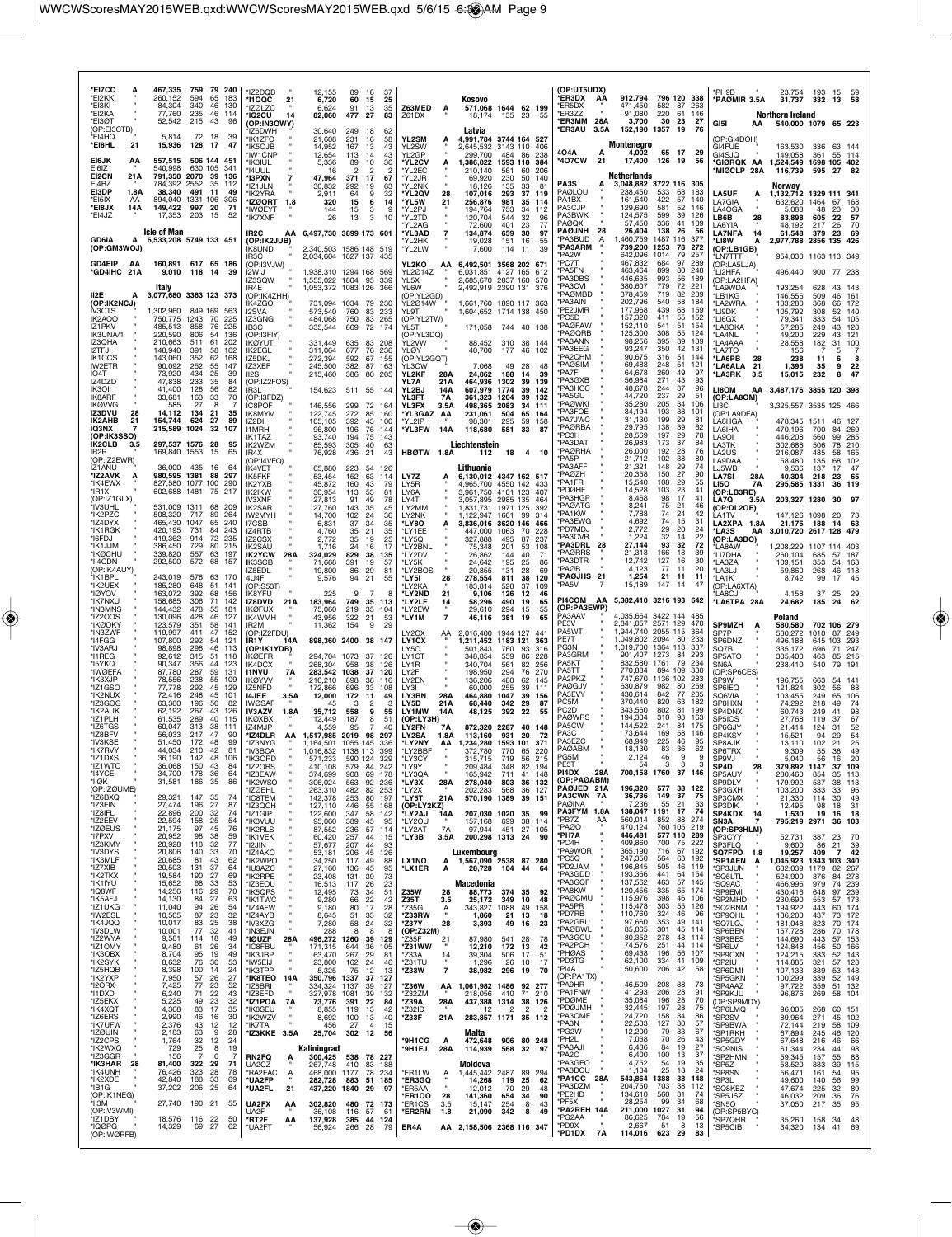| *EI7CC<br>*EI2KK<br>*EI3KI<br>*EI2KA<br>*FI3ØT         | 467,335<br>759<br>79 240<br>260,152<br>594<br>65<br>183<br>340<br>84,304<br>46<br>130<br>77,760<br>235<br>46<br>114<br>215<br>43<br>52,542<br>96 | *IZ2DQB<br>*I1QQC<br>21<br><b>'IZØLZC</b><br><b>'IQ2CU</b><br>14<br>(OP:IN3OWY) | 12,155<br>89<br>6,720<br>60<br>6,624<br>91<br>82,060<br>477           | 18<br>-37<br>15<br>25<br>13<br>35<br>27<br>83 | Z63MED<br>A<br>Z61DX                                 | Kosovo<br>571,068 1644 62 199<br>18.174<br>135 23<br>55                                       | (OP:UT5UDX)<br>*ER3DX<br>AA<br>*ER5DX<br>ER3ZZ<br>*ER3MM 28A | 912,794 796 120 338<br>471.450<br>582 87<br>263<br>91,080<br>220<br>61<br>146<br>3,700<br>30<br>23<br>27 | *PH9B<br>*PAØMIR 3.5A<br>GI5I<br>ΑА             | 23.754<br>31,737<br>Northern Ireland<br>540.000 1079 65 223 | 193 15<br>332<br>13                     | -59<br>58                  |
|--------------------------------------------------------|--------------------------------------------------------------------------------------------------------------------------------------------------|---------------------------------------------------------------------------------|-----------------------------------------------------------------------|-----------------------------------------------|------------------------------------------------------|-----------------------------------------------------------------------------------------------|--------------------------------------------------------------|----------------------------------------------------------------------------------------------------------|-------------------------------------------------|-------------------------------------------------------------|-----------------------------------------|----------------------------|
| (OP:EI3CTB)<br>*FI4HO<br>*EI8HL<br>21                  | 5.814<br>72<br>$\frac{18}{17}$<br>-39<br>15,936<br>128<br>47                                                                                     | 1Z6DWH<br>'IK1ZFO<br>'IK5OJB                                                    | 30,640<br>249<br>21,608<br>231<br>14,952<br>167                       | 18<br>62<br>16<br>58<br>-13<br>43             | YL2SM<br>А<br>YL2SW                                  | Latvia<br>4,991,784 3744 164 527<br>2,645,532 3143 110<br>-406                                | *ER3AU<br>3.5A                                               | 152,190 1357<br>76<br>- 19<br>Montenegro                                                                 | (OP:GI4DOH)<br>GI4FUE                           | 163,530                                                     | 336                                     | 63 144                     |
| EI6JK<br>ΑA<br>EI6IZ                                   | 557,515<br>506 144 451<br>540,998<br>630 105<br>341                                                                                              | <b>IW1CNP</b><br>чкзіш.<br>'14UUL                                               | 12,654<br>113<br>89<br>5.336<br>16                                    | 43<br>14<br>10<br>36<br>$\overline{2}$        | YL2GP<br>*YL2CV<br>*YL2EC                            | 299,700<br>484<br>86<br>238<br>,386,022<br>1593 118<br>384<br>210.140<br>561<br>60<br>206     | 404 A<br>*407CW<br>21                                        | 4,002<br>65 17<br>- 29<br>17,400<br>126 19<br>56                                                         | GI4SJQ<br>*GIØRQK AA<br>*MIØCLP 28A             | 149,058<br>1,524,549 1698 105 402<br>116,739                | 361<br>595<br>-27                       | 55 114                     |
| EI2CN<br>21 A<br>EI4BZ<br>EI3DP<br>1.8A                | 2070<br>791.350<br>-39<br>136<br>784,392<br>2552<br>35 112<br>38,340<br>491<br>-11<br>49                                                         | 'I3PXN<br>*IZ1JLN<br>'IK2YRA                                                    | 47.964<br>371<br>30,832<br>292<br>2,911<br>64                         | 17<br>67<br>19<br>63<br>9<br>32               | *YL2JR<br>*YL2NK<br>*YL2QV<br>28                     | 69.920<br>230<br>140<br>50<br>135<br>33<br>81<br>18.126<br>107,016<br>293<br>37<br>119        | PA3S<br>PAØLOU                                               | Netherlands<br>3,048,882 3722 116 305<br>238.450<br>533<br>68<br>183                                     | <b>LA5UF</b><br>А                               | Norway<br>1,132,712 1329 111 341                            |                                         |                            |
| *EI5IX<br>AA<br>*EI8JX<br>14A<br>*EI4JZ                | 894,040<br>1331<br>106<br>306<br>997 20<br>149.422<br>71<br>17,353<br>203<br>15<br>52                                                            | *IZØORT<br>1.8<br><b><i>*IWØFYT</i></b><br>*IK7XNF                              | 320<br>15<br>144<br>15<br>26<br>13                                    | 6<br>14<br>3<br>-9<br>3<br>10                 | *YL5W<br>21<br>"YL2PJ<br>*YL2TD                      | 256,876<br>981<br>35<br>114<br>194,764<br>753<br>34<br>112<br>120,704<br>544<br>32<br>96      | PA1BX<br>PA3CJP<br>PA3BWK                                    | 161,540<br>422<br>57<br>140<br>52<br>581<br>129.690<br>146<br>124,575<br>599<br>39<br>126                | LA7GIA<br>LA4OGA<br>LB6B<br>28                  | 632,620<br>5.088<br>83,898                                  | 1464<br>67<br>48<br>23<br>605<br>22     | 168<br>30<br>57            |
| <b>GD6IA</b><br>А                                      | <b>Isle of Man</b><br>6,533,208 5749 133 451                                                                                                     | IR2C<br>(OP:IK2JUB)                                                             | AA 6,497,730 3899 173 601                                             |                                               | *YL2AG<br>*YL3AD<br>7<br>'YL2HK                      | 72,600<br>401<br>23<br>77<br>30<br>134,874<br>659<br>97<br>19,028<br>151<br>16<br>55          | PAØQX<br><b>PAØJNH</b><br>28<br>PA3BUD<br>$\overline{A}$     | 336<br>41<br>57,450<br>109<br>26,404<br>138<br>26<br>56<br>1487 116<br>1,460,759<br>377                  | LA6YIA<br><b>LA7NFA</b><br>14<br>*LI8W<br>A     | 48.192<br>61,548<br>2,977,788 2856 135                      | 217<br>26<br>379 23                     | 70<br>69<br>426            |
| (OP:GM3WOJ)<br>GD4EIP<br>AA                            | 160,891 617 65 186                                                                                                                               | IK8UND<br>IR3C<br>(OP:I3VJW)                                                    | 2,340,503 1586 148 519<br>2.034.604 1827 137 435                      |                                               | *YL2LW<br>YL2KO<br>AA                                | 7,600<br>114<br>-11<br>39<br>6,492,501<br>3568 202 671                                        | *PA3ARM<br>PA <sub>2</sub> W<br>PC7T                         | 739,200<br>1253<br>78<br>272<br>642,096<br>1014<br>79<br>257<br>467,832<br>684<br>97<br>289              | (OP:LB1GB)<br><b>LN7TTT</b><br>(OP:LA5LJA)      | 954,030 1163 113 349                                        |                                         |                            |
| *GD4IHC 21A                                            | 9,010<br>118 14<br>-39<br>Italy                                                                                                                  | I2WIJ<br>IZ3SQW<br>IR4E                                                         | 1,938,310 1294 168 569<br>1,555,022 1804 95<br>1,053,372 1083 126 366 | -339                                          | YL2Ø14Z<br>YL5X<br>YL6W                              | 6,031,851 4127 165<br>612<br>2,685,670 2037 160 570<br>2,492,919 2390 131 376                 | PA5FN<br>PA3DBS<br>PA3CVI                                    | 463,464<br>899<br>80<br>248<br>446,635<br>993<br>56<br>189<br>380,607<br>779<br>72<br>221                | *LI2HFA<br>(OP:LA2HFA)<br>ʻLA9WDA               | 496,440<br>193,254                                          | 900 77 238<br>628<br>43                 | 143                        |
| II <sub>2</sub> E<br>А<br>(OP:IK2NCJ)<br><b>IV3CTS</b> | 3,077,680 3363 123 373<br>1,302,960<br>849 169<br>-563                                                                                           | (OP:IK4ZHH)<br>IK4ZGO<br><b>I2SVA</b>                                           | 731,094<br>1034<br>573,540<br>760                                     | 79<br>230<br>83 233                           | (OP:YL2GD)<br>YL2Ø14W<br>$\sim$<br><b>YI 9T</b>      | 1,661,760 1890 117 363<br>1,604,652 1714 138 450                                              | <b>PAØMBD</b><br>'PA3AIN<br>'PE2JMR                          | 378,459<br>719<br>82<br>-239<br>202,796<br>540<br>58<br>184<br>177,968<br>439<br>68<br>159               | *LB1KG<br>*LA2WRA<br>*LI9DK                     | 146,556<br>133,280<br>105,792                               | 509<br>46<br>368<br>66<br>308<br>52     | 161<br>172<br>140          |
| IK2AOO<br>IZ1PKV<br>IK3UNA/1                           | 1243<br>750,775<br>70<br>225<br>485,513<br>858<br>76<br>225<br>806<br>54<br>220,590<br>136                                                       | IZ3GNG<br>IB <sub>3</sub> C<br>(OP:I3FIY)                                       | 484,068<br>750<br>335,544                                             | 83 265<br>869 72 174                          | (OP:YL2TW)<br><b>YL5T</b><br>(OP:YL3DQ)              | 171,058 744 40 138                                                                            | 'PC5D<br><b>PAØFAW</b><br><b>PAØQRB</b>                      | 157,320<br>411<br>55<br>152<br>152,110<br>51<br>541<br>154<br>125,300<br>308<br>55<br>124                | *LI6GX<br>*LA8OKA<br>*LA4NL                     | 79,341<br>57,285<br>49,200                                  | 333<br>54<br>249<br>43<br>229<br>43     | 105<br>128<br>121          |
| IZ3QHA<br>I2TFJ<br><b>IK1CCS</b>                       | 210,663<br>511<br>61<br>202<br>148,940<br>391<br>58<br>162<br>143,060<br>352<br>62<br>168                                                        | ÍKØYUT<br>IK2EGL<br>IZ5DKJ                                                      | 331,449<br>635<br>311,064<br>677<br>272,394<br>592                    | 83<br>208<br>76<br>236<br>67<br>155           | YL2VW<br>YLØY<br>(OP:YL2GQT)                         | 88,452 310<br>38<br>-144<br>40,700<br>177<br>46<br>102                                        | PA3ANN<br>'PA3EEG<br>PA <sub>2</sub> CHM                     | 98,256<br>395<br>39<br>139<br>93,247<br>350<br>42<br>131<br>90,675<br>316<br>51 144                      | *LA4AAA<br>*LA7TO<br>*LA6PB<br>28               | 28,558<br>156<br>238                                        | 182<br>31<br>5<br>11<br>6               | 100<br>8                   |
| IW2ETR<br>IO4T<br>IZ4DZD                               | 252<br>90,092<br>55<br>147<br>73,920<br>434<br>25<br>39<br>47,838<br>233<br>35<br>84                                                             | IZ3XEF<br>II <sub>2</sub> S<br>(OP:IZ2FOS)                                      | 382<br>245,500<br>386<br>215,460                                      | 87<br>163<br>80<br>205                        | YL3CW<br>YL2KF<br>28A<br>YL7A<br>21A                 | 49<br>7.068<br>-28<br>48<br>24,062<br>188<br>14<br>39<br>464,936<br>1302<br>39<br>139         | <b>PAØSIM</b><br>'PA7F<br>'PA3GXB                            | 69,488<br>248<br>51<br>-121<br>260<br>64,678<br>49<br>97<br>56,984<br>271<br>93<br>43                    | *LA6ALA<br>21<br><b>LA3RK</b><br>3.5            | 1,395<br>15,015                                             | 9<br>35<br>8<br>232                     | 22<br>47                   |
| IK3OII<br>IK8ARF<br><b>IKØVVG</b>                      | 41,400<br>128<br>56<br>82<br>70<br>33,681<br>163<br>33<br>585<br>27<br>8<br>7                                                                    | IR3L<br>(OP:I3FDZ)<br><b>ÍC8POF</b>                                             | 154,623<br>146,556<br>299                                             | 511 55 144<br>72<br>164                       | YL2BJ<br>14A<br>YL3FT<br>7A<br>YL3FX<br>3.5A         | 607,979<br>1774<br>39<br>142<br>361,323<br>1204<br>39<br>132<br>498,365<br>2083<br>34<br>111  | <b>PA3HCC</b><br>'PA5GU<br>'PAØWKI                           | 48,678<br>244<br>37<br>96<br>237<br>44,720<br>29<br>-51<br>35,280<br>205<br>34<br>106                    | <b>LI8OM</b><br>AA<br>(OP:LA8OM)<br>LI3C        | 3,487,176 3855 120 398<br>3,325,557 3535 125 466            |                                         |                            |
| IZ3DVU<br>28<br>IK2AHB<br>21<br>IQ3NX                  | 14,112<br>134<br>21<br>35<br>624<br>27<br>154,744<br>89<br>215,589<br>1024<br>32<br>107                                                          | IK8MYM<br>IZ2DII<br><b>I1MRH</b>                                                | 122,745<br>272<br>105,105<br>392<br>96,800<br>196                     | 85<br>160<br>43<br>100<br>76 144              | *YL3GAZ AA<br>*YL2IP<br>*YL3FW<br>14A                | 231,061<br>504<br>65<br>164<br>295<br>158<br>98.301<br>59<br>118,680<br>581<br>33<br>87       | 'PA3FOE<br><b>PA7JWC</b><br>*PAØRBA                          | 38<br>34,194<br>193<br>101<br>31,130<br>199<br>29<br>81<br>29.795<br>138<br>39<br>62                     | (OP:LA9DFA)<br>LA8HGA<br>LA6IHA                 | 478,345 1511<br>470,196                                     | 46<br>700<br>84                         | 269                        |
| (OP:IK3SSO)<br>IK2CLB<br>-3.5<br>IR <sub>2</sub> R     | 297,537 1576 28<br>95<br>169,840 1553<br>15<br>65                                                                                                | IK1TAZ<br>IK2W7M<br>IR4X                                                        | 93,740<br>194<br>85,593<br>305<br>76,928<br>436                       | 75<br>143<br>40<br>63<br>21<br>43             | HBØTW 1.8A                                           | Liechtenstein<br>112<br>18<br>4 10                                                            | 'PC3H<br><b>PA3DAT</b><br>*PAØRHA                            | 28,569<br>197<br>29<br>78<br>173<br>37<br>26,983<br>84<br>26,000<br>192<br>76<br>28                      | LA9OI<br>LA3TK<br>LA2US                         | 446,208<br>302.688<br>216,087                               | 560<br>99<br>78<br>506<br>485<br>58     | 285<br>210<br>165          |
| (OP:IZ2EWR)<br>IZ1ANU<br>*IZ2AVK                       | 435<br>36.000<br>16<br>64<br>980,595 1381<br>88<br>297                                                                                           | (OP:I4VEQ)<br>IK4VET<br>IK5FKF                                                  | 65,880<br>223<br>53,454<br>152                                        | 54<br>126<br>63<br>114                        | LY7Z<br>А                                            | Lithuania<br>6.130.012 4347 162 517                                                           | PA <sub>5</sub> P<br>'PA3AFF<br>*PAØ7H                       | 102<br>21,712<br>38<br>80<br>21,321<br>148<br>29<br>74<br>27<br>20,358<br>150<br>90                      | LA9DAA<br>LJ5WB<br><b>LA7SI</b><br>28A          | 58,480<br>9,536<br>40,304                                   | 135<br>68<br>137<br>17<br>218<br>23     | 102<br>47<br>65            |
| *IK4EWX<br>*IR1X<br>(OP:IZ1GLX)                        | 827,580 1077 100<br>290<br>602,688 1481<br>75<br>217                                                                                             | IK2YXB<br>IK2IKW<br>IV3XNF                                                      | 160<br>45,872<br>30,954<br>113<br>27,813<br>91                        | 43<br>79<br>53<br>81<br>49<br>78              | LY5R<br>LY6A<br>LY4T                                 | 4,965,700 4550 142 433<br>3,961,750 4101 123<br>407<br>3,057,895 2985 135<br>464              | 'PA1FR<br><b>PDØHF</b><br>'PA3HGP                            | 15,540<br>108<br>29<br>55<br>14,528<br>103<br>23<br>41<br>8,468<br>98<br>17<br>41                        | <b>LI50</b><br>7A<br>(OP:LB3RE)<br>LA7Q<br>3.5A | 295,585 1331<br>203,327 1280                                | 36                                      | 119<br>30 97               |
| *IV3UHL<br>*IK2PZC<br>*IZ4DYX                          | 531,009<br>1311<br>68<br>209<br>717<br>508,320<br>89<br>264<br>465,430 1047<br>65<br>240                                                         | IK2SAR<br>IW2MYH<br>I7CSB                                                       | 27,760<br>143<br>102<br>14.700<br>6,831<br>37                         | 35<br>45<br>24<br>36<br>34<br>35              | LY2MM<br>LY2NK<br>*LY80                              | 1,831,731<br>1971 125<br>392<br>1.122.947<br>1661<br>99<br>314<br>3,836,016 3620 146<br>466   | <b>PAØATG</b><br>'PA1KW<br>'PA3EWG                           | 8,241<br>75<br>21<br>46<br>7,788<br>74<br>24<br>42<br>4,692<br>74<br>15<br>31                            | (OP:DL2OE)<br>LA1TV<br>LA2XPA 1.8A              | 147,126 1098<br>21,175 188                                  | 20<br>14                                | 63                         |
| *IK1RGK<br>*I6FDJ<br>*IK1JJM                           | 420,195<br>731<br>84<br>243<br>914<br>72<br>419,362<br>-235<br>386,450<br>729<br>80<br>215                                                       | IZ4RTB<br>IZ2CSX<br><b>IK2SAU</b>                                               | 4,760<br>35<br>2,772<br>35<br>1.716<br>24                             | 21<br>35<br>19<br>25<br>16<br>17              | *LY1FF<br>*LY5Q<br>*LY2BNL                           | 447,000<br>1063<br>-70<br>228<br>327,888<br>495<br>87<br>237<br>201<br>75,348<br>53<br>108    | 'PD7MDJ<br>'PA3CVR<br>*PA3DRL 28                             | 2,772<br>29<br>20<br>24<br>1,224<br>32<br>14<br>22<br>93 32<br>27,144<br>-72                             | *LA3S<br>AA<br>(OP:LA3BO)<br>'I A8AW            | 3,010,720 2617 128 479<br>1.208.229                         | 1107 114 403                            |                            |
| *IKØCHU<br>*II4CDN<br>(OP:IK4AUY)                      | 339,820<br>557<br>63 197<br>292,500<br>572<br>68 157                                                                                             | <b>IK2YCW</b><br>28A<br><b>IK3SCB</b><br>IZ8EDL                                 | 324,029<br>829<br>391<br>71.668<br>19,800<br>86                       | 38<br>135<br>19<br>57<br>29<br>81             | *LY2DV<br>*I Y5K<br>*LY2BOS                          | 26,862<br>144<br>40<br>71<br>195<br>24,642<br>25<br>86<br>20,855<br>131<br>28<br>69           | <b>PAØRRS</b><br><b>PA3DTR</b><br>*PAØB                      | 21,318<br>166<br>18<br>39<br>12.742<br>127<br>16<br>30<br>4,123<br>77<br>20<br>11                        | *LI7DHA<br>*LA3ZA<br>*LA3LJ                     | 260,104<br>109.151<br>59,860                                | 685<br>57<br>353<br>268<br>46           | 187<br>54 163<br>118       |
| *IK1BPL<br>*IK2UEX<br>*IØYQV                           | 243,019<br>578<br>63<br>170<br>185,280<br>648<br>51<br>141<br>163,072<br>392<br>68<br>156                                                        | 41J4F<br>(OP:S53T)<br>IK8YFU                                                    | 9,576<br>94<br>225                                                    | 21<br>55<br>9<br>7<br>8                       | *LY5I<br>28<br>'LY2KA<br>*LY2ND<br>21                | 278,554<br>811<br>38<br>120<br>183,814<br>528<br>37<br>109<br>9,106<br>126<br>12<br>46        | *PAØJHS 21<br>'PA5V                                          | 1,254<br>21 11<br>11<br>15,189<br>147<br>-14<br>47                                                       | *I.A1K<br>(OP:LA6XTA)<br>'LA8CJ                 | 8,742<br>4,158                                              | 99<br>17<br>37<br>25                    | 45<br>29                   |
| *IK7NXU<br>*IN3MNS<br>*IZ200S                          | 158,685<br>306<br>71<br>142<br>144,432<br>55<br>181<br>478<br>130,096<br>428<br>46<br>127                                                        | <b>IZ8DVD</b><br>21A<br>IKØFUX<br>IK4WMH                                        | 183,964<br>749<br>75,060<br>219<br>43,956<br>322                      | 35 113<br>35<br>104<br>21<br>53               | *LY2LF<br>14<br>*LY2EW<br>*LY1M<br>7                 | 58,296<br>490<br>19<br>65<br>29,610<br>294<br>15<br>55<br>46,116<br>381<br>19<br>65           | <b>PI4COM</b><br>AA<br>(OP:PA3EWP)<br>PA3AAV                 | 5,382,410 3216 193 642<br>4,035,664<br>3422 144                                                          | *LA6TPA 28A                                     | 24,682<br>Poland                                            | 185<br>24                               | 62                         |
| *IKØOKY<br>*IN3ZWF<br>*I4FGG                           | 123,579<br>351<br>58<br>141<br>119,997<br>411<br>47<br>152<br>107,800<br>292<br>-54<br>121                                                       | IR2M<br>(OP:IZ2FDU)<br>IR1Y<br>14A                                              | 11,362<br>154<br>898,360 2400 38 147                                  | 9<br>29                                       | LY2CX<br>AA<br>LY1CX                                 | 2,016,400 1944 127 441<br>1,211,452<br>1183 121<br>363                                        | PF3V<br>PA5WT<br>PE7T                                        | 2,841,057 2571 129<br>470<br>1,944,740 2055 115<br>364<br>1,049,802 2094 80<br>233                       | <b>SP9MZH</b><br>SP7P<br>SP6DNZ                 | 580,580<br>580,272<br>496,188                               | 702 106 279<br>1010<br>87<br>645<br>103 | 249<br>293                 |
| *IV3ARJ<br>*I1REG<br>*15YKQ                            | 98,898<br>298<br>46<br>113<br>92,612<br>315<br>51<br>118<br>90,347<br>356<br>44<br>123                                                           | (OP:IK1YDB)<br><b>IKØEFR</b><br>IK4DCX                                          | 294,704<br>1073<br>268,304<br>958                                     | 37<br>126<br>38<br>126                        | LY50<br>LY <sub>1</sub> CT<br>LY1R                   | 501.843<br>760<br>93<br>316<br>348,854<br>228<br>559<br>86<br>340,704<br>82<br>256<br>561     | PG3N<br>PA3GRM<br>PA5KT                                      | 1,019,700 1364 113<br>337<br>901,407 1273<br>84<br>293<br>832,580<br>1761<br>79<br>234                   | SO <sub>7</sub> B<br>SP5ATO<br>SN6A             | 335,172<br>305,400<br>238,410                               | 696<br>71<br>463<br>85<br>540<br>79     | 247<br>215<br>$19 -$       |
| *IWØEFA<br>*IK3XJP<br>*IZ1GSO                          | 87,780<br>287<br>59<br>131<br>78,556<br>238<br>55<br>109<br>77.778<br>292<br>45<br>129                                                           | <b>I1NVU</b><br><b>7A</b><br><b>IKØYVV</b><br>IZ5NFD                            | 283,542<br>1038<br>210,210<br>898<br>172,866<br>696                   | 37<br>120<br>38<br>116<br>33<br>108           | LY2F<br>LY2FN<br>LY3I                                | 198,950<br>294<br>76<br>270<br>136,206<br>480<br>62<br>- 145<br>60,000<br>255<br>39<br>111    | PA5TT<br>PA2PKZ<br><b>PAØGJV</b>                             | 770,884<br>894 109<br>330<br>1136 102<br>747,670<br>283<br>630,879<br>982<br>259<br>80                   | (OP:SP6CES)<br>SP9W<br>SP6IEQ                   | 196,755<br>121,824                                          | 663<br>302<br>56                        | 54 141<br>88               |
| *IK2NUX<br>*IZ3GOG<br>*IK2AUK                          | 72,416<br>248<br>45<br>101<br>63,360<br>196<br>50<br>82<br>62,192<br>267<br>43<br>126                                                            | <b>I4JEE</b><br>3.5A<br><b>IWØSAF</b><br>IV3AZV<br>1.8A                         | 12,000<br>172<br>45<br>35,712<br>558                                  | 11<br>49<br>2<br>9<br>55                      | LY3BN<br>28A<br>LY5D<br>21A<br>LY1MW<br>14A          | 464,880 1047<br>39 156<br>68,440<br>342<br>29<br>87<br>48,125<br>392<br>22<br>55              | <b>PA3EVY</b><br>PC5M<br>PC <sub>2</sub> D                   | 842<br>77<br>430,614<br>205<br>370,440<br>820<br>63<br>182<br>343,560<br>802<br>81<br>199                | <b>SO6VIA</b><br>SP8HXN<br>SP4DNX               | 103,455<br>74,292<br>60,743                                 | 249<br>65<br>218<br>49<br>249<br>41     | 106<br>74<br>98            |
| *IZ1PLH<br>*IZ6TGS<br>*IZ8BFV                          | 61,535<br>289<br>40<br>115<br>60,047<br>38<br>313<br>111<br>56,033<br>217<br>47<br>90                                                            | IKØXBX<br>IZ4MJP<br>*IZ4DLR<br>AA                                               | 187<br>12,449<br>4,559<br>95<br>1,517,985 2019 98 297                 | 8<br>-51<br>$\overline{7}$<br>40              | (OP:LY3H)<br>LY2FN<br>7Α<br><b>LY2SA</b><br>1.8A     | 872,320 2287<br>40 148<br>113,160<br>931<br>- 20<br>-72                                       | <b>PAØWRS</b><br>PA5CW<br>PA3C                               | 194,304<br>310<br>93<br>163<br>144,522<br>241<br>84<br>175<br>73,644<br>169<br>58<br>146                 | SP5ICS<br>SP6GJY<br>SP4KSY                      | 27,768<br>21,414<br>15,521                                  | 119<br>-37<br>124<br>31<br>94<br>29     | 67<br>52<br>54             |
| *IV3KSE<br>*IK7RVY<br>*IZ1DXS                          | 51,450<br>172<br>48<br>99<br>44,034<br>210<br>42<br>81<br>36,190<br>142<br>48<br>106                                                             | *IZ3NYG<br>*IV3BCA<br>'IK3ORD                                                   | 1,164,501<br>1,016,832 1138 113<br>571.233<br>590                     | 1055 145<br>336<br>399<br>124<br>329          | *LY2NY<br>*LY2BBF<br>'I Y3CY                         | AA 1,234,280<br>1593 101<br>371<br>372,780<br>770<br>65<br>220<br>315,715<br>719<br>56<br>215 | PA3FZC<br>PAØABM<br>PG5M                                     | 68,949<br>225<br>46<br>95<br>18,130<br>83<br>36<br>62<br>2,124<br>46<br>У<br>м                           | SP8AJK<br>SP6TRX<br>SP9VJ                       | 13,110<br>9,309<br>5.040                                    | 102<br>21<br>55<br>38                   | 25<br>49<br>20             |
| *IZ1WTO<br>*I4YCE<br>*IIØK                             | 36,068<br>150<br>43<br>84<br>178<br>36<br>64<br>34,700<br>31,581<br>186<br>35<br>86                                                              | *IZ2OBS<br>*IZ3EAW<br>*IK2WSO                                                   | 410,108<br>579<br>374,699<br>908<br>306,024<br>563                    | 242<br>84<br>69<br>178<br>92<br>236           | *LY9Y<br>*LY3QA<br>*LY3X<br>28A                      | 348<br>82<br>209.484<br>194<br>165,942<br>711<br>41<br>148<br>36 132<br>278,040<br>803        | PE5T<br>PI4DX<br>28A<br>(OP:PAØABM)                          | 3<br>54<br>3<br>3<br>700,158 1760 37 146                                                                 | SP4D<br>28<br>SP5AUY<br>SP9DLY                  | 379,892 1147<br>280,460<br>179,992                          | 35<br>854<br>537<br>38                  | 37 109<br>113<br>113       |
| (OP:IZØUME)<br>*IZ6BXQ<br>*IZ3EIN                      | 29,321<br>147<br>35<br>74<br>27,474<br>27<br>87<br>196                                                                                           | *IZØEHL<br><b>*IC8TEM</b><br>*IZ3QCH                                            | 263,310<br>482<br>142,378<br>253<br>127,110<br>446                    | 82<br>253<br>80 197<br>55<br>168              | *LY2X<br>*LY5T<br>21A<br>(OP:LY2KZ)                  | 202,283<br>568<br>36<br>127<br>570,190 1389<br>39 151                                         | PAØJED 21A<br>PA3CWN 7A<br><b>PAØINA</b>                     | 196,320<br>577<br>38<br>122<br>36,736<br>149<br>37<br>75<br>7,236<br>33<br>55<br>21                      | SP3GXH<br>SP3CMX<br>SP3DIK                      | 103,200<br>21,330<br>12,495                                 | 333<br>33<br>114<br>30<br>98<br>18      | 96<br>49<br>31             |
| *IZ8IFL<br>*IZ2EEV<br>*IZØEUS                          | 22,896<br>200<br>32<br>74<br>22,594<br>25<br>54<br>158<br>21,175<br>97<br>45<br>76                                                               | *IZ1GIP<br>*IK3VUU<br>'IK2RLS                                                   | 122,600<br>347<br>95,060<br>389<br>87,552<br>236                      | 58<br>142<br>45<br>95<br>57<br>114            | *LY2AJ<br>14A<br>*LY2OU<br>*LY2AT<br>7A              | 207,030 1020<br>-35<br>99<br>157,168<br>699<br>38<br>114<br>97,944<br>451<br>27<br>105        | PA3FYM 1.8A<br>*PB7Z<br>AA<br>*PAØO                          | 138,047 1191 17<br>74<br>560,014<br>852<br>88<br>274<br>760 105 219<br>470.124                           | SP4KDX<br>14<br>SN3A<br>(OP:SP3HLM)             | 1,530<br>795,219 2971                                       | 19<br>16<br>36                          | 18<br>103                  |
| *I7PXV<br>*IZ3KMY<br>*IV3DYS                           | 38<br>20,952<br>98<br>59<br>20,928<br>118<br>32<br>77<br>33<br>20,806<br>140<br>70                                                               | *IK1VEK<br>*12JIN<br>*IZ4AKO                                                    | 257<br>60,420<br>57,677<br>207<br>53,181<br>206                       | 44<br>115<br>44<br>93<br>45 126               | *LY3B<br>3.5A                                        | 200,298 1313<br>24<br>90<br>Luxembourg                                                        | *PH7A<br>*PC4H<br>*PA9WOR                                    | 446,481<br>577 110 289<br>409,860<br>700<br>75<br>-222<br>365,190<br>716<br>67<br>192                    | SP3CYY<br><b>SP3FLQ</b><br><b>SQ7FPD</b><br>1.8 | 52,731<br>9,600<br>19,257                                   | 387<br>23<br>86<br>21<br>409<br>7       | 70<br>39<br>42             |
| *IK3MLF<br>*IZ7XIB<br>*IK2TKX                          | 20,685<br>81<br>43<br>62<br>20,503<br>37<br>131<br>64<br>19,584<br>190<br>-27<br>69                                                              | 'IK2WPO<br>*IU3AZC<br>'IK2RPE                                                   | 34,250<br>117<br>27,160<br>136<br>23,408<br>131                       | 49<br>88<br>45<br>95<br>39<br>73              | LX1NO<br>A<br>*LX1ER<br>А                            | 1,567,090 2538 87 280<br>28,728<br>104<br>44<br>64                                            | *PC5O<br>*PD2JAM<br>*PA3GDD                                  | 247,350<br>564<br>63 192<br>196,845<br>505<br>46 119<br>193,366<br>441<br>64<br>154                      | <b>SP1AEN</b><br>А<br>*SP3JUN<br><b>SQ5LTL</b>  | 1,045,923<br>632,039 1179<br>524,900                        | 1343 103<br>82<br>876<br>84             | 340<br>267<br>278          |
| *IK1IYU<br>*IQ8WF<br>*IK5AFJ                           | 15,652<br>68<br>33<br>53<br>29<br>70<br>14,256<br>116<br>27<br>14,130<br>84<br>63                                                                | *IZ3EOU<br>*IK5QPS<br>*IK1TWC                                                   | 16,513<br>117<br>12,495<br>73<br>9,280<br>66                          | 23<br>26<br>34<br>51<br>22<br>42              | <b>Z35W</b><br>28<br>Z35T<br>3.5                     | Macedonia<br>88,773<br>374<br>35<br>92<br>25,172<br>349<br>10<br>48                           | *PA3GQF<br>*PA8KW<br>*PAØCMU                                 | 137,562<br>463<br>57<br>145<br>120,456<br>335<br>65 174<br>115,976<br>398<br>46 106                      | *SQ9AC<br>*SP9EMI<br>*SP2MHD                    | 466,996<br>430,416<br>230,690                               | 979<br>74<br>648<br>97<br>553           | 239<br>239<br>57 173       |
| *IZ1UKG<br>*IW2ESL<br>*IK4JQQ                          | 11,040<br>94<br>26<br>54<br>10,505<br>87<br>23<br>32<br>25<br>10,017<br>83<br>38                                                                 | *IZ4AFW<br>*IZ4AYB<br>*IV3XZG                                                   | 9,180<br>80<br>8,645<br>51<br>7,280<br>58                             | 17<br>28<br>33<br>32<br>24<br>32              | *Z35G<br>Α<br>*Z33RW<br>*Z37Y<br>28                  | 343,827<br>1088<br>158<br>49<br>1,860<br>18<br>21<br>13<br>3,393<br>49<br>16<br>23            | *PA5PR<br>*PD7RB<br>*PA2GRU                                  | 115,478<br>303<br>55 126<br>110,760<br>324<br>46<br>96<br>97,660<br>353<br>49<br>141                     | *SQ2BNM<br>'SP9OHL<br>*SQ7LQJ                   | 194,922<br>186,200<br>181,048                               | 443<br>437<br>323<br>70                 | 60 174<br>73 172<br>174    |
| *IV3DLW<br>*IZ2WYA<br>*IZ1OMY                          | 10,001<br>77<br>32<br>41<br>18<br>49<br>9,581<br>114<br>9,480<br>61<br>26<br>34                                                                  | *IN3EJN<br>*IØUZF<br>28A<br>*IC8FBU                                             | 288<br>496,272 1260<br>171,315<br>644                                 | 8<br>8<br>8<br>39<br>129<br>36<br>105         | (OP:Z32M)<br>Z35F<br>21<br>*Z31WW                    | 87,980<br>541<br>28<br>78<br>12,210<br>172<br>13<br>42                                        | <b>PAØBWL</b><br>*PA3GCU<br>*PA2PCH                          | 301<br>45 114<br>85,065<br>80,352<br>278<br>48<br>114<br>74,576<br>251<br>44 114                         | *SP6BEN<br>*SP3BES<br>'SP6LV                    | 157,728<br>144,690<br>124,848                               | 286<br>443<br>57<br>456<br>50           | 70 178<br>153<br>166       |
| *IK3OBX<br>*IK2SYK<br>*IZ5HQB                          | 19<br>8,704<br>95<br>49<br>8,632<br>76<br>30<br>53<br>8,398<br>100<br>24<br>-14                                                                  | *IK3JBP<br>*IW5EIJ<br>*ІКЗТРР                                                   | 267<br>63,470<br>23,800<br>162<br>5,325<br>75                         | 29<br>81<br>24<br>46<br>12<br>-13             | *Z33A<br>14<br>*Z31TU<br>$\overline{7}$<br>*Z33W     | 39,304<br>506<br>-17<br>51<br>1,296<br>26<br>10<br>17<br>38,982<br>296 19<br>70               | *PHØAS<br>*PD3TG<br>*PI4A                                    | 69,438<br>196<br>56 107<br>334 41 109<br>62,100<br>50,600<br>206<br>42<br>58                             | *SP9CXN<br>*SP2IU<br>*SP6DMI                    | 124,215<br>114,885<br>107,133                               | 383<br>321<br>339                       | 52 143<br>57 128<br>53 148 |
| *IK2YXP<br>*I2ORX<br>*I1DXD                            | 7,950<br>57<br>26<br>27<br>7,425<br>77<br>23<br>52<br>43<br>6,240<br>71<br>22                                                                    | *IK8TEO<br>14A<br>*IZ8BRI<br>*IZ8EFD                                            | 350,796<br>1337<br>334,324<br>1137<br>327,978 1081                    | 37<br>127<br>39<br>127<br>39<br>132           | *Z36W<br>AA<br>'Z32ZM                                | ,061,982 1486<br>92 277<br>218,056<br>410<br>71<br>210                                        | (OP:PA1TX)<br>'PA9HR<br>*PA1FNW                              | 46,509<br>208<br>-38<br>73<br>41,293<br>206<br>28<br>91                                                  | 'SP5GKN<br>*SP4AAZ<br><b>SP9KJU</b>             | 100,299<br>97,722<br>96,876                                 | 339<br>359<br>269                       | 52 149<br>51 132<br>58 104 |
| *IZ5EKX<br>*IK4XQT<br>*IZ6ERS                          | 32<br>5,225<br>49<br>23<br>17<br>35<br>4,368<br>83<br>30<br>2,990<br>46<br>16                                                                    | *IZ1POA<br>7A<br>*IK8SEU<br>*IK2WZV                                             | 73.776<br>391<br>8,855<br>119<br>8,692<br>100                         | 22<br>84<br>13<br>42<br>13<br>40              | *Z39A<br>28A<br>Z32ID<br>*Z33F<br>21A                | 437,388 1314<br>38 126<br>12<br>283,857 1171 35 112                                           | *PDØME<br>*PDØJMH<br>*PA3CMF                                 | 28<br>70<br>35,084<br>196<br>32,445<br>197<br>28<br>75<br>24,720<br>158<br>34<br>86                      | (OP:SP9MDY)<br>*SP6LMQ<br>*SP2SV                | 96,005<br>89,964                                            | 268<br>60<br>271                        | 151<br>45 102              |
| *IK7UFW<br>*IZØUIN<br>*IZ2CPS                          | 2,376<br>43<br>12<br>12<br>9<br>2,183<br>63<br>28<br>32<br>1,764<br>12<br>-24                                                                    | *IK7TAI<br>*IZ3KKE 3.5A                                                         | 456<br>27<br>25,704                                                   | $\overline{4}$<br>15<br>302 12<br>56          | *9H1CG<br>A                                          | Malta<br>472,648 906 80 248                                                                   | *PA3N<br>*PG2W<br>*PH2L                                      | 22,533<br>127<br>30<br>57<br>12,200<br>79<br>33<br>67<br>7,038<br>70<br>26<br>43                         | *SP9BWA<br>*SP1RKH<br>*SP5GDY                   | 72,144<br>67,894<br>67,648                                  | 58<br>219<br>245<br>46<br>46<br>216     | 109<br>120<br>66           |
| *IK2WXQ<br>*IZ3GGR<br>*IK3HAR<br>28                    | 729<br>25<br>8<br>19<br>156<br>6<br>7<br>81,400<br>322<br>29<br>71                                                                               | <b>RN2FQ</b><br>Ą.<br>UA <sub>2</sub> CZ                                        | Kaliningrad<br>300,425<br>267,748<br>410                              | 538 78 227<br>83<br>188                       | *9H1EJ<br>28A                                        | 114,939<br>568 32<br>97<br>Moldova                                                            | 'PA3AJI<br>*PA2C<br>*PA3GEO                                  | 27<br>6,486<br>84<br>19<br>6,400<br>100<br>13<br>37<br>54<br>4,752<br>19<br>35                           | *SQ9NIS<br>'SP2HMN<br>'SP5Z                     | 61,344<br>59,345<br>58,520                                  | 234<br>44<br>157<br>55<br>333<br>39     | 98<br>88<br>115            |
| *IK4UNH<br>*IK2XDE<br>*IB1G                            | 76,426<br>323<br>28<br>78<br>42,840<br>188<br>33<br>69<br>206 25<br>37,202<br>64                                                                 | *RA2FAC<br>A<br>*UA2FP<br>*UA2FL<br>21                                          | 1177<br>468,000<br>282,728<br>883<br>437,220 1840 29                  | 78<br>234<br>51 185<br>97                     | *ER1LW<br>Α<br>*ER3GQ<br>*ER5AA                      | 1,445,442 2487 89 294<br>14,268<br>119<br>25<br>62<br>12,012<br>70<br>-29<br>48               | *PA3DCU<br>*PA1CC 28A<br>*PA3DZM                             | 1,134<br>25<br>18<br>-24<br>543,864<br>1388 38<br>148<br>204,750<br>703<br>38<br>112                     | *SP8SN<br>*SP3L<br>'SQ8KEZ                      | 56,471<br>49,600<br>47,674                                  | 161<br>54<br>140<br>56<br>225<br>32     | 95<br>99<br>89             |
| (OP:IK1NEG)<br>*ll3M<br>(OP:IV3WMI)                    | 27,740<br>190 21<br>55                                                                                                                           | UA2FX<br>AA<br>UA2F                                                             | 302,820<br>36,108<br>116                                              | 480 72 173<br>57<br>61                        | <b>ER100</b><br>28<br>*ER1CS<br>3.5<br>*ER2RM<br>1.8 | 141,360<br>654<br>34<br>90<br>15,147<br>254<br>8<br>43<br>21,090<br>342<br>8<br>49            | *PE2HD<br>*PF5X<br>*PA2REH 14A                               | 134,610<br>560<br>31<br>-74<br>28,254<br>99<br>34<br>68<br>211,000<br>1027<br>31<br>94                   | 'SP5JSZ<br>*SN5O<br>(OP:SP5BYC)                 | 46,032<br>37,050                                            | 209<br>36<br>217<br>35                  | 76<br>95                   |
| *IZ1DBY<br>*IQØPG<br>(OP:IWØRFB)                       | 18,576 116 22<br>50<br>27<br>14,329<br>69<br>62                                                                                                  | *RT2F<br>AA<br>*UA2FT                                                           | 137,928<br>385<br>266<br>56,924                                       | 44 124<br>28<br>79                            | ER4A                                                 | AA 2,158,506 2368 116 347                                                                     | *PG2AA<br>*PD9X<br>*PD1DX<br>7A                              | 86,625<br>784<br>19<br>56<br>2,667<br>51<br>8<br>13<br>83<br>114,016<br>623 29                           | 'SP7QHR<br>*SP5CIB                              | 35,260<br>34,320                                            | 158<br>-34<br>134<br>41                 | 48<br>69                   |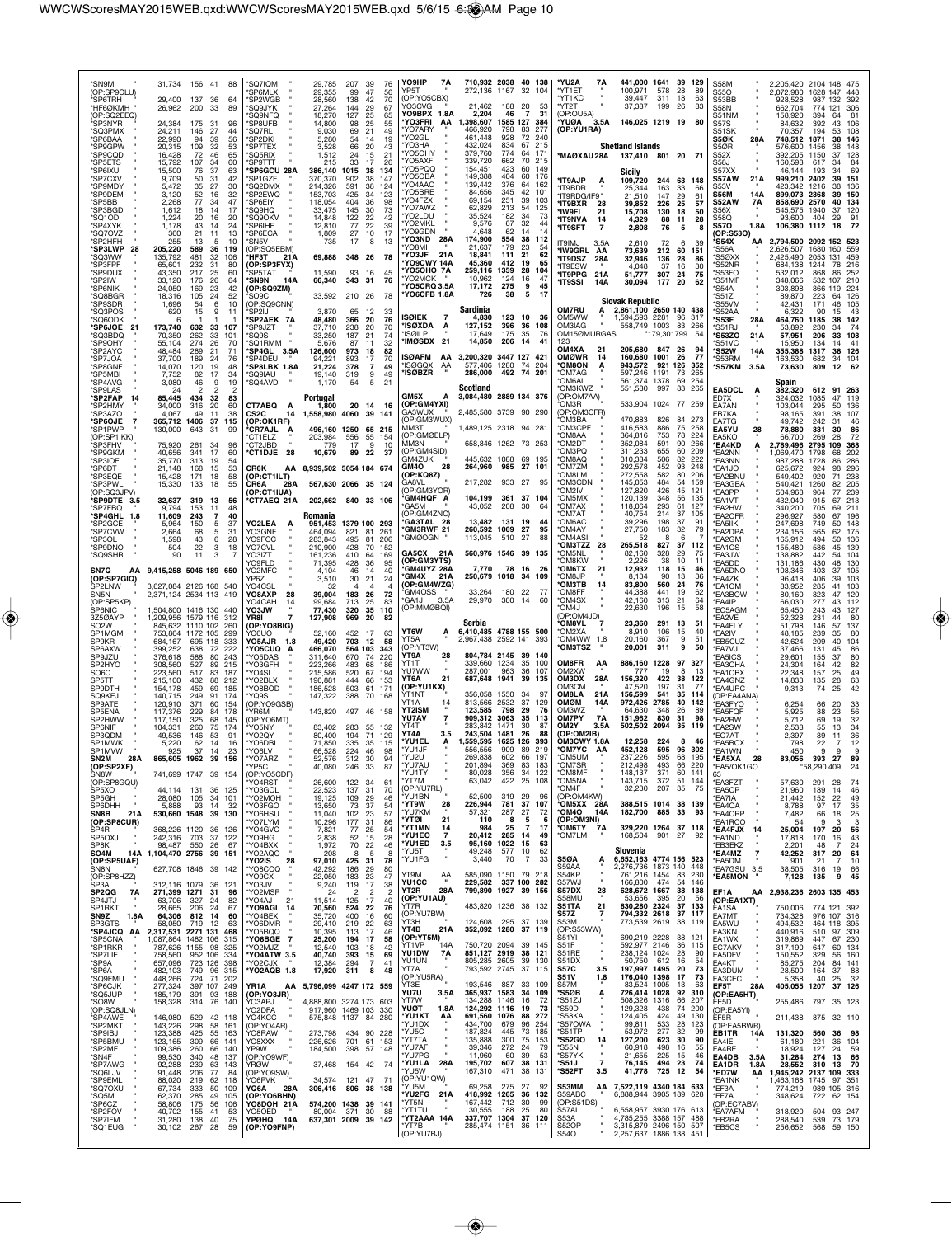| *SN9M<br>(OP:SP9CLU)                   | 31,734<br>156<br>41<br>88                                                             | 'SQ7IQM<br>SP6MLX                   | 29,785<br>207<br>39<br>76<br>29,355<br>47<br>99<br>56                                 | YO9HP<br>7A<br>YP5T                                 | 710,932 2038<br>272,136 1167                 | 40 138<br>104<br>-32            | *YU2A<br>7Α<br>*YT1ET                             | 441,000<br>100.971                               | 1641<br>39<br>578<br>-28          | 129<br>89   | S58M<br><b>S550</b>                              | 2,205,420<br>2,072,980           | 2104 148<br>1628 147       | 475<br>448                          |
|----------------------------------------|---------------------------------------------------------------------------------------|-------------------------------------|---------------------------------------------------------------------------------------|-----------------------------------------------------|----------------------------------------------|---------------------------------|---------------------------------------------------|--------------------------------------------------|-----------------------------------|-------------|--------------------------------------------------|----------------------------------|----------------------------|-------------------------------------|
| 'SP6TRH<br>*HF6ØKMH                    | 29,400<br>137<br>-36<br>64<br>26,962<br>200<br>33<br>89                               | 'SP2WGB<br>'SQ9JYK                  | 28,560<br>138<br>42<br>70<br>27,264<br>144<br>29<br>67                                | (OP:YO5CBX)<br>YO3CVG                               | 188<br>21.462                                | -20<br>53                       | YT1KC<br>'YT2T                                    | 39,447<br>37,387                                 | 311<br>18<br>199<br>-26           | 63<br>83    | S53BB<br>S58N                                    | 928,528<br>662,704               | 132<br>987<br>774<br>121   | 392<br>306                          |
| (OP:SQ2EEQ)<br>'SP3NYR                 | 24,384<br>175<br>31<br>96                                                             | <b>SQ9NFQ</b><br>SP8UFB             | 18,270<br>127<br>25<br>65<br>25<br>14,800<br>98<br>55                                 | YO9BPX 1.8A<br><b>YO3FRI</b><br>AA                  | 2,204<br>46<br>1,398,607<br>1585 127         | $\overline{7}$<br>31<br>384     | OP:OU5A)<br><b>YUØA</b><br>3.5A                   | 146.025 1219                                     | - 19                              | 80          | S51NM<br>S57S                                    | 158,920<br>84,632                | 394<br>64<br>392           | -81<br>43<br>106                    |
| *SQ3PMX<br>*SP6BAA                     | 24,211<br>146<br>27<br>22,990<br>94<br>39<br>56                                       | <b>SQ7RL</b><br>SP2DKI              | 9,030<br>69<br>21<br>49<br>5,280<br>54<br>19<br>14                                    | 'YO7ARY<br>'YO2GL                                   | 466,920<br>798<br>461.448<br>928             | 277<br>83<br>72<br>240          | (OP:YU1RA)                                        |                                                  |                                   |             | S51SK<br>S5ØK<br>28A                             | 70,357<br>748,512                | 194<br>1871                | 108<br>53<br>38<br>146              |
| 'SP9GPW<br>'SP9CQD                     | 20,315<br>109<br>-32<br>53<br>16,428<br>72<br>46<br>65                                | 'SP7TEX<br>'SQ5RIX                  | 3,528<br>66<br>20<br>43<br>1,512<br>24<br>15<br>21                                    | 'YO3HA<br>YO <sub>5</sub> OHY                       | 432,024<br>834<br>379,760<br>774             | 215<br>67<br>64<br>171          | *MAØXAU 28A                                       | <b>Shetland Islands</b>                          | 137.410 801 20 71                 |             | S5ØR<br>S52X                                     | 576,600<br>392,205               | 1456<br>1150               | 38<br>148<br>37<br>128              |
| *SP5ETS<br>*SP6IXU                     | 15,792<br>107<br>34<br>60<br>15,500<br>76<br>37<br>63                                 | 'SP9TTT<br><b>SP6GCU 28A</b>        | 215<br>33<br>17<br>26<br>386,140<br>1015<br>38<br>134                                 | 'YO5AXF<br>YO5PQQ                                   | 339,720<br>662<br>154.451<br>423             | 70<br>215<br>149<br>60          |                                                   |                                                  |                                   |             | S58J<br>S57XX                                    | 160,598<br>46,144                | 617<br>193                 | 84<br>34<br>69                      |
| 'SP7CXV                                | 9,709<br>50<br>-31<br>42                                                              | 'SP1GZF                             | 370,370<br>902<br>38<br>147                                                           | YO5OBA<br>YO4AAC                                    | 149,388<br>404<br>139,442<br>376             | 60<br>176<br>64<br>162          | *IT9AJP<br>А                                      | Sicily<br>109,720                                | 244 63 148                        |             | S57AW<br>21 A                                    | 999,210                          | 2402                       | 39<br>151                           |
| <b>'SP9MDY</b><br>*SP9DEM              | 5,472<br>35<br>27<br>30<br>3,120<br>52<br>16<br>32                                    | 'SQ2DMX<br>SP2FWO                   | 214,326<br>591<br>38<br>124<br>153,703<br>425<br>34<br>123                            | 'YO5BRE<br>YO4FZX                                   | 84,656<br>345<br>69,154<br>251               | 42<br>101<br>39<br>103          | 'IT9BDR<br>'IT9RDG/IF9"                           | 25,344<br>21.510                                 | 163<br>33<br>147<br>29            | 61          | S53V<br><b>S56M</b><br>14A                       | 423,342<br>899,073               | 1216<br>2368               | 136<br>38<br>39<br>150              |
| 'SP5BB<br>*SP3BGD                      | 2,268<br>77<br>47<br>34<br>1,612<br>18<br>17<br>14                                    | 'SP6EIY<br>'SQ9HQ                   | 118,054<br>404<br>36<br>98<br>145<br>33,475<br>30<br>73                               | 'YO7AWZ<br>'YO2LDU                                  | 62,829<br>213<br>35,524<br>182               | 54<br>125<br>34<br>73           | *IT9BXR<br>28<br>'IW9FI<br>21                     | 39.852<br>15,708                                 | 25<br>226<br>130<br>18            | 57<br>50    | <b>S52AW</b><br>7Α<br>S56X                       | 858,690<br>545.575               | 2570<br>1940<br>37         | 134<br>40<br>120                    |
| *SQ1OD<br><b>SP4XYK</b>                | 1,224<br>20<br>16<br>20<br>1,178<br>43<br>24<br>-14                                   | 'SQ9OKV<br>'SP6IHE                  | 14,848<br>122<br>22<br>42<br>12,810<br>77<br>22<br>39                                 | 'YO2MKL<br>YO9GDN                                   | 9,576<br>67<br>62                            | 32<br>44<br>14                  | *IT9NVA<br>14<br>*IT9SFT<br>$\overline{7}$        | 4,329<br>2,808                                   | 88<br>11<br>76<br>5               | 28          | S58Q<br><b>S570</b><br>1.8A                      | 93,600<br>106,380                | 404<br>1112<br>18          | 29<br>91<br>72                      |
| *SQ7OVZ<br>'SP2HFH                     | 21<br>13<br>360<br>11<br>255<br>13<br>10<br>5                                         | 'SP6ECA<br>'SN5V                    | 1,809<br>27<br>10<br>17<br>17<br>735<br>8<br>13                                       | 'YO3ND<br>28A<br>YO8MI                              | 4,648<br>174,900<br>554<br>179<br>21.637     | 14<br>38<br>112<br>23<br>54     | <b>LMI@TI</b><br>3.5A                             | 2,610                                            | 72<br>6                           | 39          | (OP:S53O)<br>*S54X<br>AA                         | 2.794.500                        | 2092 152 523               |                                     |
| *SP3LWP<br>28<br>'SQ3WW                | 205,220<br>589<br>-36<br>119<br>135,792<br>481<br>32<br>106                           | OP:SQ5EBM)<br>НЕЗТ<br>21A           | 348 26<br>69,888<br>78                                                                | <b>YO3JF</b><br>21A                                 | 18,841<br>111                                | 21<br>62                        | <b>'IW9GRL AA</b><br><b>IT9DSZ</b><br>28A         | 73,639<br>32,946                                 | 212<br>60<br>136<br>28            | 151<br>86   | 'S56A<br>'S5ØXX                                  | 2,626,507<br>2,425,490           | 1680<br>160<br>2053<br>131 | 559<br>459                          |
| *SP3FPF<br>'SP9DUX                     | 65,601<br>232<br>-31<br>80<br>43,350<br>217<br>25<br>60                               | (OP:SP3FYX)<br>'SP5TAT              | 11,590<br>93<br>16<br>45                                                              | 'YO9CWY 14A<br><b>YO5OHO 7A</b>                     | 45,360<br>412<br>259,116<br>1359             | 65<br>19<br>28<br>104           | 'IT9FSW<br>*IT9PPG<br>21A                         | 4.048<br>51,777                                  | 37<br>16<br>307<br>24             | 30<br>75    | 'S52NR<br>'S53FO                                 | 684,138<br>532,012               | 1244<br>868                | 78<br>216<br>86<br>252              |
| *SP2IW<br>*SP6NIK                      | 33,120<br>176<br>26<br>64<br>24,050<br>169<br>23<br>42                                | 'SN9N<br>14A<br>(OP:SQ9ZM)          | 66,340<br>343 31<br>76                                                                | 'YO2MCK<br>YO5CRQ 3.5A                              | 10,962<br>124<br>17,172<br>275               | 16<br>47<br>45<br>9             | 'IT9SSI<br>14A                                    | 30,094                                           | 177<br>20                         | 62          | *S51MF<br>'S54A                                  | 348,066<br>303,898               | 532<br>107<br>366<br>119   | 210<br>224                          |
| *SQ8BGR<br>*SP9SDR                     | 18,316<br>105<br>24<br>52<br>1,696<br>10<br>54<br>6                                   | 'SO9C<br>(OP:SQ9CNN)                | 33,592<br>210 26<br>78                                                                | 'YO6CFB 1.8A                                        | 726<br>38<br>Sardinia                        | 5<br>17                         | <b>OM7RU</b>                                      | <b>Slovak Republic</b>                           |                                   |             | *S51Z<br>S55VM                                   | 89,870<br>42,431                 | 223<br>64<br>171           | 126<br>46<br>105                    |
| *SQ3POS<br>'SQ6ODK                     | 620<br>15<br>9<br>11                                                                  | SP <sub>2</sub> LI<br>'SP2AEK 7A    | 3,870<br>65<br>-12<br>33<br>48,480<br>366<br>20<br>76                                 | ISØIEK<br>7                                         | 4,830<br>123                                 | 10<br>36                        | OM5WW                                             | 2,861,100 2650 140 438<br>1,594,593 2281         | 96                                | -317        | S52AA<br>*S53F<br>28A                            | 6.322<br>464,760                 | 90<br>1185                 | 43<br>142<br>38                     |
| *SP6JOE<br>21<br>*SQ3BDQ               | 173,740<br>632<br>33<br>107<br>70,350<br>262<br>33<br>101                             | 'SP9JZT<br>'SQ9S                    | 37,710<br>238<br>20<br>70<br>33,250<br>187<br>74<br>21                                | 'ISØXDA<br>'ISØILP                                  | 127,152<br>396<br>17,649<br>175              | 36<br>108<br>35<br>76           | OM3IAG<br>OM15ØMURGAS                             | 558,749 1003                                     | 83 266<br>179,301799              |             | *S51RJ<br>*S53ZO<br>21 A                         | 53.892<br>57,951                 | 230<br>34<br>206           | -74<br>33<br>108                    |
| <b>SP9OHY</b><br>*SP2AYC               | 55,104<br>274<br>26<br>70<br>48,484<br>289<br>21<br>71                                | 'SQ1RMM<br>'SP4GL 3.5A              | 32<br>5,676<br>87<br>11<br>126,600<br>973<br>18<br>82                                 | 'IMØSDX 21                                          | 14,850<br>206                                | -14<br>41                       | 123<br><b>OM4XA</b><br>21                         | 205,680                                          | 847<br>-26                        | 94          | 'S51VC<br>*S52W<br>14A                           | 15.950<br>355,388                | 134<br>1317                | 41<br>14<br>38<br>126               |
| 'SP7JOA<br>*SP8GNF                     | 37,700<br>189<br>76<br>24<br>14,070<br>120<br>19<br>48                                | 'SP4DEU<br>'SP8LBK 1.8A             | 94.221<br>893<br>70<br>17<br>21,224<br>378<br>$\overline{7}$<br>49                    | <b>ISØAFM</b><br>AA<br>'ISØGQX<br>AA                | 3.200.320 3447 127<br>577,406 1280           | 421<br>74<br>204                | <b>OMØWR</b><br>14<br><b>OM8ON</b><br>A           | 160,680 1001<br>943,572                          | -26<br>921<br>126                 | 77<br>352   | 'S53RM<br>*S57KM<br>3.5A                         | 163,530<br>73,630                | 682<br>-34<br>809          | 104<br>12<br>62                     |
| 'SP5MBI<br>*SP4AVG                     | 7,752<br>82<br>17<br>34<br>3,080<br>46<br>9<br>19                                     | SQ9IAU<br><i><b>SQ4AVD</b></i>      | 19,140<br>319<br>9<br>49<br>1,170<br>54<br>5<br>21                                    | <b>ISØBZR</b>                                       | 286,000<br>492 74                            | 201                             | 'OM7AG<br>'OM6AL                                  | 597,246<br>561,374                               | 1191<br>-73<br>1378<br>69         | 265<br>254  |                                                  | Spain                            |                            |                                     |
| <b>SP9LAS</b><br>*SP2FAP               | 24<br>$\mathcal{P}$<br>2<br>2<br>85,445<br>434<br>32<br>83                            |                                     | Portugal                                                                              | GM5X                                                | Scotland<br>3,084,480 2889 134 376           |                                 | OM3KWZ<br>(OP:OM7AA)                              | 551,580                                          | 997<br>83                         | 265         | EA5DCL<br>А<br>ED7X                              | 382,320<br>324,032               | 612<br>1085                | 91 263<br>47<br>119                 |
| *SP2HMY<br>'SP3AZO                     | 34,000<br>316<br>20<br>60<br>4,067<br>49<br>11<br>38                                  | CT7ABQ A<br>CS <sub>2</sub> C<br>14 | 1,800<br>20 14<br>16<br>1,558,980 4060 39 141                                         | (OP:GM4YXI)<br>GA3WUX                               | 2,485,580 3739 90 290                        |                                 | <b>OM3R</b><br>(OP:OM3CFR)                        |                                                  | 533,904 1024 77 259               |             | EA7AN<br>EB7KA                                   | 103,044<br>98,165                | 295<br>391                 | 50<br>136<br>38<br>107              |
| *SP6OJE<br>'SP1PWP                     | 365,712<br>1406<br>37<br>115<br>130,000<br>643<br>-31<br>99                           | (OP:OK1RF)<br><b>CR7AJL</b>         | 496,160 1250<br>65 215                                                                | (OP:GM3WUX)<br>ммзт                                 | 1,489,125 2318 94 281                        |                                 | OM3BA<br>*OM3CPF                                  | 470,883<br>416,583                               | 826<br>84<br>886<br>75            | 273<br>258  | EA7TG<br><b>EA5YU</b><br>28                      | 49,742<br>78,880                 | 242<br>31<br>331           | 46<br>86<br>30                      |
| (OP:SP1IKK)<br>SP3FHV                  | 75,920<br>261<br>34<br>96                                                             | CT1ELZ<br><b>CT2JBD</b>             | 203,984<br>556<br>55<br>154<br>779<br>17<br>-9<br>10                                  | (OP:GMØELP)<br>MM3N                                 | 658,846 1262 73 253                          |                                 | OM8AA*<br>'OM2DT                                  | 364,816<br>352,084                               | 753<br>78<br>591<br>90            | 224<br>266  | EA5KO<br><b>*EA4KD</b><br>А                      | 66,700<br>2,789,496              | 269<br>2795<br>109         | 72<br>28<br>368                     |
| *SP9GKM<br>'SP3IOE                     | 40,656<br>341<br>17<br>60<br>313<br>35,770<br>19<br>54                                | 28<br>*CT1DJE                       | 10,679<br>89<br>22<br>37                                                              | (OP:GM4SID)<br>GM4ZUK                               | 445,632 1088 69 195                          |                                 | 'OM3PQ<br>OM8AQ*                                  | 311,233<br>310,384                               | 655<br>60<br>506<br>82            | 209<br>222  | 'EA2NN<br><b>EA3NN</b>                           | 1,069,470<br>987,288             | 1798<br>1728               | 202<br>68<br>286<br>86              |
| *SP6DT<br>*SP3EQE                      | 21,148<br>168<br>53<br>15<br>15,428<br>171<br>18<br>58                                | CR6K<br>(OP:CT1ILT)                 | AA 8,939,502 5054 184 674                                                             | GM4O<br>28<br>OP:KQ8Z)                              | 264.960<br>985 27                            | 101                             | OM7ZM*<br>'OM8LM                                  | 292,578<br>272,558                               | 452<br>93<br>582<br>80            | 248<br>206  | <b>EA1JO</b><br><b>EA2BNU</b>                    | 625,672<br>549,402               | 924<br>920                 | 296<br>98<br>238<br>71              |
| *SP3PWL<br>(OP:SQ3JPV)                 | 15,330<br>133<br>18<br>55                                                             | CR6A<br>28A<br>(OP:CT1IUA)          | 567.630 2066 35 124                                                                   | GA8VL<br>(OP:GM3YOR)                                | 217,282<br>933 27                            | 95                              | *OM3CDN<br><b>OM2IV</b>                           | 145,053<br>127,820                               | 484<br>54<br>426<br>45            | 159<br>121  | *EA3GBA<br>*EA3PP                                | 540,421<br>504,968               | 1260<br>964<br>77          | 205<br>82<br>239                    |
| *SP9DTE 3.5<br>*SP7FBQ                 | 32,637<br>319<br>13<br>56<br>9,794<br>153<br>48<br>-11                                | °CT7AEQ 21A                         | 202,662 840 33 106                                                                    | 'GM4HQF A<br><b>GA5M</b>                            | 104,199<br>361 37 104<br>43,052<br>208       | 30<br>64                        | 'OM5MX<br><b>OM7AX</b>                            | 120,139<br>118,064                               | 56<br>348<br>293<br>61            | 135<br>127  | *EA1VT<br>*EA2HW                                 | 432,040<br>340,200               | 915<br>67<br>705           | 213<br>69<br>211                    |
| *SP4GHL 1.8<br>'SP2GCE                 | 243<br>40<br>11,609<br>7<br>5,964<br>150<br>37<br>5                                   | YO2LEA<br>A                         | Romania<br>1379 100 293<br>951,453                                                    | (OP:GM4ZNC)<br><b>GA3TAL 28</b><br><b>GM3RWF 21</b> | 13,482<br>131<br>- 19                        | 44                              | 'OM7AT<br>OM6AC*                                  | 40,754<br>39,296                                 | 37<br>214<br>37<br>198            | 105<br>91   | 'EA2CFR<br>'EA5IIK                               | 296,927<br>247,698               | 580<br>749                 | 67<br>196<br>50<br>148              |
| 'SP7CVW<br>'SP3OL                      | 2.664<br>68<br>5<br>31<br>1,598<br>43<br>6<br>28                                      | YO3GNF<br>YO9FOC                    | 464,094<br>821<br>81<br>261<br>283,843<br>495<br>81<br>206                            | <b>GMØOGN</b>                                       | 260,592 1069<br>113,045<br>510               | 27<br>95<br>27<br>88            | 'OM4AY<br>'OM4ASI<br>OM3TZZ*<br>-28               | 27,750<br>52<br>265,518                          | 183<br>32<br>6<br>827<br>37       | 79<br>112   | *EA2DPA<br><b>EA2GM</b>                          | 234,156<br>165,912               | 565<br>494                 | 62<br>175<br>50<br>136              |
| 'SP9DNO<br>*SQ9SHR                     | 504<br>22<br>3<br>18<br>3<br>90<br>11                                                 | YO7CVL<br>YO3IZT                    | 210,900<br>428<br>70<br>152<br>161,236<br>64<br>169<br>410                            | GA5CX 21A<br>(OP:GM3YTS)                            | 560,976 1546 39 135                          |                                 | OM5NL*<br>'OM8KW                                  | 82,160<br>2,226                                  | 328<br>29<br>38<br>10             | 75<br>11    | 'EA1CS<br>*EA3JW                                 | 155,480<br>138,882               | 586<br>442                 | 45<br>139<br>104<br>54              |
| SN7Q<br>(OP:SP7GIQ)                    | AA 9,415,258 5046 189 650                                                             | YO9FLD<br>YO2MFC<br>YP67            | 71,395<br>428<br>36<br>95<br>4,104<br>40<br>46<br>14<br>30                            | GM4UYZ 28A<br>'GM4X<br>21 A                         | 7,770<br>78 16<br>250,679 1018               | -26<br>-34<br>109               | *ОМ6ТХ<br>21<br>*OM8JP                            | 12,932<br>8,134                                  | 118<br>15<br>90<br>13             | 46<br>36    | *EA5DD<br>'EA5DNO<br>EA4ZK                       | 131,186<br>108,346<br>96,418     | 430<br>403<br>406          | 48<br>130<br>105<br>37<br>103<br>39 |
| SP2LNW<br>SN <sub>5N</sub>             | 3,627,084 2126 168 540<br>2,371,124 2534 113 419                                      | YO4CSL<br>YO8AXP<br>28              | 3,510<br>21<br>24<br>32<br>4<br>4<br>4<br>39,004<br>183<br>26<br>72                   | (OP:GM4WZG)<br>'GM4OSS                              | 33,264<br>180 22                             |                                 | <b>ОМЗТВ</b><br>14<br>*OM8FF                      | 83,800<br>44,388                                 | 560<br>24<br>441<br>19            | 76<br>62    | 'EA1CM<br>*EA3BOW                                | 83,952<br>80,160                 | 285<br>41<br>323           | 103<br>47<br>120                    |
| (OP:SP5KP)<br>SP6NIC                   | 1.504.800 1416 130 440                                                                | YO4CAH<br>YO3JW                     | 99,684<br>25<br>83<br>713<br>77,430<br>320<br>35<br>110                               | 'GA1J<br>3.5A<br>(OP:MMØBQI)                        | 29,970<br>300                                | 14<br>60                        | OM4SX*<br>'OM4J                                   | 42,160<br>22,630                                 | 313<br>21<br>196<br>15            | 64<br>58    | 'EA4IP<br>*EC5AGM                                | 66,030<br>65,450                 | 277<br>243                 | 112<br>43<br>127<br>43              |
| 3Z5ØAYP<br>SO <sub>2</sub> W           | 1579 116<br>1,209,956<br>312<br>845,632<br>1110 102<br>260                            | YR8I<br>(OP:YO8BIG)                 | 127,908<br>969<br>20<br>82                                                            |                                                     | Serbia                                       |                                 | (OP:OM4JD)<br><b>OM8VL</b>                        | 23,360                                           | 291<br>13                         | 51          | EA2VE<br><b>EA4FLY</b>                           | 52,328<br>51,798                 | 231<br>146                 | 80<br>44<br>57<br>137               |
| SP1MGM<br>SP9KR                        | 753,864<br>1172 105<br>299<br>684,167<br>695 118<br>333                               | OU∂OY<br>YO5AJR<br>1.8              | 52,160<br>452<br>-17<br>63<br>703<br>49,420<br>12<br>58                               | YT6W<br>А<br>YT5A                                   | 6,410,485 4788 155 500<br>2,967,438 2592 141 | -393                            | °OM2XA<br>'OM4WW 1.8                              | 8,910<br>20,160                                  | 106<br>15<br>367<br>9             | 40<br>51    | 'EA2IV<br><b>EB5CUZ</b>                          | 48,185<br>42,624                 | 239<br>209                 | 35<br>80<br>40<br>104               |
| SP6AXW<br>SP9JZU                       | 399,252<br>638<br>72<br>222<br>376,618<br>588<br>80<br>243                            | <b>YO5CUQ</b><br>YO5DAS             | 466,070<br>564 103<br>343<br>311,640<br>670<br>74<br>220                              | (OP:YT3W)<br>ÝT9A<br>28                             | 804,784 2145                                 | 39<br>140                       | *OM3TSZ                                           | 20,001                                           | 311<br>9                          | 50          | *EA7VJ<br><b>EA5ICS</b>                          | 37,466<br>29,601                 | 131<br>155<br>37           | 45<br>86<br>80                      |
| SP2HYO<br>SO6C                         | 308,560<br>527<br>89<br>215<br>223,560<br>517<br>83<br>187                            | YO3GFH<br>YO4SI                     | 223,266<br>483<br>68<br>186<br>215,586<br>520<br>67<br>194                            | YT1T<br>YU7WW                                       | 339,660 1234<br>287,001<br>963               | 35<br>100<br>36<br>107          | OM8FR<br>ΑА<br>OM2XW                              | 886,160<br>777                                   | 1228<br>97<br>19<br>8             | -327<br>-13 | 'EA3CHA<br><b>EA1CBX</b>                         | 24,304<br>22,348                 | 164<br>157                 | 42<br>82<br>25<br>49                |
| SP5TT<br>SP9DTH                        | 215,100<br>432<br>88<br>212<br>154,178<br>459<br>185<br>69                            | YO2BLX<br>'YO8BOD                   | 196,881<br>444<br>66<br>153<br>186,528<br>503<br>61<br>171                            | 21<br>YT6A<br>(OP:YU1KX)                            | 687,648 1941                                 | -39<br>135                      | <b>OM3DX</b><br>28A<br>ОМЗСМ                      | 156,320<br>47,520                                | 422<br>38<br>197<br>31            | 122<br>77   | *EA4GNZ<br><b>*EA4URC</b>                        | 14,833<br>9,313                  | 28<br>135<br>74<br>25      | 63<br>42                            |
| SQ9KEJ<br>SP9ATE                       | 140,715<br>249<br>91<br>174<br>120,910<br>371<br>60<br>154                            | YO9S<br>(OP:YO9GSB)                 | 147,322<br>388<br>70<br>168                                                           | YT1NT<br>YT1A                                       | 356,058 1550<br>813,566 2532                 | -34<br>97<br>37<br>129          | <b>OM8LA</b><br>21A<br>OMØM<br>14A                | 156,599<br>972,426                               | 541<br>35<br>2785<br>40           | 114<br>142  | (OP:EA4ANA)<br>'EA3FYO                           | 6,254                            | 66<br>20                   | 33                                  |
| SP5ENA<br>SP2HWW                       | 117,376<br>229<br>84<br>178<br>117,150<br>325<br>68<br>145                            | <b>YR6M</b><br>OP:YO6MT)            | 143,820<br>497 46 158                                                                 | <b>YT2ISM</b><br>YU7AV                              | 123,585<br>798<br>909,312<br>3063            | 29<br>76<br>35<br>113           | OM3WZ<br><b>OM7PY</b><br>7A                       | 64,630<br>151.962                                | 26<br>348<br>830<br>31            | 89<br>98    | *EA5FQF<br>'EA2RW                                | 5,925<br>5,712                   | 88<br>69                   | 23<br>56<br>19<br>32                |
| SP6NIF<br>SP3QDM                       | 104,331<br>260<br>174<br>75<br>49,536<br>146<br>53<br>91                              | YO5NY<br>'YO2QY                     | 83.402<br>283<br>55<br>71<br>-132<br>80,400<br>194<br>129                             | YT4T<br>YT4A<br>3.5                                 | 283.842<br>1471<br>243,504 1481              | 30<br>87<br>88<br>26            | OM2Y<br>3.5A<br>(OP:OM2IB)                        | 502,502                                          | 2094<br>-35                       | 119         | <b>EA2SW</b><br>'EC7AT                           | 2.538<br>2,397                   | 55<br>39                   | 34<br>13<br>36<br>11                |
| SP1MWK<br>SP1MVW                       | 5,220<br>62<br>14<br>16<br>925<br>37<br>14<br>23                                      | *YO6DBL<br>*YO6LV                   | 71,850<br>335<br>35 115<br>66,528<br>224<br>46<br>98                                  | <b>YU1EL</b><br>А<br>*YU1JF                         | 1.559.595 1625 126<br>556,556<br>909         | 393<br>219<br>89                | OM3CWY 1.8A<br>*OM7YC<br>AA                       | 12.258<br>452,128                                | 224<br>8<br>595<br>96             | 46<br>302   | *EA5BCX<br>*EA1WN                                | 798<br>450                       | 22<br>9                    | 12<br>$\overline{7}$<br>9<br>9      |
| SN <sub>2</sub> M<br>28A<br>(OP:SP2XF) | 865,605 1962 39 156                                                                   | 'YO7ARZ<br>YP5C                     | 52,576<br>312<br>30<br>94<br>87<br>40,080<br>246<br>33                                | YU2U<br>*YU7AU                                      | 269,838<br>602<br>201,894<br>369             | 66<br>197<br>83<br>183          | 'OM5UM<br>*OM7SR                                  | 237.226<br>212,498                               | 68<br>595<br>493<br>66            | 195<br>220  | *EA5XA<br>28<br>*EA5/OK1GO                       | 83,056 393                       | 27<br>"58,290 409          | 89<br>24                            |
| SN8W<br>(OP:SP8GQU)                    | 741,699 1747 39 154                                                                   | (OP:YO5CDF)<br>YO4RST               | 26,600<br>122<br>34<br>61                                                             | <b>"YU1TY</b><br>'YT7M                              | 80,028<br>356<br>63,042<br>422               | 122<br>34<br>25<br>108          | <b>OM8MF</b><br>*OM5NA                            | 148,137<br>143,715                               | 371<br>60<br>372<br>51            | 141<br>144  | 63<br>*EA3FZT                                    | 57,630                           | 291<br>28                  | -74                                 |
| SP5XO<br>SP5GH                         | 44,114<br>131<br>36<br>- 125<br>28,080<br>105<br>34<br>101                            | 'YO3GCL<br>'YO2MOH                  | 22,523<br>137<br>31<br>70<br>19,125<br>109<br>29<br>46                                | (OP:YU7RL)<br>*YU1BN                                | 52,500<br>319<br>226.944                     | 29<br>96                        | OM4F*<br>(OP:OM4KW)                               | 32,230                                           | 207<br>35                         | 75          | *EA5CP<br>*EA7IA                                 | 21,960<br>21,442                 | 189<br>14<br>22<br>152     | 46<br>49                            |
| SP6DHH<br><b>SN8B</b><br>21A           | 5,888<br>93<br>32<br>14<br>530,660 1548 39 130                                        | *YO3FGO<br>*YO6HSU                  | 13,650<br>73<br>37<br>54<br>11,040<br>57<br>102<br>23                                 | 'YT9W<br>28<br>'YU7KM<br>*YTØI<br>21                | 781<br>57,321<br>287<br>110<br>- 8           | 37<br>107<br>27<br>72<br>5<br>6 | OM5XX 28A<br>*OM4O<br>14A<br>(OP:OM3NI)           | 182,700                                          | 388,515 1014 38 139<br>885 33     | 93          | *EA4OA<br>*EA4CRP                                | 8,788<br>7,482                   | 97<br>17<br>66             | 35<br>25<br>18                      |
| (OP:SP8CUR)<br>SP <sub>4</sub> R       | 368,226 1120 36 126                                                                   | YO7LYM<br>'YO4GVC                   | 10,296<br>177<br>31<br>86<br>77<br>25<br>7,821<br>54                                  | 'YT1MN<br>14<br><b>'YU1EO</b><br>7                  | 25<br>984<br>20,412<br>285                   | 7<br>17<br>14<br>49             | *ОМ6ТҮ<br>7A<br>OM7LM*                            | 168,504                                          | 329,220 1264 37 118<br>901 27     | -92         | EA1RCO<br>*EA4FJX<br>14                          | 54<br>25,004                     | 9<br>197                   | 3<br>3<br>20<br>56                  |
| SP5OXJ<br>SP8K                         | 242.316 703 37 122<br>98,487<br>550<br>26<br>67                                       | 'YO9HG<br>'YO4BXX                   | 2,838<br>52<br>15<br>28<br>70<br>22<br>1,972<br>46                                    | <b>'YU1ED</b><br>3.5<br>*YU5T                       | 95,160 1022<br>49,248<br>577                 | 15<br>63<br>62<br>10            |                                                   | Slovenia                                         |                                   |             | *EA1ND<br>*FB3FK7                                | 17,818<br>2.201                  | 170<br>-16<br>48           | 43<br>24<br>7                       |
| SO4M<br>14A<br>(OP:SP5UAF)<br>SN8N     | 1,104,470 2756 39 151<br>627,708 1846 39 142                                          | 'YO2AQO<br>28<br>*YO2IS<br>*YO8COQ  | 208<br>5<br>8<br>8<br>97,010<br>425 31<br>78<br>42,292<br>186<br>29<br>80             | *YU1FG                                              | 3,440<br>70                                  | 33<br>$\overline{7}$            | <b>S50A</b><br>Α<br>S59AA                         | 6,652,163 4774 156 523<br>2,276,736 1873 140     |                                   | 448         | $\frac{7}{4}$<br>*EA4MZ<br>*EA5DM<br>*EA7GSU 3.5 | 42,252<br>901<br>38,505          | 317<br>21<br>316<br>19     | 20<br>64<br>10<br>7<br>66           |
| (OP:SP8HZZ)<br>SP3A                    | 312,116 1079<br>36 121                                                                | 'YO9CX<br>'YO3JV                    | 22,050<br>183<br>23<br>47<br>9,240<br>119<br>17<br>38                                 | <b>NRTY</b><br>$A^A$<br>YU1CC                       | 585,090 1150 79 218<br>229,582 337 100 282   |                                 | $\mathbf{u}$<br>S54KP<br>S57WJ                    | 166,800                                          | 761.216 1454 83 230<br>474<br>-54 | - 146       | *EA5MON                                          | 7,128                            | 135                        | 9<br>45                             |
| <b>SP2QG</b><br>7A<br>SP4JTJ           | 271,399 1271<br>31<br>96<br>63,706<br>327<br>-24<br>82                                | *YO2MSP<br>21<br>'YO4AJ             | 24<br>$\overline{2}$<br>$\overline{2}$<br>$\overline{z}$<br>125<br>11,514<br>17<br>40 | YT2R<br>28A<br>(OP:YU1AU)                           | 799,890 1927 39 156                          |                                 | S57DX<br>$^{28}$<br>S58MU                         | 628,672 1667<br>53,656                           | 38<br>395<br>-20                  | 138<br>56   | EF1A<br>(OP:EA1XT)                               | AA 2,938,236 2603 135 453        |                            |                                     |
| SP1RKT<br>SN9Z<br>1.8A                 | 28,665<br>206<br>67<br>24<br>812<br>14<br>64,306<br>60                                | YO9AGI 14<br>'YO4BEX                | 70,560<br>524<br>22<br>76<br>35,720<br>400<br>16<br>60                                | YT7R<br>(OP:YU7BW)                                  | 483,820 1236 38 132                          |                                 | S51TA<br>21<br>S57Z<br>7                          | 830,280 2324                                     | 37 133<br>794,332 2618 37 117     |             | EA1SA<br>EA7MT                                   | 750,006<br>734,328               | 774 121<br>976 107 316     | -392                                |
| SP3GTS<br>*SP4JCQ AA                   | 58,050<br>719<br>12<br>63<br>2,317,531 2271 131<br>468                                | *YO6DMR<br>'YO5BOO                  | 29,410<br>219<br>22<br>63<br>17<br>10,395<br>46<br>113                                | YT3H<br>YT4B<br>21A                                 | 124.608 295 37 139<br>352,092 1280 37 119    |                                 | S53M<br>(OP:S53WW)                                | 773,539 2619                                     | 38 119                            |             | EA5WU<br>EA3KN                                   | 494,532<br>440,916               | 464 118 395<br>510         | 97 309                              |
| 'SP5CNA<br>*SP1RKR                     | 1,087,864<br>1482 106<br>315<br>787,626 1155 98<br>325                                | <b>'YO8BGE</b><br>7<br>YO2MJZ       | 25,200<br>194<br>17<br>58<br>12,540<br>103<br>42<br>18                                | (OP:YT5M)<br>YT1VP<br>14A                           | 750,720 2094                                 | -39 145                         | S51YI<br>S51F                                     | 690,219 2228<br>592,977 2146                     | 38 121<br>36                      | 115         | EA1WX<br>EC7AKV                                  | 319,869<br>317,190               | 67<br>447<br>647           | 230<br>60<br>134                    |
| *SP7LIE<br>*SP9A                       | 758,560<br>952 106<br>334<br>723 126 398<br>657,096                                   | *YO4ATW 3.5<br>'YO2CJX              | 40,740<br>393<br>15<br>69<br>12,384<br>294<br>$\overline{7}$<br>41                    | YU1DW<br>7A<br>YU1UN                                | 851,127 2919<br>805,285 2605                 | 38<br>121<br>39<br>130          | S51RE<br>$\,$ $\,$<br>S51DX                       | 238,124 1024<br>50,750                           | 28<br>612<br>-16                  | 90<br>.54   | EA5DFV<br>EA4KT                                  | 150,552<br>85,275                | 329<br>56<br>204<br>-84    | 160<br>141                          |
| *SP6A<br>*SQ9FMU                       | 482,103<br>749<br>96<br>315<br>448,266<br>724<br>71<br>202                            | 'YO2AQB 1.8                         | 17,920<br>311<br>8<br>48                                                              | YT7A<br>(OP:YU5RA)                                  | 793,592 2745                                 | 37<br>115                       | 3.5<br><b>S57C</b><br><b>S51V</b><br>1.8          | 197,997 1495<br>176,040 1398                     | 20<br>-17                         | 73<br>-73   | EA3DUM<br>EA3CEC                                 | 28,500<br>5,358                  | 164<br>37<br>40<br>25      | 88<br>32                            |
| *SP6CJK<br>*SQ5JUP                     | 277,324<br>397 107 249<br>185,179<br>391 93 188                                       | YR1A<br>AA<br>(OP:YO3JR)            | 5,796,099 4247 172 559                                                                | YT3E<br>YU7U<br>3.5A                                | 193,546<br>887<br>365,937 1583               | 33<br>109<br>34<br>109          | S57M<br>*S5ØB<br>Ą                                | 83,524<br>726,414 1028                           | 1005<br>13<br>92                  | 63<br>310   | 28A<br>EF5T<br>(OP:EA5HT)                        | 405,055 1207                     |                            | 37 126                              |
| *SO8W<br>(OP:SQ8JLN)                   | 158,328<br>314<br>76 140                                                              | YO3APJ<br>YO2DFA                    | 4,888,800 3274 173 603<br>917,960 1469 103 330                                        | YT7W<br>YUØT<br>1.8A                                | 134,288 1146<br>124,292 1116                 | 16<br>-72<br>73<br>19           | *S51ZJ<br>'S59D                                   | 508,326 1316<br>129,328                          | 66<br>438<br>74                   | 207<br>200  | EE5D<br>(OP:EA5YI)                               | 255,486                          | 797 35 123                 |                                     |
| *SP4AWE<br>'SP2MKT                     | 146,080<br>529<br>42 118<br>143,226<br>298<br>58<br>161                               | YO4KCC<br>(OP:YO4AR)                | 575,848 1137 84 280                                                                   | *YU1KT<br>AA<br>'YU1DX                              | 691,560 1076<br>434,700<br>679               | 88<br>272<br>96<br>254          | 'S58KA<br>*S57OWA                                 | 124,405<br>99,811                                | 424<br>49<br>533<br>28            | 130<br>123  | EF5R<br>(OP:EA5BWR)                              | 211,438                          | 875 32 110                 |                                     |
| *SP9IBJ<br>*SP5BMU                     | 123,388<br>425<br>55<br>163<br>123,165<br>309<br>66<br>141                            | YO8RAW<br>YO8XXX                    | 273,798<br>434 90 228<br>226,626<br>701<br>61<br>153                                  | 'YU5C<br>'YT7TA                                     | 187,824<br>445<br>135,888<br>300             | 73<br>185<br>75<br>153          | *S51TP<br>*S52GO<br>14                            | 53,972<br>127,200                                | 277<br>-32<br>623<br>30           | 99<br>90    | <b>EB1TR</b><br>14A<br>EA4IE                     | 131,320<br>61,180                | 560<br>-36<br>221          | - 98<br>36 104                      |
| *SP2MF<br>*SN4F                        | 109,386<br>260<br>66 140<br>99,530<br>340<br>137<br>48                                | YP9W<br>(OP:YO9WF)                  | 184,500<br>398 57 148                                                                 | *YU7AF<br>'YU7PG                                    | 39,346<br>272<br>11,960<br>60                | -24<br>79<br>39<br>53           | 'S55N<br>$\mathbf{u}$<br>*S57YK<br>$\overline{7}$ | 60,918<br>21,655                                 | 498<br>16<br>225<br>15            | 55<br>46    | EA4RE<br>EA4DB<br>3.5A                           | 18,924<br>31,284                 | 127<br>24<br>274           | 59<br>13<br>66                      |
| *SP7AWG<br>*SQ6LJV                     | 92,288<br>239<br>63<br>143<br>91,448<br>206<br>84<br>-77                              | <b>YRØW</b><br>(OP:YO9SW)           | 37,468<br>154 42 74                                                                   | 'YU1LA<br>28A<br>'YU5W<br>(OP:YU1QW)                | 607<br>195,702<br>167,310<br>471             | 131<br>38<br>38<br>131          | *S51J<br>*S52FT<br>3.5                            | 76,145<br>41,778                                 | 494 23<br>725 12                  | -74<br>54   | EA1DR<br>1.8A<br>*ED7W<br>ΑA                     | 28,552<br>1,945,242 2137 109 333 | 310<br>-13                 | - 70                                |
| *SP9EML<br>*SQ70XU                     | 88,020<br>219<br>62 118<br>67,734<br>333<br>50<br>109                                 | YO6PVK<br>YQ6A<br>28A               | 34,574<br>121 47 71<br>306,416<br>806 38 138                                          | 'YU5M<br>*YU2FG<br>21A                              | 69,258<br>275<br>418,992 1265                | 27<br>92<br>36<br>132           | S53MM<br>АΑ<br>S59ABC                             | 7,522,119 4340 184 633<br>6,888,944 3905 189 628 |                                   |             | *EA1NK<br>*EF3A                                  | 1,463,168 1745<br>774,219        | 989 105                    | 97 351<br>316                       |
| *SQ5M<br>*SP6CZ<br>'SP2FOV             | 62,370<br>285<br>49<br>105<br>58,806<br>175<br>56<br>106<br>40,702<br>155<br>41<br>53 | (OP:YO6BHN)<br>YO8DOH 21A<br>YO5OED | 574,200 1438 39 141<br>80,004<br>371<br>30<br>88                                      | 'YT5N<br>'YT1TU                                     | 167,442<br>712<br>30,555<br>188              | 99<br>30<br>80<br>25            | (OP:S51DS)<br>S57AL                               | 6,558,957 3930 176 613                           |                                   |             | *EF7A<br>(OP:EC7ABV)<br><b>EA7AFM</b>            | 348,624<br>318,920               | 722<br>504                 | 62 154<br>93 247                    |
| *SP7IFM<br>*SQ1EUG                     | 31,280<br>138<br>40<br>75<br>30,102<br>267<br>28<br>59                                | YPØHQ 14A<br>(OP:YO9FNP)            | 637,301 2009<br>39<br>142                                                             | 'YT2AAA 14A<br>'YT7B                                | 337,707 1304<br>285,474 1151                 | 37<br>120<br>36<br>111          | S53A<br><b>S52OP</b>                              | 4,785,255 3388 157 488<br>3,315,879 2496 150 507 |                                   |             | *EB2RA<br>*EB5CS                                 | 288,540<br>256,652               | 539<br>568                 | 73 179<br>59 150                    |
|                                        |                                                                                       |                                     |                                                                                       | (OP:YU7BJ)                                          |                                              |                                 | S54O                                              | 2,257,637 1886 138                               |                                   | 451         |                                                  |                                  |                            |                                     |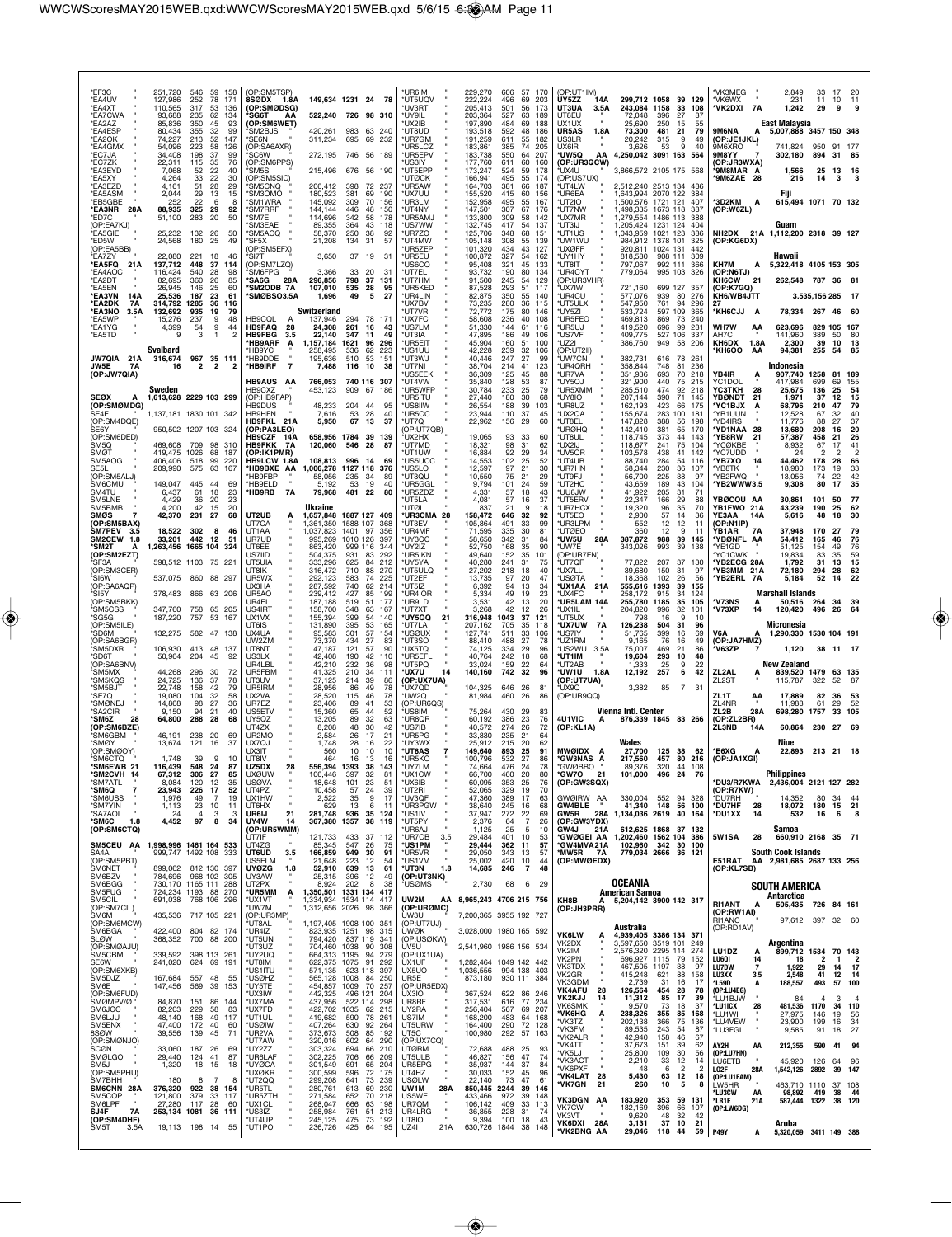| *EF3C                                               | 251,720                            | 546<br>59                                      | 158                  | (OP:SM5TSP)                                 |                                         |                                                     | *UR6IM                                                         | 229,270                                         | 606                     | 57<br>170                           | (OP:UT1IM)                                           |                                                   |                                  |                                                    | *VK3MEG                           |                               | 2,849                                                         | 33             | 17            | 20                                   |
|-----------------------------------------------------|------------------------------------|------------------------------------------------|----------------------|---------------------------------------------|-----------------------------------------|-----------------------------------------------------|----------------------------------------------------------------|-------------------------------------------------|-------------------------|-------------------------------------|------------------------------------------------------|---------------------------------------------------|----------------------------------|----------------------------------------------------|-----------------------------------|-------------------------------|---------------------------------------------------------------|----------------|---------------|--------------------------------------|
| *EA4UV<br>*EA4XT                                    | 127,986<br>110,565                 | 252<br>78<br>317<br>53                         | 171<br>136           | 8SØDX 1.8A<br>(OP:SMØDSG)                   |                                         | 149,634 1231 24 78                                  | *UT5UQV<br>*UV3RT                                              | 222,224<br>205,413                              | 496<br>501              | 69<br>203<br>56<br>173              | UY5ZZ<br>14A<br>UT3UA<br>3.5A                        | 299,712 1058<br>243,084 1158                      |                                  | 39 129<br>33<br>108                                | *VK6WX<br>*VK2DXI                 | 7A                            | 231<br>1,242                                                  | 11<br>29       | 10<br>9       | 11                                   |
| *EA7CWA<br>*EA2AZ                                   | 93,688<br>85,836                   | 235<br>62<br>350<br>45                         | 134<br>93            | 'SG6T<br>(OP:SM6WET)                        | AΑ<br>522,240                           | 726 98 310                                          | *UY9IL<br>*UX2IB                                               | 203.364<br>197,890                              | 527<br>484              | 63<br>189<br>69<br>188              | <b>UT8FU</b><br>UX1UX                                | 72.048<br>25,690                                  | 396<br>250                       | 27<br>87<br>55<br>15                               |                                   |                               | East Malaysia                                                 |                |               |                                      |
| *EA4ESP<br>*EA2OK                                   | 80,434<br>74,227                   | 32<br>355<br>52<br>213                         | 99<br>147            | 'SM2BJS<br>*SE6N                            | 420,261<br>311,234                      | 983<br>63 240<br>695<br>69<br>232                   | *UT8UD<br>*UR7GM                                               | 193,518<br>191,259                              | 592<br>611              | 48<br>186<br>55<br>182              | UR5AS<br>1.8A<br>US3LR                               | 73,300<br>20.242                                  | 481<br>21<br>315                 | 79<br>49<br>9                                      | 9M6NA<br>(OP:JE1JKL)              |                               | 5,007,888 3457 150 348                                        |                |               |                                      |
| *EA4GMX<br>*EC7JA<br>*FC77K                         | 54,096<br>34,408<br>22.311         | 223<br>58<br>198<br>37<br>35<br>115            | 126<br>99<br>76      | (OP:SA6AXR)<br>'SC6W<br>(OP:SM6PPS)         | 272.195                                 | 746 56 189                                          | UR5LCZ<br>*UR5EPV<br>*US3IY                                    | 183,861<br>183,738<br>177,760                   | 385<br>550<br>611       | 74<br>205<br>64<br>207<br>60<br>160 | UX6IR<br>*UW5Q<br>АΑ<br>(OP:UR3QCW)                  | 3.626<br>4.250.042 3091 163                       | 53                               | 9<br>40<br>564                                     | 9M6XRO<br>9M8YY<br>(OP:JR3WXA)    |                               | 741.824<br>302,180                                            | 950<br>894     | 91 177<br>31  | 85                                   |
| *EA3EYD<br>*EA5XY                                   | 7,068<br>4,264                     | 52<br>22<br>33<br>22                           | 40<br>30             | 'SM5S<br>(OP:SM5SIC)                        | 215,496                                 | 676 56 190                                          | *UT5EPP<br><b>'UTØCK</b>                                       | 173,247<br>166,941                              | 524<br>495              | 59<br>178<br>55<br>174              | 'UX4U<br>(OP:US7UX)                                  | 3,866,572 2105 175 568                            |                                  |                                                    | '9M8MAR A<br><b>'9M6ZAE 28</b>    |                               | 1,566<br>216                                                  | 25<br>14       | 13 16<br>3    |                                      |
| *EA3EZD<br>*EA5ASM                                  | 4,161<br>2,044                     | 28<br>51<br>29<br>13                           | 29<br>15             | 'SM5CNQ<br><b>SM3OMO</b>                    | 206,412<br>180,523                      | 72 237<br>398<br>381<br>69                          | *UR5AW<br>190<br>*UX7UU                                        | 164,703<br>155,520                              | 381<br>415              | 66<br>187<br>60<br>156              | *UT4LW<br>*UR6EA                                     | 2.512.240 2513 134<br>1,643,994 2070 122          |                                  | 486<br>384                                         |                                   |                               | Fiii                                                          |                |               |                                      |
| *EB5GBE<br>*EA3NR 28A                               | 252<br>88,935                      | 22<br>-6<br>325<br>29                          | -8<br>92             | *SM1WRA<br>'SM7RRF                          | 145,092<br>144,144                      | 309<br>70<br>446<br>48                              | *UR3LM<br>156<br>150<br>*UT4NY                                 | 152,958<br>147,501                              | 495<br>307              | 55<br>167<br>67<br>176              | *UT2IO<br>*UT7NW                                     | 1,500,576 1721 121<br>1,498,335                   | 1673 118                         | 407<br>387                                         | *3D2KM<br>(OP:W6ZL)               | Α                             | 615,494 1071 70 132                                           |                |               |                                      |
| *ED7C<br>(OP:EA7KJ)<br>EA5GIE                       | 51,100<br>25,232                   | 283<br>20<br>132<br>26                         | 50<br>.50            | *SM7E<br>'SM3EAE<br>'SM5ACQ                 | 114,696<br>89,355<br>58,370             | 342<br>58<br>364<br>43<br>250<br>38                 | *UR5AMJ<br>178<br>*US7WW<br>118<br>*UR770<br>92                | 133,800<br>132,745<br>125,706                   | 309<br>417<br>348       | 58<br>142<br>54<br>137<br>68<br>151 | *ux7mr<br>*UT3IJ<br>*UT1US                           | 1,279,554<br>1,205,424<br>1,043,959               | 1486 113<br>1231 124<br>1021 123 | 388<br>404<br>386                                  |                                   |                               | Guam<br>NH2DX 21A 1,112,200 2318 39 127                       |                |               |                                      |
| *ED5W<br>(OP:EA5BB)                                 | 24,568                             | 180<br>25                                      | 49                   | *SF5X<br>(OP:SM5EFX)                        | 21,208                                  | 134<br>31                                           | 57<br>*UT4MW<br>*UR5ZEP                                        | 105,148<br>101,320                              | 308<br>434              | 55<br>139<br>43<br>127              | *UW1WU<br>*UXØFF                                     | 984,912<br>920,811                                | 1378 101<br>1024 131             | 325<br>442                                         | (OP:KG6DX)                        |                               |                                                               |                |               |                                      |
| *EA7ZY<br>*EA5FO<br>21A                             | 22,080<br>137,712                  | 221<br>18<br>37<br>448                         | 46<br>114            | 'SI7T<br>(OP:SM7LZQ)                        | 3,650                                   | 37<br>19                                            | 31<br>*UR5EU<br><b>US6CQ</b>                                   | 100,872<br>95,408                               | 327<br>321              | 54<br>162<br>45<br>133              | *UY1HY<br>*UT8IT                                     | 818,580<br>797,067                                | 908 111<br>992 111               | 309<br>366                                         | KH7M                              | A                             | Hawaii<br>5,322,418 4105 153 305                              |                |               |                                      |
| *EA4AOC<br>*EA2DT                                   | 116.424<br>82.695                  | 540<br>28<br>360<br>26                         | 98<br>85             | 'SM6FPG<br>*SA6G                            | 3,366<br>28A<br>296,856                 | 33<br>20<br>798<br>37                               | *UT7EL<br>31<br>*UT7HM<br>131                                  | 93,732<br>91.500                                | 190<br>245              | 80<br>134<br>54<br>129              | *UR4CYT<br>(OP:UR3VHR)                               | 779,064                                           | 995 103                          | 326                                                | (OP:N6TJ)<br><b>KH6CW</b>         | 21                            | 262,548 787 36                                                |                |               | 81                                   |
| *EA5EN<br>*EA3VN<br>14A                             | 26,945<br>25,536                   | 146<br>25<br>187<br>23                         | 60<br>61             | <b>SM2ODB 7A</b><br><b>SMØBSO3.5A</b>       | 107,010<br>1,696                        | 535<br>-28<br>49<br>5                               | 95<br>*UR5KED<br>27<br>*UR4LIN                                 | 87.528<br>82,875                                | 293<br>350              | 51<br>117<br>55<br>140              | 'UX7IW<br>*UR4CU                                     | 721,160<br>577,076                                | 699 127<br>939                   | 357<br>80<br>276                                   | (OP:K7GQ)<br>KH6/WB4JTT<br>27     |                               |                                                               | 3.535,156 285  |               | 17                                   |
| *EA2DK<br>7A<br>*EA3NO<br>3.5A<br>*EA5WP            | 314,792<br>132,692<br>15,276       | 1285<br>36<br>935<br>19<br>237<br>9            | 116<br>79<br>48      | HB9CQL                                      | Switzerland<br>137,946<br>A             | 294<br>78 171                                       | *UX7BV<br>*ut7vr<br>*UX7FC                                     | 73,235<br>72,772<br>58,608                      | 280<br>175<br>236       | 36<br>115<br>80<br>146<br>40<br>108 | *UT5ULX<br>*UY5ZI<br>*UR5FEO                         | 547,950<br>533,724<br>469,813                     | 761<br>597 109<br>869            | 94<br>296<br>365<br>73<br>240                      | <b>KH6CJJ</b>                     | A                             | 78,334 267                                                    |                | 46            | 60                                   |
| *EA1YG<br>*EA5TD                                    | 4,399<br><b>g</b>                  | 54<br>9<br>3<br>-1                             | 44<br>$\overline{2}$ | <b>HB9FAQ</b><br><b>HB9FBG</b>              | 28<br>24,308<br>3.5<br>22,140           | 261<br>16<br>347<br>11                              | 43<br>*US7LM<br>49<br>*UT3IA                                   | 51,330<br>47,895                                | 144<br>186              | 61<br>116<br>49<br>106              | *UR5UJ<br>*US7VF                                     | 419,520<br>409,775                                | 696<br>527 106                   | 99<br>281<br>337                                   | <b>WH7W</b><br>AH7C               | ΑА                            | 623,696<br>141,960                                            | 829 105<br>389 | 50            | 167<br>80                            |
|                                                     | <b>Svalbard</b>                    |                                                |                      | *HB9ARF<br><b>HB9YC</b>                     | 1,157,184<br>A<br>258.495               | 1621<br>96<br>62<br>536                             | *UR5EIT<br>296<br>*US1UU<br>223                                | 45,904<br>42.228                                | 160<br>239              | 51<br>100<br>32<br>106              | *UZ2I<br>(OP:UT2II)                                  | 386,760                                           | 949                              | 58<br>-206                                         | KH6DX<br><b>KH6OO</b>             | 1.8A<br>AA                    | 2,300<br>94,381                                               | 39<br>255      | 10<br>54      | 13<br>85                             |
| JW7QIA 21A<br>JW5E<br>7A<br>(OP:JW7QIA)             | 316,674<br>16                      | 967<br>$\overline{\mathbf{2}}$<br>2            | 35 111<br>2          | *HB9DDE<br>*HB9IRF                          | 195,636<br>$\overline{7}$<br>7,488      | 510<br>53<br>116<br>10                              | 151<br>*UT3WJ<br>*UT7NI<br>38<br>'US5EEK                       | 40,446<br>38,704<br>36,309                      | 247<br>214<br>125       | 27<br>99<br>41<br>123<br>45<br>88   | 'UW7CN<br>*UR4QRH<br>*UR7VA                          | 382,731<br>358,844<br>351,936                     | 616<br>748<br>693                | 78<br>261<br>81<br>236<br>70<br>218                | YB4IR                             | Α                             | Indonesia<br>907,740                                          | 1258           | 81 189        |                                      |
|                                                     | Sweden                             |                                                |                      | HB9AUS AA<br>HB9CXZ                         | 766.053<br>453,123                      | 740 116 307<br>909 67                               | <b>UT4VW</b><br>*UR5WFP<br>186                                 | 35,840<br>30,784                                | 128<br>233              | 53<br>87<br>25<br>79                | *UY5QJ<br>*UR5XMM                                    | 321.900<br>285,510                                | 440<br>474                       | 75<br>215<br>92<br>218                             | YC1DOL<br>ҮСЗТКН                  | 28                            | 417.984<br>25,675                                             | 699<br>136     | 69<br>25      | 155<br>54                            |
| <b>SEØX</b><br>(OP:SMØMDG)                          | 1,613,628 2229 103 299             |                                                |                      | (OP:HB9FAP)<br>HB9DUS                       | 48,233                                  | 204<br>-44                                          | <b>UR5ITU</b><br>95<br>*US8IIW                                 | 27,440<br>26.554                                | 180<br>188              | 30<br>68<br>39<br>103               | *UY8IO<br>*UR8UZ                                     | 207.144<br>162,193                                | 390<br>423                       | 71<br>145<br>66<br>175                             | <b>YBØNDT</b><br>*YC1BJX          | 21                            | 1.971<br>68,796                                               | 37<br>210      | 12<br>47      | 15<br>79                             |
| SE4E<br>(OP:SM4DQE)                                 | 1.137.181 1830 101 342             |                                                |                      | HB9HFN<br>HB9FKL 21A                        | 7,616<br>5,950                          | 53<br>28<br>67<br>13                                | 40<br>*UR5CC<br>37<br>*UT7Q                                    | 23,944<br>22,962                                | 110<br>156              | 37<br>45<br>29<br>60                | *UX2QA<br>*UT8EL                                     | 155,674<br>147,828                                | 283<br>388                       | 100<br>181<br>56<br>198                            | *YB1UUN<br>*YD4IRS                |                               | 12,528<br>11.776                                              | 67<br>88       | 32<br>27      | 40<br>37                             |
| SE6Y<br>(OP:SM6DED)                                 |                                    | 950,502 1207 103 324                           |                      | (OP:PA3LEO)<br><b>HB9CZF</b>                | 14A                                     | 658,956 1784<br>39 139                              | (OP:UT7QB)<br>*UX2HX                                           | 19,065                                          | 93                      | 33<br>60                            | *URØHQ<br>*UT8UL                                     | 142,410<br>118,745                                | 381<br>373                       | 65<br>170<br>44<br>143                             | *YD1NAA<br>*YB8RW                 | -28<br>21                     | 13,680<br>57,387                                              | 208<br>458     | 16<br>21      | 20<br>26                             |
| SM <sub>5</sub> Q<br><b>SMØT</b><br>SM5AOG          | 469,608<br>419,475 1026<br>406,406 | 709<br>98<br>68<br>518<br>99                   | 310<br>187<br>220    | <b>HB9FKK</b><br>(OP:IK1PMR)<br>HB9LCW 1.8A | 120,060<br>7A<br>108,813                | 546<br>28<br>996<br>-14                             | 87<br>*UT7MD<br>'UT1UW<br>*US5UCC<br>69                        | 18,321<br>16,884<br>14,553                      | 98<br>92<br>102         | 31<br>62<br>29<br>34<br>25<br>52    | *UX2IJ<br>*UV5QR<br>*UT4UB                           | 118,677<br>103,578<br>88,740                      | 241<br>438<br>284                | 75<br>104<br>41<br>142<br>116<br>54                | <b>YCØKBE</b><br>YC7UDD<br>*YB7XO | 14                            | 8,932<br>24<br>44,462                                         | 67<br>2<br>178 | 17<br>2<br>28 | 41<br>$\overline{\phantom{a}}$<br>66 |
| SE5L<br>(OP:SM5ALJ)                                 | 209,990                            | 63<br>575                                      | 167                  | HB9BXE AA<br>'HB9FBP                        | 1,006,278<br>58,056                     | 1127 118<br>34<br>235                               | *US5LO<br>376<br>89<br>*UT3QU                                  | 12,597<br>10,550                                | 97<br>75                | 21<br>30<br>21<br>29                | *UR7HN<br>*UT9FJ                                     | 58.344<br>56,700                                  | 230<br>225                       | 36<br>107<br>38<br>97                              | 'YB8TK<br>*YB2FWQ                 |                               | 18,980<br>13,056                                              | 173<br>74      | 19<br>22      | 33<br>42                             |
| SM6CMU<br>SM4TU                                     | 149,047<br>6,437                   | 445<br>-44<br>61<br>18                         | 69<br>23             | *HB9ELD<br>*HB9RB                           | 5.192<br>7A<br>79,968                   | 53<br>-19<br>481 22                                 | *UR5GGL<br>40<br>80<br>*UR5ZDZ                                 | 9,794<br>4,331                                  | 101<br>57               | 24<br>59<br>18<br>43                | *UT2HC<br>*UU8JW                                     | 43.659<br>41,922                                  | 189<br>205                       | 43<br>104<br>31<br>71                              | *YB2WWW3.5                        |                               | 9,308                                                         | 80             | 17            | 35                                   |
| SM5LNE<br>SM5BMB                                    | 4,429<br>4,200                     | 36<br>20<br>42<br>15                           | 23<br>20             |                                             | Ukraine                                 |                                                     | 'UT5LA<br>*UTØL                                                | 4.081<br>837                                    | 57<br>21                | 16<br>37<br>9<br>18                 | *UT5ERV<br>*UR7HCX                                   | 22,347<br>19,320                                  | 166<br>96                        | 29<br>88<br>35<br>70                               | YBØCOU AA<br>YB1FWO 21A           |                               | 30.861<br>43,239                                              | 101<br>190     | 50<br>25      | 77<br>62                             |
| <b>SMØS</b><br>(OP:SM5BAX)<br>SM7PEV 3.5            | 42,370<br>18,522                   | 27<br>231<br>302<br>8                          | 68<br>46             | UT2UB<br>UT7CA<br>UT1AA                     | 1,657,848<br>Ą<br>.361.350<br>1,037,823 | 1887 127 409<br>1588 107<br>1401<br>97              | *UR3CMA 28<br>*UT3EV<br>368<br>356<br>*UR4MF                   | 158.472<br>105,864<br>71,595                    | 646<br>491<br>335       | 32<br>92<br>33<br>99<br>30<br>81    | *UT5EO<br>*UR3LPM<br>*UTØEO                          | 2,900<br>552<br>360                               | 57<br>12<br>12                   | 14<br>36<br>12<br>11<br>9<br>11                    | YE3AA<br>(OP:N1IP)<br>YB1AR       | 14A<br><b>7A</b>              | 5,616<br>37,948                                               | 48<br>170      | 18<br>27      | 30<br>79                             |
| <b>SM2CEW</b><br>1.8<br>*SM2T<br>А                  | 33,201<br>1,263,456                | 442<br>12<br>1665 104                          | 51<br>324            | UR7UD<br>UT6EE                              | 995.269<br>863,420                      | 1010 126<br>999 116<br>344                          | 397<br>*UY3CC<br>*UY2IZ                                        | 58,650<br>52,750                                | 342<br>168              | 31<br>84<br>35<br>90                | *UW5U<br>28A<br>*UW7E                                | 387,872<br>343,026                                | 988<br>993                       | 39<br>145<br>39<br>138                             | *YBØNFL AA<br>*YE1GD              |                               | 54,412<br>51,125                                              | 165<br>154     | 46<br>49      | 76<br>76                             |
| (OP:SM2EZT)<br>SF3A                                 |                                    | 598,512 1103 75 221                            |                      | US71ID<br>UT5UIA                            | 504,375<br>333,296                      | 931<br>83<br>625<br>84                              | *UR5IKN<br>292<br>212<br>'UY5YA                                | 49,640<br>40,280                                | 152<br>241              | 35<br>101<br>31<br>75               | (OP:UR7EN)<br>*UT7QF                                 | 77,822                                            | 207                              | 37<br>130                                          | 'YC1CWK<br>*YB2ECG 28A            |                               | 19,834<br>1,792                                               | 83<br>31       | 35<br>13      | 59<br>15                             |
| (OP:SM3CER)<br>'SI6W                                | 537,075                            | 860 88 297                                     |                      | UT8IK<br>UR5WX                              | 316,472<br>292,123                      | 710<br>88<br>583<br>74                              | *UT5ULQ<br>270<br>225<br>*UT2EF                                | 27,202<br>13,735                                | 218<br>97               | 18<br>40<br>20                      | *UX7LL<br>*USØTA                                     | 39,680<br>18,368                                  | 150<br>102                       | 31<br>97<br>26<br>56                               | *YB3MM 21A<br>'YB2ERL             | 7A                            | 72,180<br>5,184                                               | 294<br>52      | 28<br>14      | 62<br>22                             |
| (OP:SA6AQP)<br>*SI5Y                                | 378,483                            | 866 63 206                                     |                      | UX3HA<br>UR5AO<br>UR4FI                     | 287,592<br>239,412                      | 740<br>62<br>427<br>85<br>519<br>51<br>177          | 214<br>*UT5IZ<br>199<br>*UR4IOR                                | 6.392<br>5,334                                  | 94<br>49<br>42          | 13<br>34<br>19<br>23<br>20          | <b>UX1AA</b><br>21A<br>*UX4FC<br>*UR5LAM 14A         | 555,616<br>258,172                                | 1393<br>915<br>1185              | 39<br>155<br>124<br>34<br>35                       | *V73NS                            |                               | <b>Marshall Islands</b>                                       |                | 34            |                                      |
| (OP:SM5BKK)<br>*SM5CSS<br>*SG5G                     | 347,760<br>187,220                 | 758<br>757<br>53                               | 65 205<br>167        | US4IRT<br>UX1VX                             | 187,188<br>158,700<br>155,394           | 348<br>63<br>399<br>54                              | *UR9LD<br>*UT7XT<br>167<br>*UY5QQ<br>140<br>21                 | 3,531<br>3,268<br>316,948                       | 42<br>1043              | 13<br>12<br>26<br>37<br>121         | *UX1IL<br>*UT5UX                                     | 255,780<br>204,820<br>798                         | 996<br>16                        | 105<br>32<br>101<br>9<br>10                        | *V73XP                            | А<br>14                       | 50,516<br>120,420                                             | -264<br>496    | 26            | 39<br>64                             |
| (OP:SM5ILE)<br>'SD6M                                | 132,275                            | 582 47 138                                     |                      | UT6IS<br>UX4UA                              | 131,890<br>95,583                       | 395<br>53<br>301<br>57                              | 165<br>*UT7LA<br>*USØUX<br>154                                 | 207,162<br>127,741                              | 705<br>511              | 35<br>118<br>33<br>106              | *UX7UW<br>7A<br>*US7IY                               | 126,238<br>51.765                                 | 504<br>399                       | 31<br>96<br>16<br>69                               | V6A                               | А                             | Micronesia<br>1,290,330 1530 104 191                          |                |               |                                      |
| (OP:SA6BGR)<br>SM5DXR                               | 106,930                            | 413<br>48                                      | 137                  | UW2ZM<br>UT8NT                              | 73,370<br>47,187                        | 434<br>27<br>57<br>121                              | *UT3SO<br>83<br>90<br>'UX5TQ                                   | 88,410<br>74,125                                | 488<br>334              | 27<br>78<br>29<br>96                | *UZ1RM<br>'US2WU<br>3.5A                             | 9.165<br>75,007                                   | 76<br>469                        | 16<br>49<br>21<br>86                               | (OP:JA7HMZ)<br>V63ZP              |                               | 1,120                                                         |                | 38 11 17      |                                      |
| *SD6T<br>(OP:SA6BNV)                                | 50,964                             | 204<br>45                                      | 92                   | US3LX<br>UR4LBL                             | 42,408<br>42,210                        | 42<br>190<br>232<br>36                              | *UR5EFL<br>110<br>*UT5PQ<br>98                                 | 40,764<br>33,024                                | 242<br>159              | 18<br>68<br>22<br>64                | *UT1IM<br>*UT2AB                                     | 19,604<br>1,333                                   | 293<br>25                        | 48<br>10<br>9<br>22                                |                                   |                               | <b>New Zealand</b>                                            |                |               |                                      |
| 'SM5MX<br>*SM5KQS                                   | 44,268<br>24,725                   | 296<br>-30<br>136<br>37                        | 72<br>78             | UR5FBM<br>UT3UV                             | 41,325<br>37,125                        | 34<br>210<br>214<br>39                              | *UX7U<br>111<br>14<br>86<br>(OP:UX7UA)                         | 140,160                                         | 742                     | 32<br>96                            | *UW1U<br>1.8A<br>(OP:UT7UA)                          | 12,192                                            | 257                              | 42<br>6                                            | ZL2AL<br>ZL <sub>2</sub> ST       | A                             | 839,520 1479<br>115,787                                       | 322            | 63 135<br>52  | 87                                   |
| *SM5BJT<br>*SE7Q<br>*SMØNEJ                         | 22.748<br>19,080<br>14.868         | 158<br>42<br>104<br>32<br>27<br>98             | 79<br>58<br>36       | UR5IRM<br>UX2VA<br>UR7F7                    | 28.956<br>28,520<br>23,406              | 86<br>49<br>115<br>46<br>41<br>89                   | 78<br>*UX7QD<br>78<br>*UW2Q<br>(OP:UR6QS)<br>53                | 104,325<br>81,984                               | 646<br>-26<br>460       | 81<br>26<br>86                      | *UX9Q<br>(OP:UR9QQ)                                  | 3,382                                             | 85                               | -7<br>31                                           | ZL1T<br>ZL4NR                     | AA                            | 17,889<br>11.988                                              | 82<br>61       | 36<br>29      | 53<br>52                             |
| <i><b>SA2CIR</b></i><br><b>SM6Z</b><br>28           | 9,150<br>64,800                    | 94<br>21<br>288<br>28                          | 40<br>68             | US5ETV<br>UY5QZ                             | 15,360<br>13,205                        | 65<br>44<br>32<br>89                                | 52<br>'US8IM<br>63<br>*UR8QR                                   | 75,264<br>60,192                                | 430<br>386              | 29<br>83<br>23<br>76                | 4U1VIC<br>A                                          | <b>Vienna Intl. Center</b><br>876,339 1845 83 266 |                                  |                                                    | ZL2B<br>(OP:ZL2BR)                | 28A                           | 698,280                                                       | 1757           | 33            | 105                                  |
| (OP:SM6BZE)<br>SM6GBM                               | 46.191                             | 238<br>20                                      | 69                   | UT4ZX<br>UR2MO                              | 8,208<br>2,584                          | 48<br>30<br>26<br>17                                | 42<br>*US7IB<br>*UR5PG<br>21                                   | 40.572<br>33,830                                | 274<br>235              | 72<br>26<br>21<br>64                | (OP:KL1A)                                            |                                                   |                                  |                                                    | ZL3NB                             | 14A                           | 60,864                                                        | 230            | 27            | - 69                                 |
| *SMØY<br>(OP:SMØOY)<br>'SM6CTO                      | 13,674<br>1.748                    | 121<br>16<br>9                                 | 37<br>10             | UX7QJ<br>UX3IT<br>UT8IV                     | 1,748<br>560                            | 28<br>16<br>10<br>10<br>16<br>13                    | 22<br>*UY3WX<br>10<br>*UT8AS<br>$\overline{7}$<br>16<br>'UR5KO | 25,912<br>149,640                               | 215<br>893<br>532<br>27 | 20<br>62<br>25<br>91                | MWØIDX A                                             | Wales                                             | 27.700 125 38 62<br>457          |                                                    | *E6XG                             | А                             | Niue<br>22,893 213 21                                         |                |               | - 18                                 |
| *SM6EWB 21<br>*SM2CVH 14                            | 116,439<br>67,312                  | 548<br>24<br>27<br>306                         | 87<br>85             | UZ5DX<br><b>UXØUW</b>                       | 28<br>106,446                           | 556,394 1393<br>38<br>397<br>32                     | 143<br>*UY7LM<br>*UX1CW<br>81                                  | 100,796<br>74,664<br>66,700                     | 476<br>460              | 86<br>24<br>78<br>20<br>80          | *GW3NAS A<br><b>"GWØBBO</b><br>*GW7O<br>21           | 217,560<br>89,376<br>101,000                      | 320<br>496 24                    | 80 216<br>44 108<br>76                             | (OP:JA1XGI)                       |                               | <b>Philippines</b>                                            |                |               |                                      |
| *SM7ATL<br>*SM6Q<br>7                               | 8,084<br>23,943                    | 120<br>12<br>226<br>17                         | 35<br>52             | <b>USØVA</b><br>UT4PZ                       | 18,648<br>10,458                        | 101<br>23<br>57<br>24                               | *UX6IB<br>51<br>39<br>*UT2RI                                   | 60,095<br>52,065                                | 353<br>329              | 25<br>76<br>70<br>19                | (OP:GW3SQX)                                          |                                                   |                                  |                                                    | *DU3/R7KWA<br>(OP:R7KW)           |                               | 2,436,004 2121 127 282                                        |                |               |                                      |
| <b>SM6USS</b><br>*SM7YIN                            | 1,976<br>1,113                     | 49<br>$\overline{7}$<br>23<br>10               | 19<br>11             | UX1HW<br>UT6HX                              | 2,522<br>629                            | 35<br>9<br>13<br>-6                                 | *UV3QF<br>17<br>*UR3PGW<br>11                                  | 47,360<br>38,640                                | 389<br>245              | 17<br>63<br>68<br>16                | GWØIRW AA<br><b>GW4BLE</b>                           | 330,004<br>41,340                                 | 148 56 100                       | 552 94 328                                         | <b>DU7RH</b><br>*DU7HF            | 28                            | 14,352<br>18,072                                              | 80<br>180      | 34<br>15      | 44<br>21                             |
| *SA7AOI<br>*SM6C<br>1.8<br>(OP:SM6CTQ)              | 24<br>4,452                        | $\overline{4}$<br>3<br>8<br>97                 | 3<br>34              | UR6IJ<br>UY4W<br>(OP:UR5WMM)                | 21<br>281.748<br>14                     | 936<br>35<br>367,380 1357<br>38 119                 | *US1IV<br>124<br>*UT5PY<br>*UR6AJ                              | 37,947<br>2,376<br>1,125                        | 272<br>64<br>25         | $^{22}_{7}$<br>69<br>26<br>5<br>10  | GW5R<br>(OP:GW3YDX)<br>GW4J<br>21 A                  | 28A 1,134,036 2619 40 164<br>612,625 1868 37 132  |                                  |                                                    | *DU1XX                            | 14                            | 532<br>Samoa                                                  | 16             | 6             | 8                                    |
| SM5CEU AA                                           | 1,998,996 1461 164 533             |                                                |                      | ÚT7IF<br>UT4ZG                              | 121,733<br>85,345                       | 433<br>37 112<br>547<br>26                          | *UR7CB<br>3.5<br>75<br>*US1PM                                  | 29.484<br>29,444                                | 401<br>362              | 10<br>53<br>11<br>57                | <b>GWØGEI AA</b><br>*GW4MVA21A                       | 1,202,460 1562 104 386<br>102,960 342 30 100      |                                  |                                                    | 5W1SA                             | 28                            | 660,910 2168 35 71                                            |                |               |                                      |
| SA4A<br>(OP:SM5PBT)                                 |                                    | 999,747 1492 108 333                           |                      | UT6UD<br>US5ELM                             | 166,859<br>3.5<br>21,648                | 949 30<br>223<br>12                                 | 91<br>*UR5VR<br>54<br>*US1VM                                   | 29,050<br>25,002                                | 343<br>420              | 57<br>13<br>10<br>44                | *MW5R 7A<br>(OP:MWØEDX)                              | 779,034 2666 36 121                               |                                  |                                                    |                                   |                               | <b>South Cook Islands</b><br>E51RAT AA 2,981,685 2687 133 256 |                |               |                                      |
| SM6NET<br>SM6BZV                                    | 899,062<br>784,696                 | 812 130 397<br>968 102 305<br>730.170 1165 111 |                      | <b>UYØZG</b><br>UY3AW<br>UT2PX              | 52,910<br>1.8<br>25,315                 | 639<br>13<br>396<br>12<br>8                         | *UT3N<br>61<br>(OP:UT3NK)<br>49                                | 1.8<br>14,685                                   | 246                     | $\overline{7}$<br>48                |                                                      | OCEANIA                                           |                                  |                                                    | (OP:KL7SB)                        |                               |                                                               |                |               |                                      |
| SM6BGG<br>SM5FUG<br>SM5CIL                          | 691,038                            | 724,234 1193 88 270<br>768 106 296             | 288                  | *UR5MM<br>*UX1VT                            | 8,924<br>Α                              | 202<br>1,350,501 1331 134<br>1,334,934 1534 114     | 38<br>'USØMS<br>417<br>UW2M<br>417                             | 2,730<br>AA 8,965,243 4706 215 756              | 68                      | 6 29                                | KH8B<br>А                                            | American Samoa<br>5,204,142 3900 142 317          |                                  |                                                    |                                   |                               | SOUTH AMERICA<br>Antarctica                                   |                |               |                                      |
| (OP:SM7CIL)<br>SM6M                                 | 435,536                            | 717 105 221                                    |                      | *UW7M<br>(OP:UR3MP)                         |                                         | 1,312,656 2026 98                                   | (OP:URØMC)<br>366<br>ÚW3U                                      | 7.200.365 3955 192 727                          |                         |                                     | (OP:JH3PRR)                                          |                                                   |                                  |                                                    | <b>RI1ANT</b><br>(OP:RW1AI)       | A                             | 505.435 726 84 161                                            |                |               |                                      |
| (OP:SM6MCW)<br>SM6BGA                               | 422,400                            | 804 82 174                                     |                      | *UT8AL<br>*UR4IZ                            |                                         | 1,197,405 1908 100 351<br>823,935 1251 98 315       | (OP:UT7UJ)<br><b>UWØK</b>                                      | 3,028,000 1980 165 592                          |                         |                                     | <b>VK6LW</b><br>Α                                    | Australia<br>4,939,405 3386 134 371               |                                  |                                                    | RI1ANC<br>(OP:RD1AV)              |                               | 97,612 397 32 60                                              |                |               |                                      |
| SLØW<br>(OP:SMØAJU)<br>SM5CBM                       | 368,352                            | 700 88 200<br>398 113 261                      |                      | *UT5UN<br>*UT3UZ<br>*UY2UQ                  | 794,420                                 | 837 119<br>704,460 1038<br>90<br>664,313 1195<br>94 | (OP:USØKW)<br>341<br>308<br>ÚV5U<br>(OP:UX1UA)<br>279          | 2,541,960 1986 156 534                          |                         |                                     | VK2DX<br>VK2IM                                       | 3,597,650 3519 101 249<br>2,576,320 2295 114      |                                  | 274                                                | LU1DZ                             | Α                             | <b>Argentina</b><br>899,712 1534                              |                | 70 143        |                                      |
| SE6W<br>(OP:SM6XKB)                                 | 339,592<br>241,020                 | 624 69 191                                     |                      | *UT8IM<br>*US1ITU                           | 571,135                                 | 622,375 1075<br>91<br>623 118                       | 292<br>UX1UF<br>UX5UO<br>397                                   | 1,282,464 1049 142 442<br>1,036,556 994 138 403 |                         |                                     | VK2PN<br><b>VK3TDX</b>                               | 696,927 1115 79<br>467,505 1197                   |                                  | 152<br>97<br>38                                    | LU601<br><b>LU7DW</b>             | 14<br>$\overline{\mathbf{r}}$ | 18<br>1,922                                                   | -2<br>29       | -1<br>14      | - 2<br>17                            |
| SM5DJZ<br>SM6E                                      | 167,684<br>147,456                 | 557 48<br>569 39 153                           | 55                   | *USØHZ<br>*UY5TE                            |                                         | 565,128 1008<br>84<br>454,857 1009<br>70            | 250<br>UR5E<br>257<br>(OP:UR5EDX)                              | 873,180                                         | 930 111 384             |                                     | VK2GR<br>VK3GDM                                      | 415,248<br>2,739                                  | 621<br>-31                       | 88<br>158<br>16<br>-17                             | LU3XX<br>*L59D                    | 3.5<br>А                      | 2,548<br>188,557                                              | 41<br>493      | 12<br>57      | 14<br>100                            |
| (OP:SM6FUD)<br>SMØMPV/Ø                             | 84,870                             | 151<br>86                                      | -144                 | *UX3IW<br>*UX7MA                            | 442,325<br>437,956                      | 496 121<br>522 114                                  | 204<br>UX3IO<br>298<br>UR8RF                                   | 367,524<br>317,531                              | 622 86 246<br>616       | 77<br>234                           | <b>VK4AFU</b><br>28<br><b>VK2KJJ</b><br>14<br>VK6SMK | 126,564<br>11,312<br>9,570                        | 454<br>85<br>73                  | 28<br>78<br>17<br>39<br>18<br>37                   | (OP:LU4EG)<br>*LU1BJW<br>*LU1ICX  | 28                            | 84<br>481,536                                                 | 4<br>1170      | 3<br>34       | 4<br>110                             |
| SM6JCC<br>SM6LJU                                    | 82,203<br>48,140                   | 229<br>58<br>168<br>49<br>-40                  | 83<br>117            | *UX7FD<br>*UT1UL                            | 422,702<br>419,682                      | 1035<br>62<br>590<br>78<br>92                       | 215<br>UY2RA<br>US7IM<br>261<br>UT5URW                         | 256,404<br>168,200                              | 567<br>483 64 168       | 69 207                              | *VK6HG<br>Ą<br>*VK3TZ                                | 238,326<br>202,138                                | 355<br>366                       | 85<br>168<br>75<br>136                             | *LU1WI<br>*LU4VEW                 |                               | 27,975<br>23,900                                              | 146<br>199     | 19<br>16      | 56<br>34                             |
| SM5ENX<br>8SØW<br>(OP:SMØNJO)                       | 47,400<br>39,556                   | 172<br>139<br>45                               | 60<br>71             | *USØIW<br>*UR2VA<br>*UT7AW                  | 407,264<br>373,673<br>320,016           | 630<br>508<br>85<br>602<br>64                       | 264<br>192<br>UT5C<br>(OP:UX7CQ)<br>290                        | 164,400<br>100,980                              | 290<br>292 57           | 72 128<br>163                       | *VK3FM<br>*VK2ALR                                    | 89,535<br>42,940                                  | 243<br>158                       | 54<br>87<br>46<br>67                               | *LU3FGL                           |                               | 9,585                                                         | 91             | 18            | 27                                   |
| <b>SCØN</b><br>SMØLGO                               | 33,060<br>29,440                   | 187<br>26<br>41<br>124                         | 69<br>87             | *UY2ZZ<br>*UR6LAF                           | 303,324<br>302,225                      | 694<br>66<br>706<br>66                              | <b>UTØRM</b><br>210<br>UT5ULB<br>209                           | 72,688<br>46,827                                | 488<br>156              | 25<br>93<br>47<br>74                | *VK4TT<br>*VK5LJ<br>*VK3ACT                          | 37,673<br>25,800                                  | 151<br>109<br>33                 | 39<br>62<br>30<br>56<br>12                         | AY2H<br>(OP:LU7HN)                | AA                            | 212,355                                                       | 590            | 41            | 94                                   |
| SM5J<br>(OP:SM5PHU)                                 | 1,320                              | 18<br>15                                       | 18                   | *UYØCA<br>*UXØKR                            | 301,549<br>300,599                      | 691<br>65<br>596<br>72                              | 204<br>UR5EPG<br>UT4HZ<br>175                                  | 35,937<br>30,033                                | 144<br>152              | 37<br>84<br>45<br>96                | *VK6PXF<br>*VK4LAT 28                                | 2,210<br>48<br>5,430                              | - 6<br>63                        | 14<br>$\overline{2}$<br>$\overline{2}$<br>12<br>18 | LU6ETB<br>LO2F<br>(OP:LU1FAM)     | 28A                           | 45.920<br>1,542,126                                           | 126<br>2892    | 64<br>39      | 96<br>147                            |
| SM7BHH<br>SM6CNN 28A                                | 180<br>376,320                     | 8<br>$\overline{7}$<br>922                     | 38 154               | *UT2QQ<br>*UR5TL                            | 299,208<br>280,761                      | 641<br>73<br>613<br>69                              | 239<br><b>USØLW</b><br>UW1M<br>230<br>28A                      | 22,140<br>850,445 2244                          | 73                      | 47<br>61<br>39<br>146               | *VK7GN<br>21                                         | 260                                               | 10                               | 5<br>8                                             | LW5HR<br>*LU3CW                   | AA                            | 463,710 1110<br>98,892 419                                    |                | 37 108<br>38  | 44                                   |
| SM5COP<br><b>III</b><br>SM6LPF<br><b>7A</b><br>SJ4F | 121,800<br>27,280                  | 379<br>33<br>117<br>28<br>253,134 1081 36      | 117<br>-60<br>111    | *UR5ZTH<br>*UX1CL<br>*US3IZ                 | 271,584<br>268,047<br>258,984           | 652<br>70<br>666<br>63<br>761<br>51                 | 218<br>US5WE<br>UR7QM<br>198<br>213<br>UR4LRG                  | 433,466<br>106,142<br>36,855                    | 972<br>409<br>228       | 39<br>148<br>33<br>113<br>31<br>74  | <b>VK3DGN</b><br>AA<br><b>VK7CW</b>                  | 183,920<br>182,169                                | 353 59 131<br>396                | 66 107                                             | *LR1E<br>(OP:LW6DG)               | 21A                           | 587,444                                                       | 1322           | 38            | 120                                  |
| (OP:SM4DHF)<br>SM5T<br>3.5A                         |                                    | 19,113 198 14 55                               |                      | *UT4UP<br>*UT1PO                            | 245,125<br>236,726                      | 475<br>73<br>425<br>64                              | UT8IO<br>192<br>195<br>UZ4I<br>21A                             | 9,394<br>630,726 1844                           | 100                     | 43<br>18<br>38<br>148               | VK3VT<br>VK6DXI 28A<br>*VK2BNG AA                    | 9,620<br>3,131<br>29,046                          | 48<br>37<br>118 44               | 32<br>42<br>10<br>21<br>59                         | <b>P49Y</b>                       | А                             | Aruba<br>5,320,059 3411 149 388                               |                |               |                                      |
|                                                     |                                    |                                                |                      |                                             |                                         |                                                     |                                                                |                                                 |                         |                                     |                                                      |                                                   |                                  |                                                    |                                   |                               |                                                               |                |               |                                      |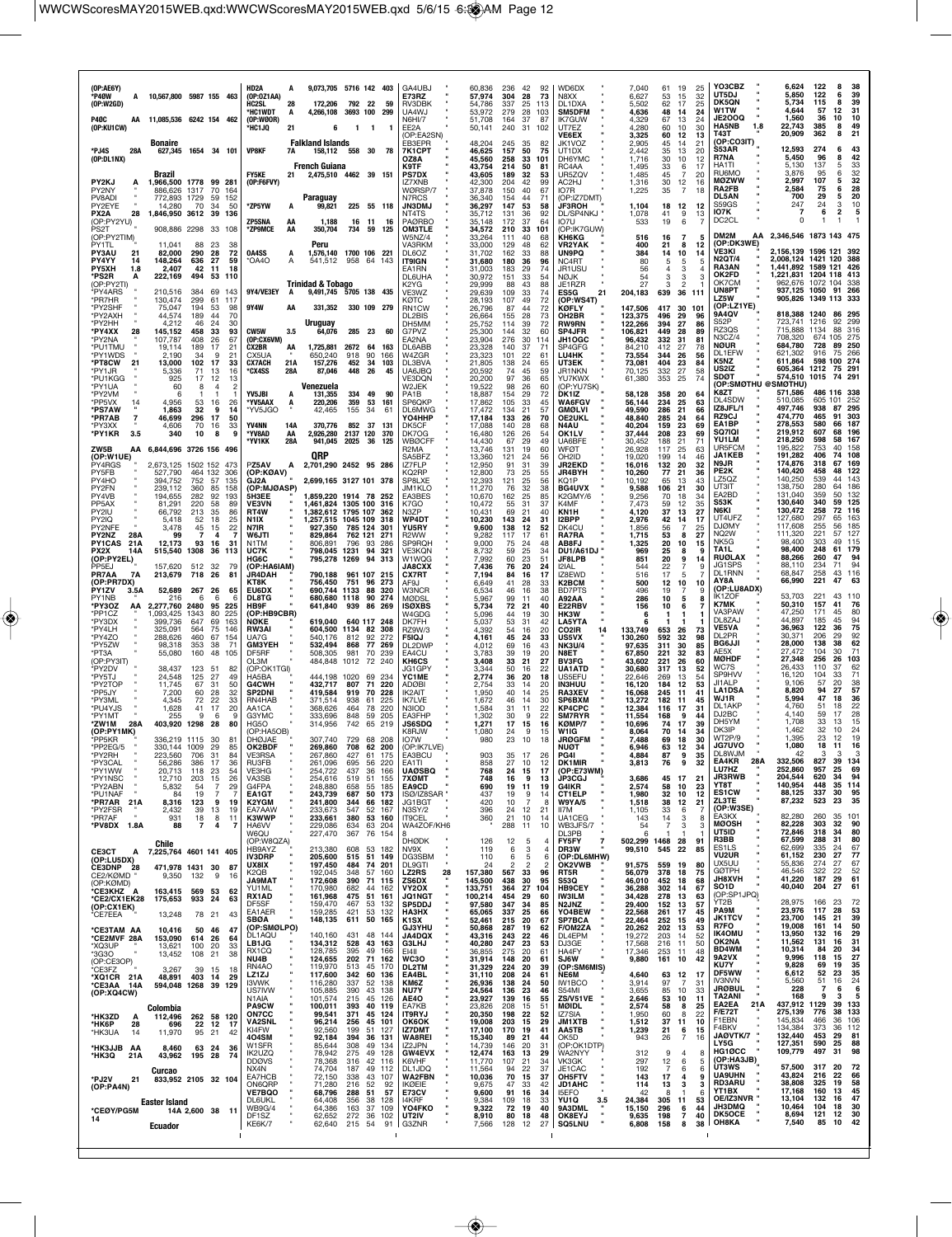| (OP:AE6Y)<br>*P40W<br>(OP:W2GD)                                  | A 10,567,800 5987 155 463                    |                                            |                                                              | HD2A<br>(OP:0Z1AA)<br>HC2SL<br>28<br>*HC1WDT<br>А     | 9,073,705 5716 142 403<br>172,206<br>4,266,108                        | 792<br>3693 100                      | 22<br>59<br>299                                  | GA4UBJ<br><b>E73RZ</b><br>RV3DBK<br>UA4WJ                  | 60,836<br>57.974<br>54,786<br>53,972 | 236<br>304<br>337<br>279 | 42<br>92<br>28<br>73<br>25<br>113<br>28<br>103      |                     | WD6DX<br>N8XX<br>DL1DXA<br>SM5DFM                               | 7,040<br>6,627<br>5,502<br>4,636     | 61<br>53<br>62<br>48        | 19<br>25<br>15<br>32<br>17<br>25<br>14<br>24             | YO3CBZ<br>UT5DJ<br>DK5QN<br>W1TW                           | 6,624<br>5,850<br>5,734<br>4.644                                                        | 122<br>122<br>115<br>57   | 8<br>38<br>39<br>6<br>8<br>39<br>31<br>12         |   |
|------------------------------------------------------------------|----------------------------------------------|--------------------------------------------|--------------------------------------------------------------|-------------------------------------------------------|-----------------------------------------------------------------------|--------------------------------------|--------------------------------------------------|------------------------------------------------------------|--------------------------------------|--------------------------|-----------------------------------------------------|---------------------|-----------------------------------------------------------------|--------------------------------------|-----------------------------|----------------------------------------------------------|------------------------------------------------------------|-----------------------------------------------------------------------------------------|---------------------------|---------------------------------------------------|---|
| <b>P40C</b><br>(OP:KU1CW)                                        | AA 11,085,536 6242 154 462<br><b>Bonaire</b> |                                            |                                                              | (OP:W00R)<br><b>HC1JQ</b><br>21                       | 6<br><b>Falkland Islands</b>                                          | 1 1                                  | -1                                               | <b>N6HI/7</b><br>FF <sub>2</sub> A<br>(OP:EA2SN)<br>FB3FPR | 51,708<br>50,141<br>48.204           | 164<br>240<br>245        | 37<br>87<br>31 102<br>35<br>82                      |                     | <b>IK7GUW</b><br>UT7FZ<br><b>VE6EX</b><br>JK1VOZ                | 4,329<br>4.280<br>3,325<br>2.905     | 67<br>60<br>60<br>45        | 13<br>24<br>10<br>30<br>12<br>13<br>14<br>21             | <b>JE2OOQ</b><br><b>HA5NB</b><br>1.8<br>T43T<br>(OP:CO3IT) | 1,560<br>22,743<br>20,909                                                               | 36<br>385<br>362          | 10<br>10<br>8<br>49<br>8<br>21                    |   |
| *PJ4S<br>28A<br>(OP:DL1NX)                                       | 627,345 1654 34 101                          |                                            |                                                              | <b>VP8KF</b><br>7A                                    | 158,112<br><b>French Guiana</b>                                       | 558 30                               | -78                                              | 7K1CPT<br>OZ8A<br>K9TF                                     | 46,625<br>45,560<br>43,754           | 157<br>258<br>214        | 50<br>33<br>101<br>50<br>81                         | 75                  | UT1DX<br>DH6YMC<br>RC4AA                                        | 2.442<br>1,716<br>1,495              | 35<br>30<br>33              | 13<br>20<br>10<br>12<br>6<br>17                          | S53AR<br>R7NA<br>HA1TI                                     | 12,593<br>5,450<br>5.130                                                                | 274<br>96<br>137          | 6<br>43<br>42<br>8<br>5<br>33                     |   |
| PY2KJ<br>PY2NY                                                   | Brazil<br>1,966,500 1778 99 281<br>886,626   | 1317                                       | 70<br>164                                                    | <b>FY5KE</b><br>21<br>(OP:F6FVY)                      | 2,475,510 4462 39 151                                                 |                                      |                                                  | <b>PS7DX</b><br>IZ7XNB<br>WØRSP/7                          | 43,605<br>42,300<br>37,878           | 189<br>204<br>150        | 32<br>42<br>99<br>40<br>67                          | 53                  | UR5ZQV<br>AC2HJ<br>IO7R                                         | 1,485<br>1,316<br>1,225              | 45<br>30<br>35              | $\overline{7}$<br>20<br>12<br>16<br>$\overline{7}$<br>18 | RU6MO<br>MØZWW<br>RA2FB<br><b>DL5AN</b>                    | 3.876<br>2,997<br>2.584<br>700                                                          | 95<br>107<br>75<br>29     | 32<br>6<br>32<br>28<br>6<br>20<br>5               |   |
| PV8ADI<br>PY2EYE<br>28<br>PX <sub>2</sub> A<br>(OP:PY2YU)        | 772.893<br>14,280<br>1,846,950 3612 39 136   | 1729<br>59<br>70<br>34                     | 152<br>50                                                    | *ZP5YW<br><b>ZP5SNA</b><br>АΑ                         | Paraguay<br>99,821<br>1,188                                           | 225 55 118<br>16                     | 11<br>16                                         | N7RCS<br><b>JN3DMJ</b><br>NT4TS<br><b>PAØRBO</b>           | 36,340<br>36,297<br>35,712<br>35,148 | 154<br>147<br>131<br>172 | 44<br>71<br>53<br>92<br>36<br>37                    | 58<br>64            | (OP:IZ7DMT)<br><b>JF3ROH</b><br>DL/SP4NKJ "<br>IO7U             | 1,104<br>1,078<br>533                | 18<br>41<br>19              | 12<br>12<br>9<br>13<br>6<br>7                            | S59GS<br>107K<br>DC <sub>2</sub> CL                        | 247<br>O                                                                                | 24<br>6                   | 3<br>10<br>2                                      | 5 |
| PS <sub>2</sub> T<br>(OP:PY2TIM)<br>PY1TL                        | 908,886 2298 33 108<br>11,041                | 88<br>23                                   | 38                                                           | *ZP9MCE<br>AA                                         | 350,704<br>Peru                                                       | 734                                  | 59<br>125                                        | <b>OM3TLE</b><br>W5NZ/4<br>VA3RKM                          | 34,572<br>33,264<br>33,000           | 210<br>111<br>129        | 33<br>101<br>40<br>68<br>48<br>62                   |                     | (OP:IK7GUW)<br><b>KH6KG</b><br><b>VR2YAK</b>                    | 516<br>400                           | 16<br>21                    | 7<br>5<br>8<br>12                                        | DM2M<br>(OP:DK3WE)                                         | AA 2.346.546 1873 143 475                                                               |                           |                                                   |   |
| <b>PY3AU</b><br>21<br>PY4YY<br>14<br><b>PY5XH</b><br>1.8         | 82,000<br>148,264<br>2,407                   | 290<br>28<br>636<br>27<br>42<br>11         | 72<br>59<br>18                                               | 0A4SS<br>'OA4O<br>A                                   | 1,576,140<br>541.512                                                  | 1700 106 221<br>958 64               | 143                                              | DL6OZ<br><b>IT9IGN</b><br>EA1RN                            | 31,702<br>31,680<br>31,003           | 162<br>180<br>183        | 33<br>36<br>96<br>29                                | 88<br>74            | <b>UN9PQ</b><br>NC <sub>4</sub> RT<br>JR1USU                    | 384<br>80<br>56                      | 14<br>5                     | 10<br>14<br>5<br>з                                       | VE3KI<br><b>N2QT/4</b><br>RA3AN<br>OK2FD                   | 2,156,139 1596 121<br>2.008.124 1421 120<br>,441,892 1589 121<br>1.221.831 1204 118 413 |                           | -392<br>388<br>426                                |   |
| *PS2R<br>А<br>(OP:PY2TI)<br>*PY4ARS<br>*PR7HR                    | 222,169<br>210,516<br>130,474                | 494<br>53<br>384<br>69<br>299<br>61        | 110<br>143<br>117                                            | 9Y4/VE3EY<br>A                                        | <b>Trinidad &amp; Tobago</b><br>9,491,745 5705 138 435                |                                      |                                                  | DL6UHA<br>K2YG<br>VE3WZ<br>кøтс                            | 30,972<br>29,999<br>29,639<br>28,193 | 151<br>88<br>109<br>107  | 33<br>43<br>33<br>74<br>49                          | 54<br>88<br>72      | NØJK<br>JE1RZR<br>ES5G<br>21<br>(OP:WS4T)                       | 54<br>27<br>204,183                  | 3<br>639                    | 3<br>3<br>2<br>36 111                                    | OK7CM<br>UN8PT<br><b>LZ5W</b>                              | 962,676 1072 104<br>937,125 1050 91<br>905,826 1349                                     |                           | 338<br>266<br>333<br>113                          |   |
| *PY2SHF<br>*PY2AXH<br>*PY2HH                                     | 75,047<br>44.574<br>4,212                    | 194<br>53<br>189<br>44<br>46<br>24         | 98<br>70<br>30                                               | 9Y4W<br>АΑ                                            | 331,352 330 109 279<br>Uruguay                                        |                                      |                                                  | RN1CW<br>DL2BIS<br>DH5MM                                   | 26,796<br>26,664<br>25,752           | 87<br>155<br>114         | 44<br>28<br>73<br>39                                | 72<br>72            | KØFLY<br>OH2BR<br><b>RW9RN</b>                                  | 147,506<br>123,375<br>122,266        | 417<br>496<br>394           | 30 101<br>29<br>96<br>27<br>86                           | (OP:LZ1YE)<br>9A4QV<br>S52P                                | 818,388 1240<br>723,741                                                                 | 1216                      | 86<br>295<br>92<br>299                            |   |
| *PY4XX<br>28<br>*PY2NA<br>*PU1TMU                                | 145,152<br>107,787<br>19.114                 | 33<br>458<br>408<br>26<br>189<br>17        | 93<br>67<br>21                                               | CW5W<br>3.5<br>(OP:CX6VM)<br><b>CX2BR</b><br>AA       | 64,076<br>1,725,881                                                   | 285 23<br>2672 64                    | 60<br>- 163                                      | G7PV7<br>EA2NA<br>DL6ABB                                   | 25,300<br>23,904<br>23,328           | 144<br>276<br>140        | 32<br>60<br>30<br>114<br>37<br>71                   |                     | <b>SP4JFR</b><br>JH1OGC<br>SP4GFG                               | 106,821<br>96,432<br>84.210          | 449<br>332<br>412           | 28<br>89<br>31<br>81<br>27<br>78                         | RZ3QS<br>N3CZ/4<br><b>NØUR</b><br>DL1EFW                   | 715,888<br>708,320<br>684,780<br>621,302                                                | 1134<br>674<br>728<br>916 | 88<br>316<br>105<br>275<br>250<br>89<br>75<br>266 |   |
| *PY1WDS<br>*PT8CW<br>21<br>*PY1JR<br>*PU1KGG                     | 2,190<br>13,000<br>5.336<br>925              | 34<br>102<br>17<br>71<br>13<br>17<br>12    | 9<br>21<br>33<br>16<br>13                                    | CX5UA<br><b>CX7ACH</b><br>21A<br>*CX4SS<br>28A        | 650,240<br>157,276<br>87,046                                          | 918<br>90<br>452<br>448              | 166<br>34<br>103<br>26<br>45                     | W4ZGR<br>DL3BVA<br>UA6JBQ<br><b>VE3DON</b>                 | 23,323<br>21,805<br>20,592<br>20,200 | 101<br>138<br>74<br>97   | 22<br>61<br>24<br>65<br>45<br>36<br>65              | 59                  | LU4HK<br>UT3EK<br>JR1NKN<br>YU7KWX                              | 73,554<br>73.081<br>70,125<br>61,380 | 344<br>404<br>332<br>353    | 26<br>56<br>23<br>84<br>27<br>58<br>25<br>74             | K5NZ<br>US2IZ<br><b>SDØT</b>                               | 611,864<br>605,364<br>574,510                                                           | 598 100<br>1212<br>1015   | 274<br>75<br>291<br>74 291                        |   |
| *PY1UA<br>*PY2VM<br>*PP5VX                                       | 60<br>6<br>4.956                             | 8<br>53                                    | 2<br>4<br>1<br>16<br>26                                      | <b>YV5JBI</b><br>A<br>*YV5AAX<br>A                    | Venezuela<br>131,355<br>220,206                                       | 334<br>359                           | 49<br>90<br>53<br>161                            | W2JEK<br>PA1B<br>SP6QKP                                    | 19,522<br>18,887<br>17,862           | 98<br>154<br>105         | 26<br>60<br>29<br>33<br>45                          | 72                  | (OP:YU7SK)<br>DK1IZ<br>WA6FGV                                   | 58,128<br>56,144                     | 358<br>234                  | 20<br>64<br>25<br>63                                     | <b>(OP:SMØTHU</b><br>K8ZT<br>DL4SDW                        | <b>SMØTHU)</b><br>571,586<br>510,085                                                    | 605 101                   | 486 116 338<br>252                                |   |
| *PS7AW<br>*PR7AB<br>7<br>*PY3XX                                  | 1,863<br>46,699<br>4,606                     | 32<br>296<br>-17<br>70<br>16               | 9<br>14<br>50<br>33                                          | *YV5JGO<br><b>YV4NN</b><br>14A                        | 42,465<br>370,776                                                     | 155<br>34<br>852                     | 61<br>37<br>131                                  | <b>DL6MWG</b><br>YO4HHP<br>DK5CF                           | 17,472<br>17,184<br>17,088           | 134<br>133<br>140        | 21<br>57<br>26<br>28                                | 70<br>68            | <b>GMØLVI</b><br><b>OE2UKL</b><br>N4AU                          | 49,590<br>48.840<br>40,204           | 286<br>285<br>159           | 21<br>66<br>-24<br>64<br>23<br>69                        | IZ8JFL/1<br>RZ9CJ<br>EA1BP<br><b>SQ7IQI</b>                | 497,746<br>474,770<br>278,553<br>219,912                                                | 938<br>465<br>580<br>607  | 87<br>295<br>91<br>303<br>187<br>66<br>68<br>196  |   |
| *PY1KR<br>3.5<br>ZW5B<br>(OP:W1UE)                               | 340<br>AA 6,844,696 3726 156 496             | 10                                         | 8                                                            | *YV8AD<br>AA<br>*YV1KK<br>28A                         | 2,926,280<br>941,045<br>0RP                                           | 2137 120<br>2025<br>-36              | 370<br>125                                       | DK7OG<br><b>WBØCFF</b><br>R <sub>2</sub> MA<br>SA5BFZ      | 16,480<br>14,430<br>13,746<br>13,360 | 126<br>67<br>131<br>121  | 26<br>54<br>29<br>49<br>60<br>19<br>24              | 56                  | OK1LV<br>UA6BFE<br><b>WFOT</b><br>OH2ID                         | 37,444<br>30,452<br>26.928<br>19,020 | 208<br>188<br>117<br>199    | 23<br>69<br>21<br>71<br>25<br>63<br>14<br>46             | <b>YU1LM</b><br>UR5FCM<br><b>JA1KEB</b>                    | 218,250<br>195,822<br>191,282                                                           | 598<br>753<br>406         | 58<br>167<br>40<br>158<br>74<br>108               |   |
| PY4RGS<br>PY5FB<br>PY4HO                                         | 2,673,125 1502 152 473<br>527,790<br>394,752 | 464 132<br>752<br>57                       | 306<br>135                                                   | PZ5AV<br>A<br>(OP:KØAV)<br>GJ2A                       | 2,701,290 2452 95 286<br>2,699,165 3127 101 378                       |                                      |                                                  | IZ7FLP<br>KQ2RP<br>SP8LXE                                  | 12,950<br>12,800<br>12,393           | 91<br>73<br>121          | 31<br>39<br>25<br>25<br>56                          | 55                  | <b>JR2EKD</b><br><b>JR4BYH</b><br>KQ1P                          | 16,016<br>10,260<br>10.192           | 132<br>77<br>65             | 20<br>32<br>21<br>36<br>13<br>43                         | N9JR<br>PE2K<br>LZ5QZ                                      | 174,876<br>140,420<br>140,250                                                           | 318<br>458<br>539         | 67<br>169<br>48<br>122<br>44<br>143               |   |
| PY2FN<br>PY4VB<br>PP5AX<br>PY2IU                                 | 239,112<br>194,655<br>81.291<br>66,792       | 360<br>85<br>282<br>220<br>58<br>213<br>35 | 158<br>92<br>193<br>-89<br>86                                | (OP:MJØASP)<br>5H3EE<br><b>VE3VN</b><br>RT4W          | 1,859,220 1914 78 252<br>1,461,824 1305 100 316<br>1.382.612 1795 107 |                                      | 362                                              | JM1KLO<br>EA3BES<br>K7GO<br>N3ZP                           | 11,270<br>10,670<br>10,472<br>10,431 | 76<br>162<br>55<br>69    | 32<br>25<br>85<br>31<br>37<br>21<br>40              | 38                  | BG4UVX<br>K2GMY/6<br>K4MF<br>KN1H                               | 9,588<br>9,256<br>7.473<br>4,120     | 106<br>70<br>59<br>37       | 21<br>30<br>18<br>-34<br>12<br>35<br>13<br>27            | UT3IT<br>EA2BD<br>S53K<br>N6KI                             | 138,750<br>131,040<br>130,640<br>130,472                                                | 280<br>359<br>340<br>258  | 186<br>64<br>132<br>50<br>59<br>125<br>72<br>116  |   |
| PY2IQ<br>PY2NFE<br>PY2NZ<br>28A                                  | 5,418<br>3,478<br>99                         | 52<br>18<br>45<br>15<br>-7                 | 25<br>22<br>4                                                | N1IX<br>N7IR<br>W6JTI                                 | 1,257,515 1045 109<br>927,350<br>829,864                              | 785 124<br>762 121                   | 318<br>301<br>-271                               | WP4DT<br><b>YU5RY</b><br>R <sub>2</sub> WW                 | 10,230<br>9,600<br>9,282             | 143<br>138<br>117        | 24<br>31<br>12<br>17<br>61                          | 52                  | I2BPP<br>DK4CU<br><b>RA7RA</b>                                  | 2,976<br>1,856<br>1,715              | 42<br>56<br>53              | 14<br>17<br>$\overline{7}$<br>25<br>8<br>27              | UT4UFZ<br><b>DJØMY</b><br>NQ <sub>2</sub> W                | 127,680<br>117,608<br>111,320                                                           | 297<br>255<br>221         | 65<br>163<br>185<br>56<br>127<br>57               |   |
| <b>PY1CAS</b><br>21A<br>PX2X<br>14A<br>(OP:PY2EL)                | 12,173<br>515,540                            | 93<br>16<br>1308<br>36                     | 31<br>113                                                    | N1TM<br><b>UC7K</b><br>HG6C                           | 806,891<br>798,045 1231<br>795,278 1269                               | 796<br>93<br>94<br>94                | 286<br>321<br>313                                | SP9RQH<br><b>VE3KQN</b><br>W1WQG                           | 9,000<br>8,732<br>7,992              | 75<br>59<br>60           | 24<br>48<br>25<br>34<br>23<br>51                    |                     | AB8FJ<br><b>DU1/A61DJ</b><br><b>JF8LPB</b>                      | 1,325<br>969<br>851                  | 20<br>25<br>20              | 10<br>15<br>8<br>۹<br>9<br>14                            | NK <sub>5</sub> G<br>TA1L<br><b>RUØLAX</b>                 | 98.400<br>98,400<br>88,266                                                              | 303<br>248<br>260         | 115<br>49<br>61<br>179<br>47<br>94                |   |
| PP <sub>5F</sub> J<br>PR7AA<br>7A<br>(OP:PR7DX)<br>PY1ZV<br>3.5A | 157.620<br>213,679<br>52,689                 | 512<br>32<br>718<br>26<br>267<br>26        | -79<br>81<br>65                                              | (OP:HA6IAM)<br><b>JR4DAH</b><br>ктак<br>EU6DX         | 790,188<br>756,450<br>690,744 1133                                    | 961 107 215<br>751                   | 96 273<br>88<br>320                              | <b>JA8CXX</b><br>CX7RT<br>AF9J<br><b>W3NCR</b>             | 7,436<br>7,194<br>6,649<br>6,534     | 76<br>84<br>41<br>46     | 20<br>24<br>16<br>28<br>33<br>16                    | 17<br>38            | 12 IAL<br>IZ8EWD<br>K2BCM<br><b>BD7PTS</b>                      | 544<br>516<br>500<br>496             | 22<br>17<br>12<br>19        | 9<br>7<br>5<br>10<br>10<br>7<br>9                        | JG1SPS<br>DL1RNN<br>AY8A<br>(OP:LU8ADX)                    | 88,110<br>68,847<br>66,990                                                              | 234<br>258<br>221         | 71<br>94<br>43<br>116<br>47<br>63                 |   |
| PY1NB<br>*PY3OZ<br>ΑА<br>*PP1CZ                                  | 216<br>2,277,760<br>1,093,425                | 6<br>2480<br>95<br>1343<br>80              | 6<br>6<br>225<br>225                                         | <b>DL8TG</b><br>HB9F<br>(OP:HB9CBR)                   | 680,680 1118<br>641,840                                               | 939<br>86                            | 90<br>274<br>269                                 | <b>MØDSL</b><br><b>ISØXBS</b><br>W4GDG                     | 5,967<br>5,734<br>5,096              | 99<br>72<br>44           | 40<br>11<br>21<br>19<br>30                          | 40                  | A92AA<br>E22RBV<br>HK3W                                         | 286<br>156<br>6                      | 10<br>10                    | 5<br>8<br>6                                              | IK1ZOF<br>K7MK<br>VA3PAW                                   | 53,703<br>50,310<br>47,250                                                              | 221<br>157<br>171         | 43<br>110<br>41<br>76<br>45<br>80                 |   |
| *PY3DX<br>*PY4LH<br>*PY4ZO                                       | 399,736<br>325,091<br>288,626                | 647<br>69<br>564<br>75<br>460<br>67        | 163<br>146<br>154                                            | NØKE<br>RW3AI<br>UA7G                                 | 619,040<br>604,500 1134 82<br>540.176                                 | 640 117 248<br>812<br>92             | 308<br>272                                       | DK7FH<br>RZ9W/3<br><b>F5IQJ</b>                            | 5,037<br>4,392<br>4,161              | 53<br>54<br>45           | 31<br>42<br>16<br>20<br>24<br>33                    |                     | <b>LA5YTA</b><br>CO2IR<br>14<br><b>US5VX</b>                    | 133,749<br>130,260                   | 653<br>592                  | 26<br>73<br>32<br>98                                     | DL8ZAJ<br><b>VE5VA</b><br>DL2PR<br><b>BG6JJI</b>           | 44,897<br>36,963<br>30,371<br>28,000                                                    | 185<br>122<br>206<br>138  | 45<br>94<br>75<br>36<br>92<br>29<br>62<br>38      |   |
| *PY5ZW<br>*PT3A<br>(OP:PY3IT)<br>*PY2DV                          | 98,318<br>55,080<br>38,437                   | 353<br>38<br>160<br>48<br>123<br>51        | 71<br>105<br>82                                              | <b>GM3YEH</b><br>DF5RF<br>OL3M<br>(OP:OK1TGI)         | 532,494<br>508,305<br>484,848                                         | 868<br>981<br>1012                   | 77<br>269<br>70<br>239<br>72 240                 | DL2DWP<br>EA4CU<br>KH6CS<br>JG1GPY                         | 4,012<br>3,783<br>3,408<br>3,344     | 69<br>39<br>33<br>50     | 16<br>19<br>20<br>21<br>27<br>16<br>22              | 43                  | <b>NK3U/4</b><br>N8ET<br><b>BV3FG</b><br>UA1ATD                 | 97,635<br>67,850<br>43,602<br>30.680 | 311<br>221<br>221<br>317    | 30<br>85<br>32<br>83<br>26<br>60<br>13<br>52             | AE5X<br><b>MØHDF</b><br>WC7S                               | 27,472<br>27,348<br>26,433                                                              | 104<br>256<br>110         | 30<br>71<br>103<br>26<br>62<br>37                 |   |
| *PY5TJ<br>*PY2TOF<br>*PP5JY                                      | 24,548<br>11,745<br>7,200                    | 125<br>27<br>31<br>67<br>60<br>28          | 49<br>50<br>32                                               | HA5BA<br>G4CWH<br><b>SP2DNI</b>                       | 444,198 1020<br>432.717<br>419,584                                    | 807<br>71<br>919                     | 69<br>234<br>220<br>70<br>228                    | YC1ME<br><b>ADØBI</b><br><b>IK2AIT</b>                     | 2,774<br>2.754<br>1,950              | 36<br>33<br>40           | 20<br>20<br>14<br>14                                | 18<br>25            | US5EFU<br><b>IN3HUU</b><br><b>RA3XEV</b>                        | 22,646<br>16,120<br>16,068           | 269<br>184<br>245           | 13<br>54<br>12<br>53<br>11<br>41                         | <b>SP9HVV</b><br>JI1ALP<br><b>LA1DSA</b>                   | 16,120<br>9.106<br>8,820                                                                | 104<br>57<br>94           | 71<br>33<br>20<br>38<br>57<br>27                  |   |
| *PY3ML<br>*PU4YJS<br>*PY1MT                                      | 4,345<br>1,628<br>255                        | 72<br>22<br>41<br>9                        | 33<br>17<br>20<br>6<br>9<br>80                               | RN4HAB<br>AA1CA<br>G3YMC                              | 371,514<br>368,626<br>333.696                                         | 938<br>61<br>464<br>78<br>848 59     | 225<br>220<br>205                                | IK7I VF<br>N3IOD<br>EA3FHP                                 | 1,672<br>1,584<br>1,302              | 46<br>31<br>30           | 14<br>30<br>22<br>11<br>9                           | 22                  | SP6BXM<br><b>KP4CPC</b><br><b>SM7RYR</b>                        | 13,272<br>12,384<br>11,554           | 182<br>116<br>168           | 11<br>45<br>17<br>31<br>-9<br>44                         | WJ1R<br>DL1AKP<br>DJ2BC<br>DH5YM                           | 5,994<br>4,760<br>4.140<br>1,708                                                        | 47<br>51<br>59<br>33      | 36<br>18<br>18<br>22<br>28<br>17<br>13<br>15      |   |
| *ZW1M<br>28A<br>(OP:PY1MK)<br>'PP5KR<br>*PP2EG/5                 | 403,920<br>336.219 1115<br>330,144 1009      | 1298<br>28<br>30<br>29                     | 81<br>85                                                     | HG5O<br>(OP:HA5OB)<br><b>DHØJAE</b><br>OK2BDF         | 314,956<br>307,740<br>269,860                                         | 742<br>729<br>68<br>708              | 65 219<br>208<br>62<br>200                       | <b>JS6SDQ</b><br>K8R.IW<br>IO7W<br>(OP:IK7LVE)             | 1,271<br>1.080<br>980                | 17<br>24<br>23           | 15<br>-9<br>18<br>10                                | 16<br>15            | KØMP/7<br>W1IG<br><b>JRØGFM</b><br>NUØT                         | 10,696<br>8.064<br>7,488<br>6,946    | 74<br>70<br>69<br>63        | 17<br>39<br>-14<br>34<br>18<br>30<br>12<br>34            | DK3IP<br><b>WT2P/9</b><br><b>JG7UVO</b>                    | 1.462<br>1,395<br>1,080                                                                 | 32<br>23<br>18            | 24<br>10<br>12<br>19<br>11<br>16                  |   |
| *PY2RH<br>*PY3CAL<br>*PY1WW                                      | 56,286<br>20,713                             | 386<br>17<br>23<br>118                     | 84<br>36<br>54                                               | <b>RU3FB</b><br><b>VE3HG</b>                          | 261,096<br>254,722                                                    | 695<br>437                           | 56<br>220<br>36<br>166                           | EA1TI<br><b>UAØSBQ</b>                                     | 903<br>858<br>768                    | 27<br>24                 | 10<br>$\begin{array}{c} 12 \\ 17 \end{array}$<br>15 |                     | <b>DK1MIR</b><br>(OP:E73WM)                                     | 3,813                                | 76                          | 35<br>9<br>32                                            | DL8WJM<br>EA4KR<br>28A<br>LU7HZ                            | 332,506<br>252,860                                                                      | 827<br>957                | 39<br>134<br>25<br>69                             |   |
| *PY1NSC<br>*PY2ABN<br>*PU1NAF<br>*PR7AR 21A                      | 12,710<br>5,832<br>84<br>8,316               | 203<br>15<br>54<br>19<br>123               | 26<br>$\overline{7}$<br>29<br>$\overline{7}$<br>7<br>9<br>19 | VA3SB<br>G4FPA<br><b>EA1GT</b><br>K2YGM               | 254,616<br>248,880<br>243,739<br>241,800                              | 51<br>519<br>658<br>687<br>344       | 155<br>55<br>185<br>50<br>173<br>66 182          | 7XØMT<br>EA9CD<br>ISØ/IZ8SAR "                             | 748<br>690<br>437<br>420             | 16<br>19<br>19           | 9<br>11<br>9<br>-7                                  | 13<br>19<br>14<br>8 | <b>JP3CGJ</b><br><b>G4IKR</b><br><b>CT1ELP</b><br><b>W9YA/5</b> | 3,686<br>2,574<br>1,980              | 45<br>58<br>32              | 17<br>21<br>10<br>23<br>10<br>12                         | JR3RWB<br>YT8T<br><b>ES1CW</b><br>ZL3TE                    | 204,544<br>140,954<br>88,125<br>87,232                                                  | 620<br>448<br>337<br>523  | 34<br>94<br>35<br>114<br>30<br>95<br>23<br>35     |   |
| *PY2FSR<br>*PR7AF<br>*PV8DX 1.8A                                 | 2,432<br>931<br>88                           | 39<br>18<br>$\overline{\phantom{a}}$       | 13<br>19<br>8<br>11<br>4<br>7                                | EA7AAW<br>K3WWP<br>HA6VV                              | 233,673<br>233,661<br>229,086                                         | 547<br>380<br>634                    | 52<br>167<br>53 160<br>63<br>204                 | JG1BGT<br><b>N3SY/2</b><br><b>IT9CEL</b><br>WA4ZOF/KH6     | 396<br>360                           | 10<br>24<br>21<br>288    | 12<br>21<br>10<br>14<br>-11                         | 10                  | II7M<br>UA1CEG<br>WB3JFS/7                                      | 1,518<br>1,105<br>143<br>54          | 38<br>33<br>14<br>7         | 12<br>21<br>6<br>7<br>3<br>8<br>3<br>3                   | (OP:W3SE)<br>EA3KX<br><b>MØOSH</b>                         | 82,280<br>82,228                                                                        | 260<br>303                | 35<br>101<br>32<br>90                             |   |
| <b>CE3CT</b><br>А                                                | Chile<br>7,225,764 4601 141 405              |                                            |                                                              | <b>W6OU</b><br>(OP:W8QZA)<br>HB9AYZ                   | 227,470<br>213,380                                                    | 367<br>608                           | 76 154<br>53 182                                 | 8<br><b>DHØDK</b><br>NV9X                                  | 126<br>119                           | 12<br>6                  | 5<br>3                                              | -4                  | DI 3PB<br>FY5FY<br>7<br>DR3W                                    | 6<br>502,299 1468<br>99,510          | п.<br>545                   | -1<br>л<br>28<br>91<br>22<br>85                          | UT5ID<br>R3BB<br>ES <sub>1</sub> LS<br><b>VU2UR</b>        | 72,846<br>67,599<br>62.699<br>61,152                                                    | 318<br>288<br>335<br>230  | 34<br>80<br>31<br>80<br>67<br>24<br>77<br>27      |   |
| (OP:LU5DX)<br>CE3DNP 28<br>CE2/KØMD<br>(OP:KØMD)                 | 471.978 1431 30<br>9,350                     | 132                                        | 87<br>9<br>16                                                | IV3DRP<br>UX8IX<br>K2QB<br><b>TAMRAL</b>              | 205,600<br>197,450<br>192,045<br>172,608                              | 515<br>484<br>348<br>57<br>390<br>71 | 51<br>149<br>74<br>201<br>160<br>115             | DG3SBM<br><b>DL9GTI</b><br>28<br><b>LZ2RS</b><br>ZS6DX     | 110<br>24<br>157,380<br>145,500      | 6<br>567<br>438          | 5<br>$\overline{2}$<br>33<br>96<br>30<br>95         | 6<br>$\overline{2}$ | (OP:DL6MHW)<br><b>OK2VWB</b><br>RT5R<br><b>S53Q</b>             | 91,575<br>56,079<br>46,010           | 559<br>378<br>452           | 19<br>80<br>75<br>18<br>18<br>68                         | UX5UU<br><b>GØTPH</b><br>JH8XVH                            | 55,836<br>46,546<br>41,220                                                              | 274<br>322<br>187         | 27<br>67<br>52<br>22<br>29<br>61                  |   |
| *CE3KHZ A<br>*CE2/CX1EK28<br>(OP:CX1EK)                          | 163,415<br>175,653                           | 569<br>53<br>933<br>24                     | 62<br>63                                                     | YU1ML<br>RX1AD<br>DF5SF                               | 170,980<br>161,968<br>159,470                                         | 682<br>475<br>467                    | 44<br>162<br>51<br>161<br>53<br>132              | VY2OX<br><b>JQ1NGT</b><br>SP5DDJ                           | 133,751<br>100,214<br>97,580         | 364<br>454<br>347        | 27<br>104<br>29<br>60<br>-34<br>85                  |                     | <b>HB9CEY</b><br><b>IW3ILM</b><br>N <sub>2JNZ</sub>             | 36,288<br>34,428<br>29,400           | 302<br>278<br>152           | 14<br>67<br>13<br>63<br>13<br>57                         | SO1D<br>(OP:SP1JPQ)<br>YT2B<br>PA9M                        | 40,040<br>28,975<br>23,976                                                              | 204<br>166<br>117         | 27<br>61<br>72<br>23<br>28<br>53                  |   |
| *CE7EEA<br>*CE3TAM AA                                            | 13,248<br>10,416                             | 78 21<br>50<br>46                          | 43<br>47                                                     | EA1AER<br><b>SBØA</b><br>(OP:SMØLPO)<br><b>DL1AQU</b> | 159,285<br>148,135<br>140,160                                         | 421<br>611<br>431                    | 53<br>132<br>50 165<br>48 144                    | <b>НАЗНХ</b><br>K1SX<br><b>GJ3YHU</b><br><b>JA4DOX</b>     | 65,065<br>52,461<br>50,868<br>43,316 | 337<br>215<br>287<br>243 | 25<br>20<br>67<br>19<br>22                          | 66<br>62<br>46      | YO4BEW<br><b>SP7BCA</b><br>F/OM2ZA<br>DL4EPM                    | 22,568<br>22,464<br>20,262<br>19,272 | 261<br>252<br>202<br>203    | 17<br>45<br>15<br>49<br>13<br>53<br>14<br>52             | <b>JK1TCV</b><br>R7FO<br><b>IK4OMU</b>                     | 23,700<br>19,008<br>13,950                                                              | 145<br>161<br>132         | 39<br>21<br>14<br>50<br>29<br>16                  |   |
| *CE2MVF 28A<br>*XQ3UP<br>*3G3O<br>(OP:CE3OP)                     | 153,090<br>13,621<br>13,452                  | 614 26<br>100<br>20<br>108<br>21           | 64<br>33<br>38                                               | LB1JG<br>RX1CQ<br>NU4B                                | 134,312<br>128,785<br>124,655                                         | 528<br>395<br>202<br>71              | 43 163<br>49<br>166<br>162                       | G3LHJ<br>FI4II<br>WC3O                                     | 40,280<br>36,855<br>31,914           | 247<br>275<br>148        | 23<br>20<br>61<br>20<br>61                          | 53                  | DJ3GE<br>HA4FY<br>SJ6W                                          | 17,568<br>17,346<br>9,880            | 216<br>253<br>161           | 11<br>50<br>11<br>48<br>10<br>42                         | OK2NA<br>BD4WM<br><b>9A2VX</b>                             | 11,562<br>10,314<br>9,996                                                               | 131<br>84<br>118          | 31<br>16<br>34<br>20<br>27<br>15                  |   |
| CE3FZ<br>*XQ1CR 21A<br>*CE3AA 14A                                | 3.267<br>48,891<br>594,048 1268              | 39<br>- 15<br>403<br>14<br>-39             | 18<br>29<br>129                                              | RN4AO<br>LZ1ZJ<br><b>I3VWK</b>                        | 119,970<br>117,600<br>116,280                                         | 513<br>342 60<br>337                 | 45<br>170<br>136<br>52<br>138                    | DL2TM<br>EA4BL<br>KM6Z                                     | 31,329<br>31,110<br>26.936           | 224<br>208<br>138        | 20<br>39<br>24<br>61<br>24<br>50<br>23              |                     | (OP:SM6MIS)<br><b>NE6M</b><br><b>IW1BCO</b>                     | 4,640<br>3.914                       | 63<br>97                    | 12<br>17<br>$\overline{7}$<br>-31                        | KU7Y<br>DF5WW<br><b>IV3NVN</b><br><b>JRØBUL</b>            | 9,828<br>6,612<br>5,560<br>228                                                          | 69<br>52<br>51<br>7       | 35<br>19<br>35<br>23<br>16<br>24<br>6<br>6        |   |
| (OP:XQ4CW)<br>*HK3ZD                                             | Colombia<br>112,496                          |                                            |                                                              | <b>US7IVW</b><br>N1AIA<br>PA9CW<br>ON7CC              | 105,885<br>101,574<br>100,011<br>99,541                               | 390<br>215<br>393<br>371             | 43<br>138<br>45<br>126<br>40 119<br>45<br>124    | NU7Y<br>AE4O<br>EA7KB<br>IT9RYJ                            | 24,564<br>23,927<br>23,826<br>20,350 | 136<br>139<br>208<br>198 | 16<br>55<br>15<br>51<br>22                          | 46<br>52            | S54MI<br><b>ZS/V51VE</b><br><b>MØIDL</b><br>IZ7SIA              | 3,655<br>2,646<br>2,574<br>1,950     | 85<br>53<br>58<br>60        | 10<br>33<br>10<br>11<br>8<br>25<br>8<br>22               | TA2ANI<br>EA2EA<br>21A<br><b>F/E72T</b>                    | 168<br>437,912<br>275,139                                                               | 9<br>1129<br>776          | 5<br>3<br>39<br>133<br>133<br>38                  |   |
| 28<br>*НК6Р<br>*HK3UA<br>14                                      | 696<br>11,970                                | 262 58 120<br>22<br>12<br>95 21            | 17<br>42                                                     | <b>VA2SNL</b><br>KI4FW<br>404SM                       | 96,214<br>92,560<br>92,184                                            | 256<br>199<br>394<br>36              | 45<br>101<br>51<br>127<br>131                    | <b>OK6OK</b><br><b>IZ7DMT</b><br><b>WA8REI</b>             | 19,008<br>17,100<br>15,340           | 203<br>170<br>89         | 15<br>29<br>19<br>41<br>-21<br>44                   |                     | <b>JM1XTB</b><br>AA5TB<br>OK5D                                  | 1,512<br>1,239<br>943                | 37<br>21<br>26              | 11<br>10<br>6<br>15<br>7<br>16                           | F1EBN<br>F4BKV<br><b>JAØVTK/7</b>                          | 145,834<br>134,384<br>132,440                                                           | 466<br>373<br>453         | 106<br>36<br>112<br>36<br>29<br>81                |   |
| *HK3JJB AA<br>21 A<br>*НКЗQ                                      | 8,460<br>43,962                              | 63<br>24<br>195 28                         | -36<br>-74                                                   | W1SFR<br>IK2UZQ<br><b>DDØVS</b><br>NX4N               | 85,644<br>78,942<br>78,368<br>74,704                                  | 308<br>275<br>316<br>187             | 49<br>134<br>49<br>128<br>42<br>116<br>49<br>112 | IZ2JPN<br><b>GW4EVX</b><br>K6VHF<br>DL1JDQ                 | 14,739<br>12,474<br>11,770<br>11,564 | 146<br>163<br>107<br>94  | 20<br>31<br>13<br>29<br>21<br>22<br>37              | 34                  | (OP:OK1DTP)<br>WA2NYY<br>VK3GK<br>JE1CAC                        | 312<br>297<br>192                    | 9<br>$12$<br>$\overline{7}$ | 4<br>8<br>6<br>5<br>6<br>6                               | LY5G<br>HG1ØCC<br>(OP:HA3JB)<br>UT3WS                      | 127,351<br>109,779<br>57,500                                                            | 590<br>497<br>317         | 25<br>88<br>98<br>31<br>72<br>20                  |   |
| *PJ2V<br>21<br>(OP:PA4N)                                         | Curcao<br>833,952 2105 32 104                |                                            |                                                              | EA7HCB<br>ON6ORP<br><b>VE7BQO</b>                     | 72,150<br>71,280<br>68,796                                            | 338<br>216<br>52<br>51<br>288        | 43<br>107<br>92<br>57                            | <b>WA2FBN</b><br><b>IKØEIE</b><br><b>E73CV</b>             | 10,036<br>9.675<br>9,600             | 70<br>47<br>91           | 15<br>42<br>33<br>16                                | 37<br>34            | <b>OH5FTV</b><br><b>JD1AHC</b><br><b>I5EFO</b>                  | 143<br>114<br>42                     | 17<br>13<br>8               | 4<br>9<br>3<br>з<br>6                                    | <b>UA9UHN</b><br><b>RD3ARU</b><br>YT1BX                    | 43,824<br>38,808<br>17,168                                                              | 216<br>325<br>160         | 22<br>66<br>58<br>19<br>13<br>45                  |   |
| *CEØY/PG5M<br>14                                                 | Easter Island<br><b>Ecuador</b>              | 14A 2,600 38                               | - 11                                                         | <b>DL6UKL</b><br><b>WB9G/4</b><br>DF1SZ<br>KE6K/7     | 64,408<br>64,386<br>62,652<br>62,640                                  | 356<br>37<br>163<br>272<br>54<br>215 | 38<br>128<br>109<br>36<br>102                    | 14KRF<br>YO4FKO<br>UT2IV<br>91   G3ZNR                     | 9.384<br>9,322<br>8,910<br>7,566     | 109<br>72<br>80<br>128   | 33<br>18<br>19<br>18<br>12                          | 40<br>48<br>27      | YU1Q<br>3.5<br>9A3DML<br>OK8EYJ<br><b>SQ5LNU</b>                | 24,384<br>15,150<br>9,635<br>6,808   | 305<br>296<br>198<br>158    | 11<br>53<br>6<br>44<br>40<br>7<br>38<br>8                | OE/IZ3NVR<br>JH3DMQ<br>DK5OCE<br>OH8KA                     | 13,104<br>10,464<br>8,694<br>7,540                                                      | 132<br>104<br>121<br>85   | 47<br>16<br>18<br>30<br>30<br>12<br>10<br>42      |   |